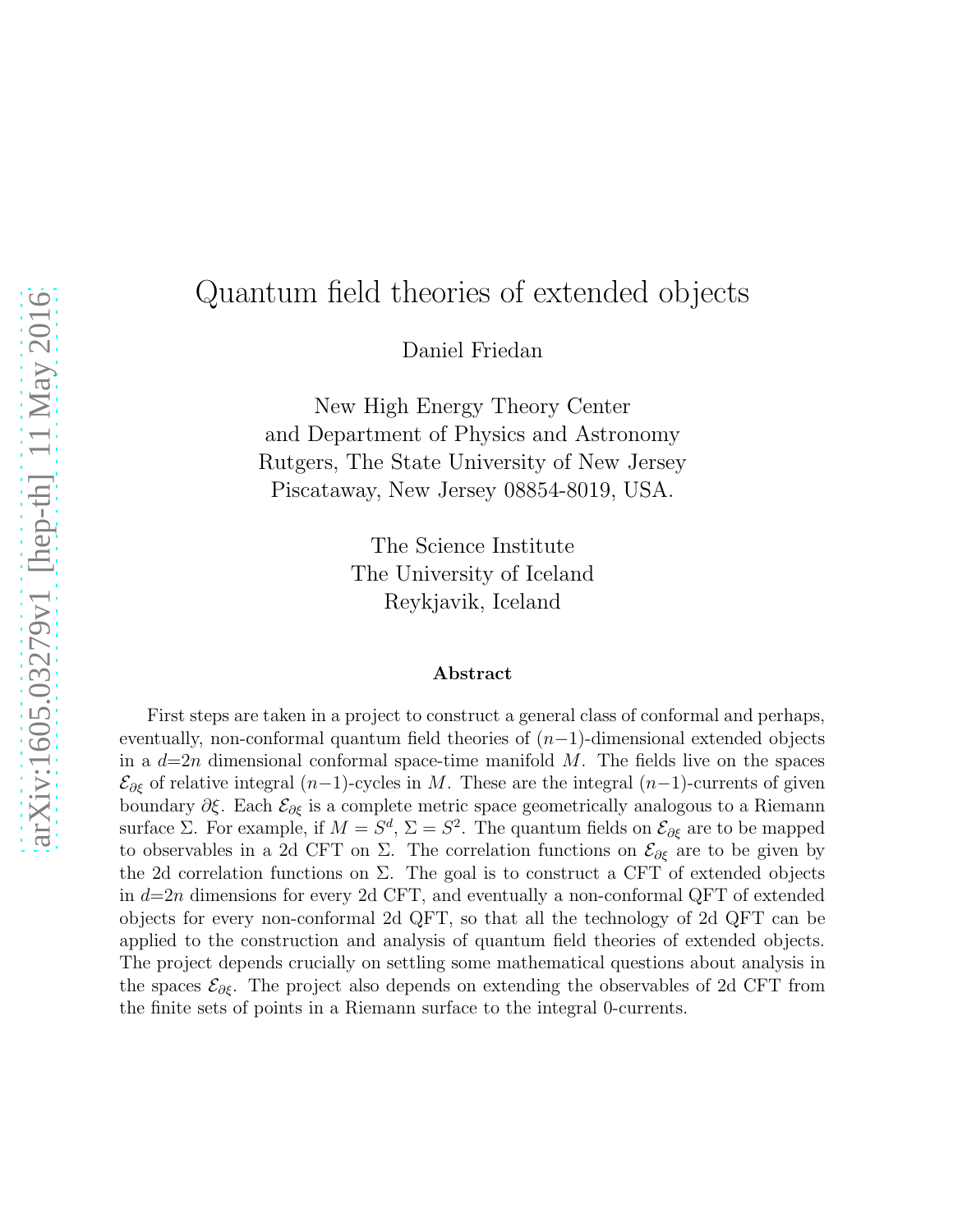# Quantum field theories of extended objects

Daniel Friedan

New High Energy Theory Center and Department of Physics and Astronomy Rutgers, The State University of New Jersey Piscataway, New Jersey 08854-8019, USA.

> The Science Institute The University of Iceland Reykjavik, Iceland

#### Abstract

First steps are taken in a project to construct a general class of conformal and perhaps, eventually, non-conformal quantum field theories of  $(n-1)$ -dimensional extended objects in a  $d=2n$  dimensional conformal space-time manifold M. The fields live on the spaces  $\mathcal{E}_{\partial \xi}$  of relative integral  $(n-1)$ -cycles in M. These are the integral  $(n-1)$ -currents of given boundary  $\partial \xi$ . Each  $\mathcal{E}_{\partial \xi}$  is a complete metric space geometrically analogous to a Riemann surface  $\Sigma$ . For example, if  $M = S^d$ ,  $\Sigma = S^2$ . The quantum fields on  $\mathcal{E}_{\partial \xi}$  are to be mapped to observables in a 2d CFT on  $\Sigma$ . The correlation functions on  $\mathcal{E}_{\partial \xi}$  are to be given by the 2d correlation functions on  $\Sigma$ . The goal is to construct a CFT of extended objects in  $d=2n$  dimensions for every 2d CFT, and eventually a non-conformal QFT of extended objects for every non-conformal 2d QFT, so that all the technology of 2d QFT can be applied to the construction and analysis of quantum field theories of extended objects. The project depends crucially on settling some mathematical questions about analysis in the spaces  $\mathcal{E}_{\partial \xi}$ . The project also depends on extending the observables of 2d CFT from the finite sets of points in a Riemann surface to the integral 0-currents.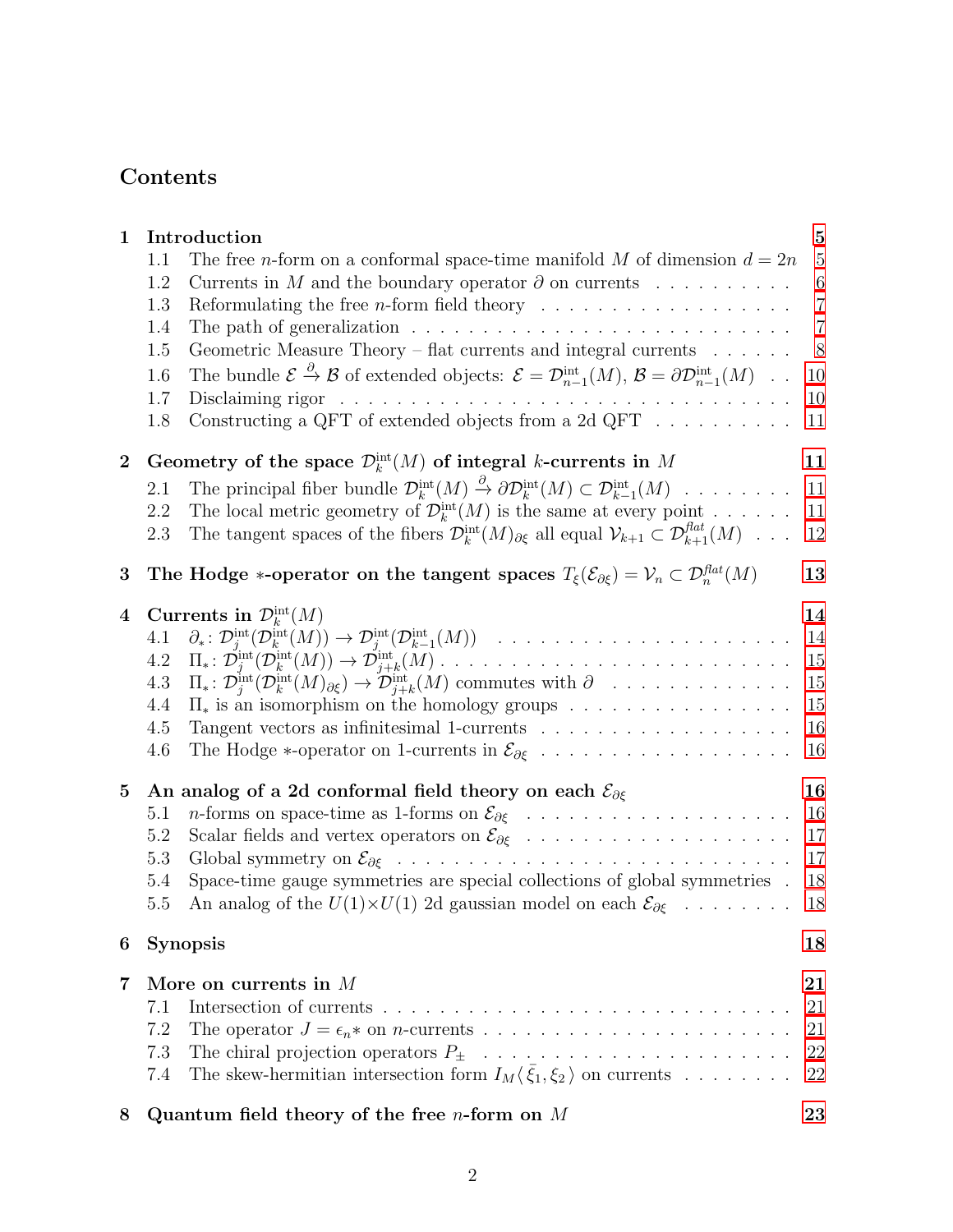# Contents

| $\mathbf{1}$    |                                                      | Introduction                                                                                                                                                                                                                                                                                                                                                                                                                                                                                                                                                                                                                                                                                                                                                                                                                                   | $\overline{5}$                                                                       |
|-----------------|------------------------------------------------------|------------------------------------------------------------------------------------------------------------------------------------------------------------------------------------------------------------------------------------------------------------------------------------------------------------------------------------------------------------------------------------------------------------------------------------------------------------------------------------------------------------------------------------------------------------------------------------------------------------------------------------------------------------------------------------------------------------------------------------------------------------------------------------------------------------------------------------------------|--------------------------------------------------------------------------------------|
|                 | 1.1<br>1.2<br>1.3<br>1.4<br>1.5<br>1.6<br>1.7<br>1.8 | The free <i>n</i> -form on a conformal space-time manifold M of dimension $d = 2n$<br>Currents in M and the boundary operator $\partial$ on currents<br>Reformulating the free <i>n</i> -form field theory $\ldots \ldots \ldots \ldots \ldots \ldots$<br>The path of generalization $\ldots \ldots \ldots \ldots \ldots \ldots \ldots \ldots \ldots$<br>Geometric Measure Theory – flat currents and integral currents<br>The bundle $\mathcal{E} \stackrel{\partial}{\to} \mathcal{B}$ of extended objects: $\mathcal{E} = \mathcal{D}_{n-1}^{\text{int}}(M), \mathcal{B} = \partial \mathcal{D}_{n-1}^{\text{int}}(M) \dots$<br>Disclaiming rigor<br>a de la caractería de la caractería de la caractería de la caractería de la caractería<br>Constructing a QFT of extended objects from a 2d QFT $\;\ldots\; \ldots\; \ldots\; \ldots\;$ | $\overline{5}$<br>$\,6\,$<br>$\overline{7}$<br>$\overline{7}$<br>8<br>10<br>10<br>11 |
| $\overline{2}$  | 2.1<br>2.2<br>2.3                                    | Geometry of the space $\mathcal{D}_k^{\text{int}}(M)$ of integral k-currents in M<br>The principal fiber bundle $\mathcal{D}_k^{\text{int}}(M) \stackrel{\partial}{\to} \partial \mathcal{D}_k^{\text{int}}(M) \subset \mathcal{D}_{k-1}^{\text{int}}(M) \dots \dots \dots$<br>The local metric geometry of $\mathcal{D}_{k}^{\text{int}}(M)$ is the same at every point<br>The tangent spaces of the fibers $\mathcal{D}_k^{\text{int}}(M)_{\partial \xi}$ all equal $\mathcal{V}_{k+1} \subset \mathcal{D}_{k+1}^{flat}(M) \dots$                                                                                                                                                                                                                                                                                                            | 11<br>11<br>11<br>12                                                                 |
| 3               |                                                      | The Hodge *-operator on the tangent spaces $T_{\xi}(\mathcal{E}_{\partial \xi}) = \mathcal{V}_n \subset \mathcal{D}_n^{flat}(M)$                                                                                                                                                                                                                                                                                                                                                                                                                                                                                                                                                                                                                                                                                                               | 13                                                                                   |
| 4               | 4.1<br>4.2<br>4.3<br>4.4<br>4.5<br>4.6               | Currents in $\mathcal{D}_k^{\text{int}}(M)$<br>$\partial_*\colon \mathcal{D}_j^{\text{int}}(\mathcal{D}_k^{\text{int}}(M)) \to \mathcal{D}_j^{\text{int}}(\mathcal{D}_{k-1}^{\text{int}}(M)) \quad \dots \quad \dots \quad \dots \quad \dots \quad \dots \quad \dots \quad \dots$<br>$\Pi_*\colon \mathcal{D}^{\text{int}}_i(\mathcal{D}^{\text{int}}_k(M))\to \mathcal{D}^{\text{int}}_{j+k}(M)\ldots\ldots\ldots\ldots\ldots\ldots\ldots\ldots\ldots\ldots\ldots$<br>$\Pi_*\colon \mathcal{D}_j^{\text{int}}(\mathcal{D}_k^{\text{int}}(M)_{\partial \xi}) \to \mathcal{D}_{j+k}^{\text{int}}(M)$ commutes with $\partial$<br>$\Pi_*$ is an isomorphism on the homology groups<br>The Hodge $*$ -operator on 1-currents in $\mathcal{E}_{\partial \xi}$                                                                                      | 14<br>14<br>15<br>15<br>15<br>16<br>16                                               |
| $5\overline{)}$ | 5.1<br>5.2<br>5.3<br>5.4<br>5.5                      | An analog of a 2d conformal field theory on each $\mathcal{E}_{\partial \xi}$<br>Space-time gauge symmetries are special collections of global symmetries.<br>An analog of the $U(1)\times U(1)$ 2d gaussian model on each $\mathcal{E}_{\partial \xi}$                                                                                                                                                                                                                                                                                                                                                                                                                                                                                                                                                                                        | 16<br>16<br>17<br>17<br>18<br>18                                                     |
| 6               |                                                      | <b>Synopsis</b>                                                                                                                                                                                                                                                                                                                                                                                                                                                                                                                                                                                                                                                                                                                                                                                                                                | 18                                                                                   |
| $\overline{7}$  | 7.1<br>7.2<br>7.3<br>7.4                             | More on currents in M<br>The skew-hermitian intersection form $I_M(\bar{\xi}_1,\xi_2)$ on currents                                                                                                                                                                                                                                                                                                                                                                                                                                                                                                                                                                                                                                                                                                                                             | 21<br>21<br>21<br>22<br>22                                                           |
|                 |                                                      |                                                                                                                                                                                                                                                                                                                                                                                                                                                                                                                                                                                                                                                                                                                                                                                                                                                |                                                                                      |

8 Quantum field theory of the free *n*-form on  $M$  [23](#page-22-0)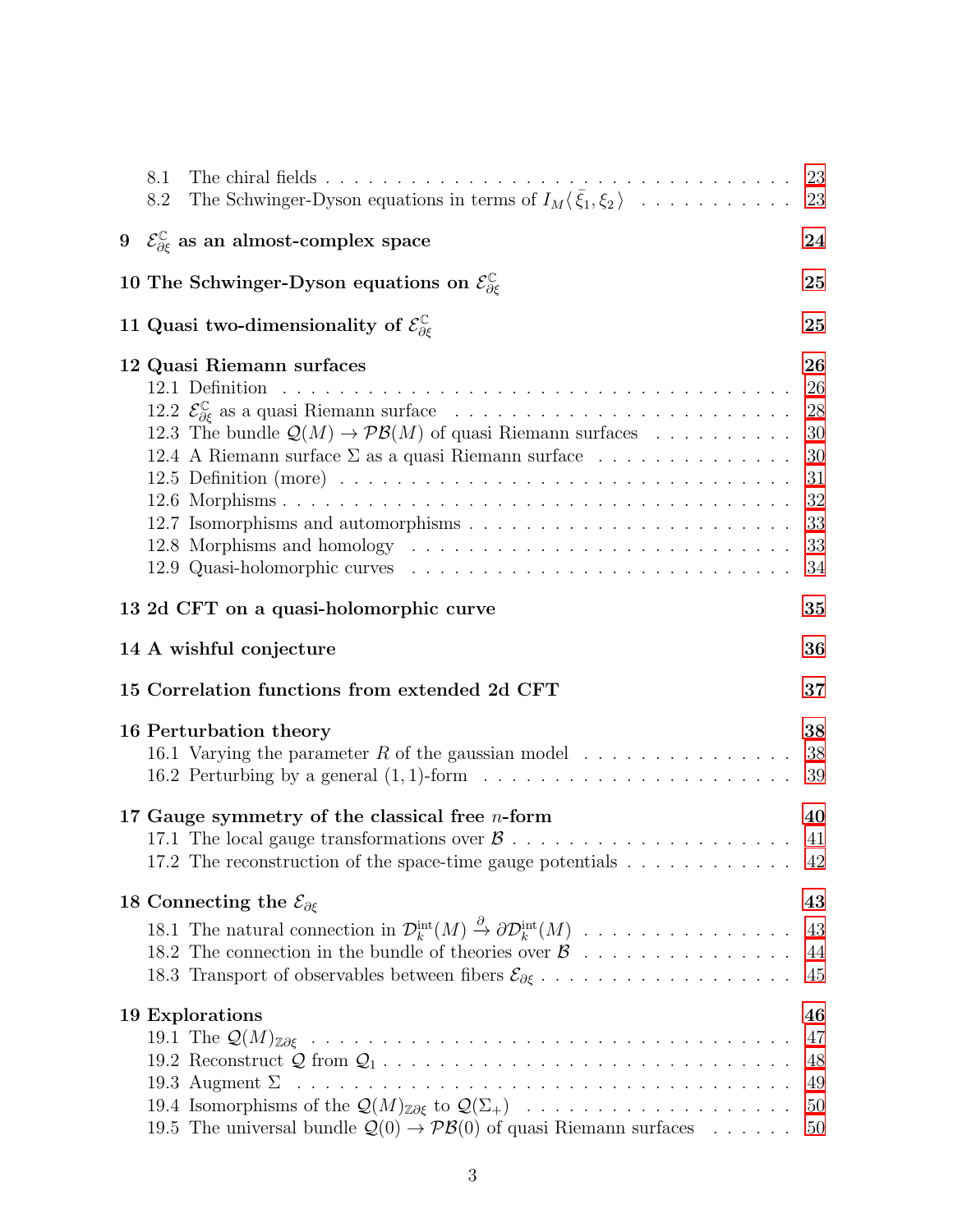| 8.1<br>8.2 |                                                                                                                                                                                                                                                        |                                                          |
|------------|--------------------------------------------------------------------------------------------------------------------------------------------------------------------------------------------------------------------------------------------------------|----------------------------------------------------------|
|            | 9 $\mathcal{E}_{\partial \xi}^{\mathbb{C}}$ as an almost-complex space                                                                                                                                                                                 | 24                                                       |
|            | 10 The Schwinger-Dyson equations on $\mathcal{E}^{\mathbb{C}}_{\partial \xi}$                                                                                                                                                                          | 25                                                       |
|            | 11 Quasi two-dimensionality of $\mathcal{E}^{\mathbb{C}}_{\partial \xi}$                                                                                                                                                                               | 25                                                       |
|            | 12 Quasi Riemann surfaces<br>12.3 The bundle $\mathcal{Q}(M) \to \mathcal{PB}(M)$ of quasi Riemann surfaces<br>12.4 A Riemann surface $\Sigma$ as a quasi Riemann surface $\ldots \ldots \ldots \ldots$                                                | 26<br>26<br>28<br>30<br>30<br>31<br>32<br>33<br>33<br>34 |
|            | 13 2d CFT on a quasi-holomorphic curve                                                                                                                                                                                                                 | 35                                                       |
|            | 14 A wishful conjecture                                                                                                                                                                                                                                | 36                                                       |
|            | 15 Correlation functions from extended 2d CFT                                                                                                                                                                                                          | 37                                                       |
|            | 16 Perturbation theory<br>16.1 Varying the parameter $R$ of the gaussian model $\ldots \ldots \ldots \ldots \ldots$                                                                                                                                    | 38<br>38<br>39                                           |
|            | 17 Gauge symmetry of the classical free $n$ -form<br>17.2 The reconstruction of the space-time gauge potentials $\dots \dots \dots \dots$                                                                                                              | 40<br>-41                                                |
|            | 18 Connecting the $\mathcal{E}_{\partial \xi}$<br>18.1 The natural connection in $\mathcal{D}_k^{\text{int}}(M) \stackrel{\partial}{\rightarrow} \partial \mathcal{D}_k^{\text{int}}(M)$<br>18.2 The connection in the bundle of theories over $\beta$ | 43<br>43<br>44<br>45                                     |
|            | 19 Explorations<br>19.5 The universal bundle $\mathcal{Q}(0) \to \mathcal{PB}(0)$ of quasi Riemann surfaces                                                                                                                                            | 46<br>47<br>48<br>49<br>50<br>50                         |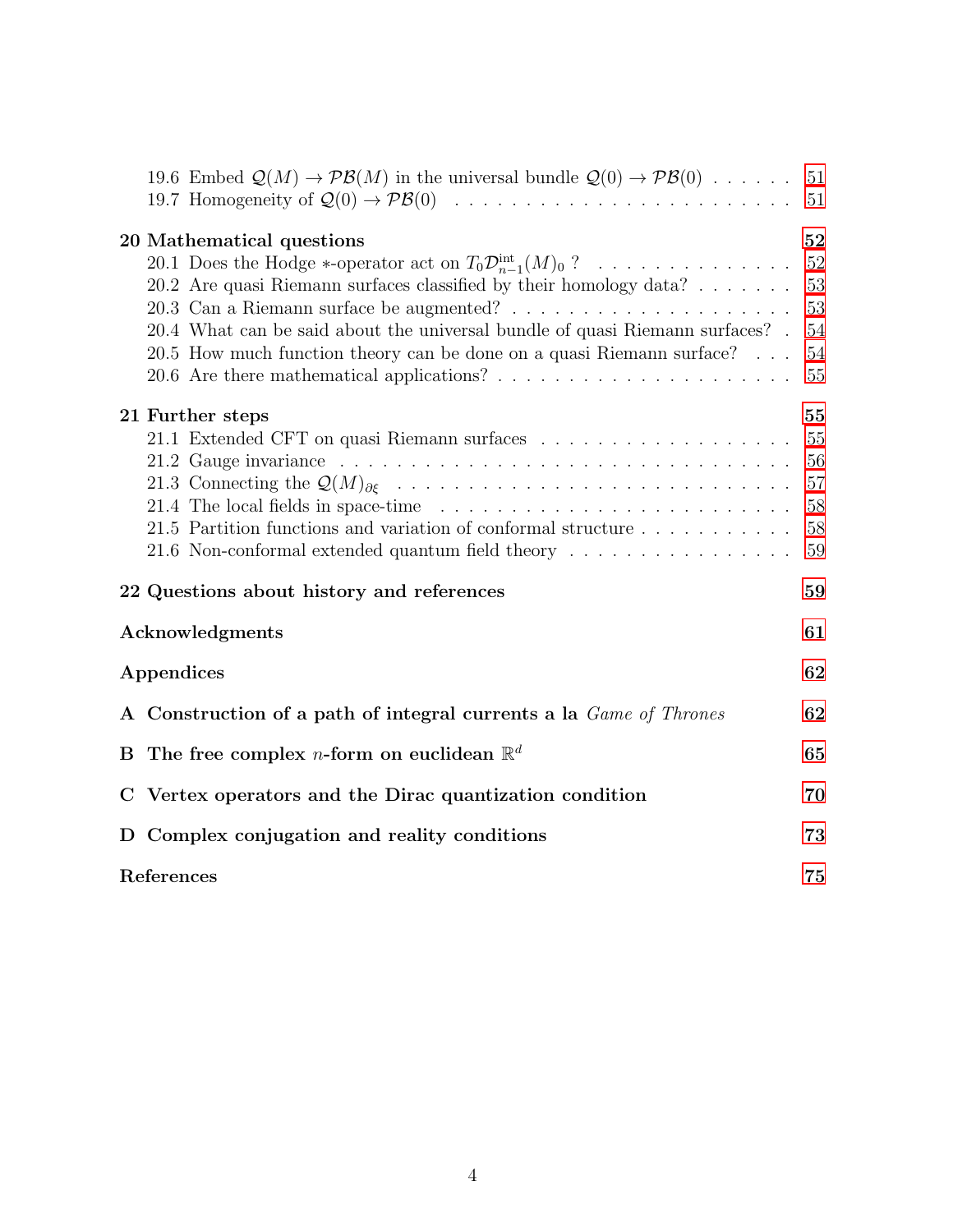|            | 19.6 Embed $\mathcal{Q}(M) \to \mathcal{PB}(M)$ in the universal bundle $\mathcal{Q}(0) \to \mathcal{PB}(0)$ 51                                                                                                                                                                                                                                        |                                        |  |  |
|------------|--------------------------------------------------------------------------------------------------------------------------------------------------------------------------------------------------------------------------------------------------------------------------------------------------------------------------------------------------------|----------------------------------------|--|--|
|            |                                                                                                                                                                                                                                                                                                                                                        |                                        |  |  |
|            | 20 Mathematical questions<br>20.1 Does the Hodge *-operator act on $T_0\mathcal{D}_{n-1}^{\text{int}}(M)_0$ ?<br>20.2 Are quasi Riemann surfaces classified by their homology data?<br>$20.4\,$ What can be said about the universal bundle of quasi Riemann surfaces? $\,$ .<br>20.5 How much function theory can be done on a quasi Riemann surface? | 52<br>52<br>53<br>53<br>54<br>54<br>55 |  |  |
|            | 21 Further steps                                                                                                                                                                                                                                                                                                                                       | 55                                     |  |  |
|            |                                                                                                                                                                                                                                                                                                                                                        | 55                                     |  |  |
|            | 21.2 Gauge invariance response to the contract of the contract of the contract of the contract of the contract of the contract of the contract of the contract of the contract of the contract of the contract of the contract                                                                                                                         | 56                                     |  |  |
|            |                                                                                                                                                                                                                                                                                                                                                        | 57                                     |  |  |
|            |                                                                                                                                                                                                                                                                                                                                                        | 58                                     |  |  |
|            | 21.5 Partition functions and variation of conformal structure<br>21.6 Non-conformal extended quantum field theory                                                                                                                                                                                                                                      | 58<br>59                               |  |  |
|            | 22 Questions about history and references                                                                                                                                                                                                                                                                                                              | 59                                     |  |  |
|            | Acknowledgments                                                                                                                                                                                                                                                                                                                                        |                                        |  |  |
| Appendices |                                                                                                                                                                                                                                                                                                                                                        |                                        |  |  |
|            | A Construction of a path of integral currents a la Game of Thrones                                                                                                                                                                                                                                                                                     | 62                                     |  |  |
|            | B The free complex <i>n</i> -form on euclidean $\mathbb{R}^d$                                                                                                                                                                                                                                                                                          | 65                                     |  |  |
|            | C Vertex operators and the Dirac quantization condition                                                                                                                                                                                                                                                                                                | 70                                     |  |  |
|            | D Complex conjugation and reality conditions                                                                                                                                                                                                                                                                                                           | 73                                     |  |  |
|            | References                                                                                                                                                                                                                                                                                                                                             |                                        |  |  |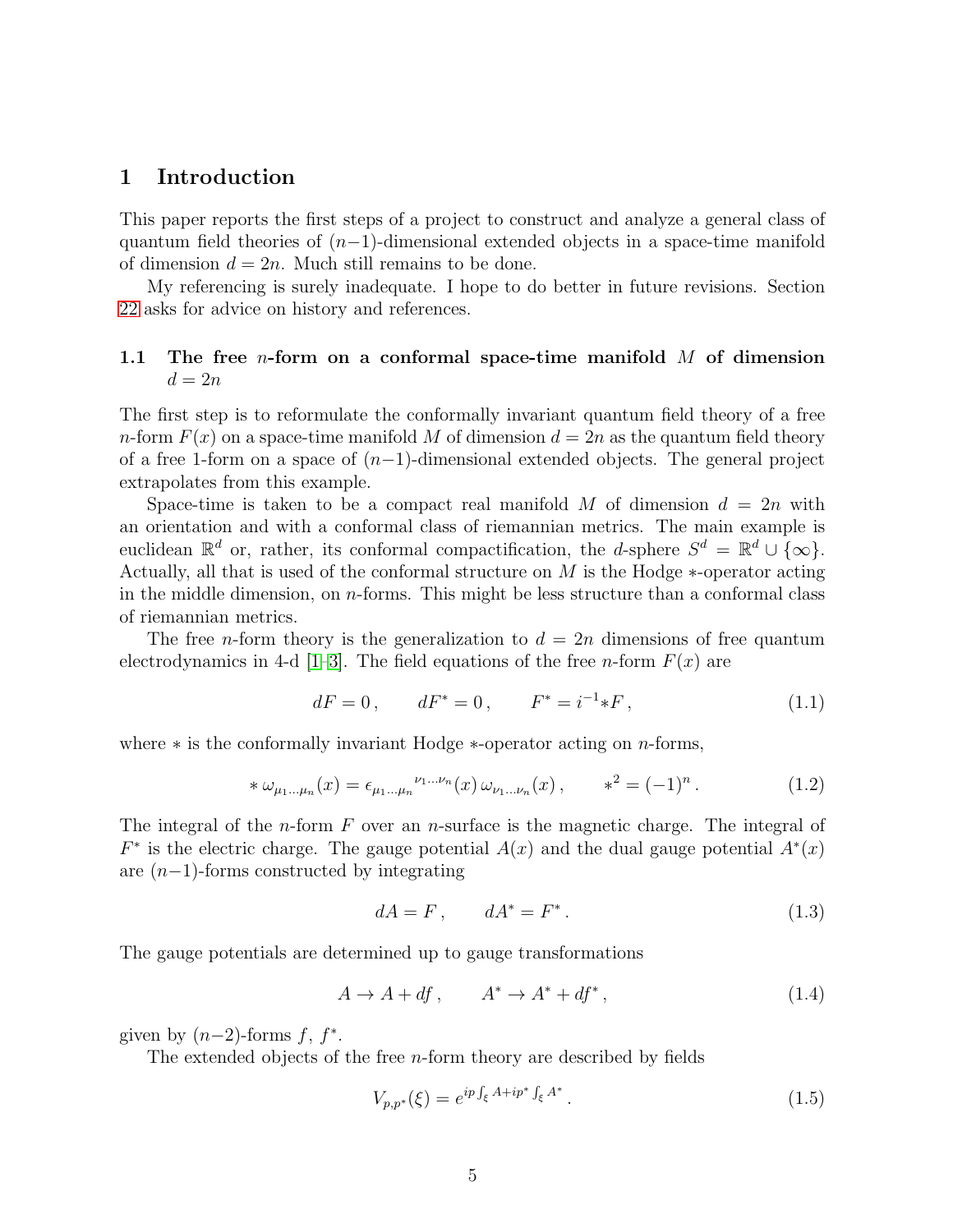# <span id="page-4-0"></span>1 Introduction

This paper reports the first steps of a project to construct and analyze a general class of quantum field theories of  $(n-1)$ -dimensional extended objects in a space-time manifold of dimension  $d = 2n$ . Much still remains to be done.

My referencing is surely inadequate. I hope to do better in future revisions. Section [22](#page-58-1) asks for advice on history and references.

# <span id="page-4-1"></span>1.1 The free *n*-form on a conformal space-time manifold  $M$  of dimension  $d=2n$

The first step is to reformulate the conformally invariant quantum field theory of a free n-form  $F(x)$  on a space-time manifold M of dimension  $d = 2n$  as the quantum field theory of a free 1-form on a space of  $(n-1)$ -dimensional extended objects. The general project extrapolates from this example.

Space-time is taken to be a compact real manifold M of dimension  $d = 2n$  with an orientation and with a conformal class of riemannian metrics. The main example is euclidean  $\mathbb{R}^d$  or, rather, its conformal compactification, the *d*-sphere  $S^d = \mathbb{R}^d \cup \{\infty\}.$ Actually, all that is used of the conformal structure on M is the Hodge ∗-operator acting in the middle dimension, on  $n$ -forms. This might be less structure than a conformal class of riemannian metrics.

The free n-form theory is the generalization to  $d = 2n$  dimensions of free quantum electrodynamics in 4-d [\[1–](#page-74-1)[3\]](#page-75-0). The field equations of the free *n*-form  $F(x)$  are

$$
dF = 0, \qquad dF^* = 0, \qquad F^* = i^{-1} * F, \tag{1.1}
$$

where  $*$  is the conformally invariant Hodge  $*$ -operator acting on *n*-forms,

$$
*\,\omega_{\mu_1...\mu_n}(x) = \epsilon_{\mu_1...\mu_n}^{\nu_1...\nu_n}(x)\,\omega_{\nu_1...\nu_n}(x)\,, \qquad *^2 = (-1)^n\,.
$$
 (1.2)

The integral of the *n*-form  $F$  over an *n*-surface is the magnetic charge. The integral of  $F^*$  is the electric charge. The gauge potential  $A(x)$  and the dual gauge potential  $A^*(x)$ are  $(n-1)$ -forms constructed by integrating

$$
dA = F, \qquad dA^* = F^*.
$$
\n<sup>(1.3)</sup>

The gauge potentials are determined up to gauge transformations

$$
A \to A + df, \qquad A^* \to A^* + df^*, \tag{1.4}
$$

given by  $(n-2)$ -forms  $f, f^*$ .

The extended objects of the free  $n$ -form theory are described by fields

$$
V_{p,p^*}(\xi) = e^{ip \int_{\xi} A + ip^* \int_{\xi} A^*}.
$$
\n(1.5)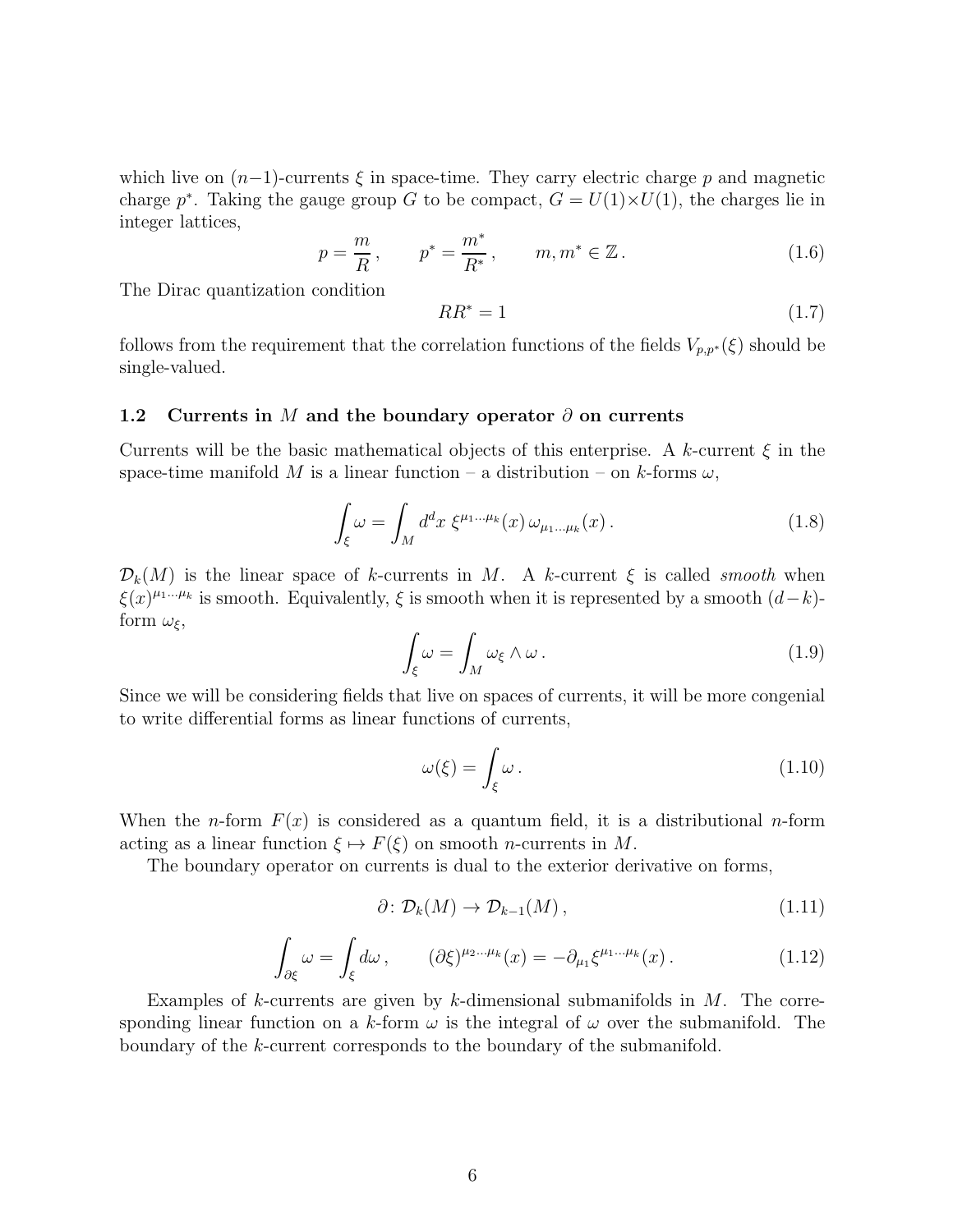which live on  $(n-1)$ -currents  $\xi$  in space-time. They carry electric charge p and magnetic charge  $p^*$ . Taking the gauge group G to be compact,  $G = U(1) \times U(1)$ , the charges lie in integer lattices,

$$
p = \frac{m}{R}
$$
,  $p^* = \frac{m^*}{R^*}$ ,  $m, m^* \in \mathbb{Z}$ . (1.6)

The Dirac quantization condition

$$
RR^* = 1 \tag{1.7}
$$

follows from the requirement that the correlation functions of the fields  $V_{p,p^*}(\xi)$  should be single-valued.

#### <span id="page-5-0"></span>1.2 Currents in M and the boundary operator  $\partial$  on currents

Currents will be the basic mathematical objects of this enterprise. A k-current  $\xi$  in the space-time manifold M is a linear function – a distribution – on k-forms  $\omega$ ,

$$
\int_{\xi} \omega = \int_M d^d x \; \xi^{\mu_1 \dots \mu_k}(x) \, \omega_{\mu_1 \dots \mu_k}(x) \,. \tag{1.8}
$$

 $\mathcal{D}_k(M)$  is the linear space of k-currents in M. A k-current  $\xi$  is called smooth when  $\xi(x)^{\mu_1...\mu_k}$  is smooth. Equivalently,  $\xi$  is smooth when it is represented by a smooth  $(d-k)$ form  $\omega_{\xi}$ ,

$$
\int_{\xi} \omega = \int_M \omega_{\xi} \wedge \omega \,. \tag{1.9}
$$

Since we will be considering fields that live on spaces of currents, it will be more congenial to write differential forms as linear functions of currents,

$$
\omega(\xi) = \int_{\xi} \omega \,. \tag{1.10}
$$

When the *n*-form  $F(x)$  is considered as a quantum field, it is a distributional *n*-form acting as a linear function  $\xi \mapsto F(\xi)$  on smooth *n*-currents in M.

The boundary operator on currents is dual to the exterior derivative on forms,

$$
\partial \colon \mathcal{D}_k(M) \to \mathcal{D}_{k-1}(M) \,, \tag{1.11}
$$

$$
\int_{\partial \xi} \omega = \int_{\xi} d\omega, \qquad (\partial \xi)^{\mu_2 \dots \mu_k}(x) = -\partial_{\mu_1} \xi^{\mu_1 \dots \mu_k}(x). \tag{1.12}
$$

Examples of k-currents are given by k-dimensional submanifolds in  $M$ . The corresponding linear function on a k-form  $\omega$  is the integral of  $\omega$  over the submanifold. The boundary of the k-current corresponds to the boundary of the submanifold.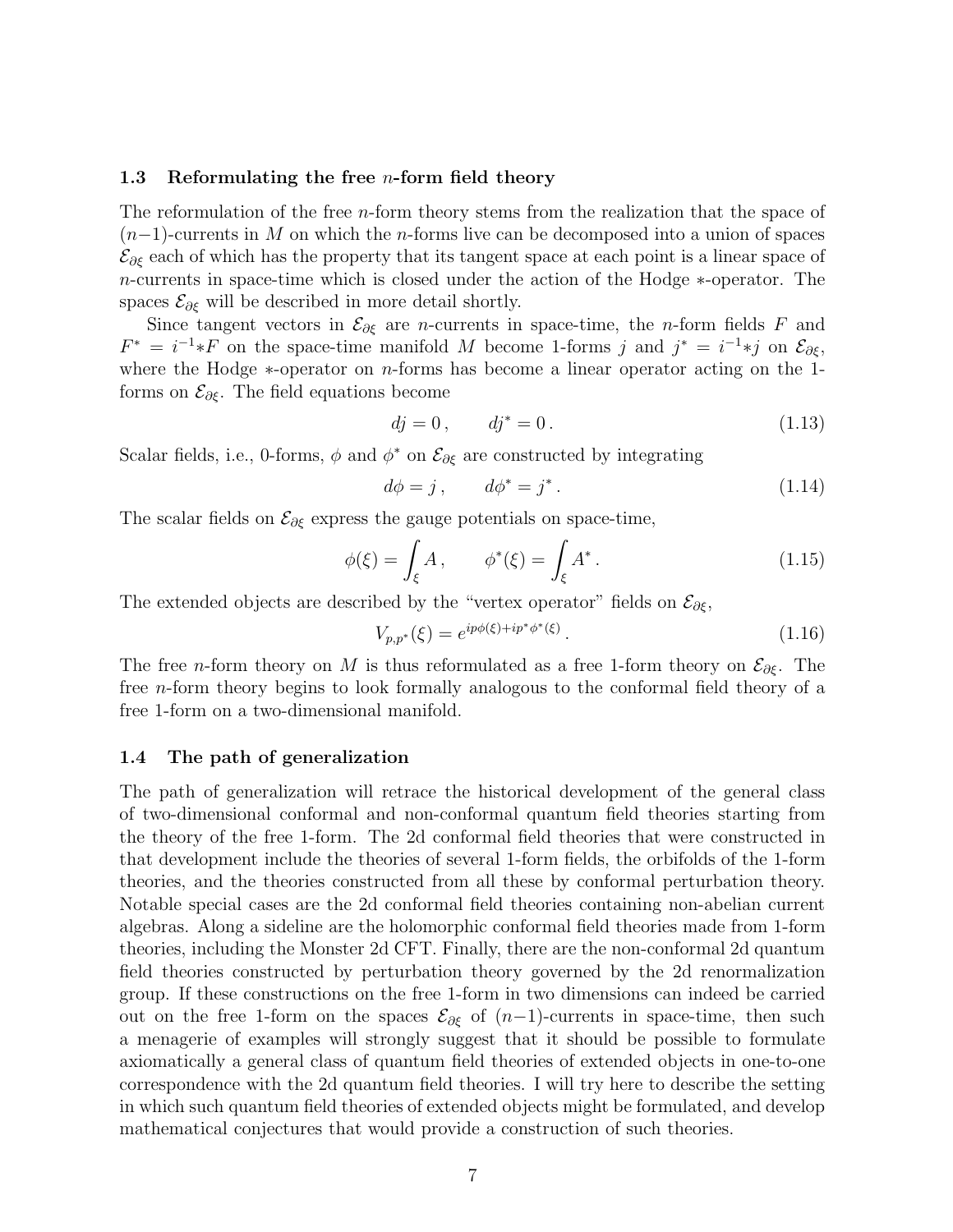#### <span id="page-6-0"></span>1.3 Reformulating the free *n*-form field theory

The reformulation of the free *n*-form theory stems from the realization that the space of  $(n-1)$ -currents in M on which the n-forms live can be decomposed into a union of spaces  $\mathcal{E}_{\partial \xi}$  each of which has the property that its tangent space at each point is a linear space of n-currents in space-time which is closed under the action of the Hodge ∗-operator. The spaces  $\mathcal{E}_{\partial \xi}$  will be described in more detail shortly.

Since tangent vectors in  $\mathcal{E}_{\partial \xi}$  are *n*-currents in space-time, the *n*-form fields F and  $F^* = i^{-1} * F$  on the space-time manifold M become 1-forms j and  $j^* = i^{-1} * j$  on  $\mathcal{E}_{\partial \xi}$ , where the Hodge ∗-operator on n-forms has become a linear operator acting on the 1 forms on  $\mathcal{E}_{\partial \xi}$ . The field equations become

$$
dj = 0, \t dj^* = 0. \t(1.13)
$$

Scalar fields, i.e., 0-forms,  $\phi$  and  $\phi^*$  on  $\mathcal{E}_{\partial \xi}$  are constructed by integrating

$$
d\phi = j, \qquad d\phi^* = j^* \,. \tag{1.14}
$$

The scalar fields on  $\mathcal{E}_{\partial \xi}$  express the gauge potentials on space-time,

$$
\phi(\xi) = \int_{\xi} A, \qquad \phi^*(\xi) = \int_{\xi} A^*.
$$
\n(1.15)

The extended objects are described by the "vertex operator" fields on  $\mathcal{E}_{\partial \xi}$ ,

$$
V_{p,p^*}(\xi) = e^{ip\phi(\xi) + ip^*\phi^*(\xi)}.
$$
\n(1.16)

The free *n*-form theory on M is thus reformulated as a free 1-form theory on  $\mathcal{E}_{\partial \xi}$ . The free n-form theory begins to look formally analogous to the conformal field theory of a free 1-form on a two-dimensional manifold.

## <span id="page-6-1"></span>1.4 The path of generalization

The path of generalization will retrace the historical development of the general class of two-dimensional conformal and non-conformal quantum field theories starting from the theory of the free 1-form. The 2d conformal field theories that were constructed in that development include the theories of several 1-form fields, the orbifolds of the 1-form theories, and the theories constructed from all these by conformal perturbation theory. Notable special cases are the 2d conformal field theories containing non-abelian current algebras. Along a sideline are the holomorphic conformal field theories made from 1-form theories, including the Monster 2d CFT. Finally, there are the non-conformal 2d quantum field theories constructed by perturbation theory governed by the 2d renormalization group. If these constructions on the free 1-form in two dimensions can indeed be carried out on the free 1-form on the spaces  $\mathcal{E}_{\partial \xi}$  of  $(n-1)$ -currents in space-time, then such a menagerie of examples will strongly suggest that it should be possible to formulate axiomatically a general class of quantum field theories of extended objects in one-to-one correspondence with the 2d quantum field theories. I will try here to describe the setting in which such quantum field theories of extended objects might be formulated, and develop mathematical conjectures that would provide a construction of such theories.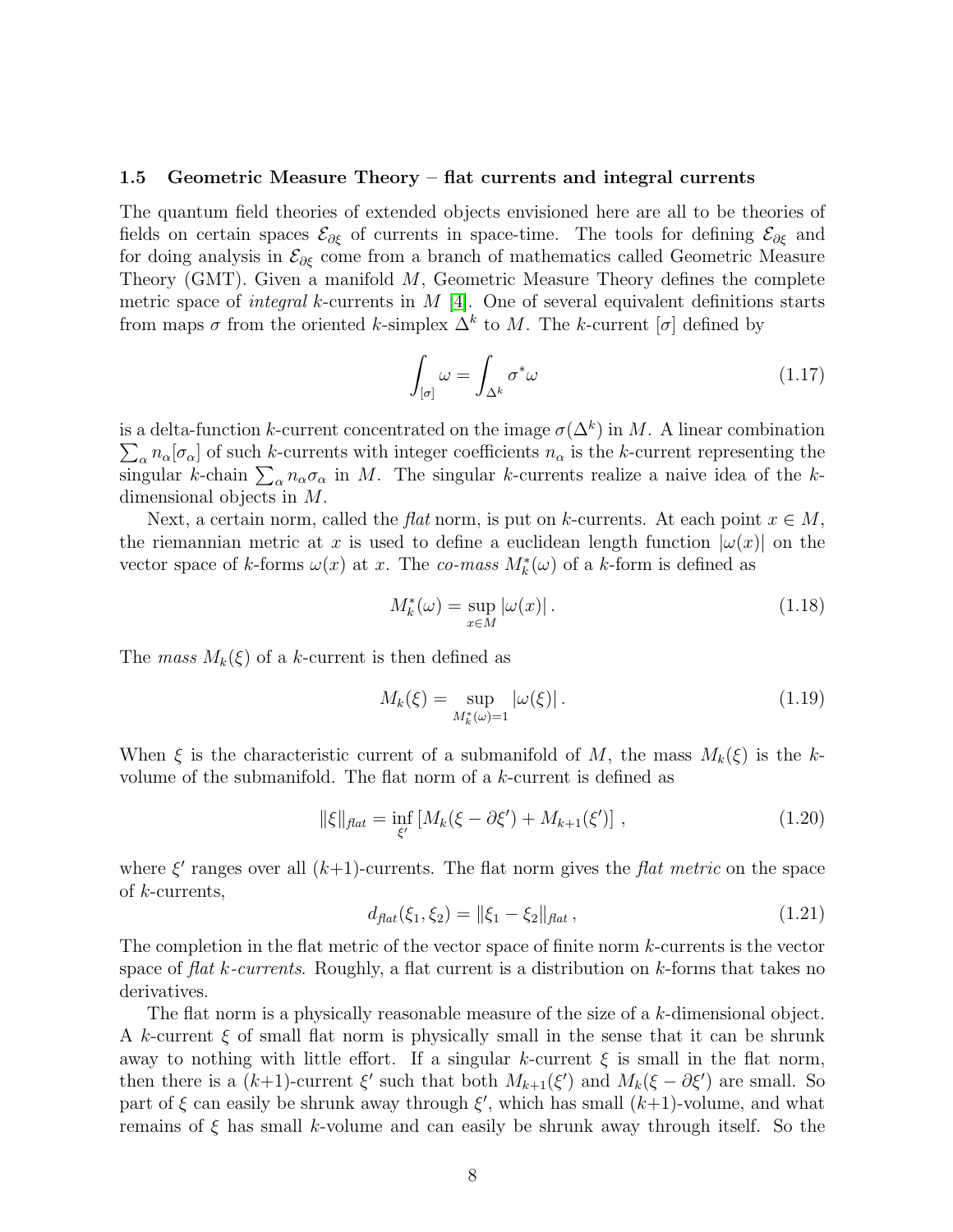#### <span id="page-7-0"></span>1.5 Geometric Measure Theory – flat currents and integral currents

The quantum field theories of extended objects envisioned here are all to be theories of fields on certain spaces  $\mathcal{E}_{\partial \xi}$  of currents in space-time. The tools for defining  $\mathcal{E}_{\partial \xi}$  and for doing analysis in  $\mathcal{E}_{\partial \xi}$  come from a branch of mathematics called Geometric Measure Theory (GMT). Given a manifold  $M$ , Geometric Measure Theory defines the complete metric space of *integral* k-currents in  $M$  [\[4\]](#page-75-1). One of several equivalent definitions starts from maps  $\sigma$  from the oriented k-simplex  $\Delta^k$  to M. The k-current  $[\sigma]$  defined by

$$
\int_{[\sigma]} \omega = \int_{\Delta^k} \sigma^* \omega \tag{1.17}
$$

is a delta-function k-current concentrated on the image  $\sigma(\Delta^k)$  in M. A linear combination  $\sum_{\alpha} n_{\alpha} [\sigma_{\alpha}]$  of such k-currents with integer coefficients  $n_{\alpha}$  is the k-current representing the singular k-chain  $\sum_{\alpha} n_{\alpha} \sigma_{\alpha}$  in M. The singular k-currents realize a naive idea of the kdimensional objects in M.

Next, a certain norm, called the *flat* norm, is put on k-currents. At each point  $x \in M$ , the riemannian metric at x is used to define a euclidean length function  $|\omega(x)|$  on the vector space of k-forms  $\omega(x)$  at x. The co-mass  $M_k^*(\omega)$  of a k-form is defined as

$$
M_k^*(\omega) = \sup_{x \in M} |\omega(x)|.
$$
 (1.18)

The mass  $M_k(\xi)$  of a k-current is then defined as

$$
M_k(\xi) = \sup_{M_k^*(\omega) = 1} |\omega(\xi)|.
$$
 (1.19)

When  $\xi$  is the characteristic current of a submanifold of M, the mass  $M_k(\xi)$  is the kvolume of the submanifold. The flat norm of a k-current is defined as

$$
\|\xi\|_{\text{flat}} = \inf_{\xi'} \left[ M_k(\xi - \partial \xi') + M_{k+1}(\xi') \right], \tag{1.20}
$$

where  $\xi'$  ranges over all  $(k+1)$ -currents. The flat norm gives the flat metric on the space of k-currents,

$$
d_{\text{flat}}(\xi_1, \xi_2) = ||\xi_1 - \xi_2||_{\text{flat}}, \tag{1.21}
$$

The completion in the flat metric of the vector space of finite norm k-currents is the vector space of flat k-currents. Roughly, a flat current is a distribution on  $k$ -forms that takes no derivatives.

The flat norm is a physically reasonable measure of the size of a k-dimensional object. A k-current  $\xi$  of small flat norm is physically small in the sense that it can be shrunk away to nothing with little effort. If a singular k-current  $\xi$  is small in the flat norm, then there is a  $(k+1)$ -current  $\xi'$  such that both  $M_{k+1}(\xi')$  and  $M_k(\xi - \partial \xi')$  are small. So part of  $\xi$  can easily be shrunk away through  $\xi'$ , which has small  $(k+1)$ -volume, and what remains of  $\xi$  has small k-volume and can easily be shrunk away through itself. So the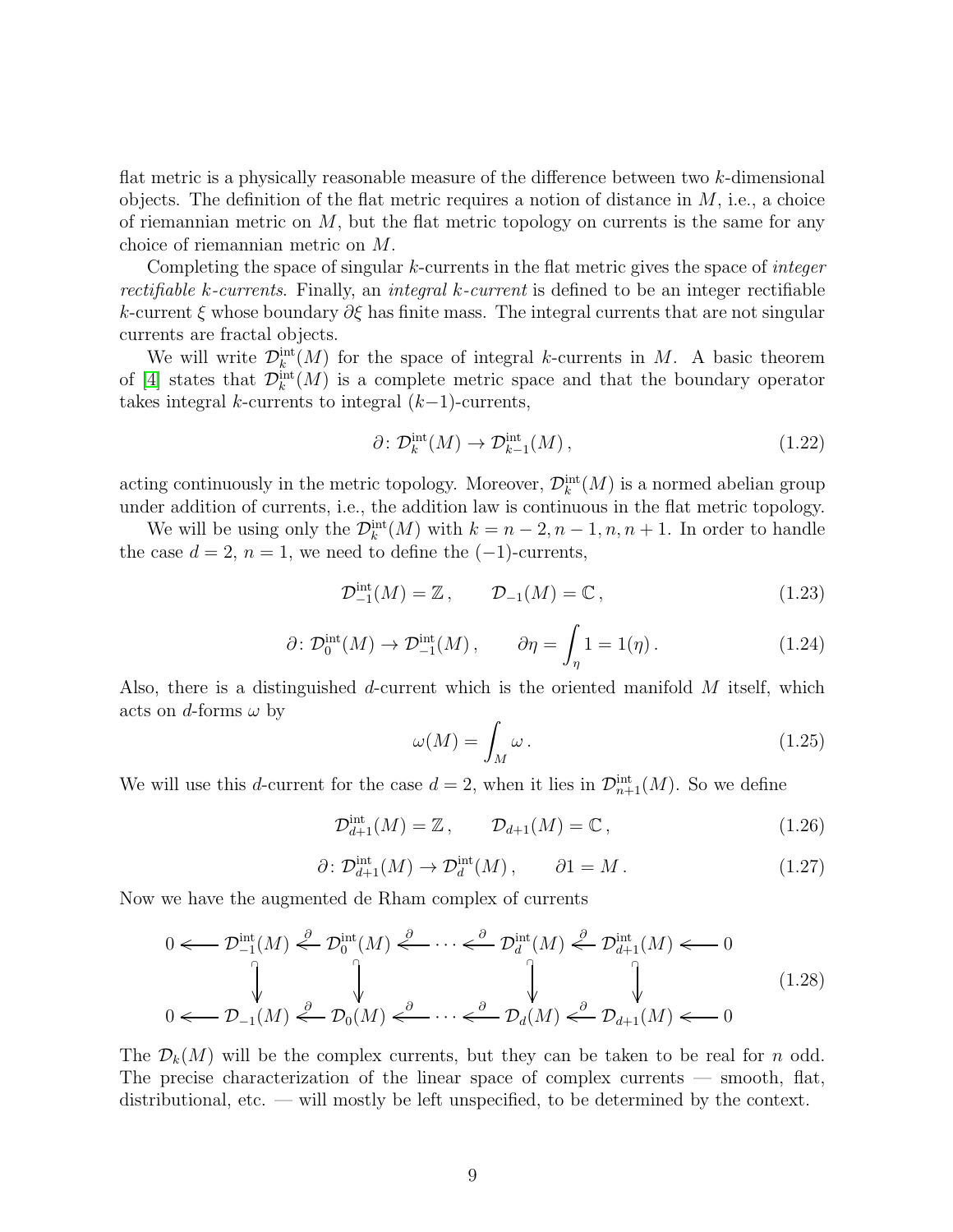flat metric is a physically reasonable measure of the difference between two  $k$ -dimensional objects. The definition of the flat metric requires a notion of distance in  $M$ , i.e., a choice of riemannian metric on  $M$ , but the flat metric topology on currents is the same for any choice of riemannian metric on M.

Completing the space of singular  $k$ -currents in the flat metric gives the space of *integer* rectifiable k-currents. Finally, an integral k-current is defined to be an integer rectifiable k-current  $\xi$  whose boundary  $\partial \xi$  has finite mass. The integral currents that are not singular currents are fractal objects.

We will write  $\mathcal{D}_k^{\text{int}}(M)$  for the space of integral k-currents in M. A basic theorem of [\[4\]](#page-75-1) states that  $\mathcal{D}_{k}^{\text{int}}(M)$  is a complete metric space and that the boundary operator takes integral k-currents to integral  $(k-1)$ -currents,

$$
\partial \colon \mathcal{D}_k^{\text{int}}(M) \to \mathcal{D}_{k-1}^{\text{int}}(M) \,, \tag{1.22}
$$

acting continuously in the metric topology. Moreover,  $\mathcal{D}_{k}^{\text{int}}(M)$  is a normed abelian group under addition of currents, i.e., the addition law is continuous in the flat metric topology.

We will be using only the  $\mathcal{D}_k^{\text{int}}(M)$  with  $k = n - 2, n - 1, n, n + 1$ . In order to handle the case  $d = 2$ ,  $n = 1$ , we need to define the  $(-1)$ -currents,

$$
\mathcal{D}_{-1}^{\text{int}}(M) = \mathbb{Z}, \qquad \mathcal{D}_{-1}(M) = \mathbb{C}, \qquad (1.23)
$$

$$
\partial \colon \mathcal{D}_0^{\text{int}}(M) \to \mathcal{D}_{-1}^{\text{int}}(M) \,, \qquad \partial \eta = \int_{\eta} 1 = 1(\eta) \,. \tag{1.24}
$$

Also, there is a distinguished d-current which is the oriented manifold  $M$  itself, which acts on d-forms  $\omega$  by

$$
\omega(M) = \int_M \omega \,. \tag{1.25}
$$

We will use this d-current for the case  $d = 2$ , when it lies in  $\mathcal{D}_{n+1}^{\text{int}}(M)$ . So we define

$$
\mathcal{D}_{d+1}^{\text{int}}(M) = \mathbb{Z}, \qquad \mathcal{D}_{d+1}(M) = \mathbb{C}, \qquad (1.26)
$$

$$
\partial \colon \mathcal{D}_{d+1}^{\text{int}}(M) \to \mathcal{D}_d^{\text{int}}(M) \,, \qquad \partial 1 = M \,. \tag{1.27}
$$

Now we have the augmented de Rham complex of currents

$$
0 \leftarrow D_{-1}^{\text{int}}(M) \stackrel{\partial}{\leftarrow} \mathcal{D}_0^{\text{int}}(M) \stackrel{\partial}{\leftarrow} \cdots \stackrel{\partial}{\leftarrow} \mathcal{D}_d^{\text{int}}(M) \stackrel{\partial}{\leftarrow} \mathcal{D}_{d+1}^{\text{int}}(M) \leftarrow 0
$$
\n
$$
0 \leftarrow \mathcal{D}_{-1}(M) \stackrel{\partial}{\leftarrow} \mathcal{D}_0(M) \stackrel{\partial}{\leftarrow} \cdots \stackrel{\partial}{\leftarrow} \mathcal{D}_d(M) \stackrel{\partial}{\leftarrow} \mathcal{D}_{d+1}(M) \leftarrow 0
$$
\n(1.28)

The  $\mathcal{D}_k(M)$  will be the complex currents, but they can be taken to be real for n odd. The precise characterization of the linear space of complex currents — smooth, flat, distributional, etc. — will mostly be left unspecified, to be determined by the context.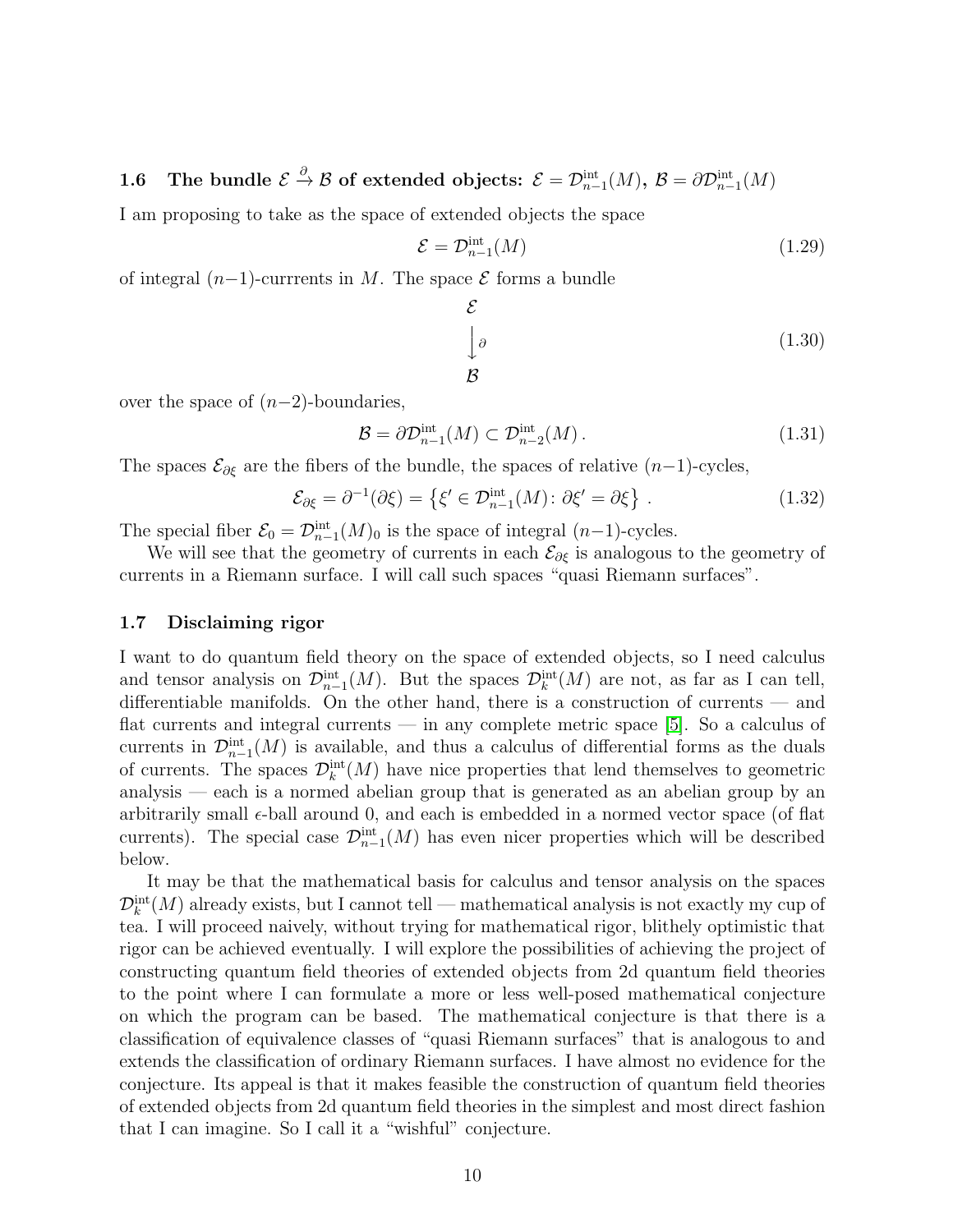<span id="page-9-0"></span>1.6 The bundle  $\mathcal{E} \stackrel{\partial}{\to} \mathcal{B}$  of extended objects:  $\mathcal{E} = \mathcal{D}^{\text{int}}_{n-1}(M)$ ,  $\mathcal{B} = \partial \mathcal{D}^{\text{int}}_{n-1}(M)$ 

I am proposing to take as the space of extended objects the space

$$
\mathcal{E} = \mathcal{D}_{n-1}^{\text{int}}(M) \tag{1.29}
$$

of integral  $(n-1)$ -currrents in M. The space  $\mathcal E$  forms a bundle

$$
\mathcal{E}
$$
\n
$$
\int_{\mathcal{B}} \rho \tag{1.30}
$$

over the space of  $(n-2)$ -boundaries,

$$
\mathcal{B} = \partial \mathcal{D}_{n-1}^{\text{int}}(M) \subset \mathcal{D}_{n-2}^{\text{int}}(M). \tag{1.31}
$$

The spaces  $\mathcal{E}_{\partial \xi}$  are the fibers of the bundle, the spaces of relative  $(n-1)$ -cycles,

$$
\mathcal{E}_{\partial \xi} = \partial^{-1}(\partial \xi) = \left\{ \xi' \in \mathcal{D}_{n-1}^{\text{int}}(M) : \partial \xi' = \partial \xi \right\}. \tag{1.32}
$$

The special fiber  $\mathcal{E}_0 = \mathcal{D}_{n-1}^{\text{int}}(M)_0$  is the space of integral  $(n-1)$ -cycles.

We will see that the geometry of currents in each  $\mathcal{E}_{\partial \xi}$  is analogous to the geometry of currents in a Riemann surface. I will call such spaces "quasi Riemann surfaces".

## <span id="page-9-1"></span>1.7 Disclaiming rigor

I want to do quantum field theory on the space of extended objects, so I need calculus and tensor analysis on  $\mathcal{D}_{n-1}^{\text{int}}(M)$ . But the spaces  $\mathcal{D}_{k}^{\text{int}}(M)$  are not, as far as I can tell, differentiable manifolds. On the other hand, there is a construction of currents — and flat currents and integral currents — in any complete metric space [\[5\]](#page-75-2). So a calculus of currents in  $\mathcal{D}_{n-1}^{\text{int}}(M)$  is available, and thus a calculus of differential forms as the duals of currents. The spaces  $\mathcal{D}_{k}^{\text{int}}(M)$  have nice properties that lend themselves to geometric analysis — each is a normed abelian group that is generated as an abelian group by an arbitrarily small  $\epsilon$ -ball around 0, and each is embedded in a normed vector space (of flat currents). The special case  $\mathcal{D}_{n-1}^{\text{int}}(M)$  has even nicer properties which will be described below.

It may be that the mathematical basis for calculus and tensor analysis on the spaces  $\mathcal{D}_k^{\text{int}}(M)$  already exists, but I cannot tell — mathematical analysis is not exactly my cup of tea. I will proceed naively, without trying for mathematical rigor, blithely optimistic that rigor can be achieved eventually. I will explore the possibilities of achieving the project of constructing quantum field theories of extended objects from 2d quantum field theories to the point where I can formulate a more or less well-posed mathematical conjecture on which the program can be based. The mathematical conjecture is that there is a classification of equivalence classes of "quasi Riemann surfaces" that is analogous to and extends the classification of ordinary Riemann surfaces. I have almost no evidence for the conjecture. Its appeal is that it makes feasible the construction of quantum field theories of extended objects from 2d quantum field theories in the simplest and most direct fashion that I can imagine. So I call it a "wishful" conjecture.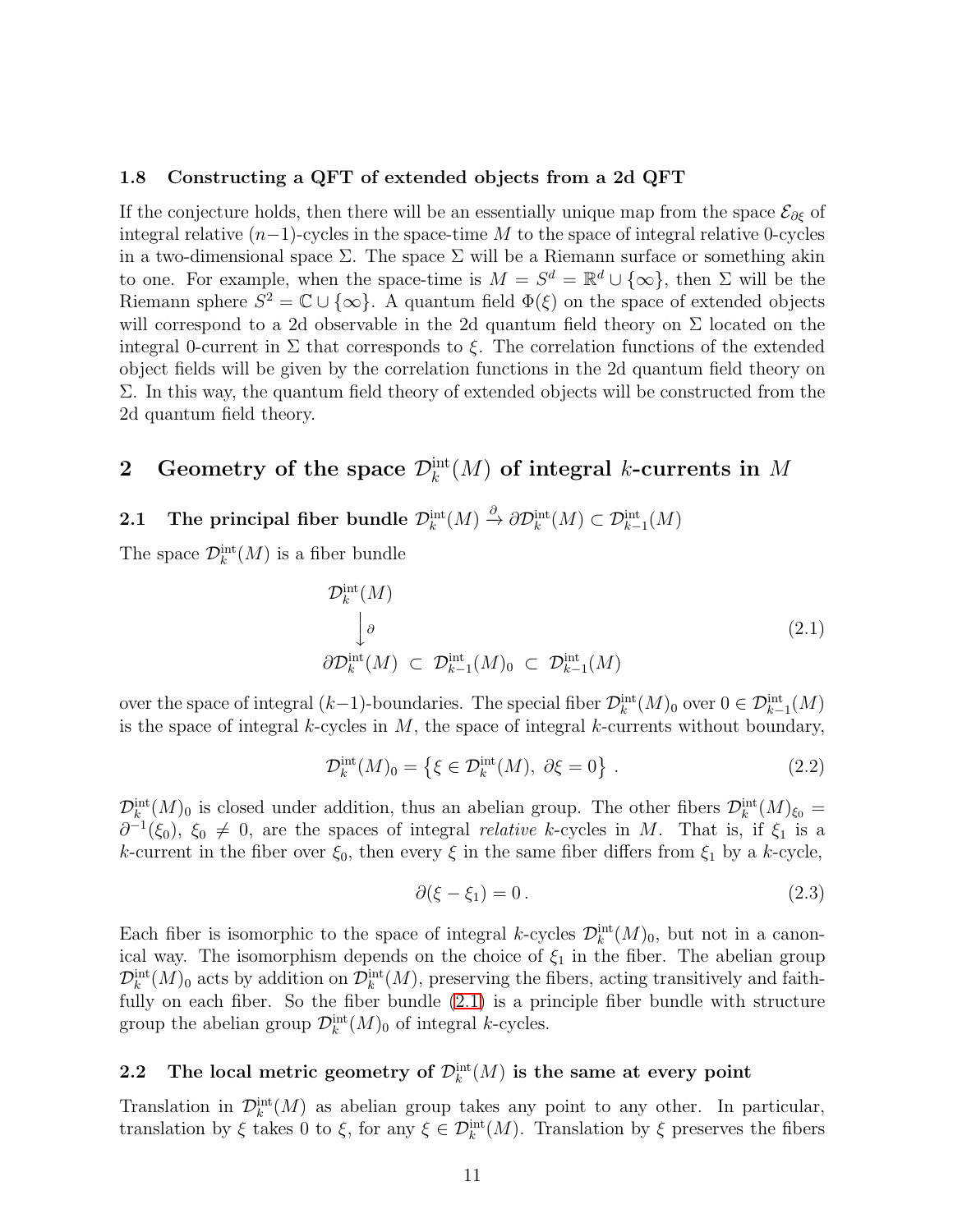### <span id="page-10-0"></span>1.8 Constructing a QFT of extended objects from a 2d QFT

If the conjecture holds, then there will be an essentially unique map from the space  $\mathcal{E}_{\partial \xi}$  of integral relative  $(n-1)$ -cycles in the space-time M to the space of integral relative 0-cycles in a two-dimensional space  $\Sigma$ . The space  $\Sigma$  will be a Riemann surface or something akin to one. For example, when the space-time is  $M = S^d = \mathbb{R}^d \cup \{\infty\}$ , then  $\Sigma$  will be the Riemann sphere  $S^2 = \mathbb{C} \cup \{\infty\}$ . A quantum field  $\Phi(\xi)$  on the space of extended objects will correspond to a 2d observable in the 2d quantum field theory on  $\Sigma$  located on the integral 0-current in  $\Sigma$  that corresponds to  $\xi$ . The correlation functions of the extended object fields will be given by the correlation functions in the 2d quantum field theory on  $\Sigma$ . In this way, the quantum field theory of extended objects will be constructed from the 2d quantum field theory.

# <span id="page-10-1"></span>2 Geometry of the space  $\mathcal{D}_k^{\text{int}}(M)$  of integral k-currents in M

# <span id="page-10-2"></span>2.1 The principal fiber bundle  $\mathcal{D}^{\text{int}}_k(M) \stackrel{\partial}{\to} \partial \mathcal{D}^{\text{int}}_k(M) \subset \mathcal{D}^{\text{int}}_{k-1}(M)$

The space  $\mathcal{D}_k^{\text{int}}(M)$  is a fiber bundle

<span id="page-10-4"></span>
$$
\mathcal{D}_k^{\text{int}}(M)
$$
\n
$$
\downarrow \partial
$$
\n
$$
\partial \mathcal{D}_k^{\text{int}}(M) \subset \mathcal{D}_{k-1}^{\text{int}}(M)_0 \subset \mathcal{D}_{k-1}^{\text{int}}(M) \tag{2.1}
$$

over the space of integral  $(k-1)$ -boundaries. The special fiber  $\mathcal{D}_k^{\text{int}}(M)$  over  $0 \in \mathcal{D}_{k-1}^{\text{int}}(M)$ is the space of integral  $k$ -cycles in  $M$ , the space of integral  $k$ -currents without boundary,

$$
\mathcal{D}_k^{\text{int}}(M)_0 = \{ \xi \in \mathcal{D}_k^{\text{int}}(M), \ \partial \xi = 0 \} \ . \tag{2.2}
$$

 $\mathcal{D}_k^{\text{int}}(M)_0$  is closed under addition, thus an abelian group. The other fibers  $\mathcal{D}_k^{\text{int}}(M)_{\xi_0} =$  $\partial^{-1}(\xi_0)$ ,  $\xi_0 \neq 0$ , are the spaces of integral *relative* k-cycles in M. That is, if  $\xi_1$  is a k-current in the fiber over  $\xi_0$ , then every  $\xi$  in the same fiber differs from  $\xi_1$  by a k-cycle,

$$
\partial(\xi - \xi_1) = 0. \tag{2.3}
$$

Each fiber is isomorphic to the space of integral k-cycles  $\mathcal{D}_k^{\text{int}}(M)_0$ , but not in a canonical way. The isomorphism depends on the choice of  $\xi_1$  in the fiber. The abelian group  $\mathcal{D}_k^{\text{int}}(M)_0$  acts by addition on  $\mathcal{D}_k^{\text{int}}(M)$ , preserving the fibers, acting transitively and faithfully on each fiber. So the fiber bundle  $(2.1)$  is a principle fiber bundle with structure group the abelian group  $\mathcal{D}_k^{\text{int}}(M)_0$  of integral k-cycles.

# <span id="page-10-3"></span>2.2 The local metric geometry of  $\mathcal{D}_k^{\text{int}}(M)$  is the same at every point

Translation in  $\mathcal{D}_{k}^{\text{int}}(M)$  as abelian group takes any point to any other. In particular, translation by  $\xi$  takes 0 to  $\xi$ , for any  $\xi \in \mathcal{D}_k^{\text{int}}(M)$ . Translation by  $\xi$  preserves the fibers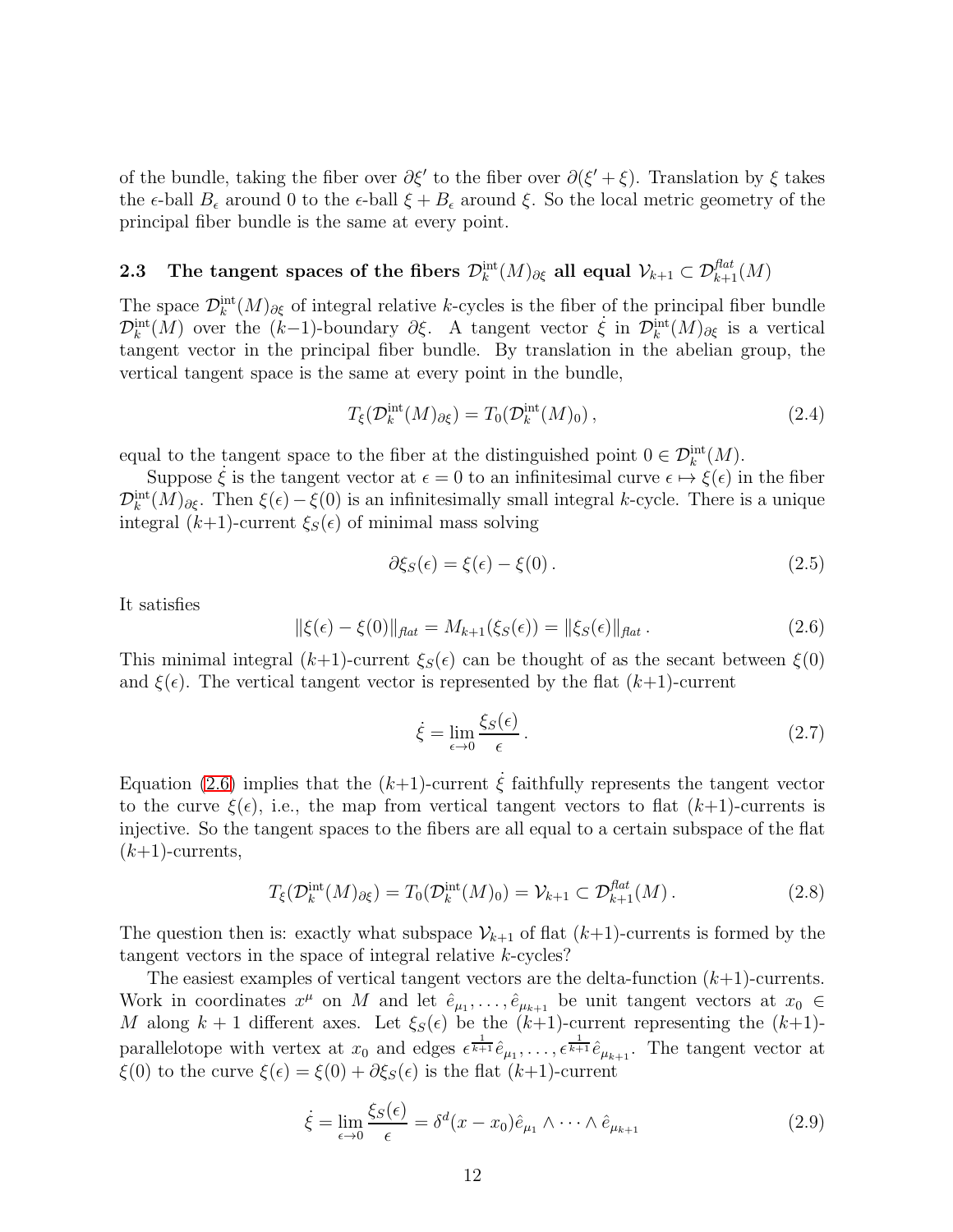of the bundle, taking the fiber over  $\partial \xi'$  to the fiber over  $\partial (\xi' + \xi)$ . Translation by  $\xi$  takes the  $\epsilon$ -ball  $B_{\epsilon}$  around 0 to the  $\epsilon$ -ball  $\xi + B_{\epsilon}$  around  $\xi$ . So the local metric geometry of the principal fiber bundle is the same at every point.

# <span id="page-11-0"></span>2.3 The tangent spaces of the fibers  $\mathcal{D}_k^{\text{int}}(M)_{\partial \xi}$  all equal  $\mathcal{V}_{k+1}\subset \mathcal{D}_{k+1}^{flat}(M)$

The space  $\mathcal{D}_k^{\text{int}}(M)_{\partial \xi}$  of integral relative k-cycles is the fiber of the principal fiber bundle  $\mathcal{D}_k^{\text{int}}(M)$  over the  $(k-1)$ -boundary  $\partial \xi$ . A tangent vector  $\dot{\xi}$  in  $\mathcal{D}_k^{\text{int}}(M)_{\partial \xi}$  is a vertical tangent vector in the principal fiber bundle. By translation in the abelian group, the vertical tangent space is the same at every point in the bundle,

$$
T_{\xi}(\mathcal{D}_k^{\text{int}}(M)_{\partial \xi}) = T_0(\mathcal{D}_k^{\text{int}}(M)_0), \qquad (2.4)
$$

equal to the tangent space to the fiber at the distinguished point  $0 \in \mathcal{D}_{k}^{\text{int}}(M)$ .

Suppose  $\dot{\xi}$  is the tangent vector at  $\epsilon = 0$  to an infinitesimal curve  $\epsilon \mapsto \xi(\epsilon)$  in the fiber  $\mathcal{D}_k^{\text{int}}(M)_{\partial \xi}$ . Then  $\xi(\epsilon) - \xi(0)$  is an infinitesimally small integral k-cycle. There is a unique integral  $(k+1)$ -current  $\xi_s(\epsilon)$  of minimal mass solving

$$
\partial \xi_S(\epsilon) = \xi(\epsilon) - \xi(0). \tag{2.5}
$$

It satisfies

<span id="page-11-1"></span>
$$
\|\xi(\epsilon) - \xi(0)\|_{\text{flat}} = M_{k+1}(\xi_S(\epsilon)) = \|\xi_S(\epsilon)\|_{\text{flat}}.
$$
\n(2.6)

This minimal integral  $(k+1)$ -current  $\xi_s(\epsilon)$  can be thought of as the secant between  $\xi(0)$ and  $\xi(\epsilon)$ . The vertical tangent vector is represented by the flat  $(k+1)$ -current

$$
\dot{\xi} = \lim_{\epsilon \to 0} \frac{\xi_S(\epsilon)}{\epsilon} \,. \tag{2.7}
$$

Equation [\(2.6\)](#page-11-1) implies that the  $(k+1)$ -current  $\xi$  faithfully represents the tangent vector to the curve  $\xi(\epsilon)$ , i.e., the map from vertical tangent vectors to flat  $(k+1)$ -currents is injective. So the tangent spaces to the fibers are all equal to a certain subspace of the flat  $(k+1)$ -currents,

$$
T_{\xi}(\mathcal{D}_k^{\text{int}}(M)_{\partial \xi}) = T_0(\mathcal{D}_k^{\text{int}}(M)_0) = \mathcal{V}_{k+1} \subset \mathcal{D}_{k+1}^{\text{flat}}(M). \tag{2.8}
$$

The question then is: exactly what subspace  $\mathcal{V}_{k+1}$  of flat  $(k+1)$ -currents is formed by the tangent vectors in the space of integral relative k-cycles?

The easiest examples of vertical tangent vectors are the delta-function  $(k+1)$ -currents. Work in coordinates  $x^{\mu}$  on M and let  $\hat{e}_{\mu_1}, \ldots, \hat{e}_{\mu_{k+1}}$  be unit tangent vectors at  $x_0 \in$ M along  $k + 1$  different axes. Let  $\xi_{S}(\epsilon)$  be the  $(k+1)$ -current representing the  $(k+1)$ parallelotope with vertex at  $x_0$  and edges  $\epsilon^{\frac{1}{k+1}} \hat{e}_{\mu_1}, \ldots, \epsilon^{\frac{1}{k+1}} \hat{e}_{\mu_{k+1}}$ . The tangent vector at  $\xi(0)$  to the curve  $\xi(\epsilon) = \xi(0) + \partial \xi_S(\epsilon)$  is the flat  $(k+1)$ -current

$$
\dot{\xi} = \lim_{\epsilon \to 0} \frac{\xi_S(\epsilon)}{\epsilon} = \delta^d(x - x_0)\hat{e}_{\mu_1} \wedge \dots \wedge \hat{e}_{\mu_{k+1}}
$$
(2.9)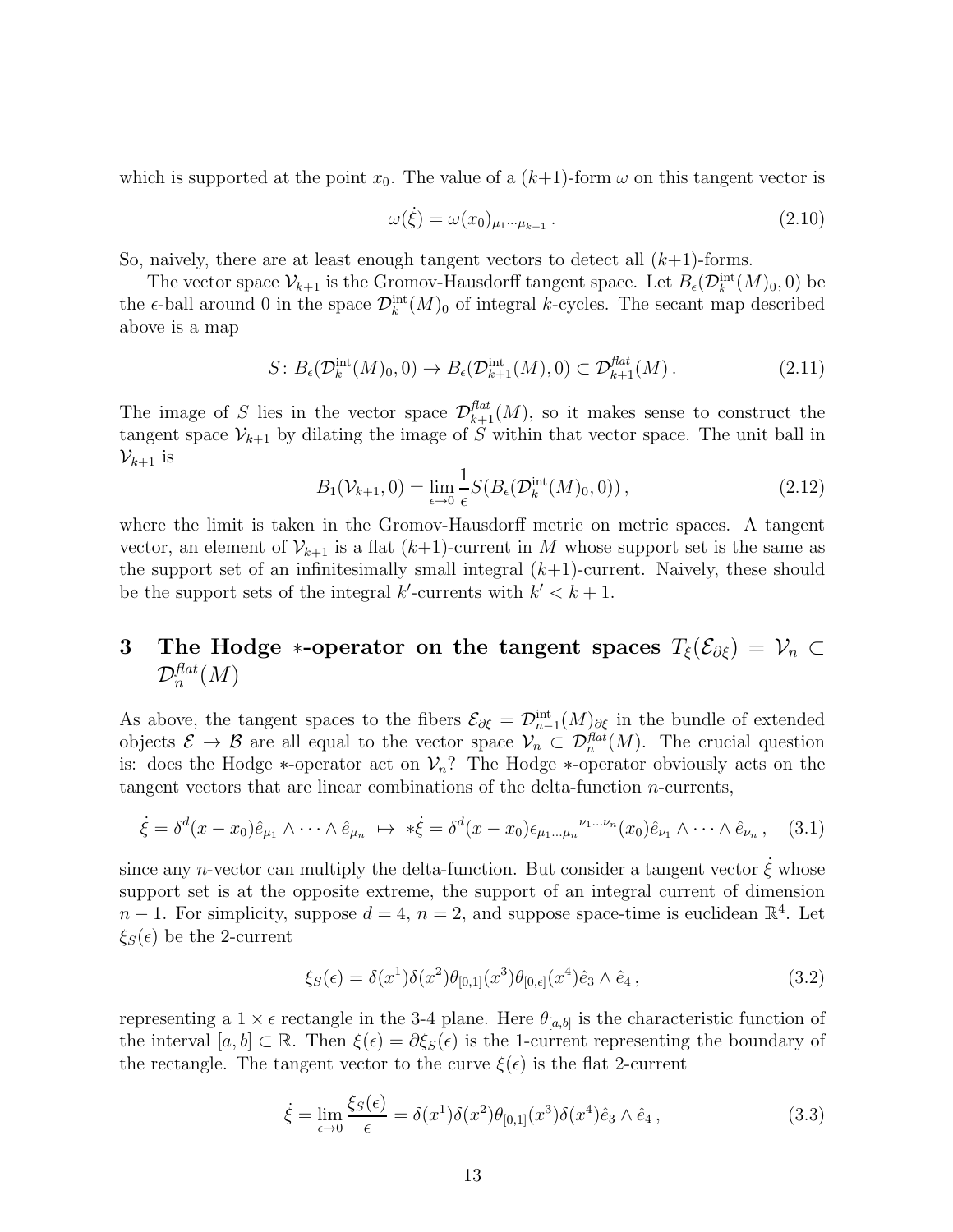which is supported at the point  $x_0$ . The value of a  $(k+1)$ -form  $\omega$  on this tangent vector is

$$
\omega(\dot{\xi}) = \omega(x_0)_{\mu_1 \cdots \mu_{k+1}}.
$$
\n(2.10)

So, naively, there are at least enough tangent vectors to detect all  $(k+1)$ -forms.

The vector space  $\mathcal{V}_{k+1}$  is the Gromov-Hausdorff tangent space. Let  $B_{\epsilon}(\mathcal{D}_{k}^{\text{int}}(M)_{0},0)$  be the  $\epsilon$ -ball around 0 in the space  $\mathcal{D}_{k}^{\text{int}}(M)_{0}$  of integral k-cycles. The secant map described above is a map

$$
S: B_{\epsilon}(\mathcal{D}_k^{\text{int}}(M)_0, 0) \to B_{\epsilon}(\mathcal{D}_{k+1}^{\text{int}}(M), 0) \subset \mathcal{D}_{k+1}^{\text{flat}}(M). \tag{2.11}
$$

The image of S lies in the vector space  $\mathcal{D}_{k+1}^{flat}(M)$ , so it makes sense to construct the tangent space  $\mathcal{V}_{k+1}$  by dilating the image of S within that vector space. The unit ball in  $\mathcal{V}_{k+1}$  is

$$
B_1(\mathcal{V}_{k+1}, 0) = \lim_{\epsilon \to 0} \frac{1}{\epsilon} S(B_\epsilon(\mathcal{D}_k^{\text{int}}(M)_0, 0)), \qquad (2.12)
$$

where the limit is taken in the Gromov-Hausdorff metric on metric spaces. A tangent vector, an element of  $\mathcal{V}_{k+1}$  is a flat  $(k+1)$ -current in M whose support set is the same as the support set of an infinitesimally small integral  $(k+1)$ -current. Naively, these should be the support sets of the integral k'-currents with  $k' < k + 1$ .

# <span id="page-12-0"></span>3 The Hodge ∗-operator on the tangent spaces  $T_{\xi}(\mathcal{E}_{\partial \xi}) = \mathcal{V}_n \subset$  $\mathcal{D}_n^{flat}(M)$

As above, the tangent spaces to the fibers  $\mathcal{E}_{\partial \xi} = \mathcal{D}_{n-1}^{\text{int}}(M)_{\partial \xi}$  in the bundle of extended objects  $\mathcal{E} \to \mathcal{B}$  are all equal to the vector space  $\mathcal{V}_n \subset \mathcal{D}_n^{flat}(M)$ . The crucial question is: does the Hodge  $*$ -operator act on  $\mathcal{V}_n$ ? The Hodge  $*$ -operator obviously acts on the tangent vectors that are linear combinations of the delta-function n-currents,

$$
\dot{\xi} = \delta^d(x - x_0)\hat{e}_{\mu_1} \wedge \cdots \wedge \hat{e}_{\mu_n} \mapsto * \dot{\xi} = \delta^d(x - x_0)\epsilon_{\mu_1 \dots \mu_n}{}^{\nu_1 \dots \nu_n}(x_0)\hat{e}_{\nu_1} \wedge \cdots \wedge \hat{e}_{\nu_n}, \quad (3.1)
$$

since any n-vector can multiply the delta-function. But consider a tangent vector  $\dot{\xi}$  whose support set is at the opposite extreme, the support of an integral current of dimension  $n-1$ . For simplicity, suppose  $d=4$ ,  $n=2$ , and suppose space-time is euclidean  $\mathbb{R}^4$ . Let  $\xi_{S}(\epsilon)$  be the 2-current

$$
\xi_S(\epsilon) = \delta(x^1)\delta(x^2)\theta_{[0,1]}(x^3)\theta_{[0,\epsilon]}(x^4)\hat{e}_3 \wedge \hat{e}_4 , \qquad (3.2)
$$

representing a  $1 \times \epsilon$  rectangle in the 3-4 plane. Here  $\theta_{[a,b]}$  is the characteristic function of the interval  $[a, b] \subset \mathbb{R}$ . Then  $\xi(\epsilon) = \partial \xi_S(\epsilon)$  is the 1-current representing the boundary of the rectangle. The tangent vector to the curve  $\xi(\epsilon)$  is the flat 2-current

$$
\dot{\xi} = \lim_{\epsilon \to 0} \frac{\xi_S(\epsilon)}{\epsilon} = \delta(x^1)\delta(x^2)\theta_{[0,1]}(x^3)\delta(x^4)\hat{e}_3 \wedge \hat{e}_4, \qquad (3.3)
$$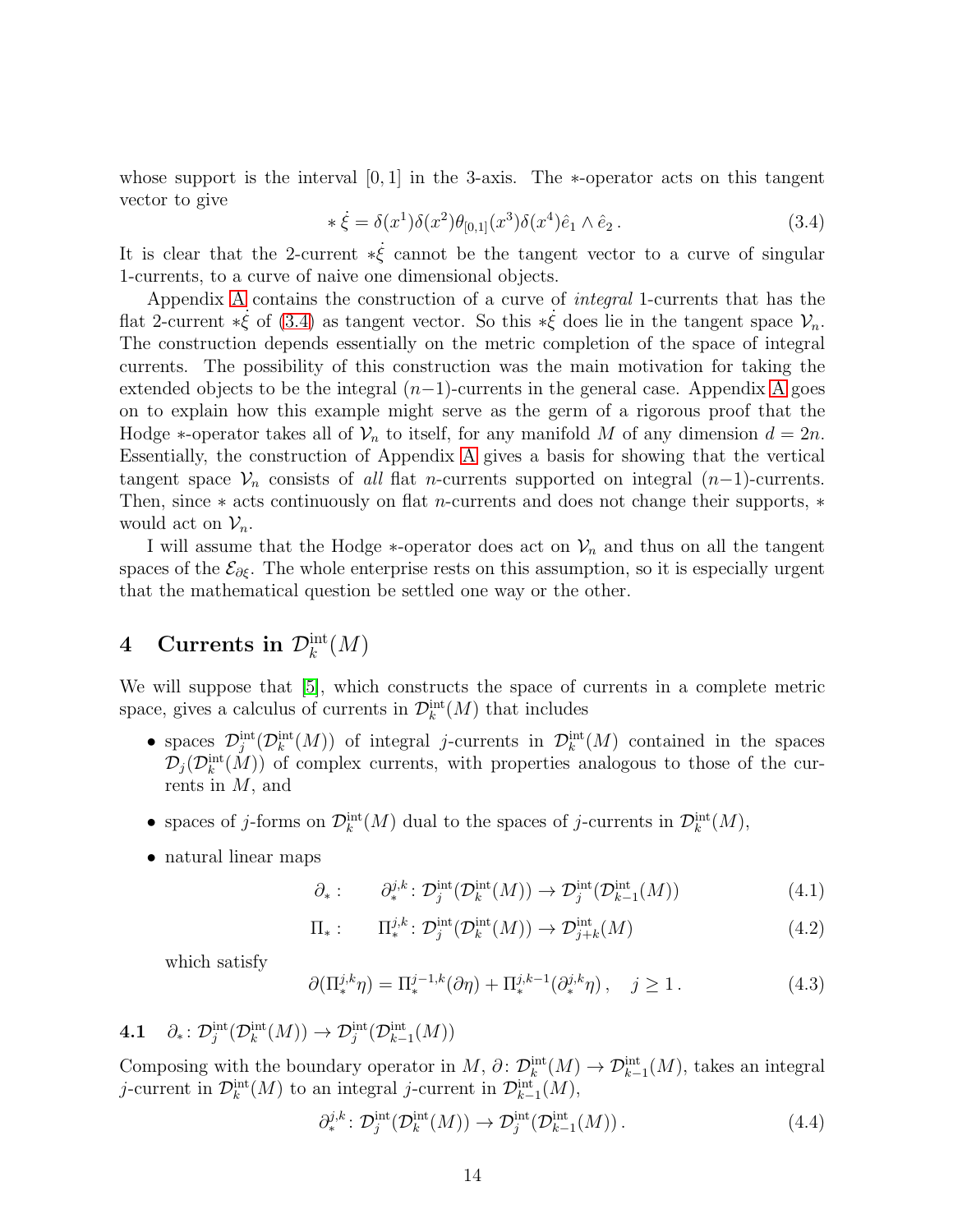whose support is the interval  $[0, 1]$  in the 3-axis. The  $*$ -operator acts on this tangent vector to give

<span id="page-13-2"></span>
$$
\ast \dot{\xi} = \delta(x^1)\delta(x^2)\theta_{[0,1]}(x^3)\delta(x^4)\hat{e}_1 \wedge \hat{e}_2. \tag{3.4}
$$

It is clear that the 2-current  $*\dot{\xi}$  cannot be the tangent vector to a curve of singular 1-currents, to a curve of naive one dimensional objects.

Appendix [A](#page-61-1) contains the construction of a curve of integral 1-currents that has the flat 2-current  $*\dot{\xi}$  of [\(3.4\)](#page-13-2) as tangent vector. So this  $*\dot{\xi}$  does lie in the tangent space  $\mathcal{V}_n$ . The construction depends essentially on the metric completion of the space of integral currents. The possibility of this construction was the main motivation for taking the extended objects to be the integral  $(n-1)$ -currents in the general case. [A](#page-61-1)ppendix A goes on to explain how this example might serve as the germ of a rigorous proof that the Hodge  $*$ -operator takes all of  $\mathcal{V}_n$  to itself, for any manifold M of any dimension  $d = 2n$ . Essentially, the construction of Appendix [A](#page-61-1) gives a basis for showing that the vertical tangent space  $\mathcal{V}_n$  consists of all flat n-currents supported on integral  $(n-1)$ -currents. Then, since  $*$  acts continuously on flat *n*-currents and does not change their supports,  $*$ would act on  $\mathcal{V}_n$ .

I will assume that the Hodge  $*$ -operator does act on  $\mathcal{V}_n$  and thus on all the tangent spaces of the  $\mathcal{E}_{\partial \xi}$ . The whole enterprise rests on this assumption, so it is especially urgent that the mathematical question be settled one way or the other.

# <span id="page-13-0"></span>4 Currents in  $\mathcal{D}_k^{\text{int}}(M)$

We will suppose that [\[5\]](#page-75-2), which constructs the space of currents in a complete metric space, gives a calculus of currents in  $\mathcal{D}_{k}^{\text{int}}(M)$  that includes

- spaces  $\mathcal{D}_j^{\text{int}}(\mathcal{D}_k^{\text{int}}(M))$  of integral *j*-currents in  $\mathcal{D}_k^{\text{int}}(M)$  contained in the spaces  $\mathcal{D}_j(\mathcal{D}_k^{\text{int}}(\tilde{M}))$  of complex currents, with properties analogous to those of the currents in M, and
- spaces of j-forms on  $\mathcal{D}_k^{\text{int}}(M)$  dual to the spaces of j-currents in  $\mathcal{D}_k^{\text{int}}(M)$ ,
- natural linear maps

$$
\partial_*: \qquad \partial_*^{j,k}: \mathcal{D}_j^{\text{int}}(\mathcal{D}_k^{\text{int}}(M)) \to \mathcal{D}_j^{\text{int}}(\mathcal{D}_{k-1}^{\text{int}}(M)) \tag{4.1}
$$

$$
\Pi_*: \qquad \Pi_*^{j,k}: \mathcal{D}_j^{\text{int}}(\mathcal{D}_k^{\text{int}}(M)) \to \mathcal{D}_{j+k}^{\text{int}}(M) \tag{4.2}
$$

which satisfy

$$
\partial(\Pi_*^{j,k}\eta) = \Pi_*^{j-1,k}(\partial \eta) + \Pi_*^{j,k-1}(\partial_*^{j,k}\eta) , \quad j \ge 1.
$$
 (4.3)

# <span id="page-13-1"></span>4.1  $\partial_*: \mathcal{D}^{\text{int}}_j(\mathcal{D}^{\text{int}}_k(M)) \to \mathcal{D}^{\text{int}}_j(\mathcal{D}^{\text{int}}_{k-1}(M))$

Composing with the boundary operator in  $M$ ,  $\partial: \mathcal{D}_k^{\text{int}}(M) \to \mathcal{D}_{k-1}^{\text{int}}(M)$ , takes an integral j-current in  $\mathcal{D}_{k}^{\text{int}}(M)$  to an integral j-current in  $\mathcal{D}_{k-1}^{\text{int}}(M)$ ,

$$
\partial_*^{j,k} \colon \mathcal{D}_j^{\text{int}}(\mathcal{D}_k^{\text{int}}(M)) \to \mathcal{D}_j^{\text{int}}(\mathcal{D}_{k-1}^{\text{int}}(M)). \tag{4.4}
$$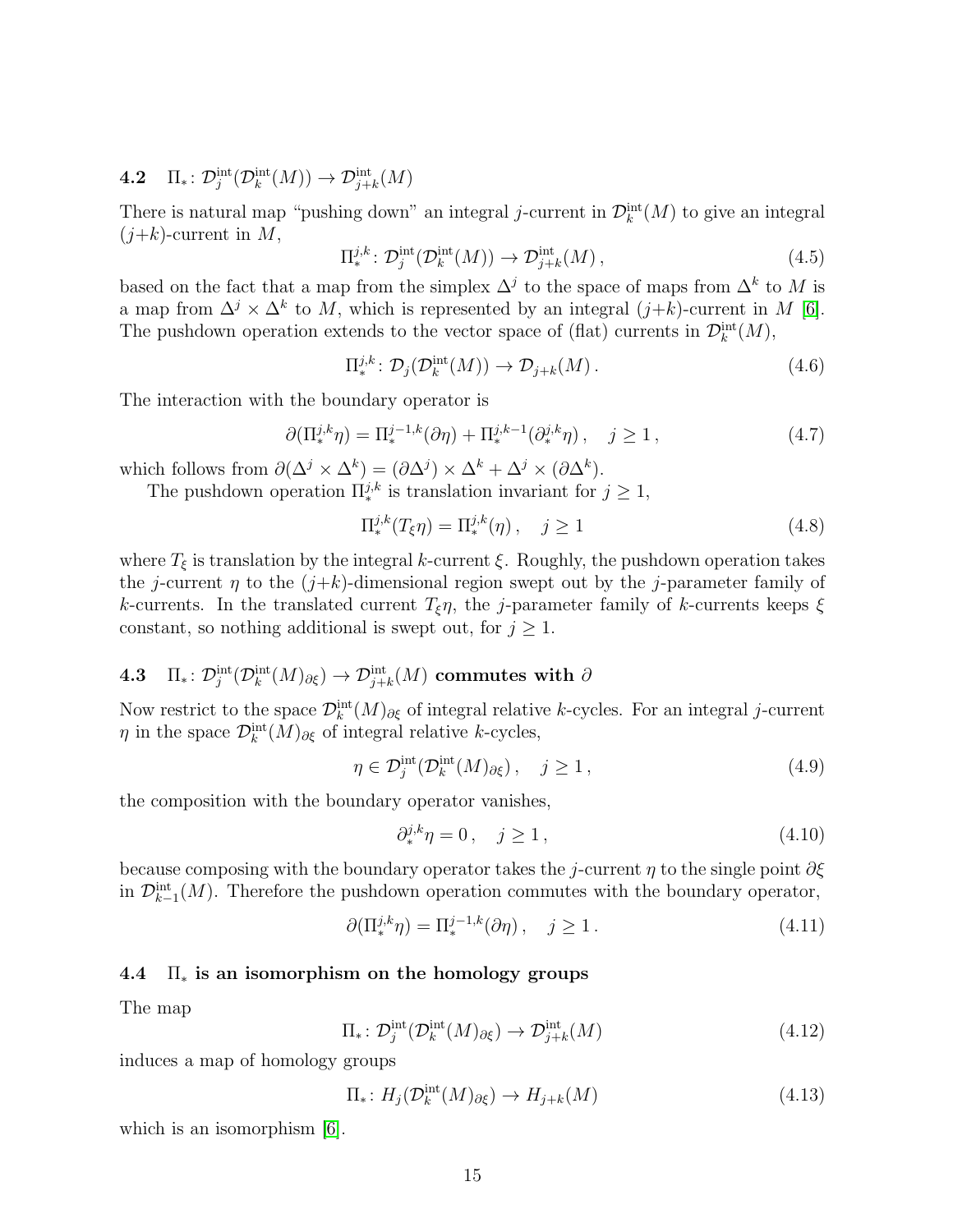# <span id="page-14-0"></span>4.2  $\Pi_*\colon \mathcal{D}^{\text{int}}_j(\mathcal{D}^{\text{int}}_k(M)) \to \mathcal{D}^{\text{int}}_{j+k}(M)$

There is natural map "pushing down" an integral j-current in  $\mathcal{D}_k^{\text{int}}(M)$  to give an integral  $(j+k)$ -current in M,

$$
\Pi_*^{j,k} \colon \mathcal{D}_j^{\text{int}}(\mathcal{D}_k^{\text{int}}(M)) \to \mathcal{D}_{j+k}^{\text{int}}(M) \,, \tag{4.5}
$$

based on the fact that a map from the simplex  $\Delta^j$  to the space of maps from  $\Delta^k$  to M is a map from  $\Delta^j \times \Delta^k$  to M, which is represented by an integral  $(j+k)$ -current in M [\[6\]](#page-75-3). The pushdown operation extends to the vector space of (flat) currents in  $\mathcal{D}_{k}^{\text{int}}(M)$ ,

$$
\Pi_*^{j,k} \colon \mathcal{D}_j(\mathcal{D}_k^{\text{int}}(M)) \to \mathcal{D}_{j+k}(M) \,. \tag{4.6}
$$

The interaction with the boundary operator is

$$
\partial(\Pi_*^{j,k}\eta) = \Pi_*^{j-1,k}(\partial\eta) + \Pi_*^{j,k-1}(\partial_*^{j,k}\eta) , \quad j \ge 1 , \tag{4.7}
$$

which follows from  $\partial(\Delta^j \times \Delta^k) = (\partial \Delta^j) \times \Delta^k + \Delta^j \times (\partial \Delta^k)$ .

The pushdown operation  $\Pi_{*}^{j,k}$  is translation invariant for  $j \geq 1$ ,

$$
\Pi_*^{j,k}(T_{\xi}\eta) = \Pi_*^{j,k}(\eta) , \quad j \ge 1
$$
\n(4.8)

where  $T_{\xi}$  is translation by the integral k-current  $\xi$ . Roughly, the pushdown operation takes the j-current  $\eta$  to the  $(j+k)$ -dimensional region swept out by the j-parameter family of k-currents. In the translated current  $T_{\xi}\eta$ , the j-parameter family of k-currents keeps  $\xi$ constant, so nothing additional is swept out, for  $j \geq 1$ .

# <span id="page-14-1"></span> $\mathbf{4.3}\quad \Pi_*\colon \mathcal{D}^\mathrm{int}_j(\mathcal{D}^\mathrm{int}_k(M)_{\partial \xi})\to \mathcal{D}^\mathrm{int}_{j+k}(M) \,\,\text{commutes with}\,\,\partial$

Now restrict to the space  $\mathcal{D}_k^{\text{int}}(M)_{\partial \xi}$  of integral relative k-cycles. For an integral j-current  $\eta$  in the space  $\mathcal{D}_k^{\text{int}}(M)_{\partial \xi}$  of integral relative k-cycles,

$$
\eta \in \mathcal{D}_j^{\text{int}}(\mathcal{D}_k^{\text{int}}(M)_{\partial \xi}), \quad j \ge 1, \tag{4.9}
$$

the composition with the boundary operator vanishes,

$$
\partial_*^{j,k}\eta = 0 \,, \quad j \ge 1 \,, \tag{4.10}
$$

because composing with the boundary operator takes the j-current  $\eta$  to the single point  $\partial \xi$ in  $\mathcal{D}_{k-1}^{\text{int}}(M)$ . Therefore the pushdown operation commutes with the boundary operator,

$$
\partial(\Pi_*^{j,k}\eta) = \Pi_*^{j-1,k}(\partial\eta), \quad j \ge 1.
$$
\n(4.11)

## <span id="page-14-2"></span>4.4  $\Pi_*$  is an isomorphism on the homology groups

The map

$$
\Pi_* \colon \mathcal{D}_j^{\text{int}}(\mathcal{D}_k^{\text{int}}(M)_{\partial \xi}) \to \mathcal{D}_{j+k}^{\text{int}}(M) \tag{4.12}
$$

induces a map of homology groups

$$
\Pi_*\colon H_j(\mathcal{D}_k^{\text{int}}(M)_{\partial \xi}) \to H_{j+k}(M) \tag{4.13}
$$

which is an isomorphism [\[6\]](#page-75-3).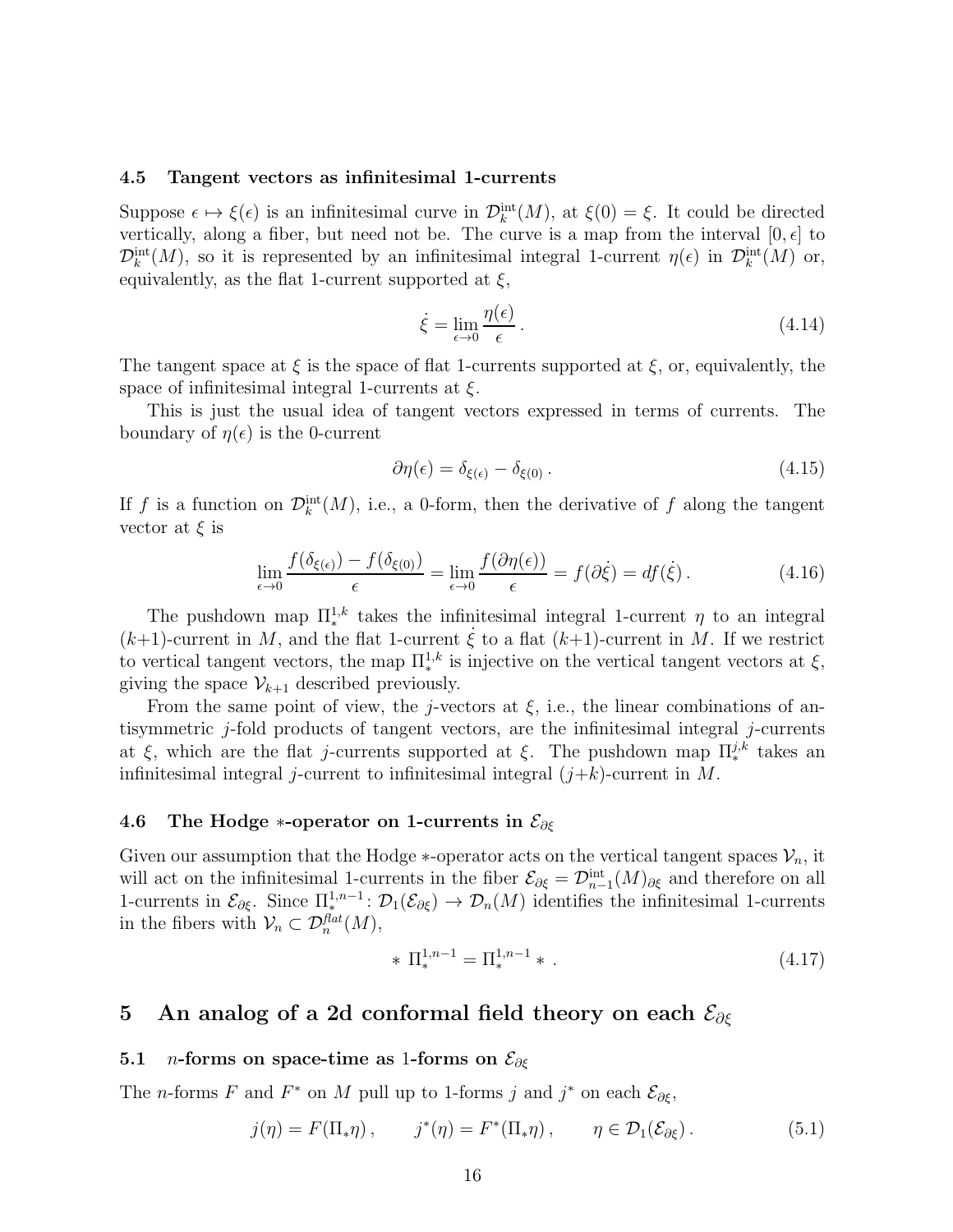#### <span id="page-15-0"></span>4.5 Tangent vectors as infinitesimal 1-currents

Suppose  $\epsilon \mapsto \xi(\epsilon)$  is an infinitesimal curve in  $\mathcal{D}_k^{\text{int}}(M)$ , at  $\xi(0) = \xi$ . It could be directed vertically, along a fiber, but need not be. The curve is a map from the interval  $[0, \epsilon]$  to  $\mathcal{D}_k^{\text{int}}(M)$ , so it is represented by an infinitesimal integral 1-current  $\eta(\epsilon)$  in  $\mathcal{D}_k^{\text{int}}(M)$  or, equivalently, as the flat 1-current supported at  $\xi$ ,

$$
\dot{\xi} = \lim_{\epsilon \to 0} \frac{\eta(\epsilon)}{\epsilon} \,. \tag{4.14}
$$

The tangent space at  $\xi$  is the space of flat 1-currents supported at  $\xi$ , or, equivalently, the space of infinitesimal integral 1-currents at  $\xi$ .

This is just the usual idea of tangent vectors expressed in terms of currents. The boundary of  $\eta(\epsilon)$  is the 0-current

$$
\partial \eta(\epsilon) = \delta_{\xi(\epsilon)} - \delta_{\xi(0)} \,. \tag{4.15}
$$

If f is a function on  $\mathcal{D}_k^{\text{int}}(M)$ , i.e., a 0-form, then the derivative of f along the tangent vector at  $\xi$  is

$$
\lim_{\epsilon \to 0} \frac{f(\delta_{\xi(\epsilon)}) - f(\delta_{\xi(0)})}{\epsilon} = \lim_{\epsilon \to 0} \frac{f(\partial \eta(\epsilon))}{\epsilon} = f(\partial \xi) = df(\xi).
$$
\n(4.16)

The pushdown map  $\prod_{k=1}^{n}$  takes the infinitesimal integral 1-current  $\eta$  to an integral  $(k+1)$ -current in M, and the flat 1-current  $\dot{\xi}$  to a flat  $(k+1)$ -current in M. If we restrict to vertical tangent vectors, the map  $\Pi^{1,k}_*$  is injective on the vertical tangent vectors at  $\xi$ , giving the space  $\mathcal{V}_{k+1}$  described previously.

From the same point of view, the j-vectors at  $\xi$ , i.e., the linear combinations of antisymmetric j-fold products of tangent vectors, are the infinitesimal integral j-currents at ξ, which are the flat j-currents supported at ξ. The pushdown map  $\prod_{*}^{j,k}$  takes an infinitesimal integral *j*-current to infinitesimal integral  $(j+k)$ -current in M.

## <span id="page-15-1"></span>4.6 The Hodge ∗-operator on 1-currents in  $\mathcal{E}_{\partial \xi}$

Given our assumption that the Hodge  $*$ -operator acts on the vertical tangent spaces  $\mathcal{V}_n$ , it will act on the infinitesimal 1-currents in the fiber  $\mathcal{E}_{\partial \xi} = \mathcal{D}_{n-1}^{\text{int}}(M)_{\partial \xi}$  and therefore on all 1-currents in  $\mathcal{E}_{\partial \xi}$ . Since  $\Pi^{1,n-1}_{*} \colon \mathcal{D}_1(\mathcal{E}_{\partial \xi}) \to \mathcal{D}_n(M)$  identifies the infinitesimal 1-currents in the fibers with  $\mathcal{V}_n \subset \mathcal{D}_n^{flat}(M)$ ,

$$
* \Pi_*^{1,n-1} = \Pi_*^{1,n-1} * . \tag{4.17}
$$

# <span id="page-15-2"></span>5 An analog of a 2d conformal field theory on each  $\mathcal{E}_{\partial \xi}$

## <span id="page-15-3"></span>5.1 *n*-forms on space-time as 1-forms on  $\mathcal{E}_{\partial \xi}$

The *n*-forms F and  $F^*$  on M pull up to 1-forms j and j<sup>\*</sup> on each  $\mathcal{E}_{\partial \xi}$ ,

$$
j(\eta) = F(\Pi_*\eta) , \qquad j^*(\eta) = F^*(\Pi_*\eta) , \qquad \eta \in \mathcal{D}_1(\mathcal{E}_{\partial \xi}) . \tag{5.1}
$$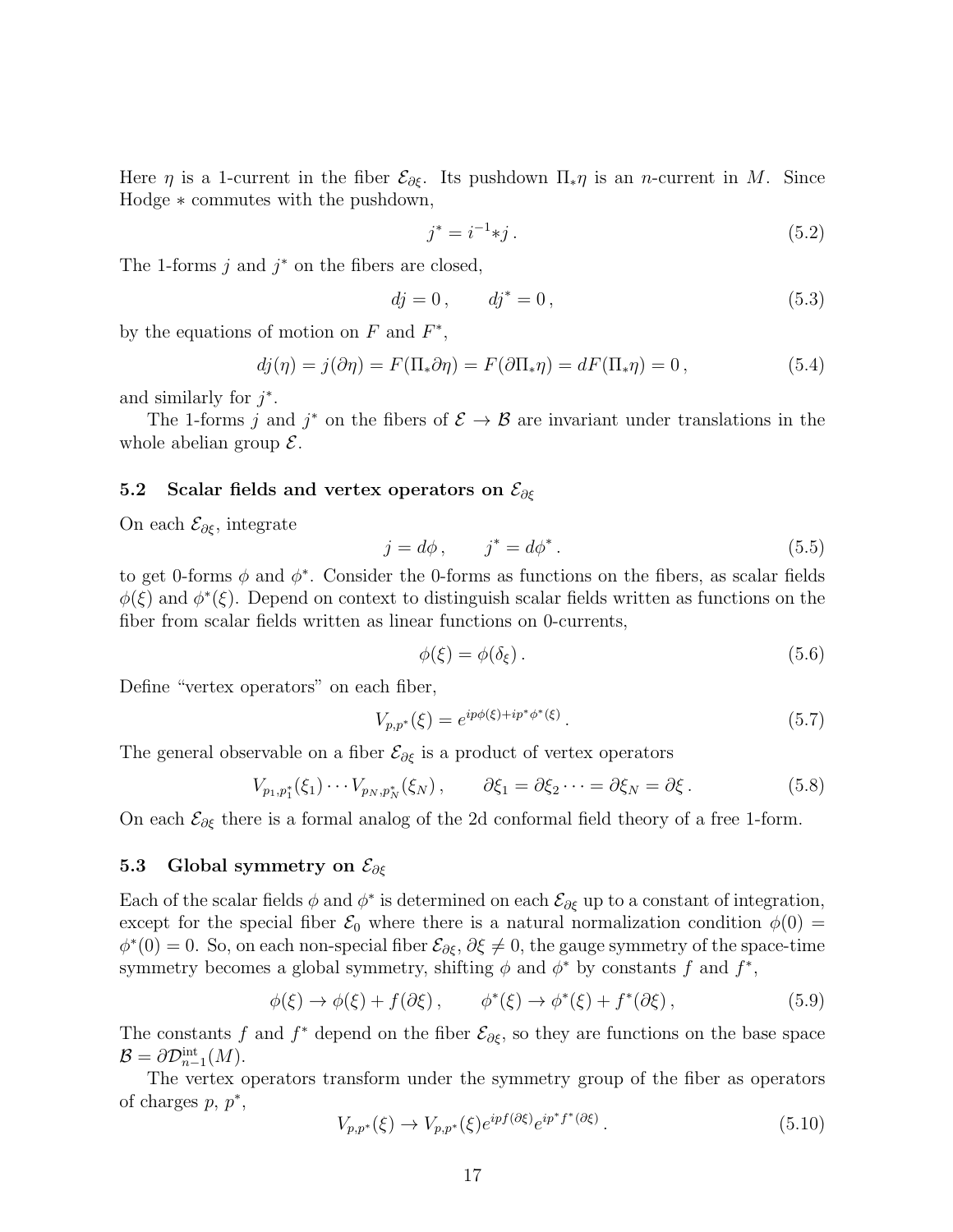Here  $\eta$  is a 1-current in the fiber  $\mathcal{E}_{\partial \xi}$ . Its pushdown  $\Pi_*\eta$  is an *n*-current in M. Since Hodge ∗ commutes with the pushdown,

$$
j^* = i^{-1} * j. \tag{5.2}
$$

The 1-forms  $j$  and  $j^*$  on the fibers are closed,

$$
dj = 0, \t dj^* = 0,
$$
\t(5.3)

by the equations of motion on  $F$  and  $F^*$ ,

$$
dj(\eta) = j(\partial \eta) = F(\Pi_* \partial \eta) = F(\partial \Pi_* \eta) = dF(\Pi_* \eta) = 0, \qquad (5.4)
$$

and similarly for  $j^*$ .

The 1-forms j and j<sup>\*</sup> on the fibers of  $\mathcal{E} \to \mathcal{B}$  are invariant under translations in the whole abelian group  $\mathcal{E}$ .

## <span id="page-16-0"></span>5.2 Scalar fields and vertex operators on  $\mathcal{E}_{\partial \xi}$

On each  $\mathcal{E}_{\partial \xi}$ , integrate

<span id="page-16-2"></span>
$$
j = d\phi, \qquad j^* = d\phi^*.
$$
\n<sup>(5.5)</sup>

to get 0-forms  $\phi$  and  $\phi^*$ . Consider the 0-forms as functions on the fibers, as scalar fields  $\phi(\xi)$  and  $\phi^*(\xi)$ . Depend on context to distinguish scalar fields written as functions on the fiber from scalar fields written as linear functions on 0-currents,

$$
\phi(\xi) = \phi(\delta_{\xi}).\tag{5.6}
$$

Define "vertex operators" on each fiber,

$$
V_{p,p^*}(\xi) = e^{ip\phi(\xi) + ip^*\phi^*(\xi)}.
$$
\n(5.7)

The general observable on a fiber  $\mathcal{E}_{\partial \xi}$  is a product of vertex operators

$$
V_{p_1,p_1^*}(\xi_1)\cdots V_{p_N,p_N^*}(\xi_N)\,,\qquad \partial \xi_1=\partial \xi_2\cdots=\partial \xi_N=\partial \xi\,.
$$
 (5.8)

On each  $\mathcal{E}_{\partial \xi}$  there is a formal analog of the 2d conformal field theory of a free 1-form.

# <span id="page-16-1"></span>5.3 Global symmetry on  $\mathcal{E}_{\partial \xi}$

Each of the scalar fields  $\phi$  and  $\phi^*$  is determined on each  $\mathcal{E}_{\partial \xi}$  up to a constant of integration, except for the special fiber  $\mathcal{E}_0$  where there is a natural normalization condition  $\phi(0)$  =  $\phi^*(0) = 0$ . So, on each non-special fiber  $\mathcal{E}_{\partial \xi}, \partial \xi \neq 0$ , the gauge symmetry of the space-time symmetry becomes a global symmetry, shifting  $\phi$  and  $\phi^*$  by constants f and  $f^*$ ,

<span id="page-16-3"></span>
$$
\phi(\xi) \to \phi(\xi) + f(\partial \xi), \qquad \phi^*(\xi) \to \phi^*(\xi) + f^*(\partial \xi), \tag{5.9}
$$

The constants f and  $f^*$  depend on the fiber  $\mathcal{E}_{\partial \xi}$ , so they are functions on the base space  $\mathcal{B} = \partial \mathcal{D}_{n-1}^{\text{int}}(M).$ 

The vertex operators transform under the symmetry group of the fiber as operators of charges  $p, p^*$ ,

$$
V_{p,p^*}(\xi) \to V_{p,p^*}(\xi)e^{ipf(\partial \xi)}e^{ip^*f^*(\partial \xi)}.
$$
\n(5.10)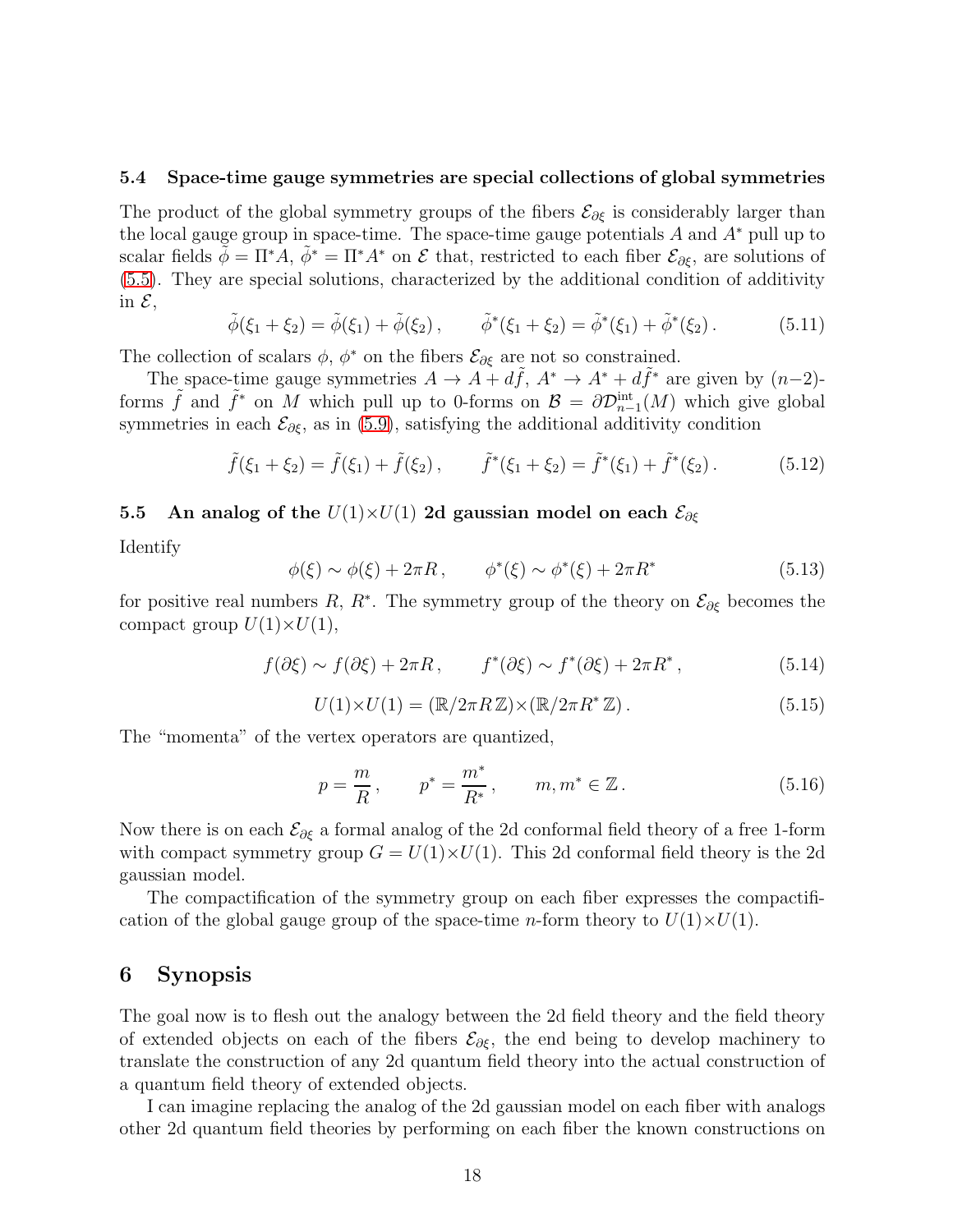#### <span id="page-17-0"></span>5.4 Space-time gauge symmetries are special collections of global symmetries

The product of the global symmetry groups of the fibers  $\mathcal{E}_{\partial \xi}$  is considerably larger than the local gauge group in space-time. The space-time gauge potentials  $A$  and  $A^*$  pull up to scalar fields  $\tilde{\phi} = \Pi^* A$ ,  $\tilde{\phi}^* = \Pi^* A^*$  on  $\mathcal E$  that, restricted to each fiber  $\mathcal E_{\partial \xi}$ , are solutions of [\(5.5\)](#page-16-2). They are special solutions, characterized by the additional condition of additivity in  $\mathcal{E}$ ,

$$
\tilde{\phi}(\xi_1 + \xi_2) = \tilde{\phi}(\xi_1) + \tilde{\phi}(\xi_2), \qquad \tilde{\phi}^*(\xi_1 + \xi_2) = \tilde{\phi}^*(\xi_1) + \tilde{\phi}^*(\xi_2). \tag{5.11}
$$

The collection of scalars  $\phi$ ,  $\phi^*$  on the fibers  $\mathcal{E}_{\partial \xi}$  are not so constrained.

The space-time gauge symmetries  $A \to A + d\tilde{f}$ ,  $A^* \to A^* + d\tilde{f}^*$  are given by  $(n-2)$ forms  $\tilde{f}$  and  $\tilde{f}^*$  on M which pull up to 0-forms on  $\mathcal{B} = \partial \mathcal{D}_{n-1}^{\text{int}}(M)$  which give global symmetries in each  $\mathcal{E}_{\partial \xi}$ , as in [\(5.9\)](#page-16-3), satisfying the additional additivity condition

$$
\tilde{f}(\xi_1 + \xi_2) = \tilde{f}(\xi_1) + \tilde{f}(\xi_2), \qquad \tilde{f}^*(\xi_1 + \xi_2) = \tilde{f}^*(\xi_1) + \tilde{f}^*(\xi_2).
$$
 (5.12)

# <span id="page-17-1"></span>5.5 An analog of the  $U(1)\times U(1)$  2d gaussian model on each  $\mathcal{E}_{\partial \xi}$

Identify

$$
\phi(\xi) \sim \phi(\xi) + 2\pi R, \qquad \phi^*(\xi) \sim \phi^*(\xi) + 2\pi R^*
$$
\n(5.13)

for positive real numbers R, R<sup>\*</sup>. The symmetry group of the theory on  $\mathcal{E}_{\partial \xi}$  becomes the compact group  $U(1)\times U(1)$ ,

$$
f(\partial \xi) \sim f(\partial \xi) + 2\pi R, \qquad f^*(\partial \xi) \sim f^*(\partial \xi) + 2\pi R^*, \tag{5.14}
$$

$$
U(1) \times U(1) = (\mathbb{R}/2\pi R \mathbb{Z}) \times (\mathbb{R}/2\pi R^* \mathbb{Z}).
$$
\n(5.15)

The "momenta" of the vertex operators are quantized,

$$
p = \frac{m}{R}
$$
,  $p^* = \frac{m^*}{R^*}$ ,  $m, m^* \in \mathbb{Z}$ . (5.16)

Now there is on each  $\mathcal{E}_{\partial \xi}$  a formal analog of the 2d conformal field theory of a free 1-form with compact symmetry group  $G = U(1) \times U(1)$ . This 2d conformal field theory is the 2d gaussian model.

The compactification of the symmetry group on each fiber expresses the compactification of the global gauge group of the space-time *n*-form theory to  $U(1)\times U(1)$ .

# <span id="page-17-2"></span>6 Synopsis

The goal now is to flesh out the analogy between the 2d field theory and the field theory of extended objects on each of the fibers  $\mathcal{E}_{\partial \xi}$ , the end being to develop machinery to translate the construction of any 2d quantum field theory into the actual construction of a quantum field theory of extended objects.

I can imagine replacing the analog of the 2d gaussian model on each fiber with analogs other 2d quantum field theories by performing on each fiber the known constructions on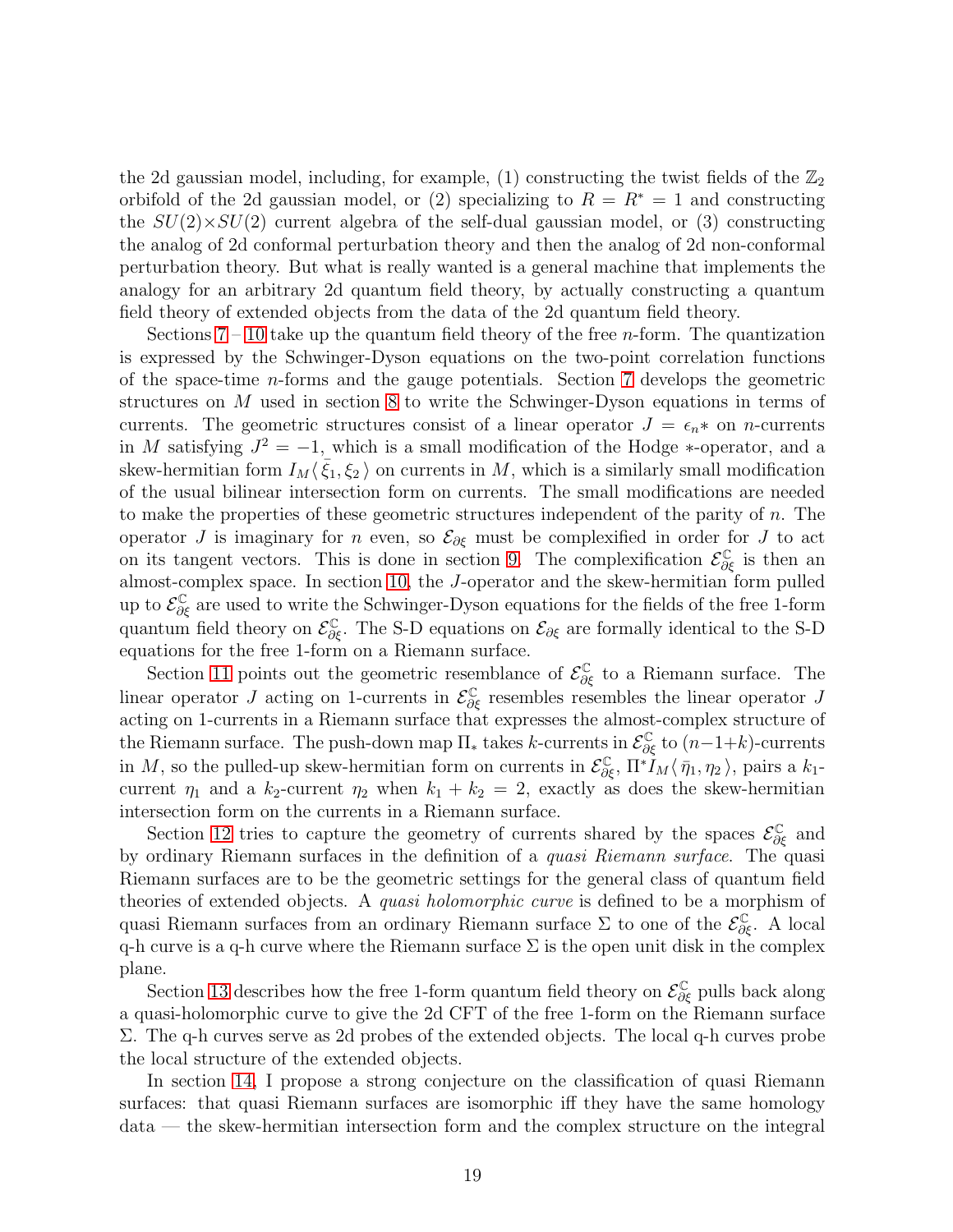the 2d gaussian model, including, for example, (1) constructing the twist fields of the  $\mathbb{Z}_2$ orbifold of the 2d gaussian model, or (2) specializing to  $R = R^* = 1$  and constructing the  $SU(2)\times SU(2)$  current algebra of the self-dual gaussian model, or (3) constructing the analog of 2d conformal perturbation theory and then the analog of 2d non-conformal perturbation theory. But what is really wanted is a general machine that implements the analogy for an arbitrary 2d quantum field theory, by actually constructing a quantum field theory of extended objects from the data of the 2d quantum field theory.

Sections  $7 - 10$  $7 - 10$  take up the quantum field theory of the free *n*-form. The quantization is expressed by the Schwinger-Dyson equations on the two-point correlation functions of the space-time n-forms and the gauge potentials. Section [7](#page-20-0) develops the geometric structures on M used in section [8](#page-22-0) to write the Schwinger-Dyson equations in terms of currents. The geometric structures consist of a linear operator  $J = \epsilon_n *$  on n-currents in M satisfying  $J^2 = -1$ , which is a small modification of the Hodge \*-operator, and a skew-hermitian form  $I_M\langle \bar{\xi}_1,\xi_2\rangle$  on currents in M, which is a similarly small modification of the usual bilinear intersection form on currents. The small modifications are needed to make the properties of these geometric structures independent of the parity of  $n$ . The operator J is imaginary for n even, so  $\mathcal{E}_{\partial \xi}$  must be complexified in order for J to act on its tangent vectors. This is done in section [9.](#page-23-0) The complexification  $\mathcal{E}^{\mathbb{C}}_{\partial \xi}$  is then an almost-complex space. In section [10,](#page-24-0) the J-operator and the skew-hermitian form pulled up to  $\mathcal{E}^{\mathbb{C}}_{\partial \xi}$  are used to write the Schwinger-Dyson equations for the fields of the free 1-form quantum field theory on  $\mathcal{E}_{\partial \xi}^{\mathbb{C}}$ . The S-D equations on  $\mathcal{E}_{\partial \xi}$  are formally identical to the S-D equations for the free 1-form on a Riemann surface.

Section [11](#page-24-1) points out the geometric resemblance of  $\mathcal{E}_{\partial \xi}^{\mathbb{C}}$  to a Riemann surface. The linear operator J acting on 1-currents in  $\mathcal{E}^{\mathbb{C}}_{\partial \xi}$  resembles resembles the linear operator J acting on 1-currents in a Riemann surface that expresses the almost-complex structure of the Riemann surface. The push-down map  $\Pi_*$  takes k-currents in  $\mathcal{E}^{\mathbb{C}}_{\partial \xi}$  to  $(n-1+k)$ -currents in M, so the pulled-up skew-hermitian form on currents in  $\mathcal{E}^{\mathbb{C}}_{\partial \xi}$ ,  $\Pi^* I_M \langle \bar{\eta}_1, \eta_2 \rangle$ , pairs a  $k_1$ current  $\eta_1$  and a  $k_2$ -current  $\eta_2$  when  $k_1 + k_2 = 2$ , exactly as does the skew-hermitian intersection form on the currents in a Riemann surface.

Section [12](#page-25-0) tries to capture the geometry of currents shared by the spaces  $\mathcal{E}^{\mathbb{C}}_{\partial \xi}$  and by ordinary Riemann surfaces in the definition of a quasi Riemann surface. The quasi Riemann surfaces are to be the geometric settings for the general class of quantum field theories of extended objects. A *quasi holomorphic curve* is defined to be a morphism of quasi Riemann surfaces from an ordinary Riemann surface  $\Sigma$  to one of the  $\mathcal{E}^{\mathbb{C}}_{\partial \xi}$ . A local q-h curve is a q-h curve where the Riemann surface  $\Sigma$  is the open unit disk in the complex plane.

Section [13](#page-34-0) describes how the free 1-form quantum field theory on  $\mathcal{E}^{\mathbb{C}}_{\partial \xi}$  pulls back along a quasi-holomorphic curve to give the 2d CFT of the free 1-form on the Riemann surface Σ. The q-h curves serve as 2d probes of the extended objects. The local q-h curves probe the local structure of the extended objects.

In section [14,](#page-35-0) I propose a strong conjecture on the classification of quasi Riemann surfaces: that quasi Riemann surfaces are isomorphic iff they have the same homology data — the skew-hermitian intersection form and the complex structure on the integral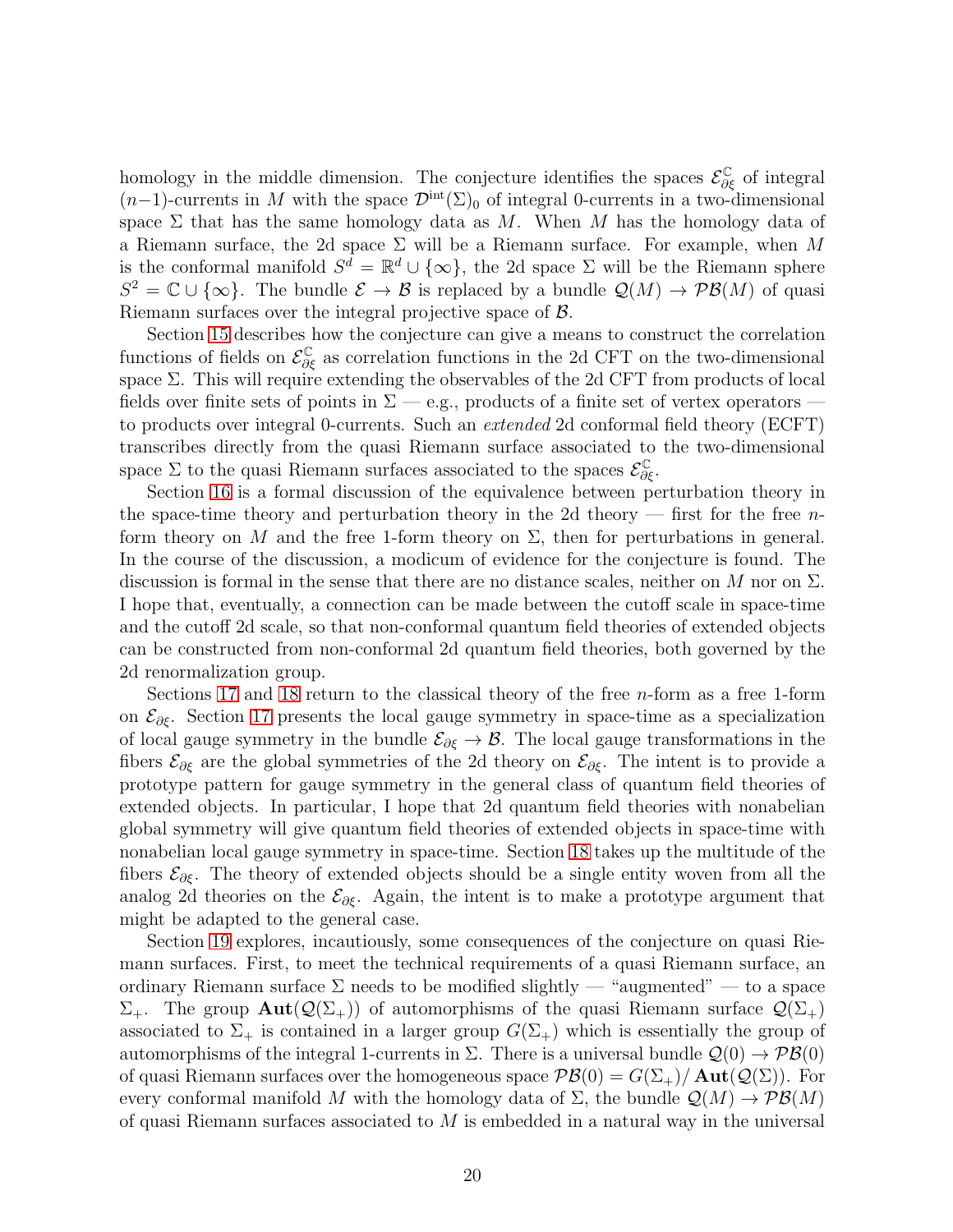homology in the middle dimension. The conjecture identifies the spaces  $\mathcal{E}^{\mathbb{C}}_{\partial \xi}$  of integral  $(n-1)$ -currents in M with the space  $\mathcal{D}^{\text{int}}(\Sigma)_{0}$  of integral 0-currents in a two-dimensional space  $\Sigma$  that has the same homology data as M. When M has the homology data of a Riemann surface, the 2d space  $\Sigma$  will be a Riemann surface. For example, when M is the conformal manifold  $S^d = \mathbb{R}^d \cup \{\infty\}$ , the 2d space  $\Sigma$  will be the Riemann sphere  $S^2 = \mathbb{C} \cup \{\infty\}$ . The bundle  $\mathcal{E} \to \mathcal{B}$  is replaced by a bundle  $\mathcal{Q}(M) \to \mathcal{PB}(M)$  of quasi Riemann surfaces over the integral projective space of B.

Section [15](#page-36-0) describes how the conjecture can give a means to construct the correlation functions of fields on  $\mathcal{E}^{\mathbb{C}}_{\partial \xi}$  as correlation functions in the 2d CFT on the two-dimensional space Σ. This will require extending the observables of the 2d CFT from products of local fields over finite sets of points in  $\Sigma$  — e.g., products of a finite set of vertex operators to products over integral 0-currents. Such an extended 2d conformal field theory (ECFT) transcribes directly from the quasi Riemann surface associated to the two-dimensional space  $\Sigma$  to the quasi Riemann surfaces associated to the spaces  $\mathcal{E}_{\partial \xi}^{\mathbb{C}}$ .

Section [16](#page-37-0) is a formal discussion of the equivalence between perturbation theory in the space-time theory and perturbation theory in the 2d theory — first for the free  $n$ form theory on M and the free 1-form theory on  $\Sigma$ , then for perturbations in general. In the course of the discussion, a modicum of evidence for the conjecture is found. The discussion is formal in the sense that there are no distance scales, neither on M nor on  $\Sigma$ . I hope that, eventually, a connection can be made between the cutoff scale in space-time and the cutoff 2d scale, so that non-conformal quantum field theories of extended objects can be constructed from non-conformal 2d quantum field theories, both governed by the 2d renormalization group.

Sections [17](#page-39-0) and [18](#page-42-0) return to the classical theory of the free n-form as a free 1-form on  $\mathcal{E}_{\partial \xi}$ . Section [17](#page-39-0) presents the local gauge symmetry in space-time as a specialization of local gauge symmetry in the bundle  $\mathcal{E}_{\partial \xi} \to \mathcal{B}$ . The local gauge transformations in the fibers  $\mathcal{E}_{\partial \xi}$  are the global symmetries of the 2d theory on  $\mathcal{E}_{\partial \xi}$ . The intent is to provide a prototype pattern for gauge symmetry in the general class of quantum field theories of extended objects. In particular, I hope that 2d quantum field theories with nonabelian global symmetry will give quantum field theories of extended objects in space-time with nonabelian local gauge symmetry in space-time. Section [18](#page-42-0) takes up the multitude of the fibers  $\mathcal{E}_{\partial \xi}$ . The theory of extended objects should be a single entity woven from all the analog 2d theories on the  $\mathcal{E}_{\partial \xi}$ . Again, the intent is to make a prototype argument that might be adapted to the general case.

Section [19](#page-45-0) explores, incautiously, some consequences of the conjecture on quasi Riemann surfaces. First, to meet the technical requirements of a quasi Riemann surface, an ordinary Riemann surface  $\Sigma$  needs to be modified slightly — "augmented" — to a space  $\Sigma_{+}$ . The group  $\text{Aut}(\mathcal{Q}(\Sigma_{+}))$  of automorphisms of the quasi Riemann surface  $\mathcal{Q}(\Sigma_{+})$ associated to  $\Sigma_{+}$  is contained in a larger group  $G(\Sigma_{+})$  which is essentially the group of automorphisms of the integral 1-currents in  $\Sigma$ . There is a universal bundle  $\mathcal{Q}(0) \to \mathcal{PB}(0)$ of quasi Riemann surfaces over the homogeneous space  $\mathcal{PB}(0) = G(\Sigma_+) / \text{Aut}(\mathcal{Q}(\Sigma))$ . For every conformal manifold M with the homology data of  $\Sigma$ , the bundle  $\mathcal{Q}(M) \to \mathcal{PB}(M)$ of quasi Riemann surfaces associated to  $M$  is embedded in a natural way in the universal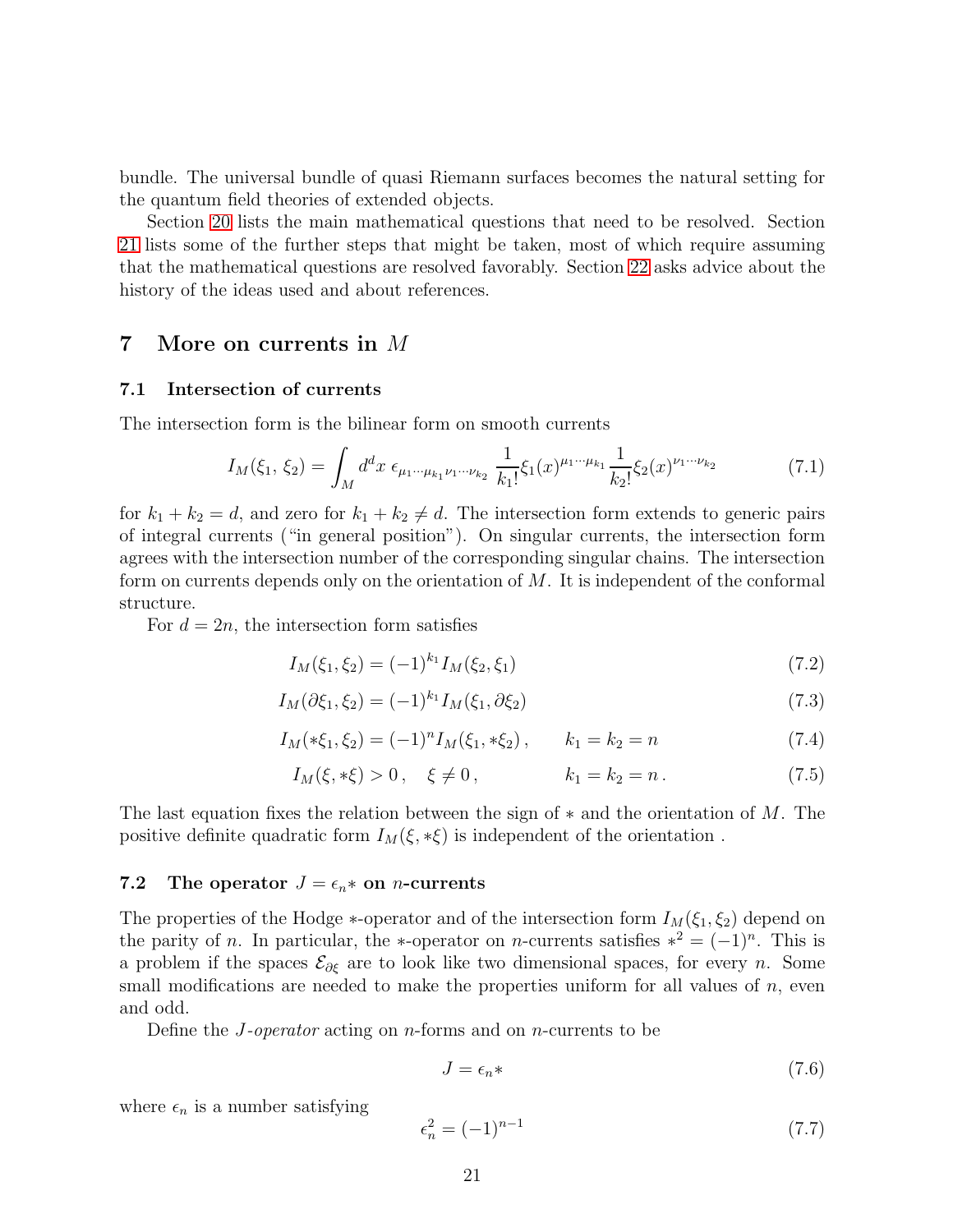bundle. The universal bundle of quasi Riemann surfaces becomes the natural setting for the quantum field theories of extended objects.

Section [20](#page-51-0) lists the main mathematical questions that need to be resolved. Section [21](#page-54-1) lists some of the further steps that might be taken, most of which require assuming that the mathematical questions are resolved favorably. Section [22](#page-58-1) asks advice about the history of the ideas used and about references.

# <span id="page-20-1"></span><span id="page-20-0"></span>7 More on currents in M

## 7.1 Intersection of currents

The intersection form is the bilinear form on smooth currents

$$
I_M(\xi_1, \xi_2) = \int_M d^d x \ \epsilon_{\mu_1 \cdots \mu_{k_1} \nu_1 \cdots \nu_{k_2}} \ \frac{1}{k_1!} \xi_1(x)^{\mu_1 \cdots \mu_{k_1}} \frac{1}{k_2!} \xi_2(x)^{\nu_1 \cdots \nu_{k_2}} \tag{7.1}
$$

for  $k_1 + k_2 = d$ , and zero for  $k_1 + k_2 \neq d$ . The intersection form extends to generic pairs of integral currents ("in general position"). On singular currents, the intersection form agrees with the intersection number of the corresponding singular chains. The intersection form on currents depends only on the orientation of M. It is independent of the conformal structure.

For  $d = 2n$ , the intersection form satisfies

$$
I_M(\xi_1, \xi_2) = (-1)^{k_1} I_M(\xi_2, \xi_1) \tag{7.2}
$$

$$
I_M(\partial \xi_1, \xi_2) = (-1)^{k_1} I_M(\xi_1, \partial \xi_2)
$$
\n(7.3)

$$
I_M(*\xi_1, \xi_2) = (-1)^n I_M(\xi_1, * \xi_2), \qquad k_1 = k_2 = n \tag{7.4}
$$

$$
I_M(\xi, * \xi) > 0, \quad \xi \neq 0, \qquad k_1 = k_2 = n. \tag{7.5}
$$

The last equation fixes the relation between the sign of  $*$  and the orientation of M. The positive definite quadratic form  $I_M(\xi, * \xi)$  is independent of the orientation.

### <span id="page-20-2"></span>7.2 The operator  $J = \epsilon_n *$  on *n*-currents

The properties of the Hodge  $*$ -operator and of the intersection form  $I_M(\xi_1, \xi_2)$  depend on the parity of *n*. In particular, the \*-operator on *n*-currents satisfies  $*^2 = (-1)^n$ . This is a problem if the spaces  $\mathcal{E}_{\partial \xi}$  are to look like two dimensional spaces, for every n. Some small modifications are needed to make the properties uniform for all values of  $n$ , even and odd.

Define the *J*-operator acting on *n*-forms and on *n*-currents to be

$$
J = \epsilon_n \ast \tag{7.6}
$$

where  $\epsilon_n$  is a number satisfying

$$
\epsilon_n^2 = (-1)^{n-1} \tag{7.7}
$$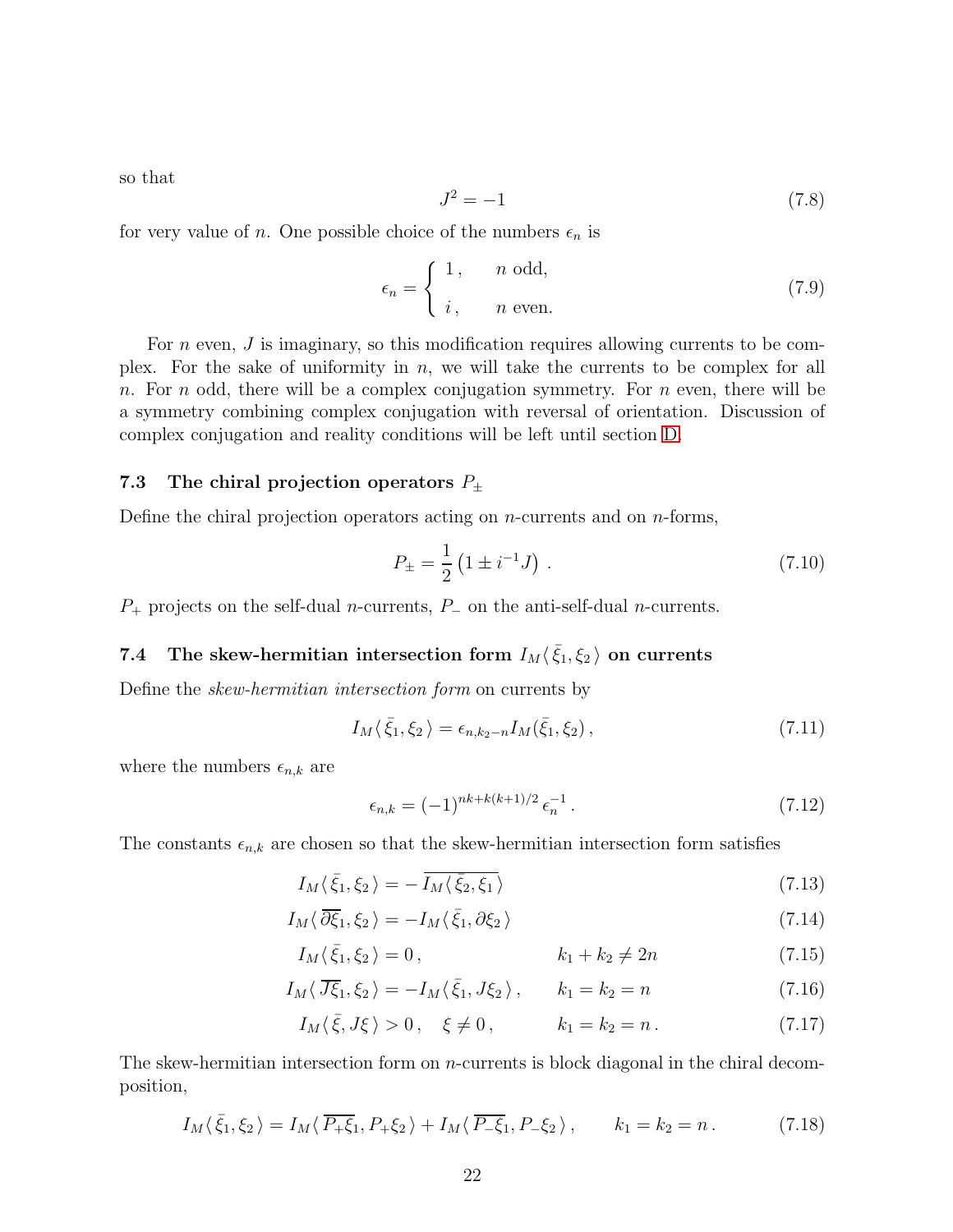so that

<span id="page-21-2"></span>
$$
J^2 = -1\tag{7.8}
$$

for very value of *n*. One possible choice of the numbers  $\epsilon_n$  is

$$
\epsilon_n = \begin{cases} 1, & n \text{ odd,} \\ i, & n \text{ even.} \end{cases}
$$
 (7.9)

For *n* even, *J* is imaginary, so this modification requires allowing currents to be complex. For the sake of uniformity in  $n$ , we will take the currents to be complex for all n. For n odd, there will be a complex conjugation symmetry. For n even, there will be a symmetry combining complex conjugation with reversal of orientation. Discussion of complex conjugation and reality conditions will be left until section [D.](#page-72-0)

## <span id="page-21-0"></span>7.3 The chiral projection operators  $P_{\pm}$

Define the chiral projection operators acting on  $n$ -currents and on  $n$ -forms,

$$
P_{\pm} = \frac{1}{2} \left( 1 \pm i^{-1} J \right) \,. \tag{7.10}
$$

 $P_+$  projects on the self-dual *n*-currents,  $P_-$  on the anti-self-dual *n*-currents.

# <span id="page-21-1"></span>7.4 The skew-hermitian intersection form  $I_M \langle \bar{\xi}_1, \xi_2 \rangle$  on currents

Define the skew-hermitian intersection form on currents by

$$
I_M\langle\bar{\xi}_1,\xi_2\rangle = \epsilon_{n,k_2-n} I_M(\bar{\xi}_1,\xi_2),\qquad(7.11)
$$

where the numbers  $\epsilon_{n,k}$  are

<span id="page-21-4"></span><span id="page-21-3"></span>
$$
\epsilon_{n,k} = (-1)^{nk + k(k+1)/2} \epsilon_n^{-1} \,. \tag{7.12}
$$

The constants  $\epsilon_{n,k}$  are chosen so that the skew-hermitian intersection form satisfies

$$
I_M\langle\bar{\xi}_1,\xi_2\rangle=-\overline{I_M\langle\bar{\xi}_2,\xi_1\rangle}\tag{7.13}
$$

$$
I_M \langle \,\overline{\partial \xi}_1, \xi_2 \,\rangle = -I_M \langle \,\overline{\xi}_1, \partial \xi_2 \,\rangle \tag{7.14}
$$

$$
I_M(\bar{\xi}_1, \xi_2) = 0, \qquad k_1 + k_2 \neq 2n \qquad (7.15)
$$

$$
I_M \langle \overline{J\xi}_1, \xi_2 \rangle = -I_M \langle \overline{\xi}_1, J\xi_2 \rangle, \qquad k_1 = k_2 = n \tag{7.16}
$$

$$
I_M(\bar{\xi}, J\xi) > 0
$$
,  $\xi \neq 0$ ,  $k_1 = k_2 = n$ . (7.17)

The skew-hermitian intersection form on n-currents is block diagonal in the chiral decomposition,

$$
I_M(\bar{\xi}_1, \xi_2) = I_M(\overline{P_+\xi}_1, P_+\xi_2) + I_M(\overline{P_-\xi}_1, P_-\xi_2), \qquad k_1 = k_2 = n. \tag{7.18}
$$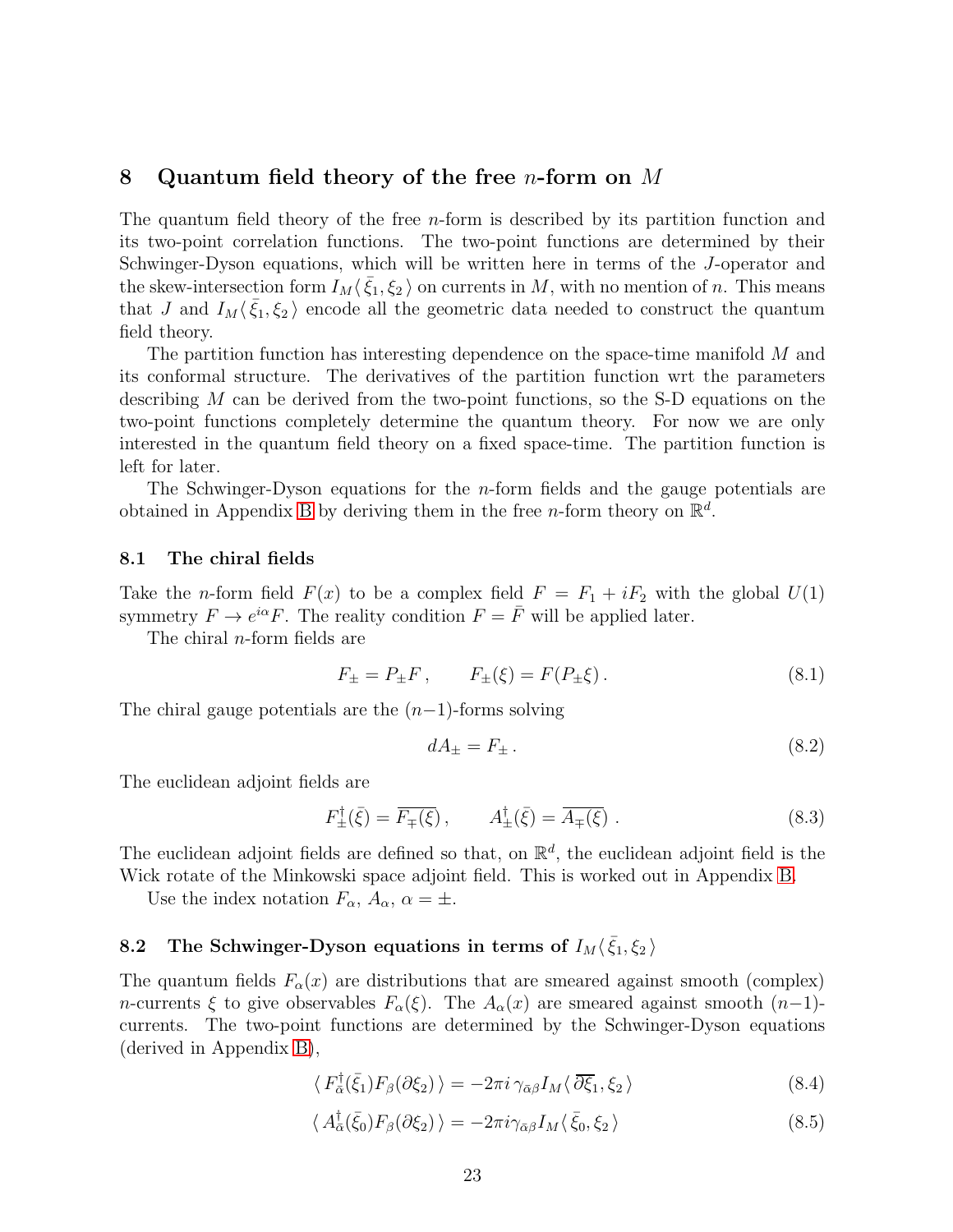# <span id="page-22-0"></span>8 Quantum field theory of the free *n*-form on M

The quantum field theory of the free *n*-form is described by its partition function and its two-point correlation functions. The two-point functions are determined by their Schwinger-Dyson equations, which will be written here in terms of the J-operator and the skew-intersection form  $I_M\langle \bar{\xi}_1,\xi_2\rangle$  on currents in M, with no mention of n. This means that J and  $I_M\langle \bar{\xi}_1,\xi_2\rangle$  encode all the geometric data needed to construct the quantum field theory.

The partition function has interesting dependence on the space-time manifold M and its conformal structure. The derivatives of the partition function wrt the parameters describing M can be derived from the two-point functions, so the S-D equations on the two-point functions completely determine the quantum theory. For now we are only interested in the quantum field theory on a fixed space-time. The partition function is left for later.

The Schwinger-Dyson equations for the  $n$ -form fields and the gauge potentials are obtained in Appendix [B](#page-64-0) by deriving them in the free *n*-form theory on  $\mathbb{R}^d$ .

### <span id="page-22-1"></span>8.1 The chiral fields

Take the *n*-form field  $F(x)$  to be a complex field  $F = F_1 + iF_2$  with the global  $U(1)$ symmetry  $F \to e^{i\alpha} F$ . The reality condition  $F = \bar{F}$  will be applied later.

The chiral n-form fields are

$$
F_{\pm} = P_{\pm}F, \qquad F_{\pm}(\xi) = F(P_{\pm}\xi). \tag{8.1}
$$

The chiral gauge potentials are the  $(n-1)$ -forms solving

$$
dA_{\pm} = F_{\pm} \,. \tag{8.2}
$$

The euclidean adjoint fields are

$$
F_{\pm}^{\dagger}(\bar{\xi}) = \overline{F_{\mp}(\xi)} \,, \qquad A_{\pm}^{\dagger}(\bar{\xi}) = \overline{A_{\mp}(\xi)} \,. \tag{8.3}
$$

The euclidean adjoint fields are defined so that, on  $\mathbb{R}^d$ , the euclidean adjoint field is the Wick rotate of the Minkowski space adjoint field. This is worked out in Appendix [B.](#page-64-0)

Use the index notation  $F_{\alpha}$ ,  $A_{\alpha}$ ,  $\alpha = \pm$ .

# <span id="page-22-2"></span>8.2 The Schwinger-Dyson equations in terms of  $I_M\langle \bar{\xi}_1, \xi_2 \rangle$

The quantum fields  $F_{\alpha}(x)$  are distributions that are smeared against smooth (complex) n-currents  $\xi$  to give observables  $F_{\alpha}(\xi)$ . The  $A_{\alpha}(x)$  are smeared against smooth  $(n-1)$ currents. The two-point functions are determined by the Schwinger-Dyson equations (derived in Appendix [B\)](#page-64-0),

<span id="page-22-3"></span>
$$
\langle F_{\bar{\alpha}}^{\dagger}(\bar{\xi}_{1})F_{\beta}(\partial \xi_{2})\rangle = -2\pi i \gamma_{\bar{\alpha}\beta} I_{M} \langle \overline{\partial \xi}_{1}, \xi_{2} \rangle \tag{8.4}
$$

<span id="page-22-4"></span>
$$
\langle A_{\bar{\alpha}}^{\dagger}(\bar{\xi}_{0})F_{\beta}(\partial \xi_{2})\rangle = -2\pi i \gamma_{\bar{\alpha}\beta} I_{M}\langle\bar{\xi}_{0},\xi_{2}\rangle
$$
\n(8.5)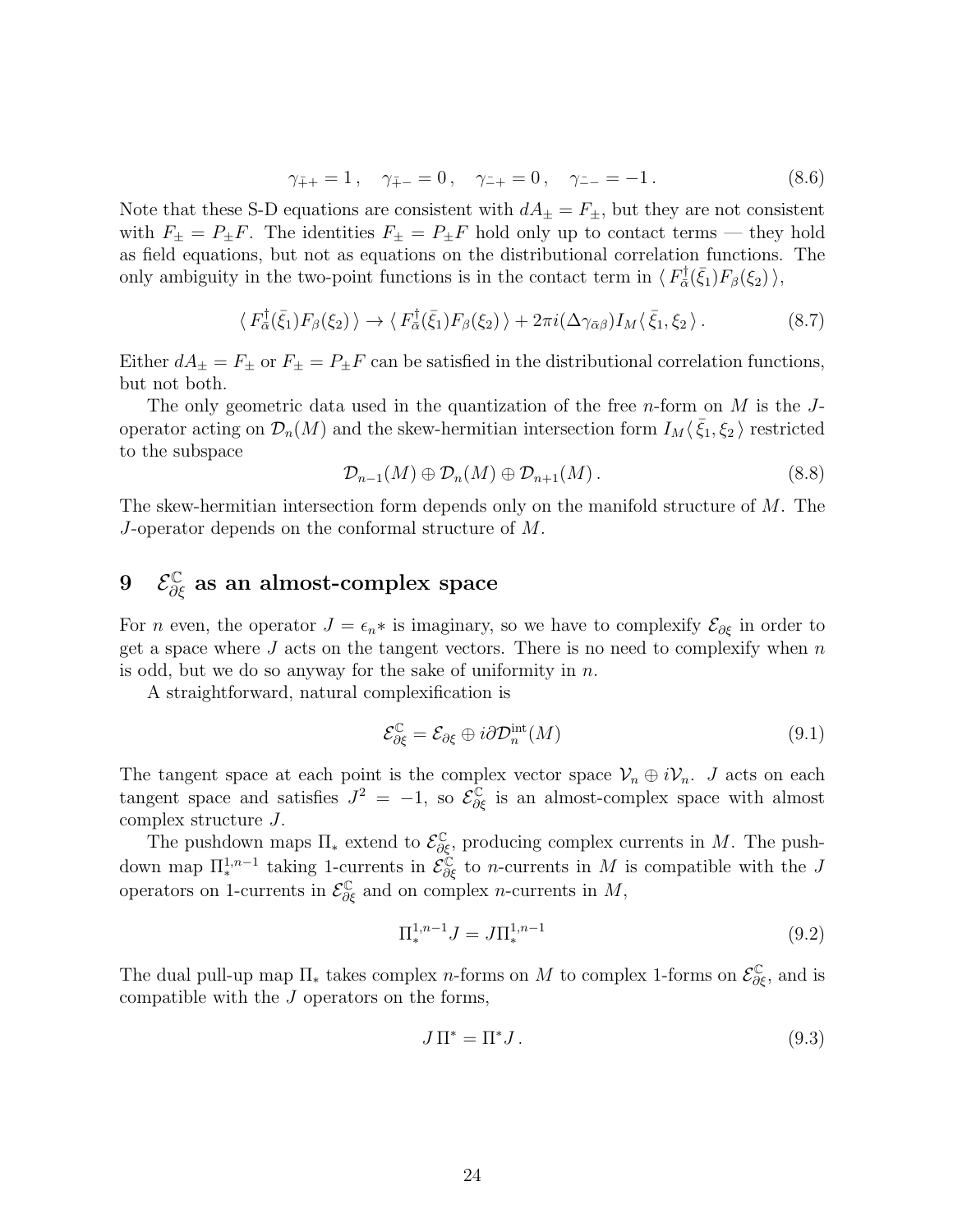$$
\gamma_{\bar{+}+} = 1, \quad \gamma_{\bar{+} -} = 0, \quad \gamma_{-+} = 0, \quad \gamma_{-} = -1. \tag{8.6}
$$

Note that these S-D equations are consistent with  $dA_{\pm} = F_{\pm}$ , but they are not consistent with  $F_{\pm} = P_{\pm}F$ . The identities  $F_{\pm} = P_{\pm}F$  hold only up to contact terms — they hold as field equations, but not as equations on the distributional correlation functions. The only ambiguity in the two-point functions is in the contact term in  $\langle F_{\bar{\alpha}}^{\dagger} \rangle$  $F_{\bar{\alpha}}^{\dagger}(\bar{\xi}_{1})F_{\beta}(\xi_{2})$   $\rangle,$ 

$$
\langle F_{\bar{\alpha}}^{\dagger}(\bar{\xi}_1)F_{\beta}(\xi_2)\rangle \to \langle F_{\bar{\alpha}}^{\dagger}(\bar{\xi}_1)F_{\beta}(\xi_2)\rangle + 2\pi i(\Delta\gamma_{\bar{\alpha}\beta})I_M\langle\bar{\xi}_1,\xi_2\rangle. \tag{8.7}
$$

Either  $dA_{\pm} = F_{\pm}$  or  $F_{\pm} = P_{\pm}F$  can be satisfied in the distributional correlation functions, but not both.

The only geometric data used in the quantization of the free  $n$ -form on  $M$  is the  $J$ operator acting on  $\mathcal{D}_n(M)$  and the skew-hermitian intersection form  $I_M(\bar{\xi}_1,\xi_2)$  restricted to the subspace

$$
\mathcal{D}_{n-1}(M) \oplus \mathcal{D}_n(M) \oplus \mathcal{D}_{n+1}(M). \tag{8.8}
$$

The skew-hermitian intersection form depends only on the manifold structure of  $M$ . The J-operator depends on the conformal structure of M.

# <span id="page-23-0"></span> $9$   $\mathcal{E}^{\mathbb{C}}_{\partial \xi}$  as an almost-complex space

For n even, the operator  $J = \epsilon_n *$  is imaginary, so we have to complexify  $\mathcal{E}_{\partial \xi}$  in order to get a space where  $J$  acts on the tangent vectors. There is no need to complexify when  $n$ is odd, but we do so anyway for the sake of uniformity in  $n$ .

A straightforward, natural complexification is

$$
\mathcal{E}_{\partial \xi}^{\mathbb{C}} = \mathcal{E}_{\partial \xi} \oplus i \partial \mathcal{D}_n^{\text{int}}(M) \tag{9.1}
$$

The tangent space at each point is the complex vector space  $\mathcal{V}_n \oplus i\mathcal{V}_n$ . J acts on each tangent space and satisfies  $J^2 = -1$ , so  $\mathcal{E}_{\partial \xi}^{\mathbb{C}}$  is an almost-complex space with almost complex structure J.

The pushdown maps  $\Pi_*$  extend to  $\mathcal{E}^{\mathbb{C}}_{\partial \xi}$ , producing complex currents in M. The pushdown map  $\Pi^{1,n-1}_*$  taking 1-currents in  $\mathcal{E}^{\mathbb{C}}_{\partial \xi}$  to *n*-currents in M is compatible with the J operators on 1-currents in  $\mathcal{E}_{\partial \xi}^{\mathbb{C}}$  and on complex *n*-currents in M,

$$
\Pi_*^{1,n-1} J = J \Pi_*^{1,n-1} \tag{9.2}
$$

The dual pull-up map  $\Pi_*$  takes complex *n*-forms on M to complex 1-forms on  $\mathcal{E}^{\mathbb{C}}_{\partial \xi}$ , and is compatible with the J operators on the forms,

$$
J\Pi^* = \Pi^* J. \tag{9.3}
$$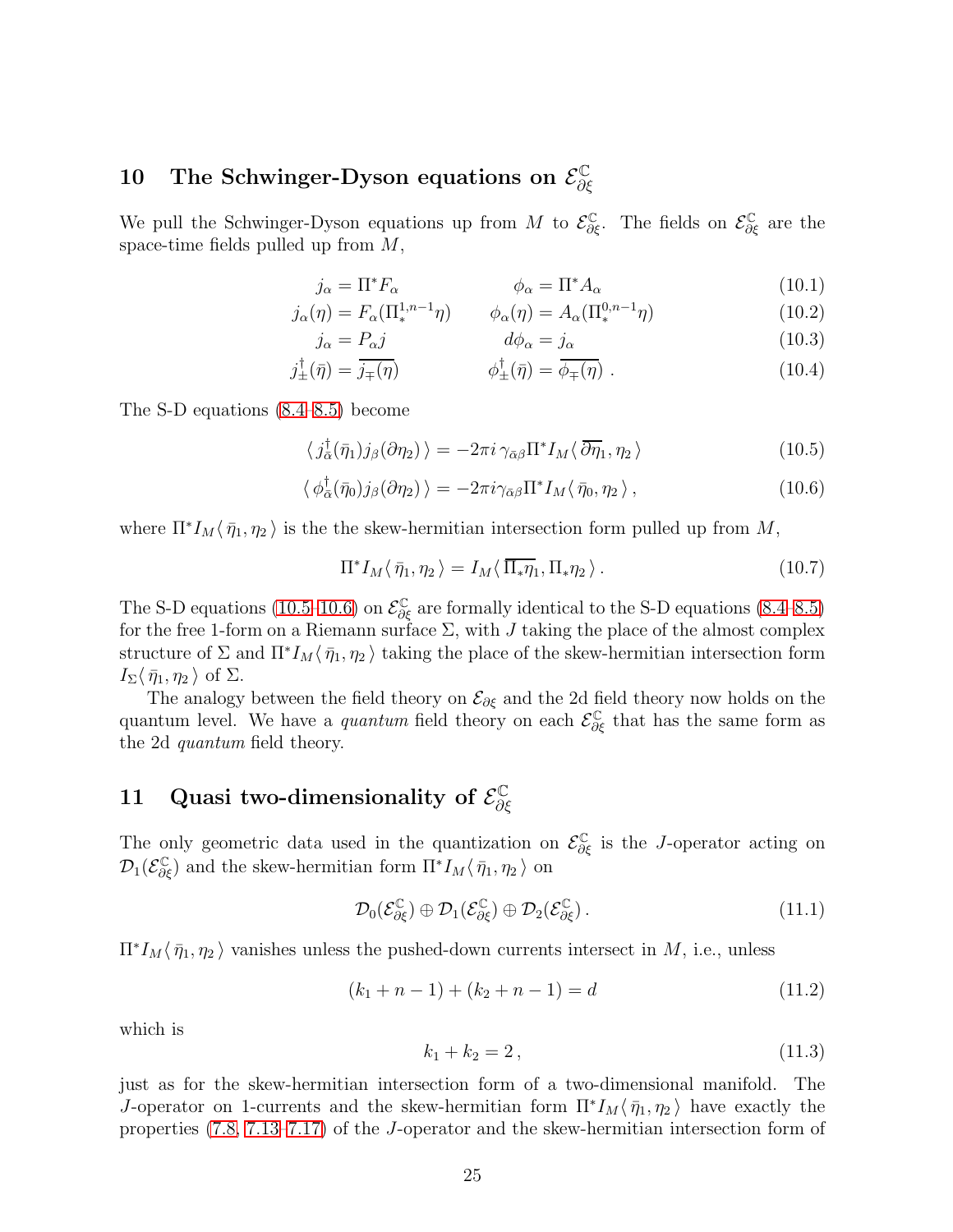#### <span id="page-24-0"></span>10 The Schwinger-Dyson equations on  $\mathcal{E}_{\partial \theta}^{\mathbb{C}}$ ∂ξ

We pull the Schwinger-Dyson equations up from M to  $\mathcal{E}^{\mathbb{C}}_{\partial \xi}$ . The fields on  $\mathcal{E}^{\mathbb{C}}_{\partial \xi}$  are the space-time fields pulled up from  $M$ ,

$$
j_{\alpha} = \Pi^* F_{\alpha} \qquad \phi_{\alpha} = \Pi^* A_{\alpha} \qquad (10.1)
$$

$$
j_{\alpha}(\eta) = F_{\alpha}(\Pi_{*}^{1,n-1}\eta) \qquad \phi_{\alpha}(\eta) = A_{\alpha}(\Pi_{*}^{0,n-1}\eta) \tag{10.2}
$$

$$
j_{\alpha} = P_{\alpha} j \qquad d\phi_{\alpha} = j_{\alpha} \qquad (10.3)
$$

$$
j_{\pm}^{\dagger}(\bar{\eta}) = \bar{j}_{\mp}(\bar{\eta}) \qquad \qquad \phi_{\pm}^{\dagger}(\bar{\eta}) = \bar{\phi}_{\mp}(\bar{\eta}) \ . \tag{10.4}
$$

The S-D equations [\(8.4](#page-22-3)[–8.5\)](#page-22-4) become

$$
\langle j_{\bar{\alpha}}^{\dagger}(\bar{\eta}_1)j_{\beta}(\partial \eta_2)\rangle = -2\pi i \gamma_{\bar{\alpha}\beta} \Pi^* I_M \langle \bar{\partial} \eta_1, \eta_2 \rangle \tag{10.5}
$$

$$
\langle \phi_{\bar{\alpha}}^{\dagger}(\bar{\eta}_{0})j_{\beta}(\partial \eta_{2}) \rangle = -2\pi i \gamma_{\bar{\alpha}\beta} \Pi^{*} I_{M} \langle \bar{\eta}_{0}, \eta_{2} \rangle, \qquad (10.6)
$$

where  $\Pi^* I_M \langle \bar{\eta}_1, \eta_2 \rangle$  is the the skew-hermitian intersection form pulled up from M,

<span id="page-24-3"></span><span id="page-24-2"></span>
$$
\Pi^* I_M \langle \bar{\eta}_1, \eta_2 \rangle = I_M \langle \bar{\Pi}_* \eta_1, \Pi_* \eta_2 \rangle. \tag{10.7}
$$

The S-D equations [\(10.5–](#page-24-2)[10.6\)](#page-24-3) on  $\mathcal{E}^{\mathbb{C}}_{\partial \xi}$  are formally identical to the S-D equations [\(8.4–](#page-22-3)[8.5\)](#page-22-4) for the free 1-form on a Riemann surface  $\Sigma$ , with J taking the place of the almost complex structure of  $\Sigma$  and  $\Pi^* I_M \langle \bar{\eta}_1, \eta_2 \rangle$  taking the place of the skew-hermitian intersection form  $I_{\Sigma}\langle \bar{\eta}_1, \eta_2 \rangle$  of  $\Sigma$ .

The analogy between the field theory on  $\mathcal{E}_{\partial \xi}$  and the 2d field theory now holds on the quantum level. We have a *quantum* field theory on each  $\mathcal{E}^{\mathbb{C}}_{\partial \xi}$  that has the same form as the 2d quantum field theory.

#### <span id="page-24-1"></span>11 Quasi two-dimensionality of  $\mathcal{E}_{\partial S}^{\mathbb{C}}$ ∂ξ

The only geometric data used in the quantization on  $\mathcal{E}^{\mathbb{C}}_{\partial \xi}$  is the *J*-operator acting on  $\mathcal{D}_1(\mathcal{E}_{\partial \xi}^{\mathbb{C}})$  and the skew-hermitian form  $\Pi^* I_M \langle \bar{\eta}_1, \eta_2 \rangle$  on

$$
\mathcal{D}_0(\mathcal{E}_{\partial \xi}^{\mathbb{C}}) \oplus \mathcal{D}_1(\mathcal{E}_{\partial \xi}^{\mathbb{C}}) \oplus \mathcal{D}_2(\mathcal{E}_{\partial \xi}^{\mathbb{C}}).
$$
\n(11.1)

 $\Pi^* I_M \langle \bar{\eta}_1, \eta_2 \rangle$  vanishes unless the pushed-down currents intersect in M, i.e., unless

$$
(k_1 + n - 1) + (k_2 + n - 1) = d \tag{11.2}
$$

which is

$$
k_1 + k_2 = 2, \t\t(11.3)
$$

just as for the skew-hermitian intersection form of a two-dimensional manifold. The J-operator on 1-currents and the skew-hermitian form  $\Pi^* I_M \langle \bar{\eta}_1, \eta_2 \rangle$  have exactly the properties [\(7.8,](#page-21-2) [7.13](#page-21-3)[–7.17\)](#page-21-4) of the J-operator and the skew-hermitian intersection form of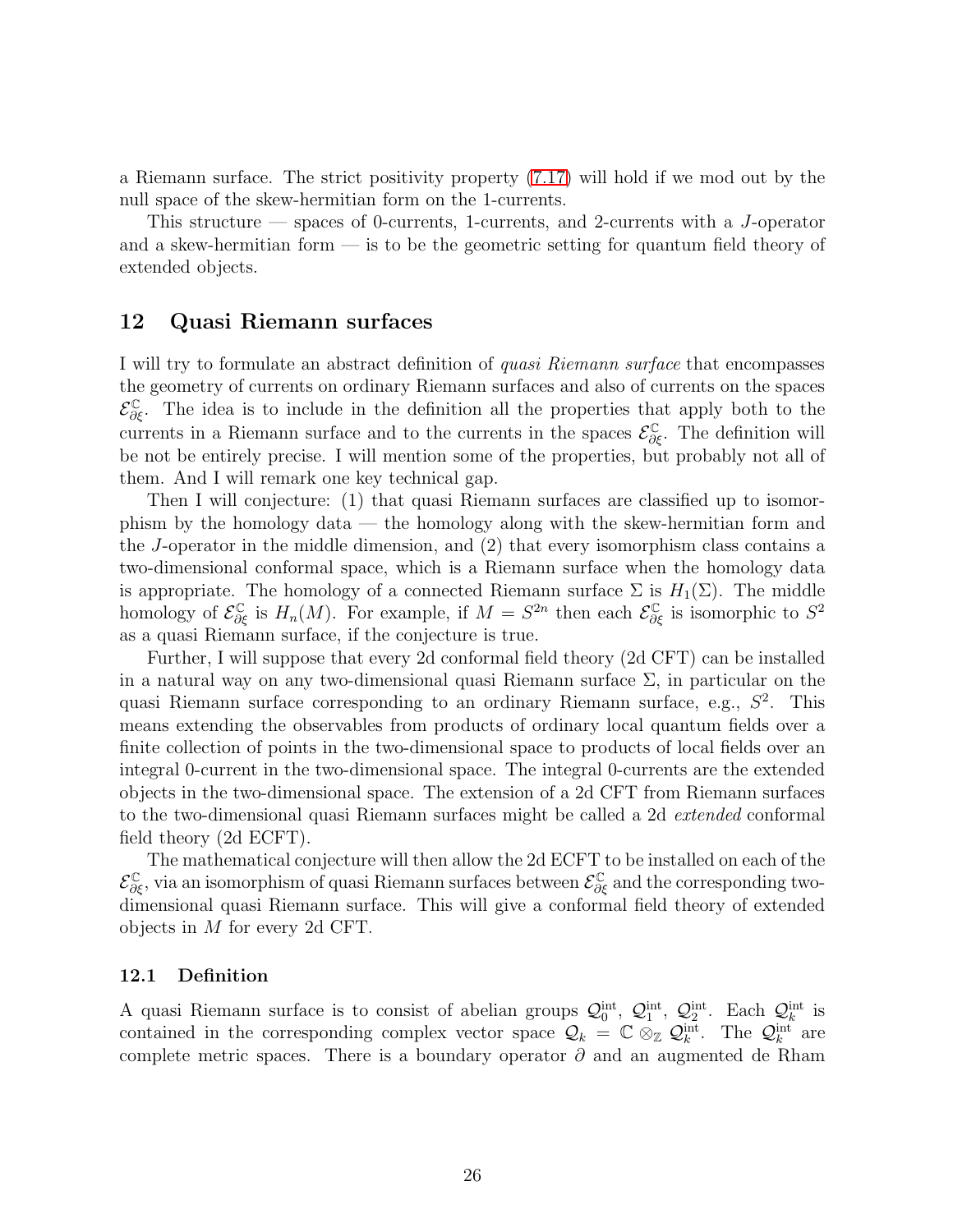a Riemann surface. The strict positivity property [\(7.17\)](#page-21-4) will hold if we mod out by the null space of the skew-hermitian form on the 1-currents.

This structure — spaces of 0-currents, 1-currents, and 2-currents with a J-operator and a skew-hermitian form  $\overline{\phantom{a}}$  is to be the geometric setting for quantum field theory of extended objects.

# <span id="page-25-0"></span>12 Quasi Riemann surfaces

I will try to formulate an abstract definition of quasi Riemann surface that encompasses the geometry of currents on ordinary Riemann surfaces and also of currents on the spaces  $\mathcal{E}_{\partial \xi}^{\mathbb{C}}$ . The idea is to include in the definition all the properties that apply both to the currents in a Riemann surface and to the currents in the spaces  $\mathcal{E}_{\partial \xi}^{\mathbb{C}}$ . The definition will be not be entirely precise. I will mention some of the properties, but probably not all of them. And I will remark one key technical gap.

Then I will conjecture: (1) that quasi Riemann surfaces are classified up to isomorphism by the homology data — the homology along with the skew-hermitian form and the J-operator in the middle dimension, and (2) that every isomorphism class contains a two-dimensional conformal space, which is a Riemann surface when the homology data is appropriate. The homology of a connected Riemann surface  $\Sigma$  is  $H_1(\Sigma)$ . The middle homology of  $\mathcal{E}_{\partial \xi}^{\mathbb{C}}$  is  $H_n(M)$ . For example, if  $M = S^{2n}$  then each  $\mathcal{E}_{\partial \xi}^{\mathbb{C}}$  is isomorphic to  $S^2$ as a quasi Riemann surface, if the conjecture is true.

Further, I will suppose that every 2d conformal field theory (2d CFT) can be installed in a natural way on any two-dimensional quasi Riemann surface  $\Sigma$ , in particular on the quasi Riemann surface corresponding to an ordinary Riemann surface, e.g.,  $S^2$ . This means extending the observables from products of ordinary local quantum fields over a finite collection of points in the two-dimensional space to products of local fields over an integral 0-current in the two-dimensional space. The integral 0-currents are the extended objects in the two-dimensional space. The extension of a 2d CFT from Riemann surfaces to the two-dimensional quasi Riemann surfaces might be called a 2d *extended* conformal field theory (2d ECFT).

The mathematical conjecture will then allow the 2d ECFT to be installed on each of the  $\mathcal{E}^{\mathbb{C}}_{\partial \xi}$ , via an isomorphism of quasi Riemann surfaces between  $\mathcal{E}^{\mathbb{C}}_{\partial \xi}$  and the corresponding twodimensional quasi Riemann surface. This will give a conformal field theory of extended objects in M for every 2d CFT.

## <span id="page-25-1"></span>12.1 Definition

A quasi Riemann surface is to consist of abelian groups  $\mathcal{Q}_0^{\text{int}}, \mathcal{Q}_1^{\text{int}}, \mathcal{Q}_2^{\text{int}}$ . Each  $\mathcal{Q}_k^{\text{int}}$  is contained in the corresponding complex vector space  $\mathcal{Q}_k = \mathbb{C} \otimes_{\mathbb{Z}} \mathcal{Q}_k^{\text{int}}$ . The  $\mathcal{Q}_k^{\text{int}}$  are complete metric spaces. There is a boundary operator  $\partial$  and an augmented de Rham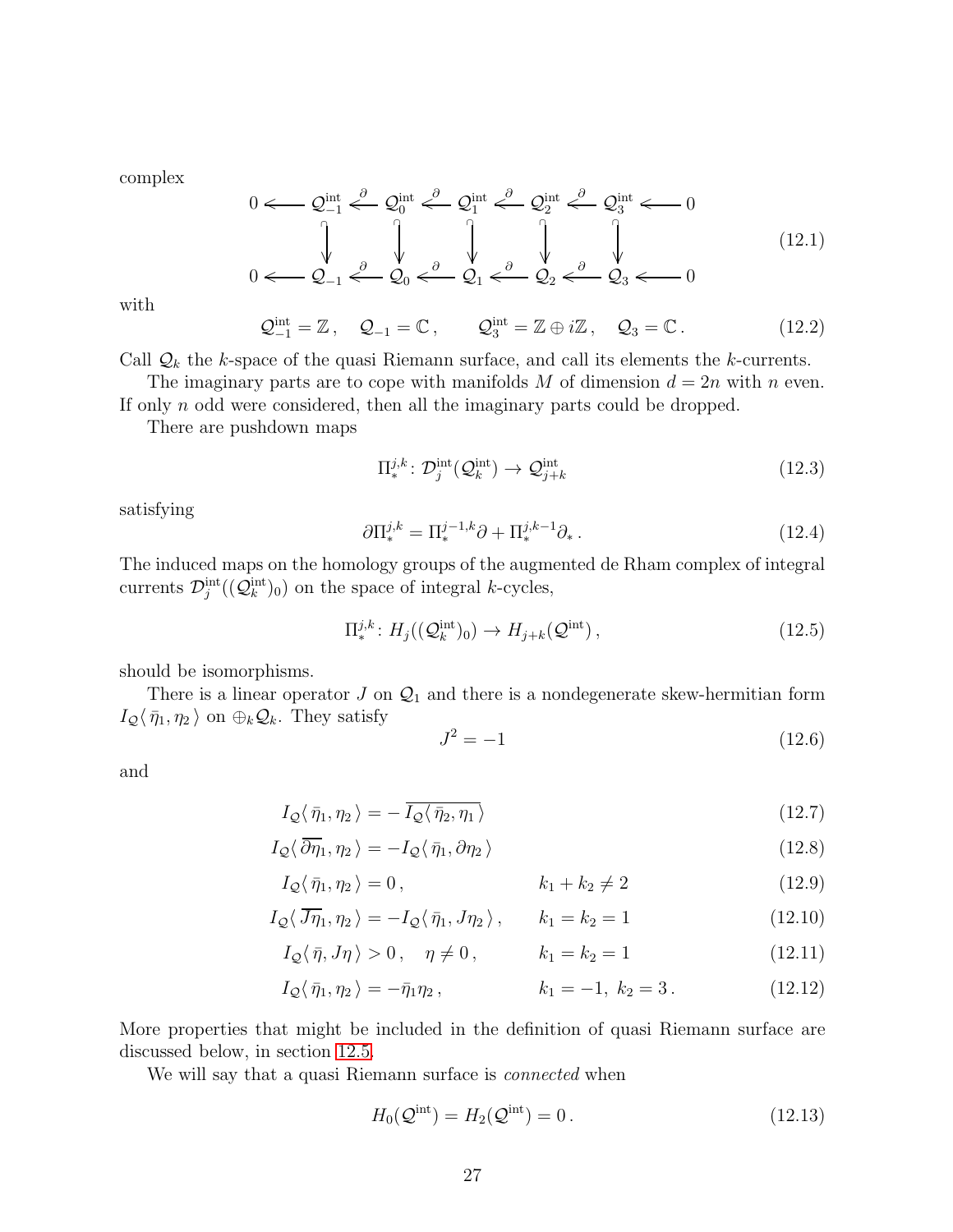complex

$$
0 \leftarrow Q_{-1}^{\text{int}} \stackrel{\partial}{\leftarrow} Q_0^{\text{int}} \stackrel{\partial}{\leftarrow} Q_1^{\text{int}} \stackrel{\partial}{\leftarrow} Q_2^{\text{int}} \stackrel{\partial}{\leftarrow} Q_3^{\text{int}} \leftarrow 0
$$
\n
$$
0 \leftarrow Q_{-1} \stackrel{\partial}{\leftarrow} Q_0 \stackrel{\partial}{\leftarrow} Q_1 \stackrel{\partial}{\leftarrow} Q_2 \stackrel{\partial}{\leftarrow} Q_2 \stackrel{\partial}{\leftarrow} Q_3 \leftarrow 0
$$
\n
$$
(12.1)
$$

with

$$
\mathcal{Q}_{-1}^{\text{int}} = \mathbb{Z}, \quad \mathcal{Q}_{-1} = \mathbb{C}, \qquad \mathcal{Q}_{3}^{\text{int}} = \mathbb{Z} \oplus i\mathbb{Z}, \quad \mathcal{Q}_{3} = \mathbb{C}. \tag{12.2}
$$

Call  $\mathcal{Q}_k$  the k-space of the quasi Riemann surface, and call its elements the k-currents.

The imaginary parts are to cope with manifolds M of dimension  $d = 2n$  with n even. If only n odd were considered, then all the imaginary parts could be dropped.

There are pushdown maps

$$
\Pi_*^{j,k} \colon \mathcal{D}_j^{\text{int}}(\mathcal{Q}_k^{\text{int}}) \to \mathcal{Q}_{j+k}^{\text{int}}
$$
\n(12.3)

satisfying

$$
\partial \Pi_*^{j,k} = \Pi_*^{j-1,k} \partial + \Pi_*^{j,k-1} \partial_* \,. \tag{12.4}
$$

The induced maps on the homology groups of the augmented de Rham complex of integral currents  $\mathcal{D}_j^{\text{int}}((\mathcal{Q}_k^{\text{int}})_0)$  on the space of integral k-cycles,

$$
\Pi_*^{j,k} : H_j((\mathcal{Q}_k^{\text{int}})_0) \to H_{j+k}(\mathcal{Q}^{\text{int}}) ,\tag{12.5}
$$

should be isomorphisms.

There is a linear operator  $J$  on  $\mathcal{Q}_1$  and there is a nondegenerate skew-hermitian form  $I_{\mathcal{Q}}\langle \bar{\eta}_1, \eta_2 \rangle$  on  $\oplus_k \mathcal{Q}_k$ . They satisfy

<span id="page-26-0"></span>
$$
J^2 = -1 \tag{12.6}
$$

and

$$
I_{\mathcal{Q}}\langle \bar{\eta}_1, \eta_2 \rangle = -\overline{I_{\mathcal{Q}}\langle \bar{\eta}_2, \eta_1 \rangle} \tag{12.7}
$$

$$
I_{\mathcal{Q}}\langle\,\overline{\partial}\overline{\eta}_{1},\eta_{2}\,\rangle=-I_{\mathcal{Q}}\langle\,\overline{\eta}_{1},\partial\eta_{2}\,\rangle\tag{12.8}
$$

$$
I_{\mathcal{Q}}\langle \bar{\eta}_1, \eta_2 \rangle = 0, \qquad k_1 + k_2 \neq 2 \qquad (12.9)
$$

$$
I_{\mathcal{Q}}\langle\,\overline{J\eta}_1,\eta_2\,\rangle = -I_{\mathcal{Q}}\langle\,\overline{\eta}_1,J\eta_2\,\rangle\,,\qquad k_1 = k_2 = 1\tag{12.10}
$$

$$
I_{\mathcal{Q}}\langle \bar{\eta}, J\eta \rangle > 0, \quad \eta \neq 0, \qquad k_1 = k_2 = 1 \tag{12.11}
$$

$$
I_{\mathcal{Q}}\langle \bar{\eta}_1, \eta_2 \rangle = -\bar{\eta}_1 \eta_2, \qquad k_1 = -1, \ k_2 = 3. \qquad (12.12)
$$

More properties that might be included in the definition of quasi Riemann surface are discussed below, in section [12.5.](#page-30-0)

We will say that a quasi Riemann surface is *connected* when

$$
H_0(\mathcal{Q}^{\text{int}}) = H_2(\mathcal{Q}^{\text{int}}) = 0.
$$
 (12.13)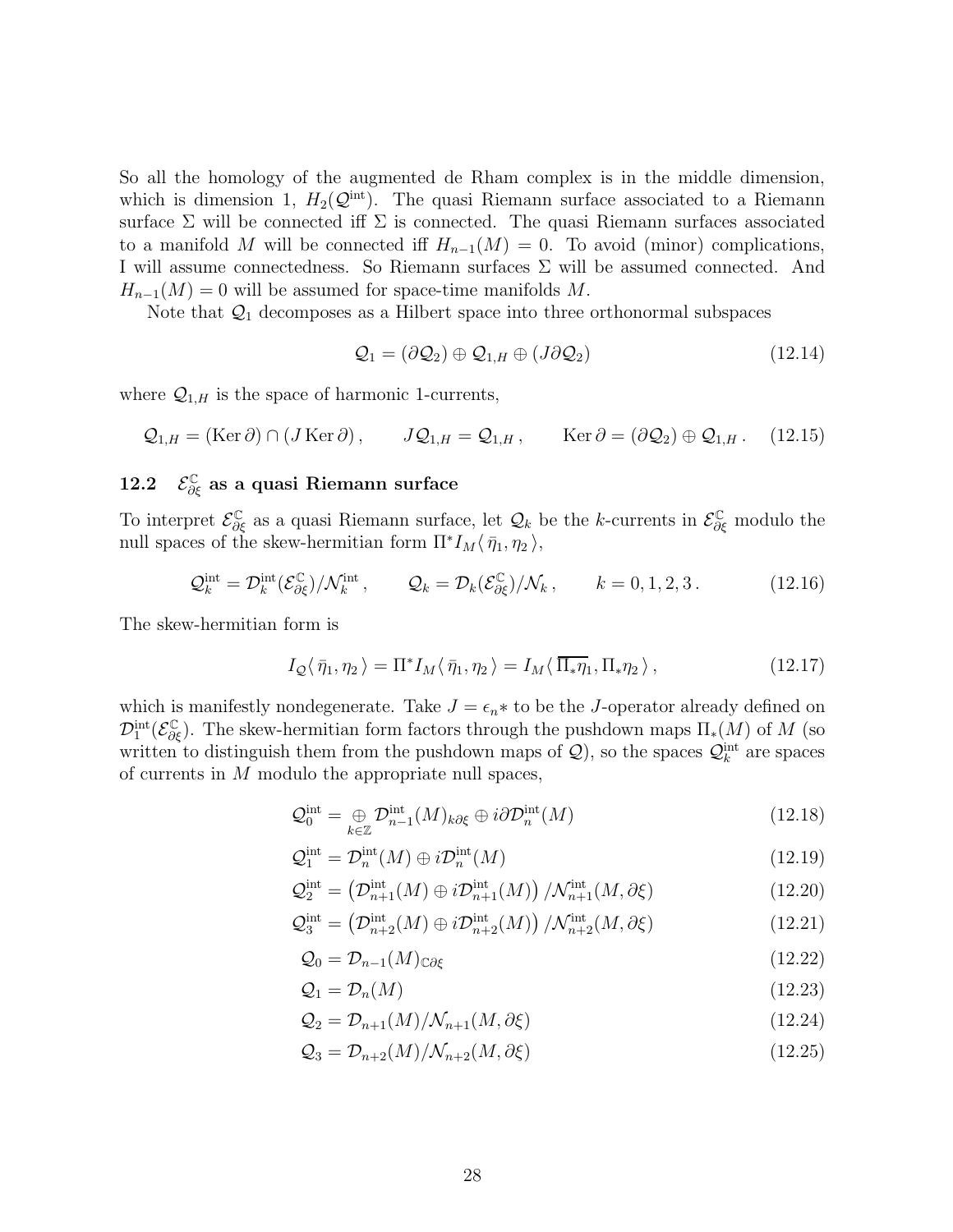So all the homology of the augmented de Rham complex is in the middle dimension, which is dimension 1,  $H_2(\mathcal{Q}^{\text{int}})$ . The quasi Riemann surface associated to a Riemann surface  $\Sigma$  will be connected iff  $\Sigma$  is connected. The quasi Riemann surfaces associated to a manifold M will be connected iff  $H_{n-1}(M) = 0$ . To avoid (minor) complications, I will assume connectedness. So Riemann surfaces Σ will be assumed connected. And  $H_{n-1}(M) = 0$  will be assumed for space-time manifolds M.

Note that  $\mathcal{Q}_1$  decomposes as a Hilbert space into three orthonormal subspaces

$$
\mathcal{Q}_1 = (\partial \mathcal{Q}_2) \oplus \mathcal{Q}_{1,H} \oplus (J \partial \mathcal{Q}_2) \tag{12.14}
$$

where  $\mathcal{Q}_{1,H}$  is the space of harmonic 1-currents,

$$
Q_{1,H} = (\text{Ker }\partial) \cap (J \text{ Ker }\partial), \qquad JQ_{1,H} = Q_{1,H}, \qquad \text{Ker }\partial = (\partial Q_2) \oplus Q_{1,H}. \qquad (12.15)
$$

# <span id="page-27-0"></span>12.2  $\mathcal{E}^{\mathbb{C}}_{\partial \xi}$  as a quasi Riemann surface

To interpret  $\mathcal{E}^{\mathbb{C}}_{\partial \xi}$  as a quasi Riemann surface, let  $\mathcal{Q}_k$  be the k-currents in  $\mathcal{E}^{\mathbb{C}}_{\partial \xi}$  modulo the null spaces of the skew-hermitian form  $\Pi^* I_M \langle \bar{\eta}_1, \eta_2 \rangle$ ,

$$
\mathcal{Q}_k^{\text{int}} = \mathcal{D}_k^{\text{int}}(\mathcal{E}_{\partial \xi}^{\mathbb{C}})/\mathcal{N}_k^{\text{int}}, \qquad \mathcal{Q}_k = \mathcal{D}_k(\mathcal{E}_{\partial \xi}^{\mathbb{C}})/\mathcal{N}_k, \qquad k = 0, 1, 2, 3.
$$
 (12.16)

The skew-hermitian form is

$$
I_{\mathcal{Q}}\langle \bar{\eta}_1, \eta_2 \rangle = \Pi^* I_M \langle \bar{\eta}_1, \eta_2 \rangle = I_M \langle \Pi_* \eta_1, \Pi_* \eta_2 \rangle, \qquad (12.17)
$$

which is manifestly nondegenerate. Take  $J = \epsilon_n *$  to be the J-operator already defined on  $\mathcal{D}_1^{\text{int}}(\mathcal{E}_{\partial \xi}^{\mathbb{C}})$ . The skew-hermitian form factors through the pushdown maps  $\Pi_*(M)$  of M (so written to distinguish them from the pushdown maps of  $\mathcal{Q}$ ), so the spaces  $\mathcal{Q}_k^{\text{int}}$  are spaces of currents in M modulo the appropriate null spaces,

$$
\mathcal{Q}_0^{\text{int}} = \bigoplus_{k \in \mathbb{Z}} \mathcal{D}_{n-1}^{\text{int}}(M)_{k\partial\xi} \oplus i\partial \mathcal{D}_n^{\text{int}}(M) \tag{12.18}
$$

$$
\mathcal{Q}_1^{\text{int}} = \mathcal{D}_n^{\text{int}}(M) \oplus i\mathcal{D}_n^{\text{int}}(M) \tag{12.19}
$$

$$
\mathcal{Q}_2^{\text{int}} = \left(\mathcal{D}_{n+1}^{\text{int}}(M) \oplus i\mathcal{D}_{n+1}^{\text{int}}(M)\right) / \mathcal{N}_{n+1}^{\text{int}}(M, \partial \xi)
$$
(12.20)

$$
\mathcal{Q}_3^{\text{int}} = \left(\mathcal{D}_{n+2}^{\text{int}}(M) \oplus i\mathcal{D}_{n+2}^{\text{int}}(M)\right) / \mathcal{N}_{n+2}^{\text{int}}(M, \partial \xi) \tag{12.21}
$$

$$
\mathcal{Q}_0 = \mathcal{D}_{n-1}(M)_{\mathbb{C}\partial\xi} \tag{12.22}
$$

$$
\mathcal{Q}_1 = \mathcal{D}_n(M) \tag{12.23}
$$

$$
\mathcal{Q}_2 = \mathcal{D}_{n+1}(M)/\mathcal{N}_{n+1}(M,\partial \xi)
$$
\n(12.24)

$$
\mathcal{Q}_3 = \mathcal{D}_{n+2}(M)/\mathcal{N}_{n+2}(M,\partial \xi) \tag{12.25}
$$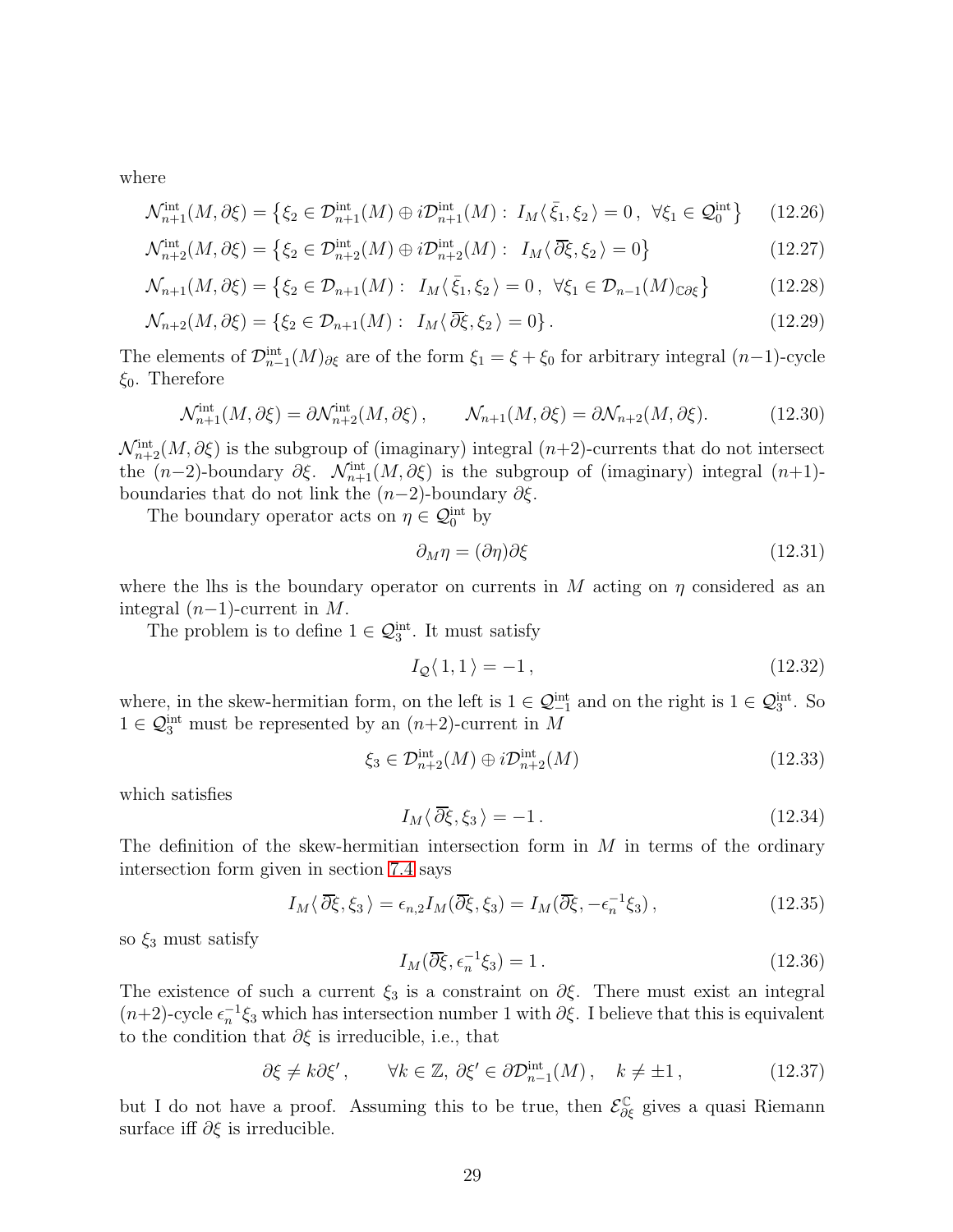where

$$
\mathcal{N}_{n+1}^{\text{int}}(M,\partial \xi) = \left\{ \xi_2 \in \mathcal{D}_{n+1}^{\text{int}}(M) \oplus i\mathcal{D}_{n+1}^{\text{int}}(M) : I_M \langle \bar{\xi}_1, \xi_2 \rangle = 0, \ \forall \xi_1 \in \mathcal{Q}_0^{\text{int}} \right\} \tag{12.26}
$$

$$
\mathcal{N}_{n+2}^{\text{int}}(M,\partial \xi) = \left\{ \xi_2 \in \mathcal{D}_{n+2}^{\text{int}}(M) \oplus i\mathcal{D}_{n+2}^{\text{int}}(M) : I_M \langle \overline{\partial \xi}, \xi_2 \rangle = 0 \right\}
$$
(12.27)

$$
\mathcal{N}_{n+1}(M,\partial \xi) = \left\{ \xi_2 \in \mathcal{D}_{n+1}(M) : I_M \langle \bar{\xi}_1, \xi_2 \rangle = 0, \ \forall \xi_1 \in \mathcal{D}_{n-1}(M)_{\mathbb{C}\partial \xi} \right\} \tag{12.28}
$$

$$
\mathcal{N}_{n+2}(M,\partial \xi) = \{\xi_2 \in \mathcal{D}_{n+1}(M) : I_M \langle \overline{\partial} \xi, \xi_2 \rangle = 0\}.
$$
\n(12.29)

The elements of  $\mathcal{D}_{n-1}^{\text{int}}(M)_{\partial \xi}$  are of the form  $\xi_1 = \xi + \xi_0$  for arbitrary integral  $(n-1)$ -cycle  $\xi_0$ . Therefore

$$
\mathcal{N}_{n+1}^{\text{int}}(M,\partial \xi) = \partial \mathcal{N}_{n+2}^{\text{int}}(M,\partial \xi) , \qquad \mathcal{N}_{n+1}(M,\partial \xi) = \partial \mathcal{N}_{n+2}(M,\partial \xi). \tag{12.30}
$$

 $\mathcal{N}_{n+2}^{\text{int}}(M, \partial \xi)$  is the subgroup of (imaginary) integral  $(n+2)$ -currents that do not intersect the  $(n-2)$ -boundary  $\partial \xi$ .  $\mathcal{N}_{n+1}^{\text{int}}(M, \partial \xi)$  is the subgroup of (imaginary) integral  $(n+1)$ boundaries that do not link the  $(n-2)$ -boundary  $\partial \xi$ .

The boundary operator acts on  $\eta \in \mathcal{Q}_0^{\text{int}}$  by

$$
\partial_M \eta = (\partial \eta) \partial \xi \tag{12.31}
$$

where the lhs is the boundary operator on currents in M acting on  $\eta$  considered as an integral  $(n-1)$ -current in M.

The problem is to define  $1 \in \mathcal{Q}_3^{\text{int}}$ . It must satisfy

$$
I_{\mathcal{Q}}\langle 1,1\rangle = -1, \qquad (12.32)
$$

where, in the skew-hermitian form, on the left is  $1 \in \mathcal{Q}_{-1}^{\text{int}}$  and on the right is  $1 \in \mathcal{Q}_{3}^{\text{int}}$ . So  $1 \in \mathcal{Q}_3^{\text{int}}$  must be represented by an  $(n+2)$ -current in M

$$
\xi_3 \in \mathcal{D}_{n+2}^{\text{int}}(M) \oplus i\mathcal{D}_{n+2}^{\text{int}}(M) \tag{12.33}
$$

which satisfies

$$
I_M \langle \,\overline{\partial} \xi, \xi_3 \,\rangle = -1. \tag{12.34}
$$

The definition of the skew-hermitian intersection form in  $M$  in terms of the ordinary intersection form given in section [7.4](#page-21-1) says

$$
I_M \langle \,\overline{\partial} \xi, \xi_3 \,\rangle = \epsilon_{n,2} I_M(\overline{\partial} \xi, \xi_3) = I_M(\overline{\partial} \xi, -\epsilon_n^{-1} \xi_3),\tag{12.35}
$$

so  $\xi_3$  must satisfy

$$
I_M(\overline{\partial}\xi, \epsilon_n^{-1}\xi_3) = 1. \tag{12.36}
$$

The existence of such a current  $\xi_3$  is a constraint on  $\partial \xi$ . There must exist an integral  $(n+2)$ -cycle  $\epsilon_n^{-1}\xi_3$  which has intersection number 1 with  $\partial \xi$ . I believe that this is equivalent to the condition that  $\partial \xi$  is irreducible, i.e., that

$$
\partial \xi \neq k \partial \xi', \qquad \forall k \in \mathbb{Z}, \ \partial \xi' \in \partial \mathcal{D}_{n-1}^{\text{int}}(M), \quad k \neq \pm 1, \tag{12.37}
$$

but I do not have a proof. Assuming this to be true, then  $\mathcal{E}^{\mathbb{C}}_{\partial \xi}$  gives a quasi Riemann surface iff  $\partial \xi$  is irreducible.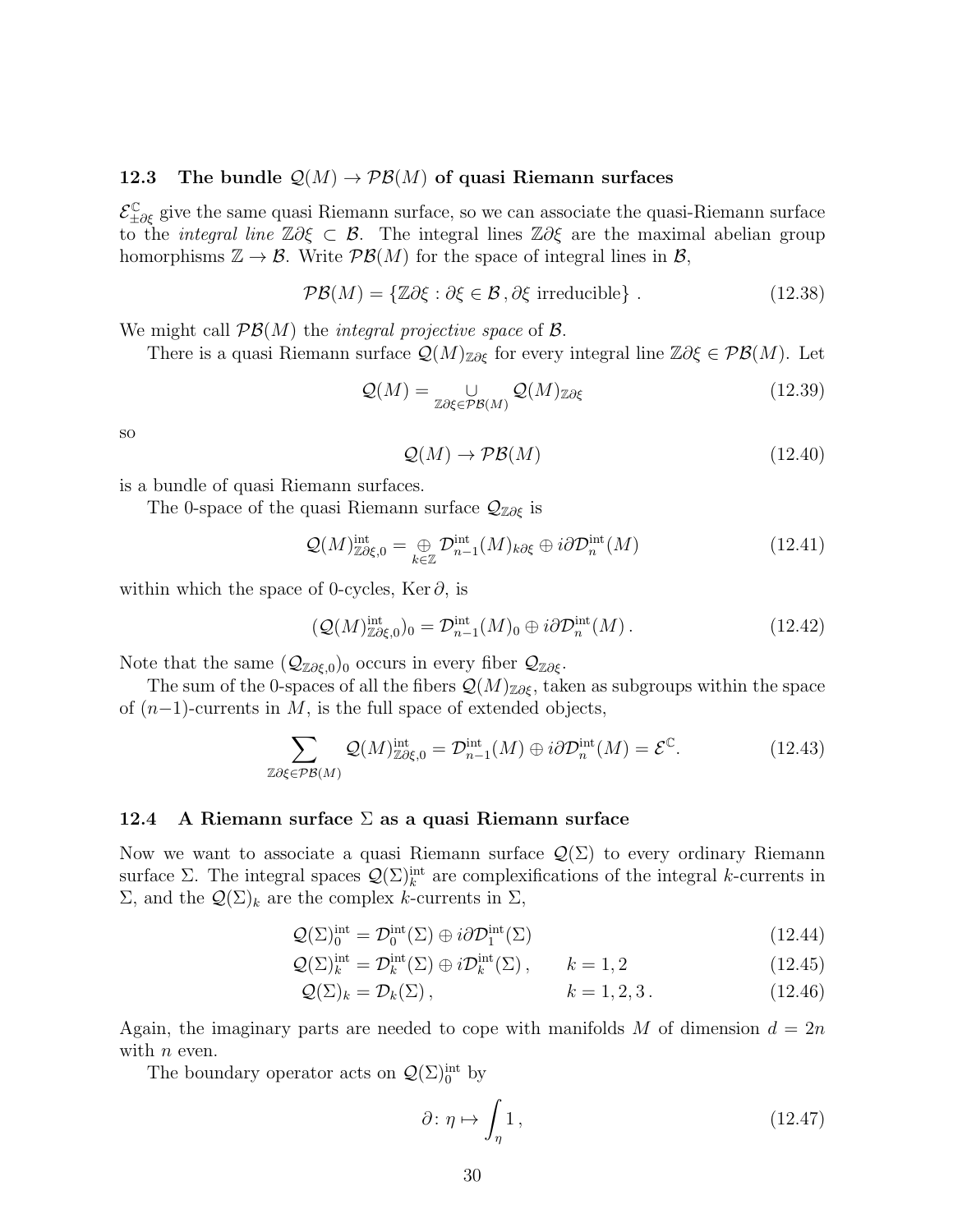### <span id="page-29-0"></span>12.3 The bundle  $\mathcal{Q}(M) \to \mathcal{PB}(M)$  of quasi Riemann surfaces

 $\mathcal{E}^{\mathbb{C}}_{\pm\partial\xi}$  give the same quasi Riemann surface, so we can associate the quasi-Riemann surface to the *integral line*  $\mathbb{Z}\partial \xi \subset \mathcal{B}$ . The integral lines  $\mathbb{Z}\partial \xi$  are the maximal abelian group homorphisms  $\mathbb{Z} \to \mathcal{B}$ . Write  $\mathcal{PB}(M)$  for the space of integral lines in  $\mathcal{B}$ ,

$$
\mathcal{PB}(M) = \{ \mathbb{Z}\partial \xi : \partial \xi \in \mathcal{B}, \partial \xi \text{ irreducible} \} .
$$
 (12.38)

We might call  $\mathcal{PB}(M)$  the *integral projective space* of  $\mathcal{B}$ .

There is a quasi Riemann surface  $\mathcal{Q}(M)_{\mathbb{Z}\partial \xi}$  for every integral line  $\mathbb{Z}\partial \xi \in \mathcal{PB}(M)$ . Let

$$
\mathcal{Q}(M) = \bigcup_{\mathbb{Z}\partial\xi \in \mathcal{PB}(M)} \mathcal{Q}(M)_{\mathbb{Z}\partial\xi}
$$
(12.39)

so

$$
\mathcal{Q}(M) \to \mathcal{PB}(M) \tag{12.40}
$$

is a bundle of quasi Riemann surfaces.

The 0-space of the quasi Riemann surface  $\mathcal{Q}_{\mathbb{Z}\partial\xi}$  is

$$
\mathcal{Q}(M)^{\text{int}}_{\mathbb{Z}\partial\xi,0} = \bigoplus_{k\in\mathbb{Z}} \mathcal{D}^{\text{int}}_{n-1}(M)_{k\partial\xi} \oplus i\partial \mathcal{D}^{\text{int}}_{n}(M) \tag{12.41}
$$

within which the space of 0-cycles, Ker  $\partial$ , is

$$
(\mathcal{Q}(M)^{\text{int}}_{\mathbb{Z}\partial\xi,0})_0 = \mathcal{D}^{\text{int}}_{n-1}(M)_0 \oplus i\partial \mathcal{D}^{\text{int}}_n(M). \tag{12.42}
$$

Note that the same  $(\mathcal{Q}_{\mathbb{Z}\partial\xi,0})_0$  occurs in every fiber  $\mathcal{Q}_{\mathbb{Z}\partial\xi}$ .

The sum of the 0-spaces of all the fibers  $\mathcal{Q}(M)_{\mathbb{Z}\partial \xi}$ , taken as subgroups within the space of  $(n-1)$ -currents in M, is the full space of extended objects,

$$
\sum_{\mathbb{Z}\partial\xi \in \mathcal{PB}(M)} \mathcal{Q}(M)_{\mathbb{Z}\partial\xi,0}^{\text{int}} = \mathcal{D}_{n-1}^{\text{int}}(M) \oplus i\partial \mathcal{D}_n^{\text{int}}(M) = \mathcal{E}^{\mathbb{C}}.
$$
 (12.43)

### <span id="page-29-1"></span>12.4 A Riemann surface  $\Sigma$  as a quasi Riemann surface

Now we want to associate a quasi Riemann surface  $\mathcal{Q}(\Sigma)$  to every ordinary Riemann surface  $\Sigma$ . The integral spaces  $\mathcal{Q}(\Sigma)_{k}^{\text{int}}$  are complexifications of the integral k-currents in  $\Sigma$ , and the  $\mathcal{Q}(\Sigma)_k$  are the complex k-currents in  $\Sigma$ ,

$$
\mathcal{Q}(\Sigma)_0^{\text{int}} = \mathcal{D}_0^{\text{int}}(\Sigma) \oplus i\partial \mathcal{D}_1^{\text{int}}(\Sigma)
$$
\n(12.44)

$$
\mathcal{Q}(\Sigma)_k^{\text{int}} = \mathcal{D}_k^{\text{int}}(\Sigma) \oplus i\mathcal{D}_k^{\text{int}}(\Sigma), \qquad k = 1, 2 \tag{12.45}
$$

$$
\mathcal{Q}(\Sigma)_k = \mathcal{D}_k(\Sigma), \qquad k = 1, 2, 3. \tag{12.46}
$$

Again, the imaginary parts are needed to cope with manifolds M of dimension  $d = 2n$ with  $n$  even.

The boundary operator acts on  $\mathcal{Q}(\Sigma)_{0}^{\text{int}}$  by

$$
\partial \colon \eta \mapsto \int_{\eta} 1 , \tag{12.47}
$$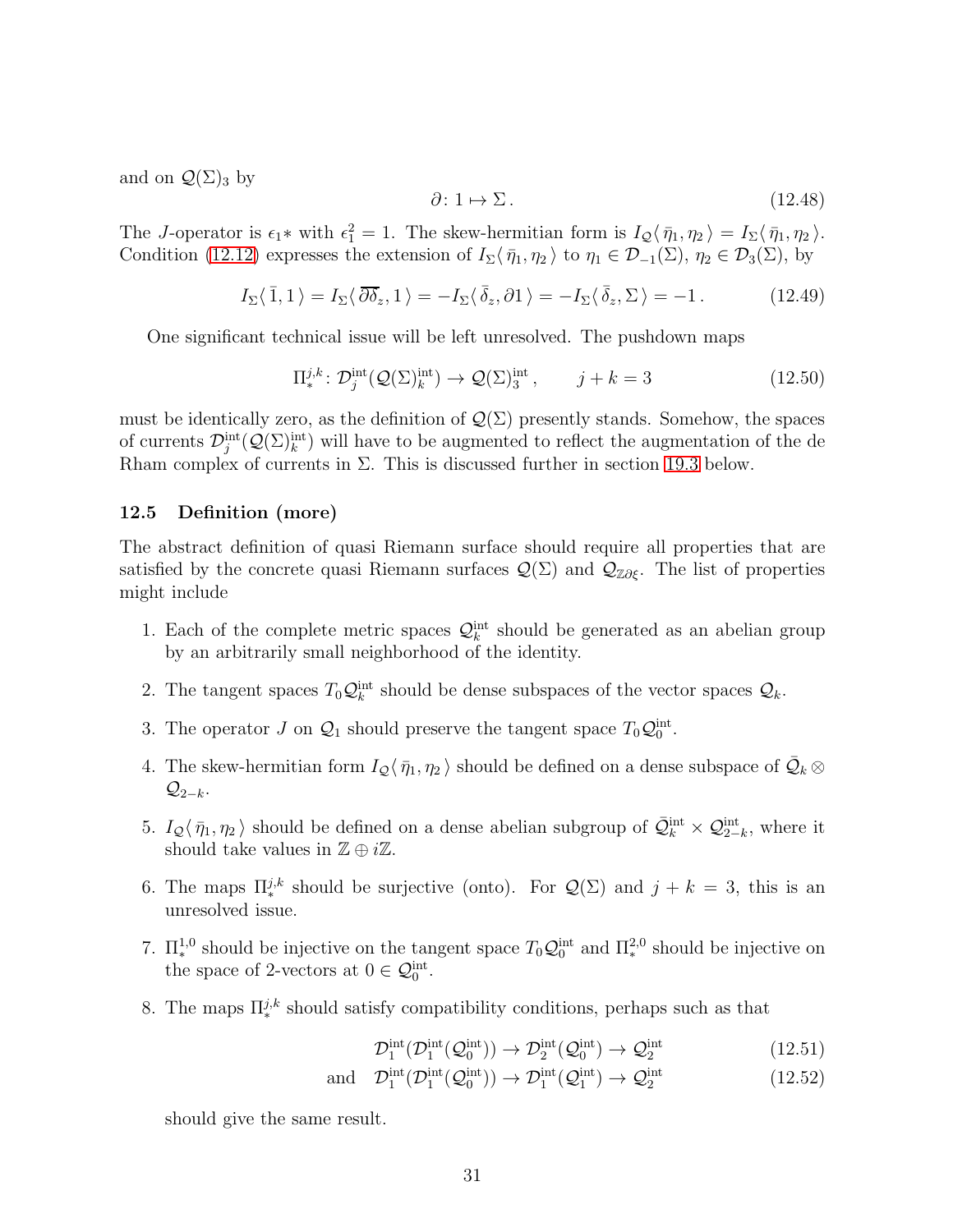and on  $\mathcal{Q}(\Sigma)_{3}$  by

$$
\partial \colon 1 \mapsto \Sigma. \tag{12.48}
$$

The J-operator is  $\epsilon_1$ <sup>\*</sup> with  $\epsilon_1^2 = 1$ . The skew-hermitian form is  $I_Q(\bar{\eta}_1, \eta_2) = I_\Sigma(\bar{\eta}_1, \eta_2)$ . Condition [\(12.12\)](#page-26-0) expresses the extension of  $I_{\Sigma}\langle \bar{\eta}_1, \eta_2 \rangle$  to  $\eta_1 \in \mathcal{D}_{-1}(\Sigma)$ ,  $\eta_2 \in \mathcal{D}_3(\Sigma)$ , by

$$
I_{\Sigma}\langle\bar{1},1\rangle = I_{\Sigma}\langle\bar{\partial}\bar{\delta}_z,1\rangle = -I_{\Sigma}\langle\bar{\delta}_z,\partial1\rangle = -I_{\Sigma}\langle\bar{\delta}_z,\Sigma\rangle = -1.
$$
 (12.49)

One significant technical issue will be left unresolved. The pushdown maps

$$
\Pi_*^{j,k} \colon \mathcal{D}_j^{\text{int}}(\mathcal{Q}(\Sigma)_k^{\text{int}}) \to \mathcal{Q}(\Sigma)_3^{\text{int}}, \qquad j+k=3 \tag{12.50}
$$

must be identically zero, as the definition of  $\mathcal{Q}(\Sigma)$  presently stands. Somehow, the spaces of currents  $\mathcal{D}_j^{\text{int}}(\mathcal{Q}(\Sigma)_k^{\text{int}})$  will have to be augmented to reflect the augmentation of the de Rham complex of currents in  $\Sigma$ . This is discussed further in section [19.3](#page-48-0) below.

# <span id="page-30-0"></span>12.5 Definition (more)

The abstract definition of quasi Riemann surface should require all properties that are satisfied by the concrete quasi Riemann surfaces  $\mathcal{Q}(\Sigma)$  and  $\mathcal{Q}_{\mathbb{Z}\partial\xi}$ . The list of properties might include

- 1. Each of the complete metric spaces  $\mathcal{Q}_k^{\text{int}}$  should be generated as an abelian group by an arbitrarily small neighborhood of the identity.
- 2. The tangent spaces  $T_0 \mathcal{Q}_k^{\text{int}}$  should be dense subspaces of the vector spaces  $\mathcal{Q}_k$ .
- 3. The operator J on  $\mathcal{Q}_1$  should preserve the tangent space  $T_0\mathcal{Q}_0^{\text{int}}$ .
- 4. The skew-hermitian form  $I_Q \langle \bar{\eta}_1, \eta_2 \rangle$  should be defined on a dense subspace of  $\bar{Q}_k \otimes$  $\mathcal{Q}_{2-k}$ .
- 5.  $I_Q(\bar{\eta}_1, \eta_2)$  should be defined on a dense abelian subgroup of  $\bar{\mathcal{Q}}_k^{\text{int}} \times \mathcal{Q}_{2-k}^{\text{int}}$ , where it should take values in  $\mathbb{Z} \oplus i\mathbb{Z}$ .
- 6. The maps  $\Pi_{*}^{j,k}$  should be surjective (onto). For  $\mathcal{Q}(\Sigma)$  and  $j+k=3$ , this is an unresolved issue.
- 7.  $\Pi^{1,0}_*$  should be injective on the tangent space  $T_0 \mathcal{Q}_0^{\text{int}}$  and  $\Pi^{2,0}_*$  should be injective on the space of 2-vectors at  $0 \in \mathcal{Q}_0^{\text{int}}$ .
- 8. The maps  $\Pi_{*}^{j,k}$  should satisfy compatibility conditions, perhaps such as that

$$
\mathcal{D}_1^{\text{int}}(\mathcal{D}_1^{\text{int}}(\mathcal{Q}_0^{\text{int}})) \to \mathcal{D}_2^{\text{int}}(\mathcal{Q}_0^{\text{int}}) \to \mathcal{Q}_2^{\text{int}} \tag{12.51}
$$

and 
$$
\mathcal{D}_1^{\text{int}}(\mathcal{D}_1^{\text{int}}(\mathcal{Q}_0^{\text{int}})) \to \mathcal{D}_1^{\text{int}}(\mathcal{Q}_1^{\text{int}}) \to \mathcal{Q}_2^{\text{int}}
$$
 (12.52)

should give the same result.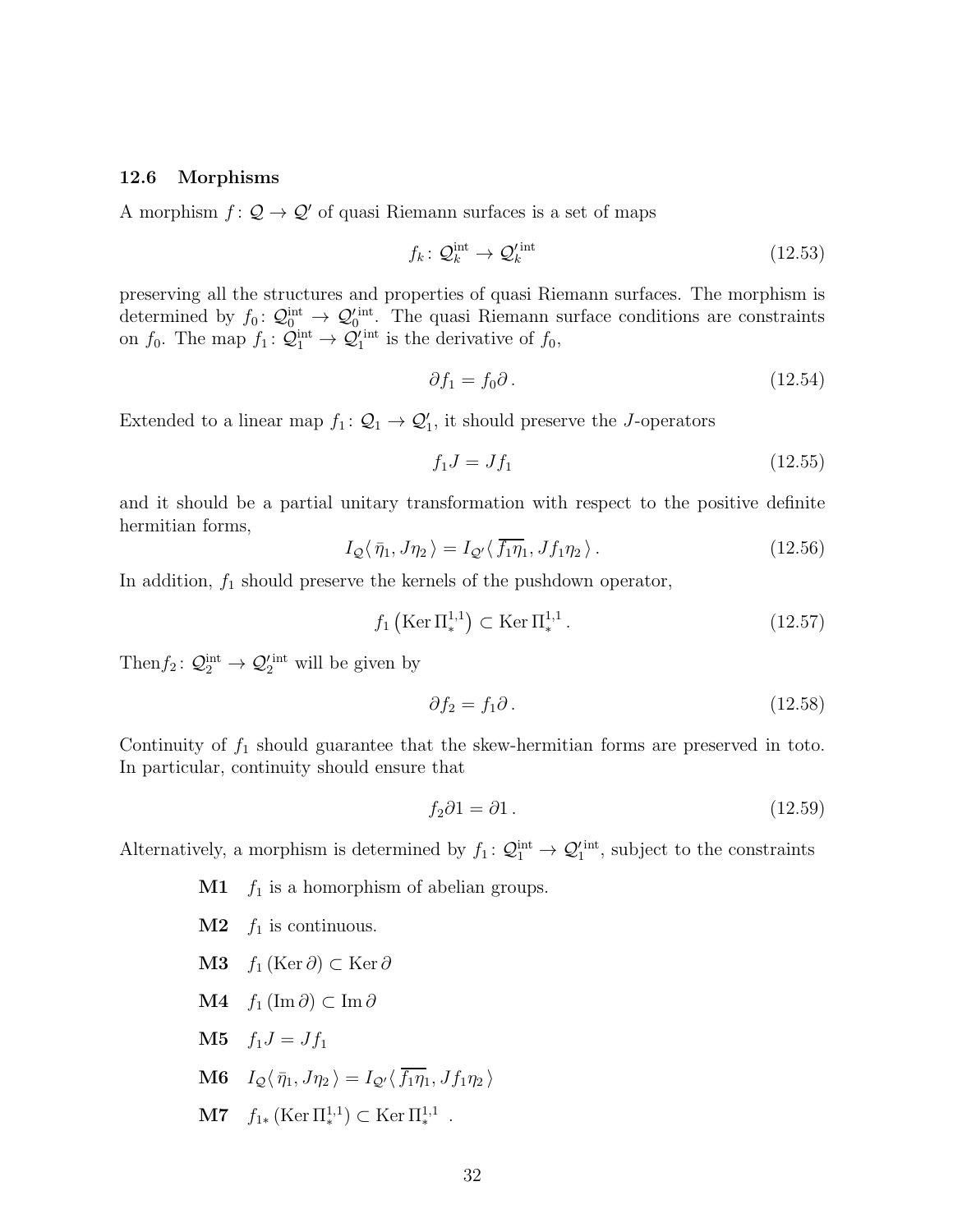#### <span id="page-31-0"></span>12.6 Morphisms

A morphism  $f: \mathcal{Q} \to \mathcal{Q}'$  of quasi Riemann surfaces is a set of maps

$$
f_k \colon \mathcal{Q}_k^{\text{int}} \to \mathcal{Q}_k^{\prime \text{int}} \tag{12.53}
$$

preserving all the structures and properties of quasi Riemann surfaces. The morphism is determined by  $f_0: Q_0^{\text{int}} \to Q_0^{\prime \text{int}}$ . The quasi Riemann surface conditions are constraints on  $f_0$ . The map  $f_1: \mathcal{Q}_1^{\text{int}} \to \mathcal{Q}_1^{\text{int}}$  is the derivative of  $f_0$ ,

$$
\partial f_1 = f_0 \partial \,. \tag{12.54}
$$

Extended to a linear map  $f_1: \mathcal{Q}_1 \to \mathcal{Q}'_1$ , it should preserve the J-operators

$$
f_1 J = J f_1 \tag{12.55}
$$

and it should be a partial unitary transformation with respect to the positive definite hermitian forms,

$$
I_{\mathcal{Q}}\langle \bar{\eta}_1, J\eta_2 \rangle = I_{\mathcal{Q}'}\langle \bar{f}_1 \eta_1, Jf_1 \eta_2 \rangle. \tag{12.56}
$$

In addition,  $f_1$  should preserve the kernels of the pushdown operator,

$$
f_1\left(\text{Ker }\Pi_*^{1,1}\right) \subset \text{Ker }\Pi_*^{1,1} \,. \tag{12.57}
$$

Then  $f_2: \mathcal{Q}_2^{\text{int}} \to \mathcal{Q}'_2^{\text{int}}$  will be given by

$$
\partial f_2 = f_1 \partial. \tag{12.58}
$$

Continuity of  $f_1$  should guarantee that the skew-hermitian forms are preserved in toto. In particular, continuity should ensure that

$$
f_2 \partial 1 = \partial 1. \tag{12.59}
$$

Alternatively, a morphism is determined by  $f_1: \mathcal{Q}_1^{\text{int}} \to \mathcal{Q}_1^{\text{int}}$ , subject to the constraints

- $\mathbf{M1}$  f<sub>1</sub> is a homorphism of abelian groups.
- $M2$  f<sub>1</sub> is continuous.
- M3  $f_1$  (Ker ∂) ⊂ Ker ∂
- M4  $f_1$  (Im ∂) ⊂ Im ∂
- **M5**  $f_1 J = J f_1$
- **M6**  $I_Q\langle \bar{\eta}_1, J\eta_2 \rangle = I_{Q'}\langle \bar{f}_1 \eta_1, Jf_1\eta_2 \rangle$
- **M7**  $f_{1*}$  (Ker  $\Pi_*^{1,1}$ ) ⊂ Ker  $\Pi_*^{1,1}$ .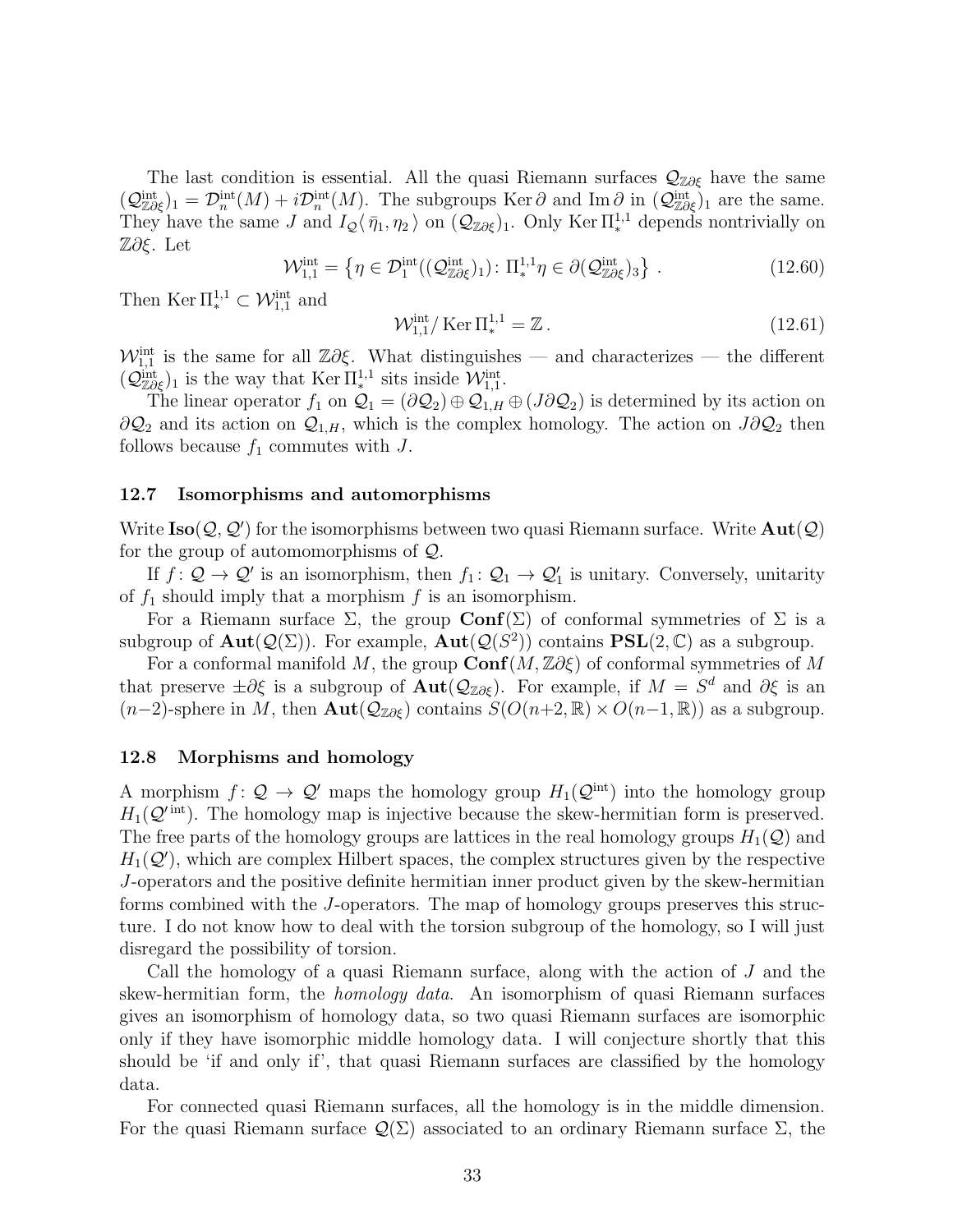The last condition is essential. All the quasi Riemann surfaces  $\mathcal{Q}_{\mathbb{Z}\partial\xi}$  have the same  $(\mathcal{Q}_{\mathbb{Z}\partial\xi}^{\text{int}})_1 = \mathcal{D}_n^{\text{int}}(M) + i\mathcal{D}_n^{\text{int}}(M)$ . The subgroups Ker  $\partial$  and Im  $\partial$  in  $(\mathcal{Q}_{\mathbb{Z}\partial\xi}^{\text{int}})_1$  are the same. They have the same J and  $I_Q(\bar{\eta}_1, \eta_2)$  on  $(Q_{\mathbb{Z}\partial \xi})_1$ . Only Ker  $\Pi_*^{1,1}$  depends nontrivially on Z∂ξ. Let

$$
\mathcal{W}_{1,1}^{\text{int}} = \left\{ \eta \in \mathcal{D}_1^{\text{int}}((\mathcal{Q}_{\mathbb{Z}\partial\xi}^{\text{int}})_1) : \Pi_*^{1,1}\eta \in \partial(\mathcal{Q}_{\mathbb{Z}\partial\xi}^{\text{int}})_3 \right\} \,. \tag{12.60}
$$

Then Ker  $\Pi^{1,1}_* \subset \mathcal{W}_{1,1}^{\text{int}}$  and

$$
\mathcal{W}_{1,1}^{\text{int}}/\text{Ker}\,\Pi_*^{1,1} = \mathbb{Z}\,. \tag{12.61}
$$

 $\mathcal{W}_{1,1}^{\text{int}}$  is the same for all Z∂ξ. What distinguishes — and characterizes — the different  $(\mathcal{Q}_{\mathbb{Z}\partial\xi}^{\text{int}})_1$  is the way that Ker  $\Pi^{1,1}_*$  sits inside  $\mathcal{W}_{1,1}^{\text{int}}$ .

The linear operator  $f_1$  on  $\mathcal{Q}_1 = (\partial \mathcal{Q}_2) \oplus \mathcal{Q}_{1,H} \oplus (J \partial \mathcal{Q}_2)$  is determined by its action on  $\partial \mathcal{Q}_2$  and its action on  $\mathcal{Q}_{1,H}$ , which is the complex homology. The action on  $J\partial \mathcal{Q}_2$  then follows because  $f_1$  commutes with J.

## <span id="page-32-0"></span>12.7 Isomorphisms and automorphisms

Write  $\text{Iso}(\mathcal{Q}, \mathcal{Q}')$  for the isomorphisms between two quasi Riemann surface. Write  $\text{Aut}(\mathcal{Q})$ for the group of automomorphisms of Q.

If  $f: \mathcal{Q} \to \mathcal{Q}'$  is an isomorphism, then  $f_1: \mathcal{Q}_1 \to \mathcal{Q}'_1$  is unitary. Conversely, unitarity of  $f_1$  should imply that a morphism f is an isomorphism.

For a Riemann surface  $\Sigma$ , the group  $\text{Conf}(\Sigma)$  of conformal symmetries of  $\Sigma$  is a subgroup of  $\text{Aut}(\mathcal{Q}(\Sigma))$ . For example,  $\text{Aut}(\mathcal{Q}(S^2))$  contains  $\text{PSL}(2,\mathbb{C})$  as a subgroup.

For a conformal manifold M, the group  $\text{Conf}(M, \mathbb{Z}\partial \xi)$  of conformal symmetries of M that preserve  $\pm \partial \xi$  is a subgroup of  $\text{Aut}(\mathcal{Q}_{\mathbb{Z}\partial \xi})$ . For example, if  $M = S^d$  and  $\partial \xi$  is an  $(n-2)$ -sphere in M, then  $\text{Aut}(\mathcal{Q}_{\mathbb{Z}\partial \xi})$  contains  $S(O(n+2,\mathbb{R})\times O(n-1,\mathbb{R}))$  as a subgroup.

## <span id="page-32-1"></span>12.8 Morphisms and homology

A morphism  $f: \mathcal{Q} \to \mathcal{Q}'$  maps the homology group  $H_1(\mathcal{Q}^{\text{int}})$  into the homology group  $H_1(\mathcal{Q}^{\text{int}})$ . The homology map is injective because the skew-hermitian form is preserved. The free parts of the homology groups are lattices in the real homology groups  $H_1(\mathcal{Q})$  and  $H_1(\mathcal{Q}')$ , which are complex Hilbert spaces, the complex structures given by the respective J-operators and the positive definite hermitian inner product given by the skew-hermitian forms combined with the J-operators. The map of homology groups preserves this structure. I do not know how to deal with the torsion subgroup of the homology, so I will just disregard the possibility of torsion.

Call the homology of a quasi Riemann surface, along with the action of J and the skew-hermitian form, the homology data. An isomorphism of quasi Riemann surfaces gives an isomorphism of homology data, so two quasi Riemann surfaces are isomorphic only if they have isomorphic middle homology data. I will conjecture shortly that this should be 'if and only if', that quasi Riemann surfaces are classified by the homology data.

For connected quasi Riemann surfaces, all the homology is in the middle dimension. For the quasi Riemann surface  $\mathcal{Q}(\Sigma)$  associated to an ordinary Riemann surface  $\Sigma$ , the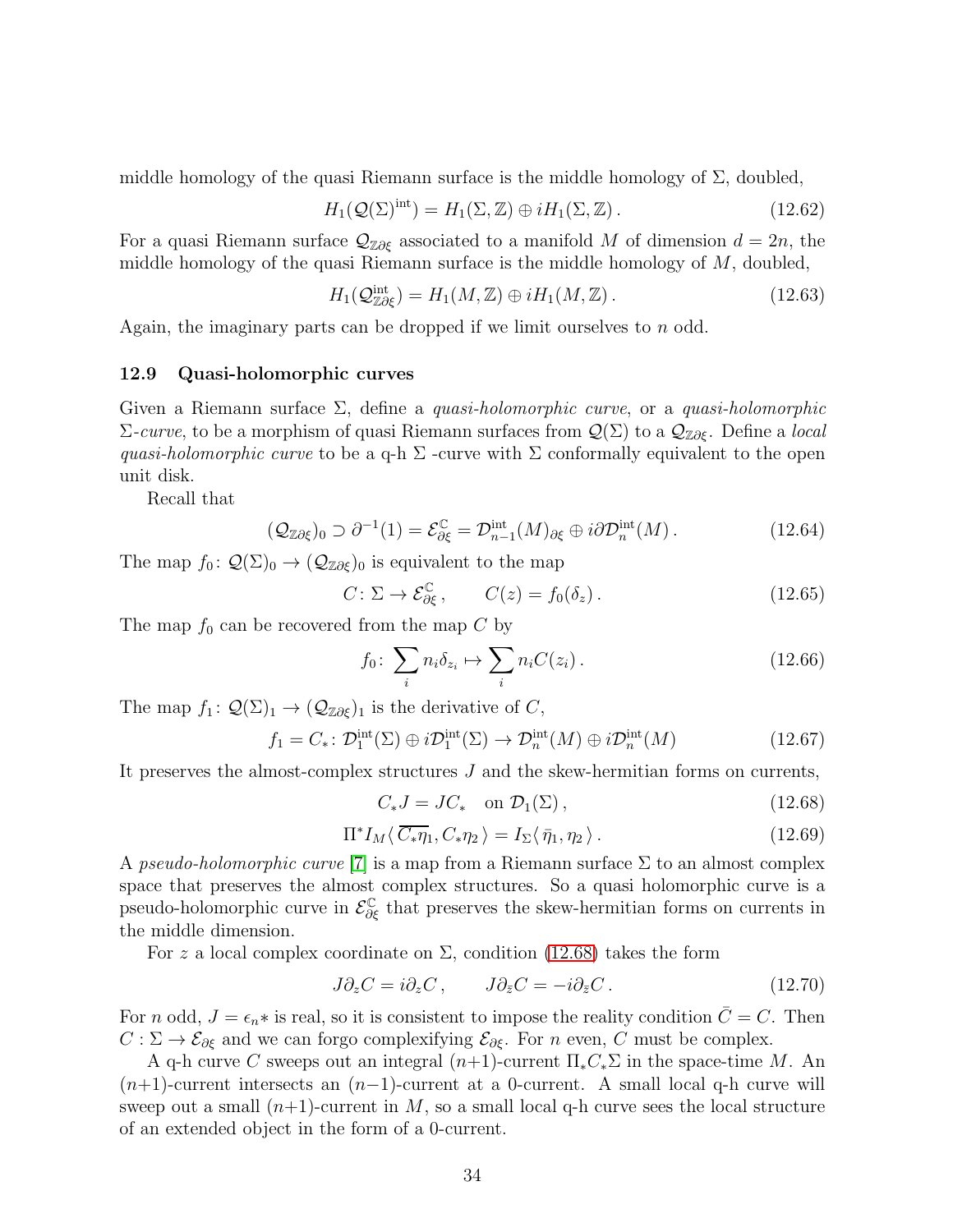middle homology of the quasi Riemann surface is the middle homology of  $\Sigma$ , doubled,

$$
H_1(\mathcal{Q}(\Sigma)^{\text{int}}) = H_1(\Sigma, \mathbb{Z}) \oplus iH_1(\Sigma, \mathbb{Z}). \qquad (12.62)
$$

For a quasi Riemann surface  $\mathcal{Q}_{\mathbb{Z}\partial \xi}$  associated to a manifold M of dimension  $d = 2n$ , the middle homology of the quasi Riemann surface is the middle homology of  $M$ , doubled,

$$
H_1(\mathcal{Q}_{\mathbb{Z}\partial\xi}^{\text{int}}) = H_1(M,\mathbb{Z}) \oplus iH_1(M,\mathbb{Z}). \tag{12.63}
$$

<span id="page-33-0"></span>Again, the imaginary parts can be dropped if we limit ourselves to  $n$  odd.

### 12.9 Quasi-holomorphic curves

Given a Riemann surface  $\Sigma$ , define a *quasi-holomorphic curve*, or a *quasi-holomorphic*  $\Sigma$ -curve, to be a morphism of quasi Riemann surfaces from  $\mathcal{Q}(\Sigma)$  to a  $\mathcal{Q}_{\mathbb{Z}\partial \xi}$ . Define a *local* quasi-holomorphic curve to be a q-h  $\Sigma$  -curve with  $\Sigma$  conformally equivalent to the open unit disk.

Recall that

$$
(\mathcal{Q}_{\mathbb{Z}\partial\xi})_0 \supset \partial^{-1}(1) = \mathcal{E}_{\partial\xi}^{\mathbb{C}} = \mathcal{D}_{n-1}^{\text{int}}(M)_{\partial\xi} \oplus i\partial \mathcal{D}_n^{\text{int}}(M).
$$
 (12.64)

The map  $f_0: \mathcal{Q}(\Sigma)_0 \to (\mathcal{Q}_{\mathbb{Z}\partial \xi})_0$  is equivalent to the map

$$
C: \Sigma \to \mathcal{E}_{\partial \xi}^{\mathbb{C}}, \qquad C(z) = f_0(\delta_z). \tag{12.65}
$$

The map  $f_0$  can be recovered from the map  $C$  by

$$
f_0 \colon \sum_i n_i \delta_{z_i} \mapsto \sum_i n_i C(z_i). \tag{12.66}
$$

The map  $f_1: \mathcal{Q}(\Sigma)_1 \to (\mathcal{Q}_{\mathbb{Z}\partial \xi})_1$  is the derivative of C,

$$
f_1 = C_* \colon \mathcal{D}_1^{\text{int}}(\Sigma) \oplus i\mathcal{D}_1^{\text{int}}(\Sigma) \to \mathcal{D}_n^{\text{int}}(M) \oplus i\mathcal{D}_n^{\text{int}}(M) \tag{12.67}
$$

It preserves the almost-complex structures J and the skew-hermitian forms on currents,

<span id="page-33-1"></span>
$$
C_*J = JC_* \quad \text{on } \mathcal{D}_1(\Sigma) \,, \tag{12.68}
$$

<span id="page-33-2"></span>
$$
\Pi^* I_M \langle \overline{C_* \eta}_1, C_* \eta_2 \rangle = I_\Sigma \langle \overline{\eta}_1, \eta_2 \rangle. \tag{12.69}
$$

A pseudo-holomorphic curve [\[7\]](#page-75-4) is a map from a Riemann surface  $\Sigma$  to an almost complex space that preserves the almost complex structures. So a quasi holomorphic curve is a pseudo-holomorphic curve in  $\mathcal{E}^{\mathbb{C}}_{\partial \xi}$  that preserves the skew-hermitian forms on currents in the middle dimension.

For z a local complex coordinate on  $\Sigma$ , condition [\(12.68\)](#page-33-1) takes the form

$$
J\partial_z C = i\partial_z C, \qquad J\partial_{\bar{z}} C = -i\partial_{\bar{z}} C. \qquad (12.70)
$$

For n odd,  $J = \epsilon_n *$  is real, so it is consistent to impose the reality condition  $\overline{C} = C$ . Then  $C: \Sigma \to \mathcal{E}_{\partial \xi}$  and we can forgo complexifying  $\mathcal{E}_{\partial \xi}$ . For n even, C must be complex.

A q-h curve C sweeps out an integral  $(n+1)$ -current  $\Pi_* C_* \Sigma$  in the space-time M. An  $(n+1)$ -current intersects an  $(n-1)$ -current at a 0-current. A small local q-h curve will sweep out a small  $(n+1)$ -current in M, so a small local q-h curve sees the local structure of an extended object in the form of a 0-current.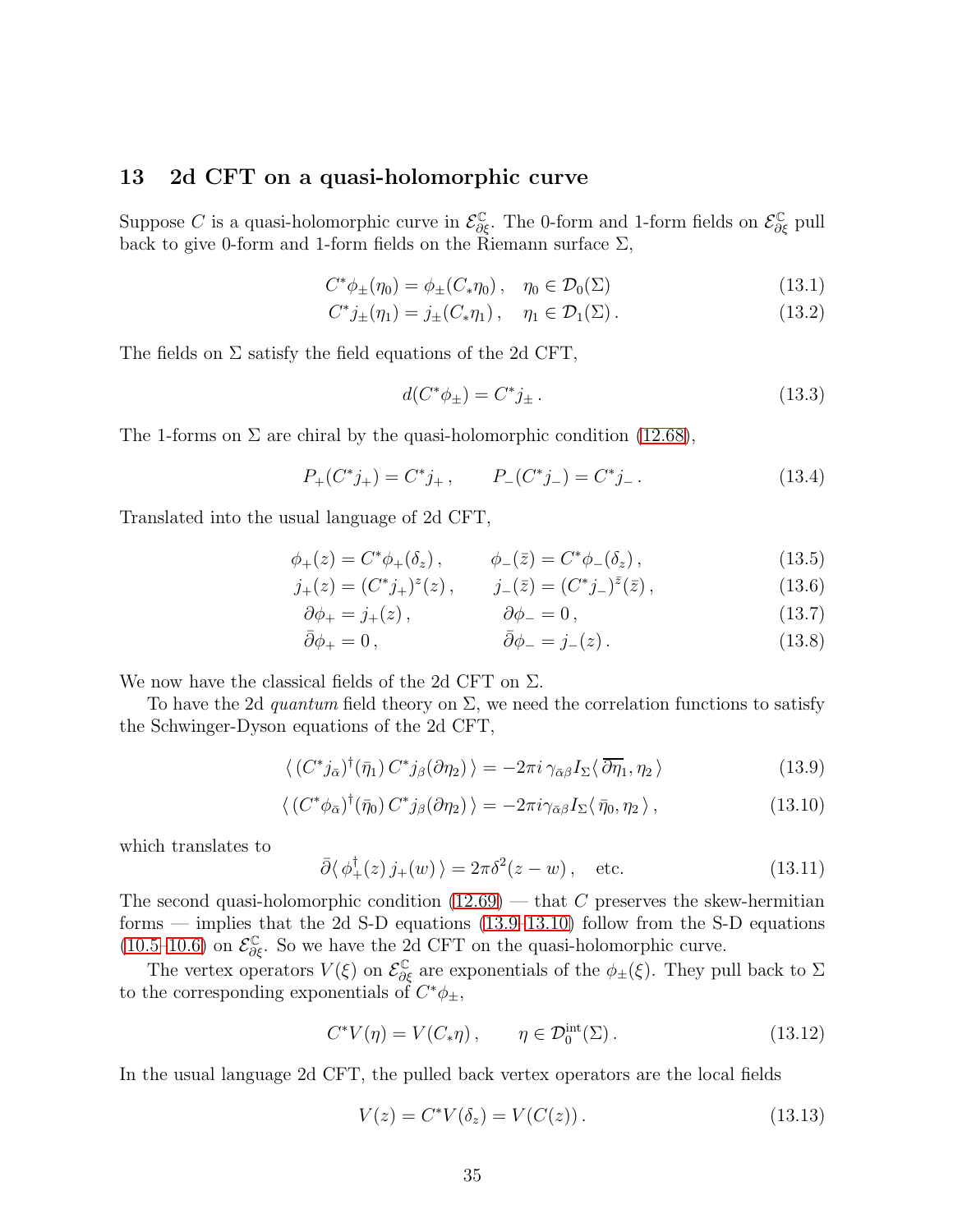# <span id="page-34-0"></span>13 2d CFT on a quasi-holomorphic curve

Suppose C is a quasi-holomorphic curve in  $\mathcal{E}^{\mathbb{C}}_{\partial \xi}$ . The 0-form and 1-form fields on  $\mathcal{E}^{\mathbb{C}}_{\partial \xi}$  pull back to give 0-form and 1-form fields on the Riemann surface  $\Sigma$ ,

$$
C^*\phi_{\pm}(\eta_0) = \phi_{\pm}(C_*\eta_0), \quad \eta_0 \in \mathcal{D}_0(\Sigma)
$$
 (13.1)

$$
C^*j_{\pm}(\eta_1) = j_{\pm}(C_*\eta_1), \quad \eta_1 \in \mathcal{D}_1(\Sigma).
$$
 (13.2)

The fields on  $\Sigma$  satisfy the field equations of the 2d CFT,

$$
d(C^*\phi_{\pm}) = C^*j_{\pm} \,. \tag{13.3}
$$

The 1-forms on  $\Sigma$  are chiral by the quasi-holomorphic condition [\(12.68\)](#page-33-1),

$$
P_{+}(C^{*}j_{+}) = C^{*}j_{+}, \qquad P_{-}(C^{*}j_{-}) = C^{*}j_{-}. \qquad (13.4)
$$

Translated into the usual language of 2d CFT,

$$
\phi_+(z) = C^* \phi_+(\delta_z), \qquad \phi_-(\bar{z}) = C^* \phi_-(\delta_z), \qquad (13.5)
$$

$$
j_{+}(z) = (C^*j_{+})^z(z), \qquad j_{-}(\bar{z}) = (C^*j_{-})^{\bar{z}}(\bar{z}),
$$
 (13.6)

$$
\partial \phi_+ = j_+(z) \,, \qquad \qquad \partial \phi_- = 0 \,, \tag{13.7}
$$

$$
\bar{\partial}\phi_+ = 0\,, \qquad \qquad \bar{\partial}\phi_- = j_-(z)\,.
$$
 (13.8)

We now have the classical fields of the 2d CFT on  $\Sigma$ .

To have the 2d quantum field theory on  $\Sigma$ , we need the correlation functions to satisfy the Schwinger-Dyson equations of the 2d CFT,

$$
\langle (C^*j_{\bar{\alpha}})^{\dagger}(\bar{\eta}_1) C^*j_{\beta}(\partial \eta_2) \rangle = -2\pi i \gamma_{\bar{\alpha}\beta} I_{\Sigma} \langle \bar{\partial} \bar{\eta}_1, \eta_2 \rangle \tag{13.9}
$$

$$
\langle \left( C^* \phi_{\bar{\alpha}} \right)^{\dagger} (\bar{\eta}_0) C^* j_{\beta} (\partial \eta_2) \rangle = -2 \pi i \gamma_{\bar{\alpha} \beta} I_{\Sigma} \langle \bar{\eta}_0, \eta_2 \rangle , \qquad (13.10)
$$

which translates to

<span id="page-34-2"></span><span id="page-34-1"></span>
$$
\bar{\partial}\langle \phi_+^{\dagger}(z) j_+(w) \rangle = 2\pi \delta^2(z - w), \quad \text{etc.} \tag{13.11}
$$

The second quasi-holomorphic condition  $(12.69)$  — that C preserves the skew-hermitian forms — implies that the 2d S-D equations [\(13.9–](#page-34-1)[13.10\)](#page-34-2) follow from the S-D equations [\(10.5](#page-24-2)[–10.6\)](#page-24-3) on  $\mathcal{E}_{\partial \xi}^{\mathbb{C}}$ . So we have the 2d CFT on the quasi-holomorphic curve.

The vertex operators  $V(\xi)$  on  $\mathcal{E}^{\mathbb{C}}_{\partial \xi}$  are exponentials of the  $\phi_{\pm}(\xi)$ . They pull back to  $\Sigma$ to the corresponding exponentials of  $C^*\phi_{\pm}$ ,

$$
C^*V(\eta) = V(C_*\eta) , \qquad \eta \in \mathcal{D}_0^{\text{int}}(\Sigma) .
$$
 (13.12)

In the usual language 2d CFT, the pulled back vertex operators are the local fields

$$
V(z) = C^* V(\delta_z) = V(C(z)).
$$
\n(13.13)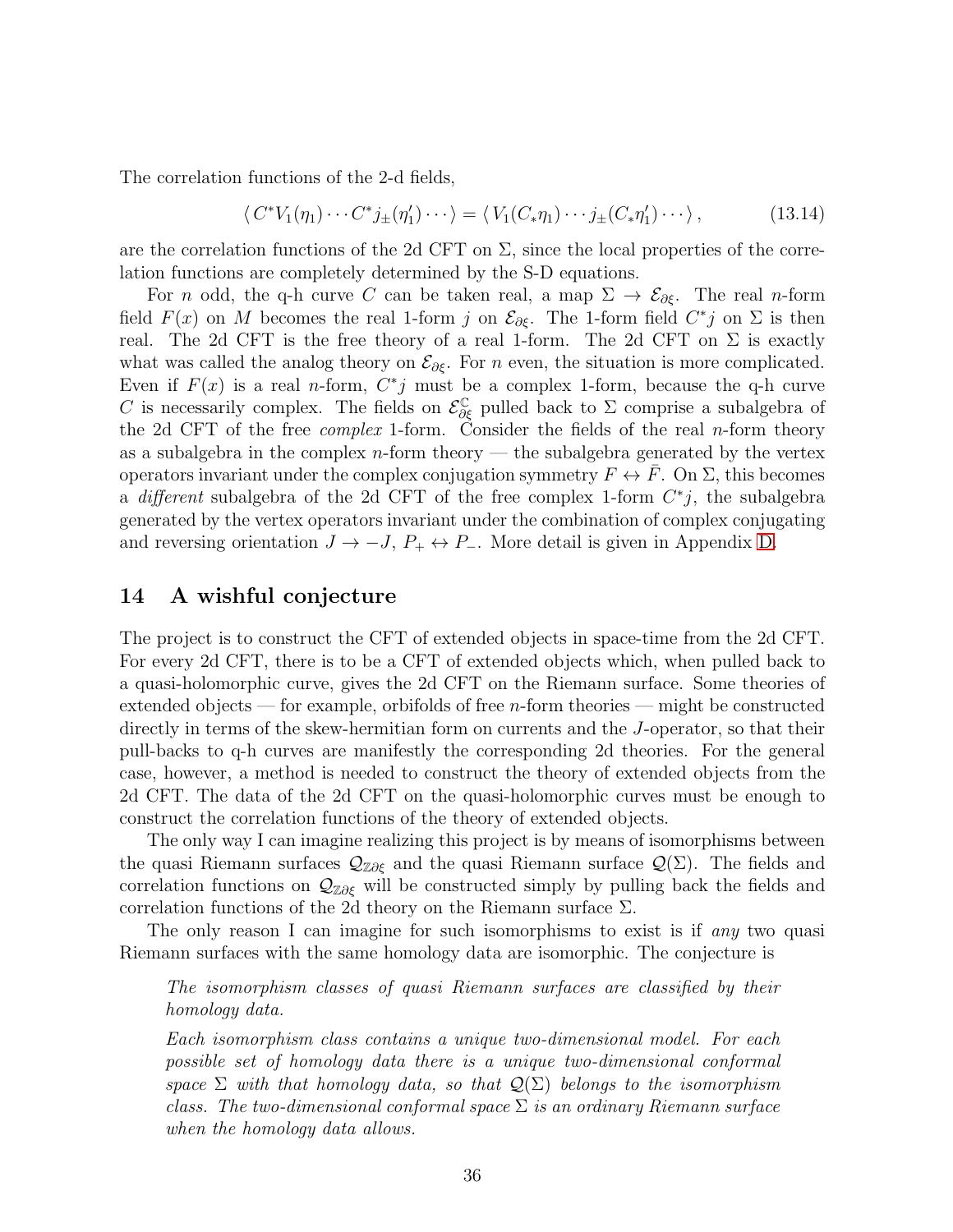The correlation functions of the 2-d fields,

$$
\langle C^*V_1(\eta_1)\cdots C^*j_{\pm}(\eta'_1)\cdots\rangle = \langle V_1(C_*\eta_1)\cdots j_{\pm}(C_*\eta'_1)\cdots\rangle, \qquad (13.14)
$$

are the correlation functions of the 2d CFT on  $\Sigma$ , since the local properties of the correlation functions are completely determined by the S-D equations.

For n odd, the q-h curve C can be taken real, a map  $\Sigma \to \mathcal{E}_{\partial \xi}$ . The real n-form field  $F(x)$  on M becomes the real 1-form j on  $\mathcal{E}_{\partial \xi}$ . The 1-form field  $C^*j$  on  $\Sigma$  is then real. The 2d CFT is the free theory of a real 1-form. The 2d CFT on  $\Sigma$  is exactly what was called the analog theory on  $\mathcal{E}_{\partial \xi}$ . For n even, the situation is more complicated. Even if  $F(x)$  is a real *n*-form,  $C^*j$  must be a complex 1-form, because the q-h curve C is necessarily complex. The fields on  $\mathcal{E}_{\partial \xi}^{\mathbb{C}}$  pulled back to  $\Sigma$  comprise a subalgebra of the 2d CFT of the free *complex* 1-form. Consider the fields of the real *n*-form theory as a subalgebra in the complex  $n$ -form theory — the subalgebra generated by the vertex operators invariant under the complex conjugation symmetry  $F \leftrightarrow F$ . On  $\Sigma$ , this becomes a different subalgebra of the 2d CFT of the free complex 1-form  $C^*j$ , the subalgebra generated by the vertex operators invariant under the combination of complex conjugating and reversing orientation  $J \to -J$ ,  $P_+ \leftrightarrow P_-$ . More detail is given in Appendix [D.](#page-72-0)

# <span id="page-35-0"></span>14 A wishful conjecture

The project is to construct the CFT of extended objects in space-time from the 2d CFT. For every 2d CFT, there is to be a CFT of extended objects which, when pulled back to a quasi-holomorphic curve, gives the 2d CFT on the Riemann surface. Some theories of extended objects — for example, orbifolds of free  $n$ -form theories — might be constructed directly in terms of the skew-hermitian form on currents and the J-operator, so that their pull-backs to q-h curves are manifestly the corresponding 2d theories. For the general case, however, a method is needed to construct the theory of extended objects from the 2d CFT. The data of the 2d CFT on the quasi-holomorphic curves must be enough to construct the correlation functions of the theory of extended objects.

The only way I can imagine realizing this project is by means of isomorphisms between the quasi Riemann surfaces  $\mathcal{Q}_{\mathbb{Z}\partial \xi}$  and the quasi Riemann surface  $\mathcal{Q}(\Sigma)$ . The fields and correlation functions on  $\mathcal{Q}_{\mathbb{Z}\partial\xi}$  will be constructed simply by pulling back the fields and correlation functions of the 2d theory on the Riemann surface  $\Sigma$ .

The only reason I can imagine for such isomorphisms to exist is if any two quasi Riemann surfaces with the same homology data are isomorphic. The conjecture is

The isomorphism classes of quasi Riemann surfaces are classified by their homology data.

Each isomorphism class contains a unique two-dimensional model. For each possible set of homology data there is a unique two-dimensional conformal space  $\Sigma$  with that homology data, so that  $\mathcal{Q}(\Sigma)$  belongs to the isomorphism class. The two-dimensional conformal space  $\Sigma$  is an ordinary Riemann surface when the homology data allows.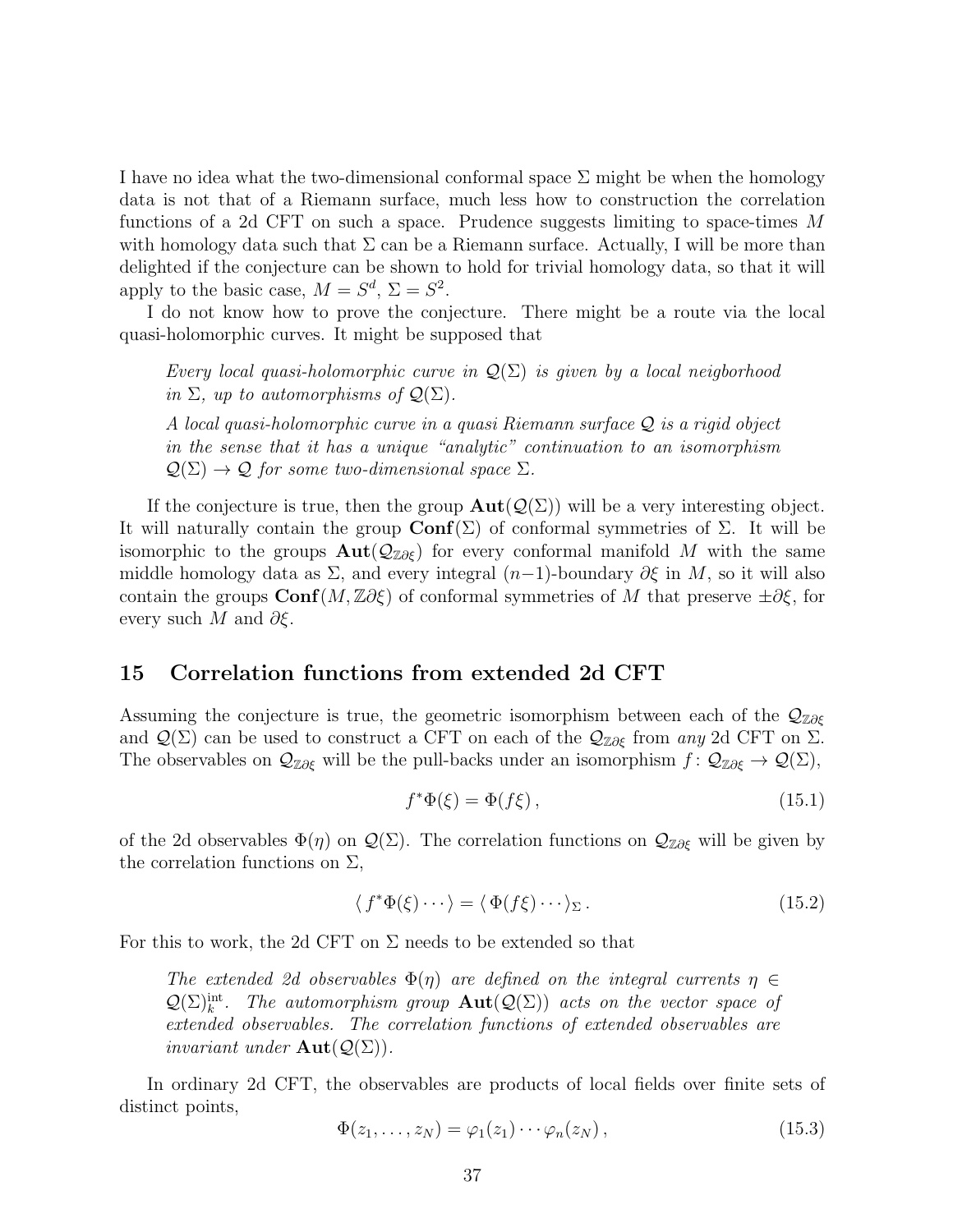I have no idea what the two-dimensional conformal space  $\Sigma$  might be when the homology data is not that of a Riemann surface, much less how to construction the correlation functions of a 2d CFT on such a space. Prudence suggests limiting to space-times M with homology data such that  $\Sigma$  can be a Riemann surface. Actually, I will be more than delighted if the conjecture can be shown to hold for trivial homology data, so that it will apply to the basic case,  $M = S^d$ ,  $\Sigma = S^2$ .

I do not know how to prove the conjecture. There might be a route via the local quasi-holomorphic curves. It might be supposed that

Every local quasi-holomorphic curve in  $\mathcal{Q}(\Sigma)$  is given by a local neigborhood in  $\Sigma$ , up to automorphisms of  $\mathcal{Q}(\Sigma)$ .

A local quasi-holomorphic curve in a quasi Riemann surface Q is a rigid object in the sense that it has a unique "analytic" continuation to an isomorphism  $\mathcal{Q}(\Sigma) \to \mathcal{Q}$  for some two-dimensional space  $\Sigma$ .

If the conjecture is true, then the group  $\text{Aut}(\mathcal{Q}(\Sigma))$  will be a very interesting object. It will naturally contain the group  $\text{Conf}(\Sigma)$  of conformal symmetries of  $\Sigma$ . It will be isomorphic to the groups  $\text{Aut}(\mathcal{Q}_{\mathbb{Z}\partial\mathcal{E}})$  for every conformal manifold M with the same middle homology data as  $\Sigma$ , and every integral  $(n-1)$ -boundary  $\partial \xi$  in M, so it will also contain the groups  $\text{Conf}(M, \mathbb{Z}\partial \xi)$  of conformal symmetries of M that preserve  $\pm \partial \xi$ , for every such M and  $\partial \xi$ .

### <span id="page-36-0"></span>15 Correlation functions from extended 2d CFT

Assuming the conjecture is true, the geometric isomorphism between each of the  $\mathcal{Q}_{\mathbb{Z}\partial \xi}$ and  $\mathcal{Q}(\Sigma)$  can be used to construct a CFT on each of the  $\mathcal{Q}_{\mathbb{Z}\partial\xi}$  from any 2d CFT on  $\Sigma$ . The observables on  $\mathcal{Q}_{\mathbb{Z}\partial\xi}$  will be the pull-backs under an isomorphism  $f: \mathcal{Q}_{\mathbb{Z}\partial\xi} \to \mathcal{Q}(\Sigma)$ ,

$$
f^*\Phi(\xi) = \Phi(f\xi),\tag{15.1}
$$

of the 2d observables  $\Phi(\eta)$  on  $\mathcal{Q}(\Sigma)$ . The correlation functions on  $\mathcal{Q}_{\mathbb{Z}\partial\xi}$  will be given by the correlation functions on  $\Sigma$ ,

$$
\langle f^* \Phi(\xi) \cdots \rangle = \langle \Phi(f\xi) \cdots \rangle_{\Sigma} . \tag{15.2}
$$

For this to work, the 2d CFT on  $\Sigma$  needs to be extended so that

The extended 2d observables  $\Phi(\eta)$  are defined on the integral currents  $\eta \in$  $\mathcal{Q}(\Sigma)_{k}^{\text{int}}$ . The automorphism group  $\text{Aut}(\mathcal{Q}(\Sigma))$  acts on the vector space of extended observables. The correlation functions of extended observables are *invariant under*  $\text{Aut}(\mathcal{Q}(\Sigma)).$ 

In ordinary 2d CFT, the observables are products of local fields over finite sets of distinct points,

$$
\Phi(z_1,\ldots,z_N)=\varphi_1(z_1)\cdots\varphi_n(z_N)\,,\qquad\qquad(15.3)
$$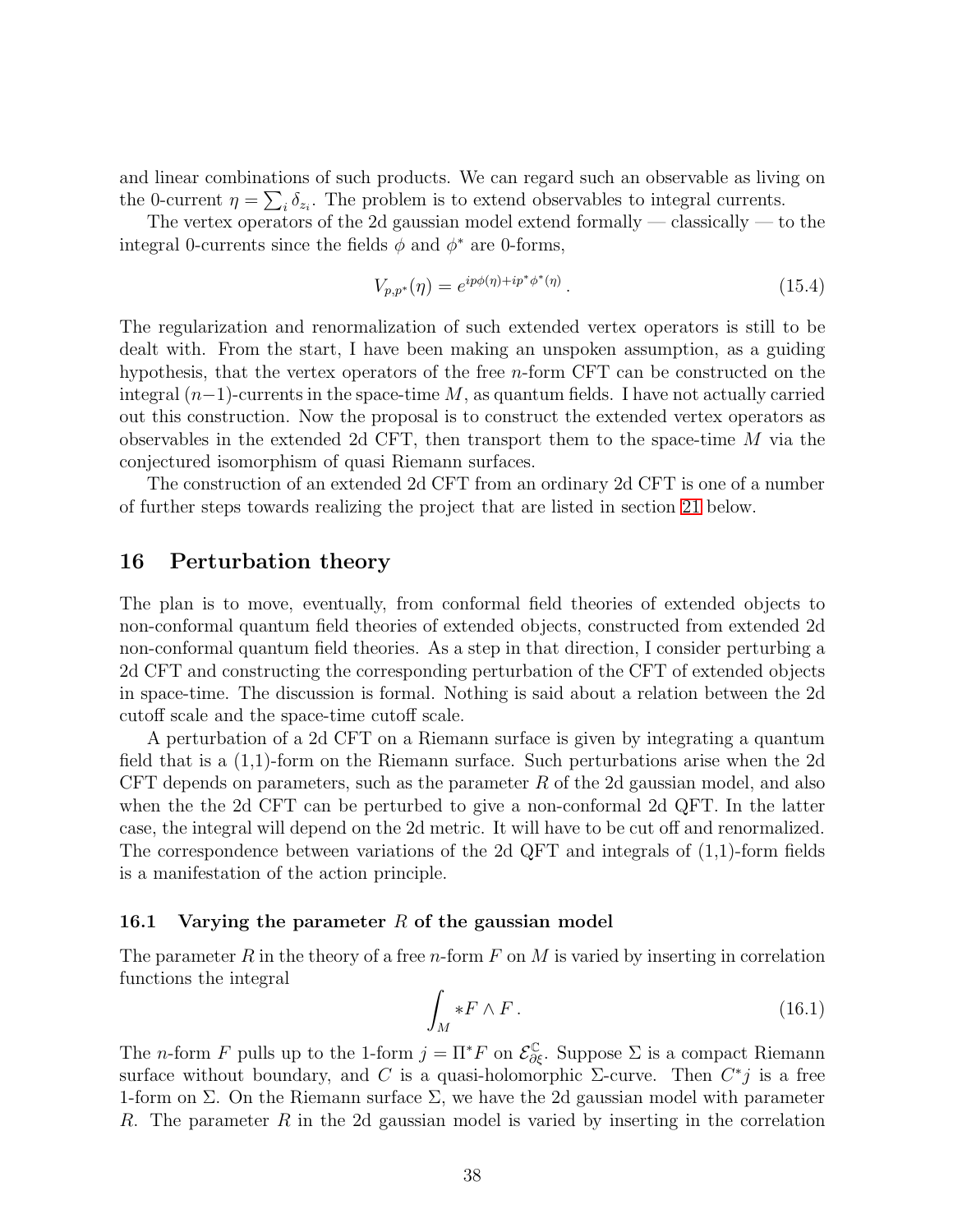and linear combinations of such products. We can regard such an observable as living on the 0-current  $\eta = \sum_i \delta_{z_i}$ . The problem is to extend observables to integral currents.

The vertex operators of the 2d gaussian model extend formally — classically — to the integral 0-currents since the fields  $\phi$  and  $\phi^*$  are 0-forms,

$$
V_{p,p^*}(\eta) = e^{ip\phi(\eta) + ip^*\phi^*(\eta)}.
$$
\n(15.4)

The regularization and renormalization of such extended vertex operators is still to be dealt with. From the start, I have been making an unspoken assumption, as a guiding hypothesis, that the vertex operators of the free n-form CFT can be constructed on the integral  $(n-1)$ -currents in the space-time M, as quantum fields. I have not actually carried out this construction. Now the proposal is to construct the extended vertex operators as observables in the extended 2d CFT, then transport them to the space-time  $M$  via the conjectured isomorphism of quasi Riemann surfaces.

The construction of an extended 2d CFT from an ordinary 2d CFT is one of a number of further steps towards realizing the project that are listed in section [21](#page-54-0) below.

#### <span id="page-37-1"></span>16 Perturbation theory

The plan is to move, eventually, from conformal field theories of extended objects to non-conformal quantum field theories of extended objects, constructed from extended 2d non-conformal quantum field theories. As a step in that direction, I consider perturbing a 2d CFT and constructing the corresponding perturbation of the CFT of extended objects in space-time. The discussion is formal. Nothing is said about a relation between the 2d cutoff scale and the space-time cutoff scale.

A perturbation of a 2d CFT on a Riemann surface is given by integrating a quantum field that is a (1,1)-form on the Riemann surface. Such perturbations arise when the 2d CFT depends on parameters, such as the parameter  $R$  of the 2d gaussian model, and also when the the 2d CFT can be perturbed to give a non-conformal 2d QFT. In the latter case, the integral will depend on the 2d metric. It will have to be cut off and renormalized. The correspondence between variations of the 2d QFT and integrals of (1,1)-form fields is a manifestation of the action principle.

#### 16.1 Varying the parameter R of the gaussian model

The parameter R in the theory of a free n-form  $F$  on M is varied by inserting in correlation functions the integral

<span id="page-37-0"></span>
$$
\int_M *F \wedge F \,. \tag{16.1}
$$

The *n*-form F pulls up to the 1-form  $j = \Pi^* F$  on  $\mathcal{E}^{\mathbb{C}}_{\partial \xi}$ . Suppose  $\Sigma$  is a compact Riemann surface without boundary, and C is a quasi-holomorphic  $\Sigma$ -curve. Then  $C^*j$  is a free 1-form on  $\Sigma$ . On the Riemann surface  $\Sigma$ , we have the 2d gaussian model with parameter R. The parameter R in the 2d gaussian model is varied by inserting in the correlation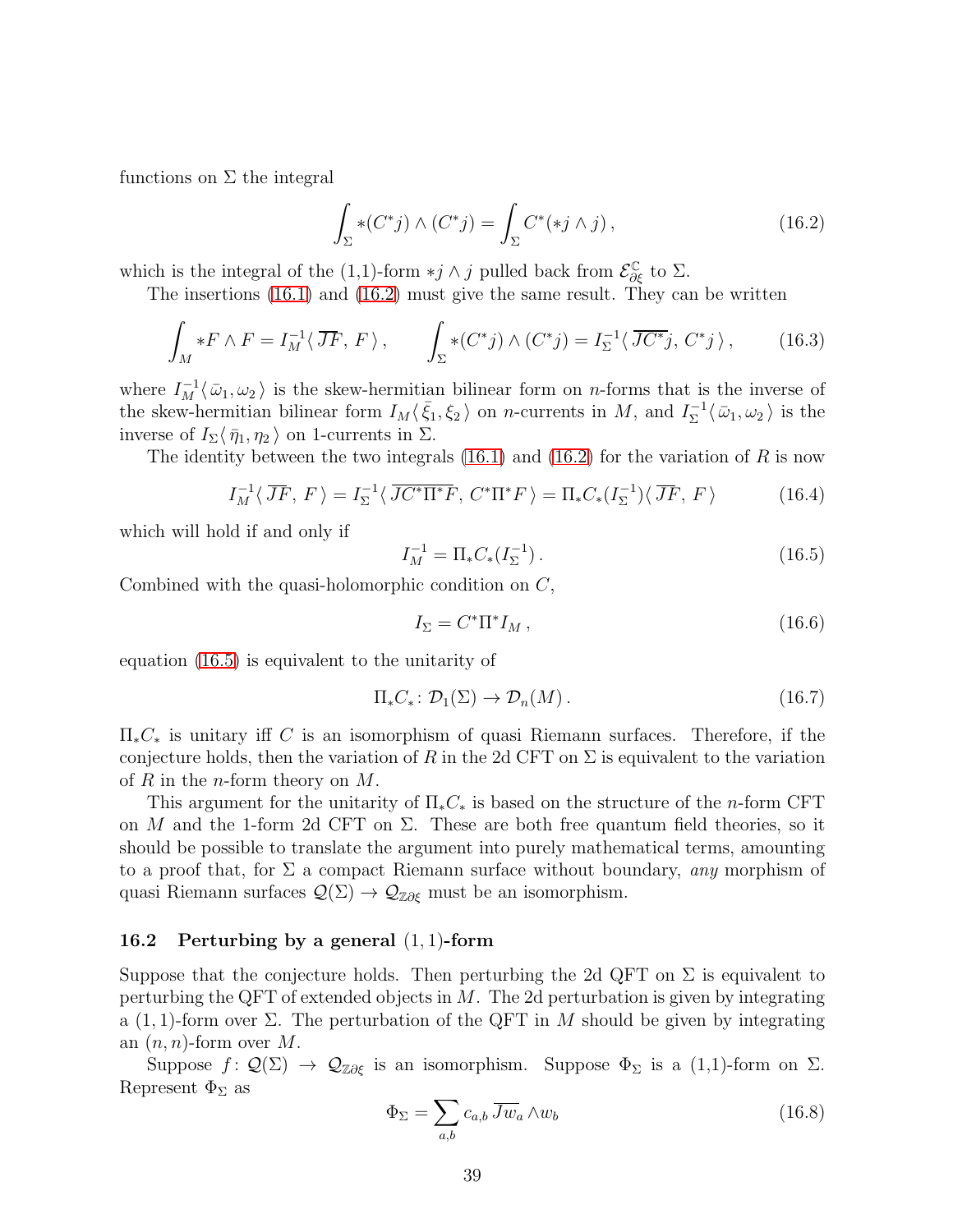functions on  $\Sigma$  the integral

<span id="page-38-0"></span>
$$
\int_{\Sigma} * (C^*j) \wedge (C^*j) = \int_{\Sigma} C^*(*j \wedge j), \qquad (16.2)
$$

which is the integral of the (1,1)-form  $\ast j \wedge j$  pulled back from  $\mathcal{E}^{\mathbb{C}}_{\partial \xi}$  to  $\Sigma$ .

The insertions [\(16.1\)](#page-37-0) and [\(16.2\)](#page-38-0) must give the same result. They can be written

$$
\int_M *F \wedge F = I_M^{-1} \langle \overline{J}F, F \rangle, \qquad \int_{\Sigma} * (C^*j) \wedge (C^*j) = I_{\Sigma}^{-1} \langle \overline{JC^*}j, C^*j \rangle, \qquad (16.3)
$$

where  $I_M^{-1}(\bar{\omega}_1,\omega_2)$  is the skew-hermitian bilinear form on *n*-forms that is the inverse of the skew-hermitian bilinear form  $I_M \langle \bar{\xi}_1, \xi_2 \rangle$  on n-currents in M, and  $I_{\Sigma}^{-1}$  $\sum_{\Sigma}^{-1} \langle \bar{\omega}_1, \omega_2 \rangle$  is the inverse of  $I_{\Sigma}\langle \bar{\eta}_1, \eta_2 \rangle$  on 1-currents in  $\Sigma$ .

The identity between the two integrals  $(16.1)$  and  $(16.2)$  for the variation of R is now

$$
I_M^{-1}\langle\,\overline{J}\overline{F},\,F\,\rangle = I_\Sigma^{-1}\langle\,\overline{J}\overline{C^*\Pi^*}\overline{F},\,C^*\Pi^*F\,\rangle = \Pi_*C_*(I_\Sigma^{-1})\langle\,\overline{J}\overline{F},\,F\,\rangle\tag{16.4}
$$

which will hold if and only if

<span id="page-38-1"></span>
$$
I_M^{-1} = \Pi_* C_*(I_{\Sigma}^{-1}). \tag{16.5}
$$

Combined with the quasi-holomorphic condition on  $C$ ,

$$
I_{\Sigma} = C^* \Pi^* I_M , \qquad (16.6)
$$

equation [\(16.5\)](#page-38-1) is equivalent to the unitarity of

$$
\Pi_* C_* \colon \mathcal{D}_1(\Sigma) \to \mathcal{D}_n(M). \tag{16.7}
$$

 $\Pi_*C_*$  is unitary iff C is an isomorphism of quasi Riemann surfaces. Therefore, if the conjecture holds, then the variation of R in the 2d CFT on  $\Sigma$  is equivalent to the variation of R in the *n*-form theory on  $M$ .

This argument for the unitarity of  $\Pi_*C_*$  is based on the structure of the *n*-form CFT on M and the 1-form 2d CFT on  $\Sigma$ . These are both free quantum field theories, so it should be possible to translate the argument into purely mathematical terms, amounting to a proof that, for  $\Sigma$  a compact Riemann surface without boundary, any morphism of quasi Riemann surfaces  $\mathcal{Q}(\Sigma) \to \mathcal{Q}_{\mathbb{Z}\partial \xi}$  must be an isomorphism.

#### 16.2 Perturbing by a general  $(1, 1)$ -form

Suppose that the conjecture holds. Then perturbing the 2d QFT on  $\Sigma$  is equivalent to perturbing the QFT of extended objects in  $M$ . The 2d perturbation is given by integrating a (1, 1)-form over  $\Sigma$ . The perturbation of the QFT in M should be given by integrating an  $(n, n)$ -form over M.

Suppose  $f: \mathcal{Q}(\Sigma) \to \mathcal{Q}_{\mathbb{Z}\partial \xi}$  is an isomorphism. Suppose  $\Phi_{\Sigma}$  is a  $(1,1)$ -form on  $\Sigma$ . Represent  $\Phi_{\Sigma}$  as

$$
\Phi_{\Sigma} = \sum_{a,b} c_{a,b} \overline{Jw}_a \wedge w_b \tag{16.8}
$$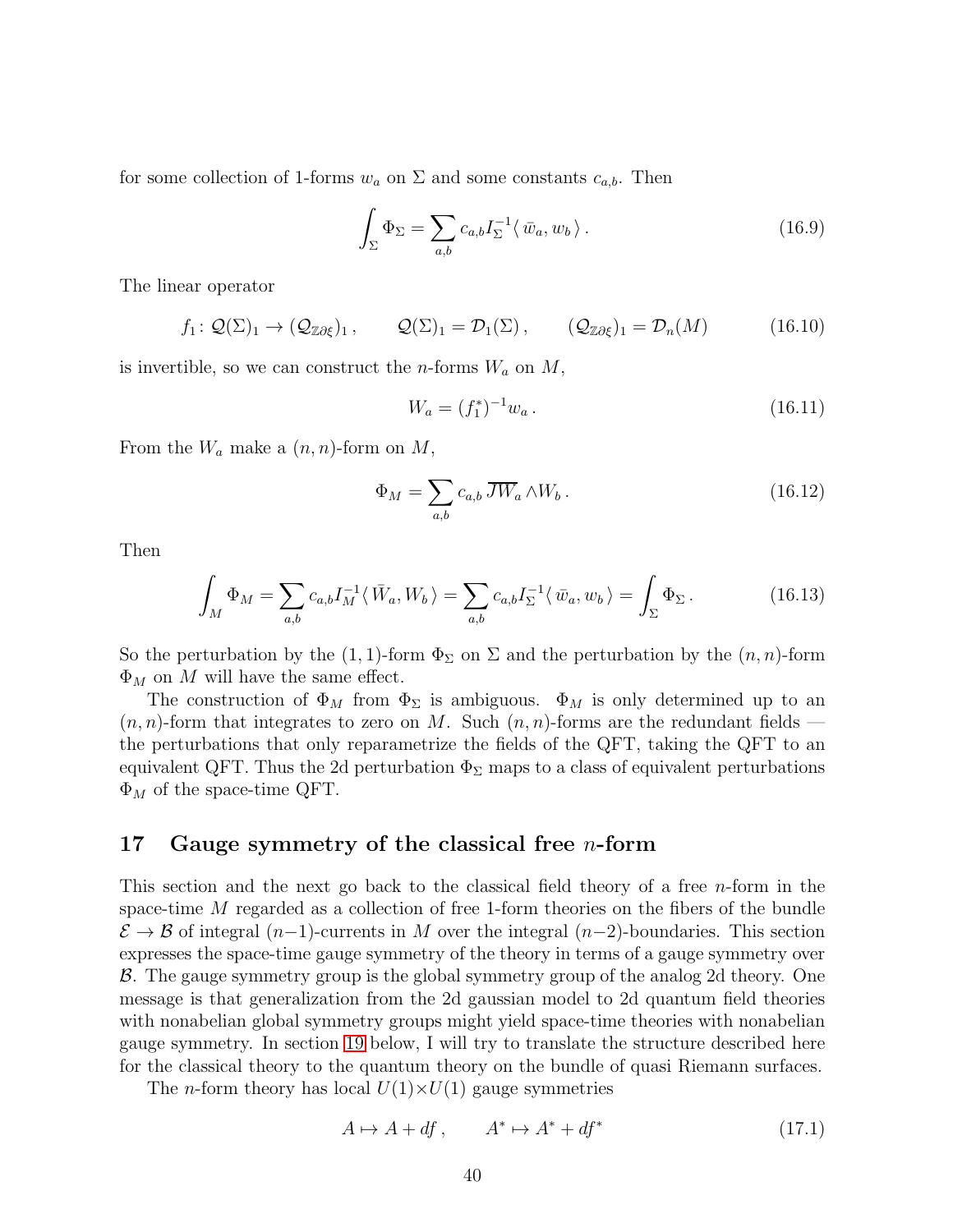for some collection of 1-forms  $w_a$  on  $\Sigma$  and some constants  $c_{a,b}$ . Then

$$
\int_{\Sigma} \Phi_{\Sigma} = \sum_{a,b} c_{a,b} I_{\Sigma}^{-1} \langle \bar{w}_a, w_b \rangle.
$$
 (16.9)

The linear operator

$$
f_1: \mathcal{Q}(\Sigma)_1 \to (\mathcal{Q}_{\mathbb{Z}\partial\xi})_1, \qquad \mathcal{Q}(\Sigma)_1 = \mathcal{D}_1(\Sigma), \qquad (\mathcal{Q}_{\mathbb{Z}\partial\xi})_1 = \mathcal{D}_n(M) \tag{16.10}
$$

is invertible, so we can construct the *n*-forms  $W_a$  on  $M$ ,

$$
W_a = (f_1^*)^{-1} w_a.
$$
\n(16.11)

From the  $W_a$  make a  $(n, n)$ -form on M,

$$
\Phi_M = \sum_{a,b} c_{a,b} \, \overline{JW}_a \wedge W_b \,. \tag{16.12}
$$

Then

$$
\int_M \Phi_M = \sum_{a,b} c_{a,b} I_M^{-1} \langle \bar{W}_a, W_b \rangle = \sum_{a,b} c_{a,b} I_\Sigma^{-1} \langle \bar{w}_a, w_b \rangle = \int_\Sigma \Phi_\Sigma.
$$
\n(16.13)

So the perturbation by the (1, 1)-form  $\Phi_{\Sigma}$  on  $\Sigma$  and the perturbation by the  $(n, n)$ -form  $\Phi_M$  on M will have the same effect.

The construction of  $\Phi_M$  from  $\Phi_\Sigma$  is ambiguous.  $\Phi_M$  is only determined up to an  $(n, n)$ -form that integrates to zero on M. Such  $(n, n)$ -forms are the redundant fields the perturbations that only reparametrize the fields of the QFT, taking the QFT to an equivalent QFT. Thus the 2d perturbation  $\Phi_{\Sigma}$  maps to a class of equivalent perturbations  $\Phi_M$  of the space-time QFT.

#### <span id="page-39-0"></span>17 Gauge symmetry of the classical free *n*-form

This section and the next go back to the classical field theory of a free  $n$ -form in the space-time M regarded as a collection of free 1-form theories on the fibers of the bundle  $\mathcal{E} \to \mathcal{B}$  of integral (n−1)-currents in M over the integral (n−2)-boundaries. This section expresses the space-time gauge symmetry of the theory in terms of a gauge symmetry over B. The gauge symmetry group is the global symmetry group of the analog 2d theory. One message is that generalization from the 2d gaussian model to 2d quantum field theories with nonabelian global symmetry groups might yield space-time theories with nonabelian gauge symmetry. In section [19](#page-45-0) below, I will try to translate the structure described here for the classical theory to the quantum theory on the bundle of quasi Riemann surfaces.

The *n*-form theory has local  $U(1)\times U(1)$  gauge symmetries

$$
A \mapsto A + df, \qquad A^* \mapsto A^* + df^* \tag{17.1}
$$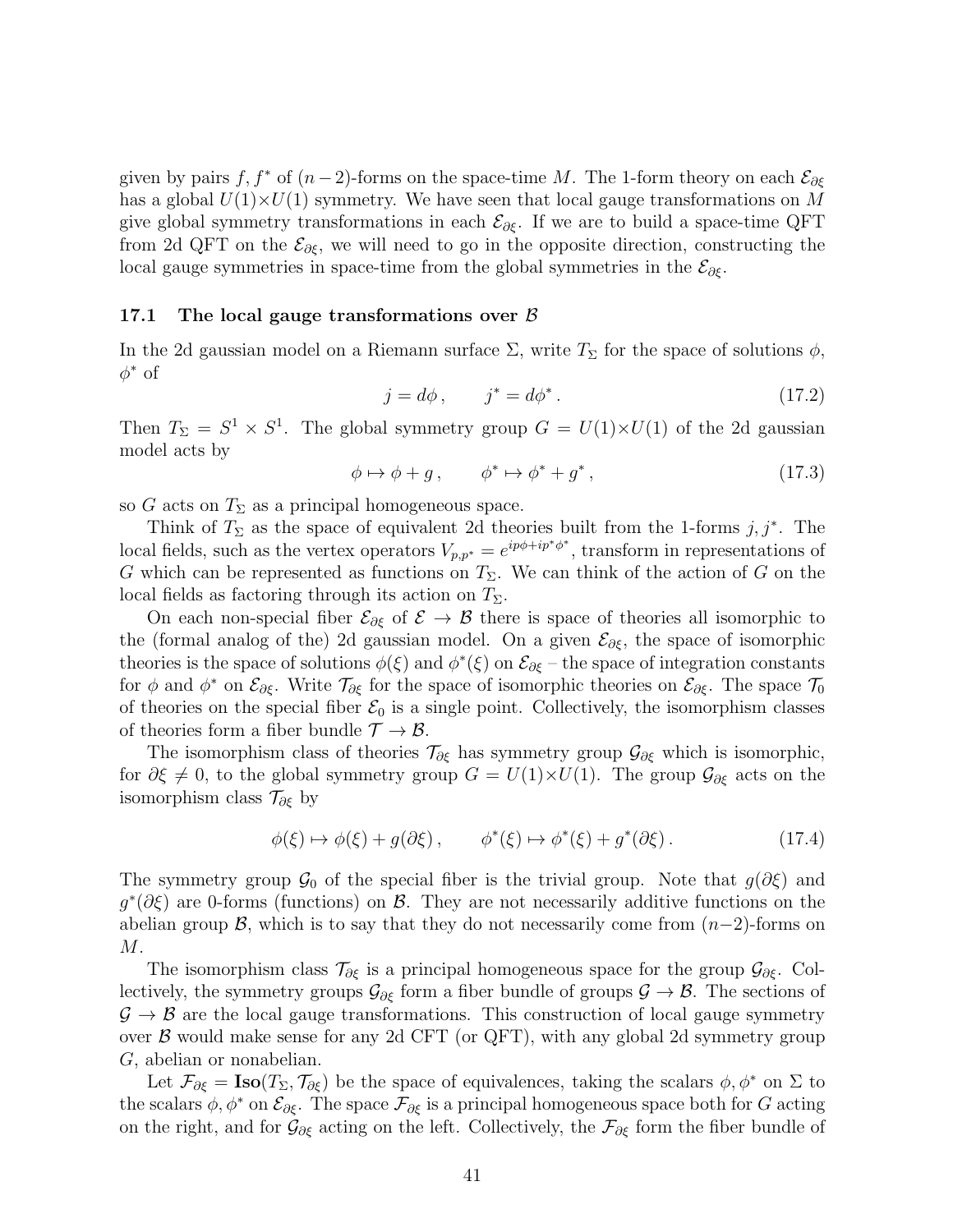given by pairs f, f<sup>\*</sup> of  $(n-2)$ -forms on the space-time M. The 1-form theory on each  $\mathcal{E}_{\partial \xi}$ has a global  $U(1)\times U(1)$  symmetry. We have seen that local gauge transformations on M give global symmetry transformations in each  $\mathcal{E}_{\partial \xi}$ . If we are to build a space-time QFT from 2d QFT on the  $\mathcal{E}_{\partial \xi}$ , we will need to go in the opposite direction, constructing the local gauge symmetries in space-time from the global symmetries in the  $\mathcal{E}_{\partial \xi}$ .

#### 17.1 The local gauge transformations over  $\beta$

In the 2d gaussian model on a Riemann surface  $\Sigma$ , write  $T_{\Sigma}$  for the space of solutions  $\phi$ ,  $\phi^*$  of

$$
j = d\phi, \qquad j^* = d\phi^*.
$$
 (17.2)

Then  $T_{\Sigma} = S^1 \times S^1$ . The global symmetry group  $G = U(1) \times U(1)$  of the 2d gaussian model acts by

$$
\phi \mapsto \phi + g \,, \qquad \phi^* \mapsto \phi^* + g^* \,, \tag{17.3}
$$

so G acts on  $T_{\Sigma}$  as a principal homogeneous space.

Think of  $T_{\Sigma}$  as the space of equivalent 2d theories built from the 1-forms  $j, j^*$ . The local fields, such as the vertex operators  $V_{p,p^*} = e^{ip\phi + ip^*\phi^*}$ , transform in representations of G which can be represented as functions on  $T_{\Sigma}$ . We can think of the action of G on the local fields as factoring through its action on  $T_{\Sigma}$ .

On each non-special fiber  $\mathcal{E}_{\partial \xi}$  of  $\mathcal{E} \to \mathcal{B}$  there is space of theories all isomorphic to the (formal analog of the) 2d gaussian model. On a given  $\mathcal{E}_{\partial \xi}$ , the space of isomorphic theories is the space of solutions  $\phi(\xi)$  and  $\phi^*(\xi)$  on  $\mathcal{E}_{\partial \xi}$  – the space of integration constants for  $\phi$  and  $\phi^*$  on  $\mathcal{E}_{\partial \xi}$ . Write  $\mathcal{T}_{\partial \xi}$  for the space of isomorphic theories on  $\mathcal{E}_{\partial \xi}$ . The space  $\mathcal{T}_0$ of theories on the special fiber  $\mathcal{E}_0$  is a single point. Collectively, the isomorphism classes of theories form a fiber bundle  $\mathcal{T} \to \mathcal{B}$ .

The isomorphism class of theories  $\mathcal{T}_{\partial \xi}$  has symmetry group  $\mathcal{G}_{\partial \xi}$  which is isomorphic, for  $\partial \xi \neq 0$ , to the global symmetry group  $G = U(1) \times U(1)$ . The group  $\mathcal{G}_{\partial \xi}$  acts on the isomorphism class  $\mathcal{T}_{\partial \xi}$  by

$$
\phi(\xi) \mapsto \phi(\xi) + g(\partial \xi), \qquad \phi^*(\xi) \mapsto \phi^*(\xi) + g^*(\partial \xi). \tag{17.4}
$$

The symmetry group  $\mathcal{G}_0$  of the special fiber is the trivial group. Note that  $g(\partial \xi)$  and  $g^*(\partial \xi)$  are 0-forms (functions) on  $\beta$ . They are not necessarily additive functions on the abelian group  $\mathcal{B}$ , which is to say that they do not necessarily come from  $(n-2)$ -forms on M.

The isomorphism class  $\mathcal{T}_{\partial \xi}$  is a principal homogeneous space for the group  $\mathcal{G}_{\partial \xi}$ . Collectively, the symmetry groups  $\mathcal{G}_{\partial \xi}$  form a fiber bundle of groups  $\mathcal{G} \to \mathcal{B}$ . The sections of  $\mathcal{G} \to \mathcal{B}$  are the local gauge transformations. This construction of local gauge symmetry over  $\beta$  would make sense for any 2d CFT (or QFT), with any global 2d symmetry group G, abelian or nonabelian.

Let  $\mathcal{F}_{\partial \xi} = \text{Iso}(T_{\Sigma}, \mathcal{T}_{\partial \xi})$  be the space of equivalences, taking the scalars  $\phi, \phi^*$  on  $\Sigma$  to the scalars  $\phi$ ,  $\phi^*$  on  $\mathcal{E}_{\partial \xi}$ . The space  $\mathcal{F}_{\partial \xi}$  is a principal homogeneous space both for G acting on the right, and for  $\mathcal{G}_{\partial \xi}$  acting on the left. Collectively, the  $\mathcal{F}_{\partial \xi}$  form the fiber bundle of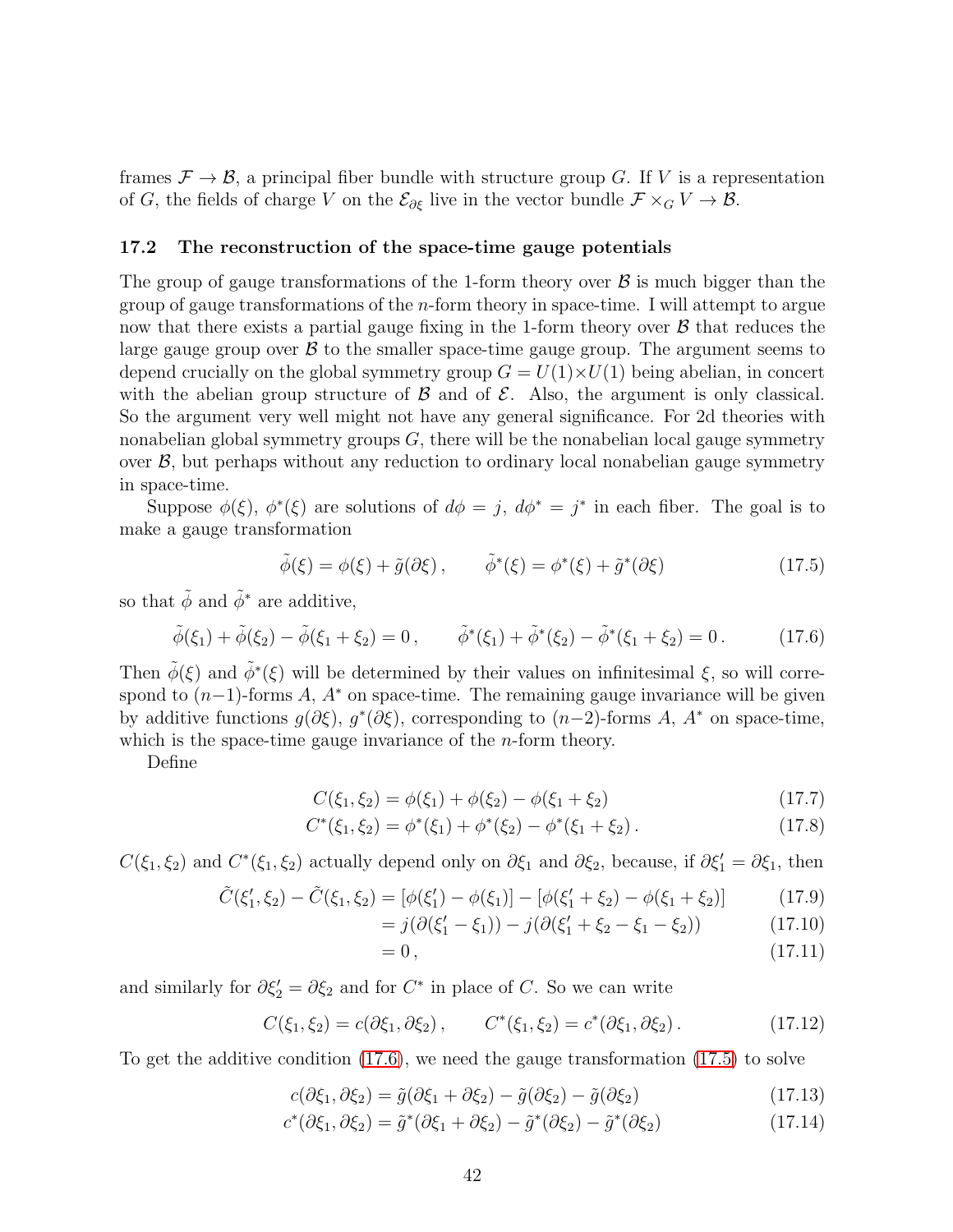frames  $\mathcal{F} \to \mathcal{B}$ , a principal fiber bundle with structure group G. If V is a representation of G, the fields of charge V on the  $\mathcal{E}_{\partial \xi}$  live in the vector bundle  $\mathcal{F} \times_G V \to \mathcal{B}$ .

#### 17.2 The reconstruction of the space-time gauge potentials

The group of gauge transformations of the 1-form theory over  $\beta$  is much bigger than the group of gauge transformations of the n-form theory in space-time. I will attempt to argue now that there exists a partial gauge fixing in the 1-form theory over  $\beta$  that reduces the large gauge group over  $\beta$  to the smaller space-time gauge group. The argument seems to depend crucially on the global symmetry group  $G = U(1) \times U(1)$  being abelian, in concert with the abelian group structure of  $\beta$  and of  $\mathcal{E}$ . Also, the argument is only classical. So the argument very well might not have any general significance. For 2d theories with nonabelian global symmetry groups  $G$ , there will be the nonabelian local gauge symmetry over  $\mathcal{B}$ , but perhaps without any reduction to ordinary local nonabelian gauge symmetry in space-time.

Suppose  $\phi(\xi)$ ,  $\phi^*(\xi)$  are solutions of  $d\phi = j$ ,  $d\phi^* = j^*$  in each fiber. The goal is to make a gauge transformation

<span id="page-41-1"></span>
$$
\tilde{\phi}(\xi) = \phi(\xi) + \tilde{g}(\partial \xi), \qquad \tilde{\phi}^*(\xi) = \phi^*(\xi) + \tilde{g}^*(\partial \xi)
$$
\n(17.5)

so that  $\tilde{\phi}$  and  $\tilde{\phi}^*$  are additive,

<span id="page-41-0"></span>
$$
\tilde{\phi}(\xi_1) + \tilde{\phi}(\xi_2) - \tilde{\phi}(\xi_1 + \xi_2) = 0, \qquad \tilde{\phi}^*(\xi_1) + \tilde{\phi}^*(\xi_2) - \tilde{\phi}^*(\xi_1 + \xi_2) = 0.
$$
 (17.6)

Then  $\tilde{\phi}(\xi)$  and  $\tilde{\phi}^*(\xi)$  will be determined by their values on infinitesimal  $\xi$ , so will correspond to  $(n-1)$ -forms A, A<sup>\*</sup> on space-time. The remaining gauge invariance will be given by additive functions  $g(\partial \xi)$ ,  $g^*(\partial \xi)$ , corresponding to  $(n-2)$ -forms A, A<sup>\*</sup> on space-time, which is the space-time gauge invariance of the  $n$ -form theory.

Define

$$
C(\xi_1, \xi_2) = \phi(\xi_1) + \phi(\xi_2) - \phi(\xi_1 + \xi_2)
$$
\n(17.7)

$$
C^*(\xi_1, \xi_2) = \phi^*(\xi_1) + \phi^*(\xi_2) - \phi^*(\xi_1 + \xi_2).
$$
 (17.8)

 $C(\xi_1, \xi_2)$  and  $C^*(\xi_1, \xi_2)$  actually depend only on  $\partial \xi_1$  and  $\partial \xi_2$ , because, if  $\partial \xi'_1 = \partial \xi_1$ , then

$$
\tilde{C}(\xi'_1, \xi_2) - \tilde{C}(\xi_1, \xi_2) = [\phi(\xi'_1) - \phi(\xi_1)] - [\phi(\xi'_1 + \xi_2) - \phi(\xi_1 + \xi_2)] \tag{17.9}
$$
\n
$$
= i(\partial(\xi'_1, \xi_2) - i(\partial(\xi'_1 + \xi_2, \xi_1, \xi_2)) \tag{17.10}
$$

$$
= j(\partial(\xi'_1 - \xi_1)) - j(\partial(\xi'_1 + \xi_2 - \xi_1 - \xi_2)) \tag{17.10}
$$

<span id="page-41-3"></span><span id="page-41-2"></span> $= 0$ ,  $(17.11)$ 

and similarly for  $\partial \xi_2' = \partial \xi_2$  and for  $C^*$  in place of C. So we can write

$$
C(\xi_1, \xi_2) = c(\partial \xi_1, \partial \xi_2), \qquad C^*(\xi_1, \xi_2) = c^*(\partial \xi_1, \partial \xi_2).
$$
 (17.12)

To get the additive condition [\(17.6\)](#page-41-0), we need the gauge transformation [\(17.5\)](#page-41-1) to solve

$$
c(\partial \xi_1, \partial \xi_2) = \tilde{g}(\partial \xi_1 + \partial \xi_2) - \tilde{g}(\partial \xi_2) - \tilde{g}(\partial \xi_2)
$$
(17.13)

$$
c^*(\partial \xi_1, \partial \xi_2) = \tilde{g}^*(\partial \xi_1 + \partial \xi_2) - \tilde{g}^*(\partial \xi_2) - \tilde{g}^*(\partial \xi_2)
$$
\n(17.14)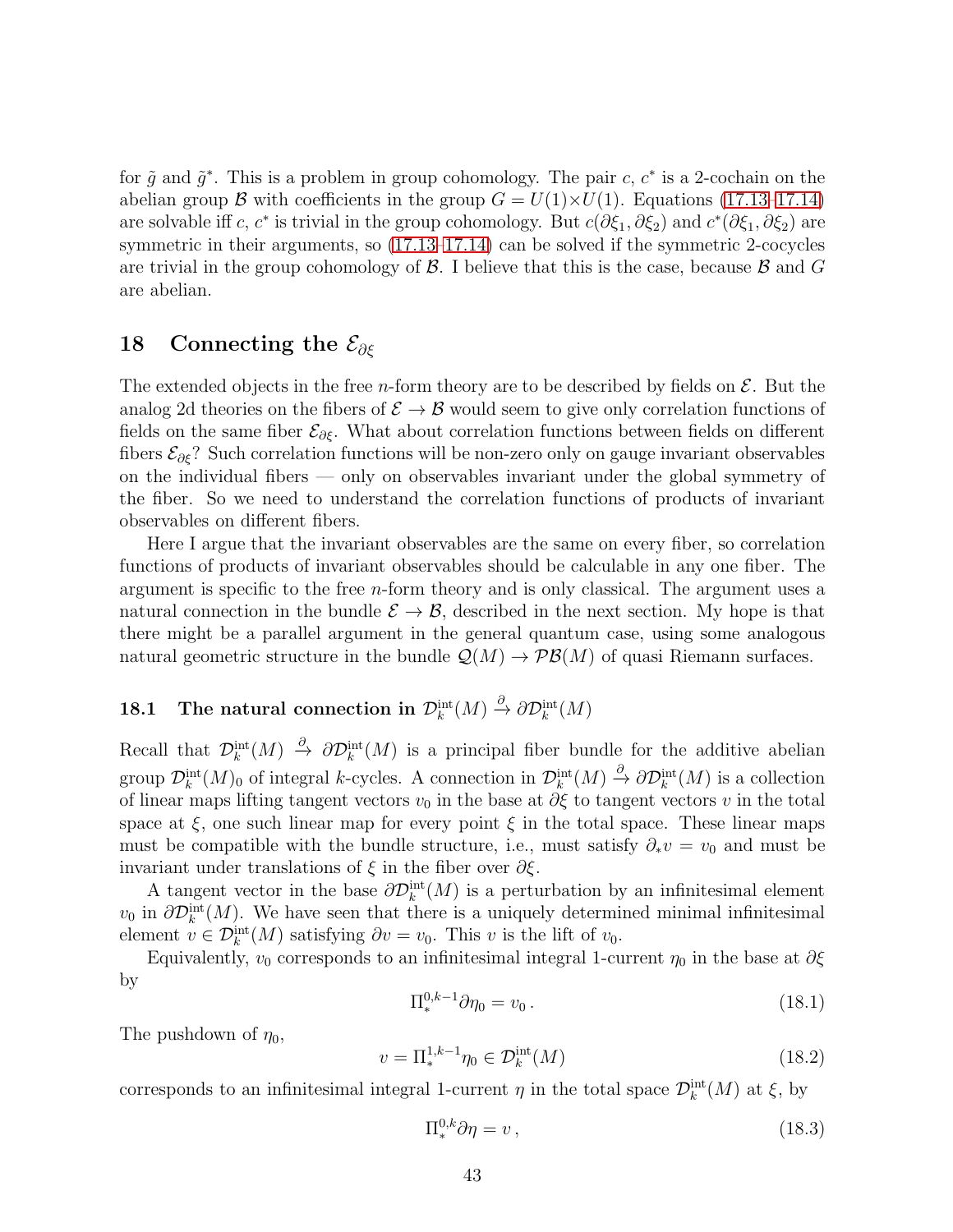for  $\tilde{g}$  and  $\tilde{g}^*$ . This is a problem in group cohomology. The pair c,  $c^*$  is a 2-cochain on the abelian group B with coefficients in the group  $G = U(1) \times U(1)$ . Equations [\(17.13](#page-41-2)[–17.14\)](#page-41-3) are solvable iff c, c<sup>\*</sup> is trivial in the group cohomology. But  $c(\partial \xi_1, \partial \xi_2)$  and  $c^*(\partial \xi_1, \partial \xi_2)$  are symmetric in their arguments, so  $(17.13-17.14)$  $(17.13-17.14)$  can be solved if the symmetric 2-cocycles are trivial in the group cohomology of  $\mathcal{B}$ . I believe that this is the case, because  $\mathcal{B}$  and  $G$ are abelian.

## <span id="page-42-0"></span>18 Connecting the  $\mathcal{E}_{\partial \xi}$

The extended objects in the free *n*-form theory are to be described by fields on  $\mathcal{E}$ . But the analog 2d theories on the fibers of  $\mathcal{E} \to \mathcal{B}$  would seem to give only correlation functions of fields on the same fiber  $\mathcal{E}_{\partial \xi}$ . What about correlation functions between fields on different fibers  $\mathcal{E}_{\partial \xi}$ ? Such correlation functions will be non-zero only on gauge invariant observables on the individual fibers — only on observables invariant under the global symmetry of the fiber. So we need to understand the correlation functions of products of invariant observables on different fibers.

Here I argue that the invariant observables are the same on every fiber, so correlation functions of products of invariant observables should be calculable in any one fiber. The argument is specific to the free  $n$ -form theory and is only classical. The argument uses a natural connection in the bundle  $\mathcal{E} \to \mathcal{B}$ , described in the next section. My hope is that there might be a parallel argument in the general quantum case, using some analogous natural geometric structure in the bundle  $\mathcal{Q}(M) \to \mathcal{PB}(M)$  of quasi Riemann surfaces.

# 18.1 The natural connection in  $\mathcal{D}_k^{\text{int}}(M) \stackrel{\partial}{\to} \partial \mathcal{D}_k^{\text{int}}(M)$

Recall that  $\mathcal{D}_k^{\text{int}}(M) \stackrel{\partial}{\to} \partial \mathcal{D}_k^{\text{int}}(M)$  is a principal fiber bundle for the additive abelian group  $\mathcal{D}_k^{\text{int}}(M)$  of integral k-cycles. A connection in  $\mathcal{D}_k^{\text{int}}(M) \stackrel{\partial}{\to} \partial \mathcal{D}_k^{\text{int}}(M)$  is a collection of linear maps lifting tangent vectors  $v_0$  in the base at  $\partial \xi$  to tangent vectors v in the total space at  $\xi$ , one such linear map for every point  $\xi$  in the total space. These linear maps must be compatible with the bundle structure, i.e., must satisfy  $\partial_* v = v_0$  and must be invariant under translations of  $\xi$  in the fiber over  $\partial \xi$ .

A tangent vector in the base  $\partial \mathcal{D}_k^{\text{int}}(M)$  is a perturbation by an infinitesimal element  $v_0$  in  $\partial \mathcal{D}_k^{\text{int}}(M)$ . We have seen that there is a uniquely determined minimal infinitesimal element  $v \in \mathcal{D}_k^{\text{int}}(M)$  satisfying  $\partial v = v_0$ . This v is the lift of  $v_0$ .

Equivalently,  $v_0$  corresponds to an infinitesimal integral 1-current  $\eta_0$  in the base at  $\partial \xi$ by

$$
\Pi_*^{0,k-1} \partial \eta_0 = v_0 \,. \tag{18.1}
$$

The pushdown of  $\eta_0$ ,

$$
v = \Pi_*^{1,k-1} \eta_0 \in \mathcal{D}_k^{\text{int}}(M) \tag{18.2}
$$

corresponds to an infinitesimal integral 1-current  $\eta$  in the total space  $\mathcal{D}_k^{\text{int}}(M)$  at  $\xi$ , by

$$
\Pi^{0,k}_{*} \partial \eta = v \,, \tag{18.3}
$$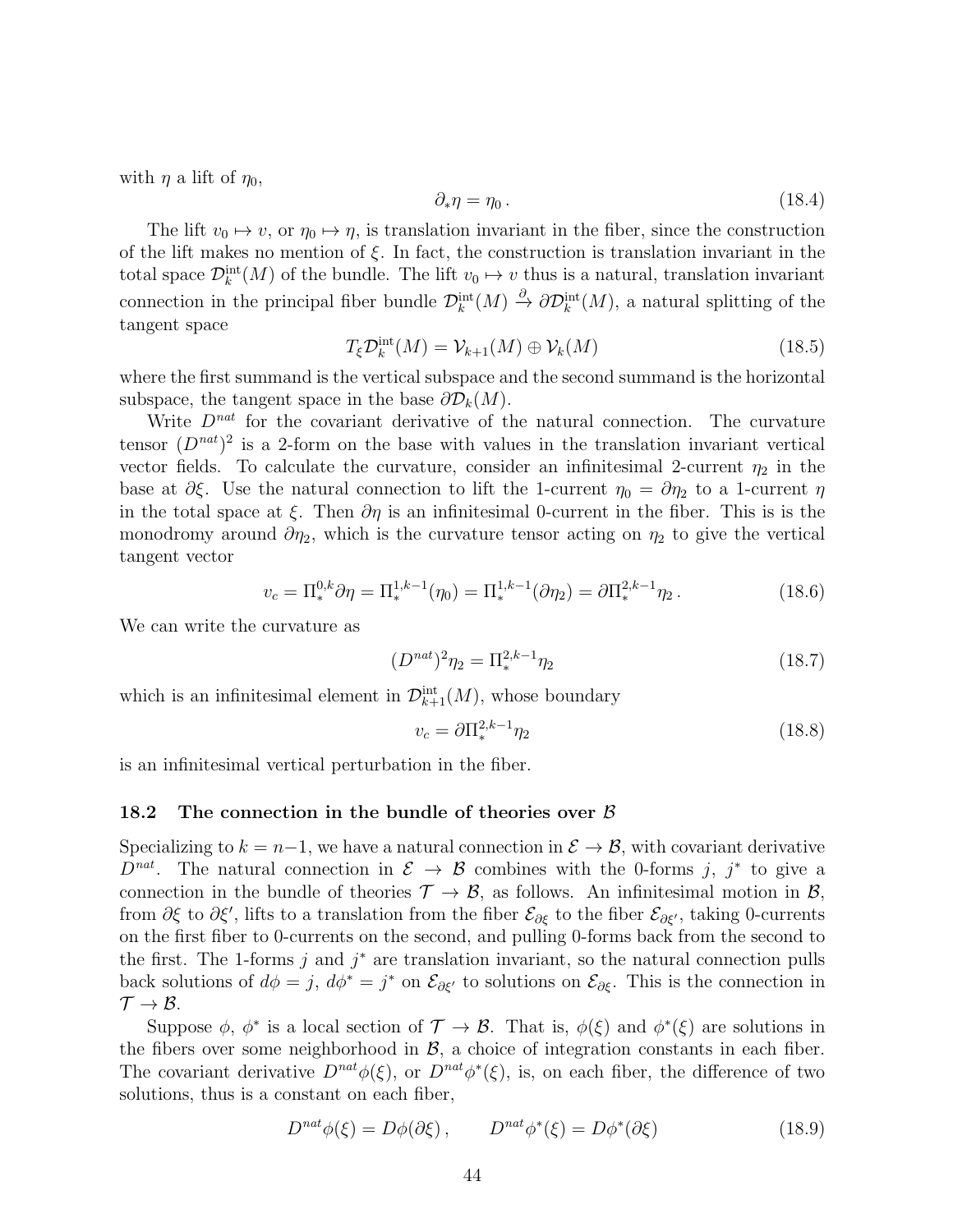with  $\eta$  a lift of  $\eta_0$ ,

$$
\partial_* \eta = \eta_0. \tag{18.4}
$$

The lift  $v_0 \mapsto v$ , or  $\eta_0 \mapsto \eta$ , is translation invariant in the fiber, since the construction of the lift makes no mention of  $\xi$ . In fact, the construction is translation invariant in the total space  $\mathcal{D}_k^{\text{int}}(M)$  of the bundle. The lift  $v_0 \mapsto v$  thus is a natural, translation invariant connection in the principal fiber bundle  $\mathcal{D}_k^{\text{int}}(M) \stackrel{\partial}{\to} \partial \mathcal{D}_k^{\text{int}}(M)$ , a natural splitting of the tangent space

$$
T_{\xi} \mathcal{D}_k^{\text{int}}(M) = \mathcal{V}_{k+1}(M) \oplus \mathcal{V}_k(M) \tag{18.5}
$$

where the first summand is the vertical subspace and the second summand is the horizontal subspace, the tangent space in the base  $\partial \mathcal{D}_k(M)$ .

Write  $D^{nat}$  for the covariant derivative of the natural connection. The curvature tensor  $(D^{nat})^2$  is a 2-form on the base with values in the translation invariant vertical vector fields. To calculate the curvature, consider an infinitesimal 2-current  $\eta_2$  in the base at  $\partial \xi$ . Use the natural connection to lift the 1-current  $\eta_0 = \partial \eta_2$  to a 1-current  $\eta$ in the total space at  $\xi$ . Then  $\partial \eta$  is an infinitesimal 0-current in the fiber. This is is the monodromy around  $\partial \eta_2$ , which is the curvature tensor acting on  $\eta_2$  to give the vertical tangent vector

$$
v_c = \Pi_*^{0,k} \partial \eta = \Pi_*^{1,k-1}(\eta_0) = \Pi_*^{1,k-1}(\partial \eta_2) = \partial \Pi_*^{2,k-1} \eta_2.
$$
 (18.6)

We can write the curvature as

$$
(D^{nat})^2 \eta_2 = \Pi_*^{2,k-1} \eta_2 \tag{18.7}
$$

which is an infinitesimal element in  $\mathcal{D}_{k+1}^{\text{int}}(M)$ , whose boundary

$$
v_c = \partial \Pi_*^{2,k-1} \eta_2 \tag{18.8}
$$

is an infinitesimal vertical perturbation in the fiber.

#### 18.2 The connection in the bundle of theories over  $\beta$

Specializing to  $k = n-1$ , we have a natural connection in  $\mathcal{E} \to \mathcal{B}$ , with covariant derivative  $D^{nat}$ . The natural connection in  $\mathcal{E} \to \mathcal{B}$  combines with the 0-forms j, j<sup>\*</sup> to give a connection in the bundle of theories  $\mathcal{T} \to \mathcal{B}$ , as follows. An infinitesimal motion in  $\mathcal{B}$ , from  $\partial \xi$  to  $\partial \xi'$ , lifts to a translation from the fiber  $\mathcal{E}_{\partial \xi}$  to the fiber  $\mathcal{E}_{\partial \xi'}$ , taking 0-currents on the first fiber to 0-currents on the second, and pulling 0-forms back from the second to the first. The 1-forms  $j$  and  $j^*$  are translation invariant, so the natural connection pulls back solutions of  $d\phi = j$ ,  $d\phi^* = j^*$  on  $\mathcal{E}_{\partial \xi'}$  to solutions on  $\mathcal{E}_{\partial \xi}$ . This is the connection in  $\mathcal{T} \rightarrow \mathcal{B}$ .

Suppose  $\phi$ ,  $\phi^*$  is a local section of  $\mathcal{T} \to \mathcal{B}$ . That is,  $\phi(\xi)$  and  $\phi^*(\xi)$  are solutions in the fibers over some neighborhood in  $\mathcal{B}$ , a choice of integration constants in each fiber. The covariant derivative  $D^{nat}\phi(\xi)$ , or  $D^{nat}\phi^*(\xi)$ , is, on each fiber, the difference of two solutions, thus is a constant on each fiber,

$$
D^{nat}\phi(\xi) = D\phi(\partial \xi), \qquad D^{nat}\phi^*(\xi) = D\phi^*(\partial \xi)
$$
\n(18.9)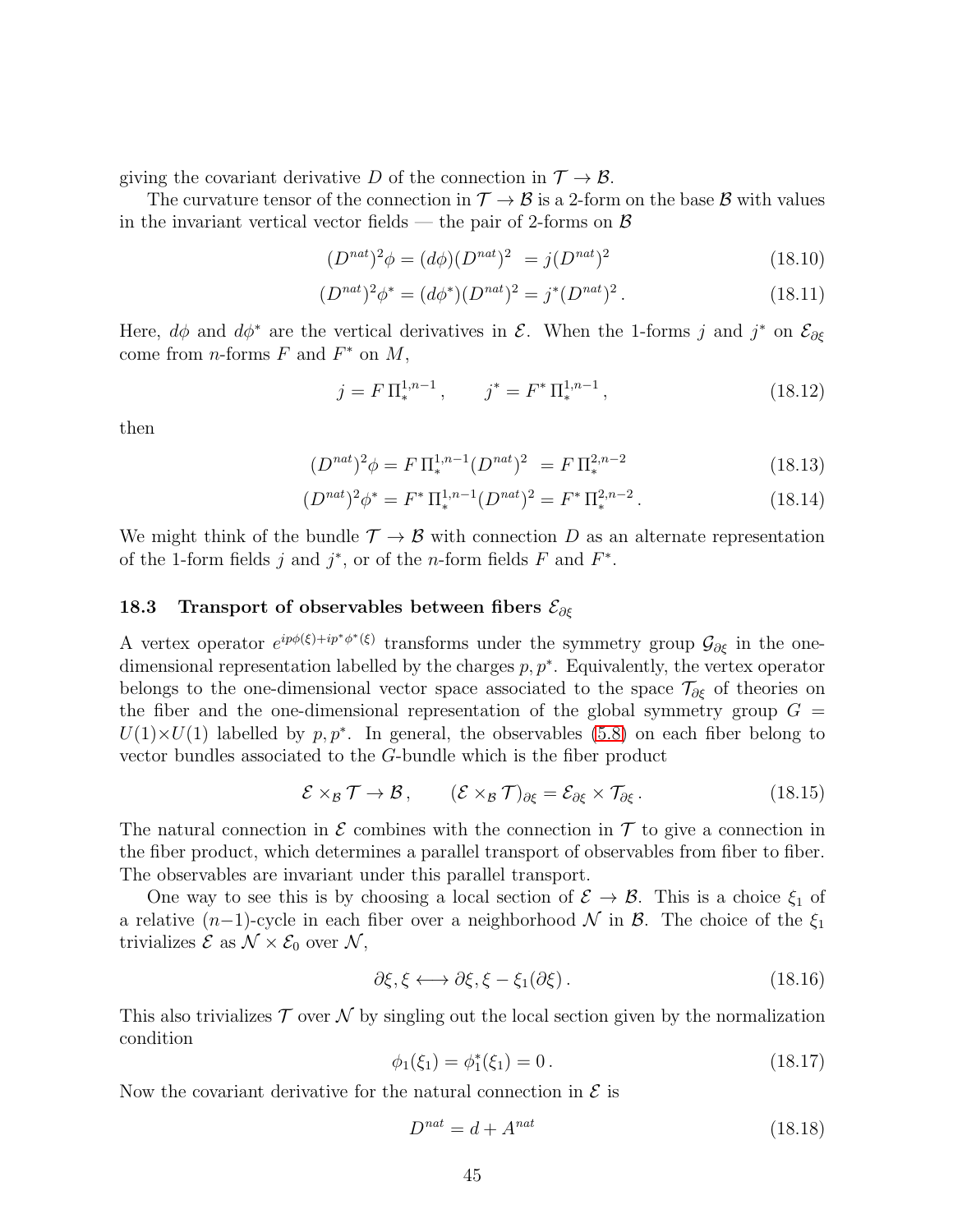giving the covariant derivative D of the connection in  $\mathcal{T} \to \mathcal{B}$ .

The curvature tensor of the connection in  $\mathcal{T} \to \mathcal{B}$  is a 2-form on the base  $\mathcal{B}$  with values in the invariant vertical vector fields — the pair of 2-forms on  $\beta$ 

$$
(D^{nat})^2 \phi = (d\phi)(D^{nat})^2 = j(D^{nat})^2
$$
\n(18.10)

$$
(D^{nat})^2 \phi^* = (d\phi^*)(D^{nat})^2 = j^*(D^{nat})^2.
$$
 (18.11)

Here,  $d\phi$  and  $d\phi^*$  are the vertical derivatives in  $\mathcal{E}$ . When the 1-forms j and j<sup>\*</sup> on  $\mathcal{E}_{\partial \xi}$ come from *n*-forms  $F$  and  $F^*$  on  $M$ ,

$$
j = F \Pi_*^{1,n-1}, \qquad j^* = F^* \Pi_*^{1,n-1}, \tag{18.12}
$$

then

$$
(D^{nat})^2 \phi = F \Pi_*^{1,n-1} (D^{nat})^2 = F \Pi_*^{2,n-2}
$$
\n(18.13)

$$
(D^{nat})^2 \phi^* = F^* \Pi_*^{1,n-1} (D^{nat})^2 = F^* \Pi_*^{2,n-2}.
$$
 (18.14)

We might think of the bundle  $\mathcal{T} \to \mathcal{B}$  with connection D as an alternate representation of the 1-form fields j and  $j^*$ , or of the n-form fields F and  $F^*$ .

## 18.3 Transport of observables between fibers  $\mathcal{E}_{\partial \xi}$

A vertex operator  $e^{ip\phi(\xi)+ip^*\phi^*(\xi)}$  transforms under the symmetry group  $\mathcal{G}_{\partial\xi}$  in the onedimensional representation labelled by the charges  $p, p^*$ . Equivalently, the vertex operator belongs to the one-dimensional vector space associated to the space  $\mathcal{T}_{\partial \xi}$  of theories on the fiber and the one-dimensional representation of the global symmetry group  $G =$  $U(1)\times U(1)$  labelled by  $p, p^*$ . In general, the observables [\(5.8\)](#page-16-0) on each fiber belong to vector bundles associated to the G-bundle which is the fiber product

$$
\mathcal{E} \times_{\mathcal{B}} \mathcal{T} \to \mathcal{B} \,, \qquad (\mathcal{E} \times_{\mathcal{B}} \mathcal{T})_{\partial \xi} = \mathcal{E}_{\partial \xi} \times \mathcal{T}_{\partial \xi} \,. \tag{18.15}
$$

The natural connection in  $\mathcal E$  combines with the connection in  $\mathcal T$  to give a connection in the fiber product, which determines a parallel transport of observables from fiber to fiber. The observables are invariant under this parallel transport.

One way to see this is by choosing a local section of  $\mathcal{E} \to \mathcal{B}$ . This is a choice  $\xi_1$  of a relative  $(n-1)$ -cycle in each fiber over a neighborhood N in B. The choice of the  $\xi_1$ trivializes  $\mathcal{E}$  as  $\mathcal{N} \times \mathcal{E}_0$  over  $\mathcal{N}$ ,

$$
\partial \xi, \xi \longleftrightarrow \partial \xi, \xi - \xi_1(\partial \xi). \tag{18.16}
$$

This also trivializes  $\mathcal T$  over  $\mathcal N$  by singling out the local section given by the normalization condition

$$
\phi_1(\xi_1) = \phi_1^*(\xi_1) = 0.
$$
\n(18.17)

Now the covariant derivative for the natural connection in  $\mathcal E$  is

$$
D^{nat} = d + A^{nat} \tag{18.18}
$$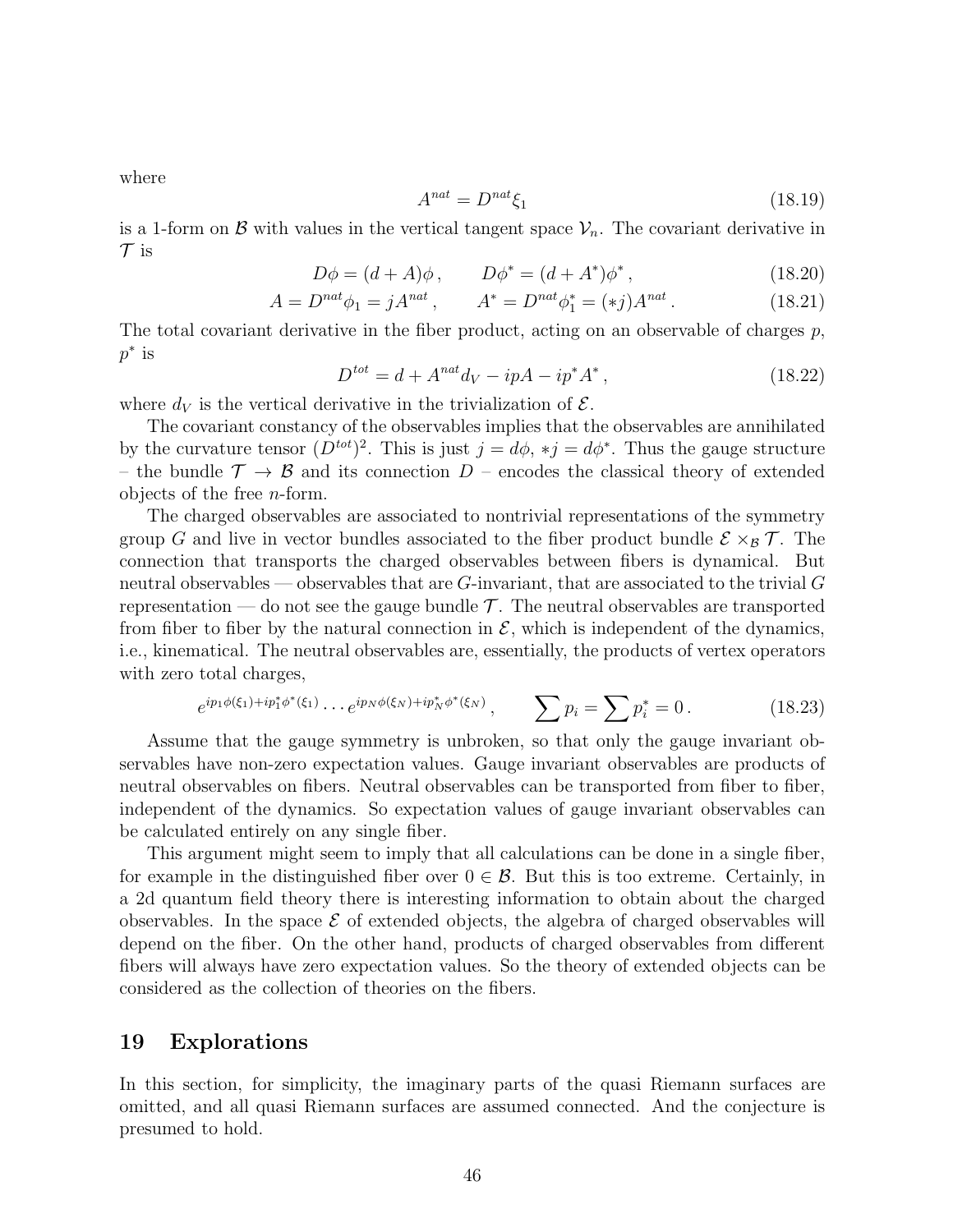where

$$
A^{nat} = D^{nat} \xi_1 \tag{18.19}
$$

is a 1-form on  $\beta$  with values in the vertical tangent space  $\mathcal{V}_n$ . The covariant derivative in  $\mathcal T$  is

$$
D\phi = (d+A)\phi, \qquad D\phi^* = (d+A^*)\phi^*, \tag{18.20}
$$

$$
A = D^{nat} \phi_1 = j A^{nat} , \qquad A^* = D^{nat} \phi_1^* = (*j) A^{nat} . \tag{18.21}
$$

The total covariant derivative in the fiber product, acting on an observable of charges  $p$ ,  $p^*$  is

$$
D^{tot} = d + A^{nat}d_V - ipA - ip^*A^*,
$$
\n(18.22)

where  $d_V$  is the vertical derivative in the trivialization of  $\mathcal{E}$ .

The covariant constancy of the observables implies that the observables are annihilated by the curvature tensor  $(D^{tot})^2$ . This is just  $j = d\phi, *j = d\phi^*$ . Thus the gauge structure – the bundle  $\mathcal{T} \to \mathcal{B}$  and its connection D – encodes the classical theory of extended objects of the free n-form.

The charged observables are associated to nontrivial representations of the symmetry group G and live in vector bundles associated to the fiber product bundle  $\mathcal{E} \times_B \mathcal{T}$ . The connection that transports the charged observables between fibers is dynamical. But neutral observables — observables that are  $G$ -invariant, that are associated to the trivial  $G$ representation — do not see the gauge bundle  $\mathcal T$ . The neutral observables are transported from fiber to fiber by the natural connection in  $\mathcal{E}$ , which is independent of the dynamics, i.e., kinematical. The neutral observables are, essentially, the products of vertex operators with zero total charges,

$$
e^{ip_1\phi(\xi_1)+ip_1^*\phi^*(\xi_1)}\cdots e^{ip_N\phi(\xi_N)+ip_N^*\phi^*(\xi_N)}, \qquad \sum p_i = \sum p_i^* = 0. \qquad (18.23)
$$

Assume that the gauge symmetry is unbroken, so that only the gauge invariant observables have non-zero expectation values. Gauge invariant observables are products of neutral observables on fibers. Neutral observables can be transported from fiber to fiber, independent of the dynamics. So expectation values of gauge invariant observables can be calculated entirely on any single fiber.

This argument might seem to imply that all calculations can be done in a single fiber, for example in the distinguished fiber over  $0 \in \mathcal{B}$ . But this is too extreme. Certainly, in a 2d quantum field theory there is interesting information to obtain about the charged observables. In the space  $\mathcal E$  of extended objects, the algebra of charged observables will depend on the fiber. On the other hand, products of charged observables from different fibers will always have zero expectation values. So the theory of extended objects can be considered as the collection of theories on the fibers.

#### <span id="page-45-0"></span>19 Explorations

In this section, for simplicity, the imaginary parts of the quasi Riemann surfaces are omitted, and all quasi Riemann surfaces are assumed connected. And the conjecture is presumed to hold.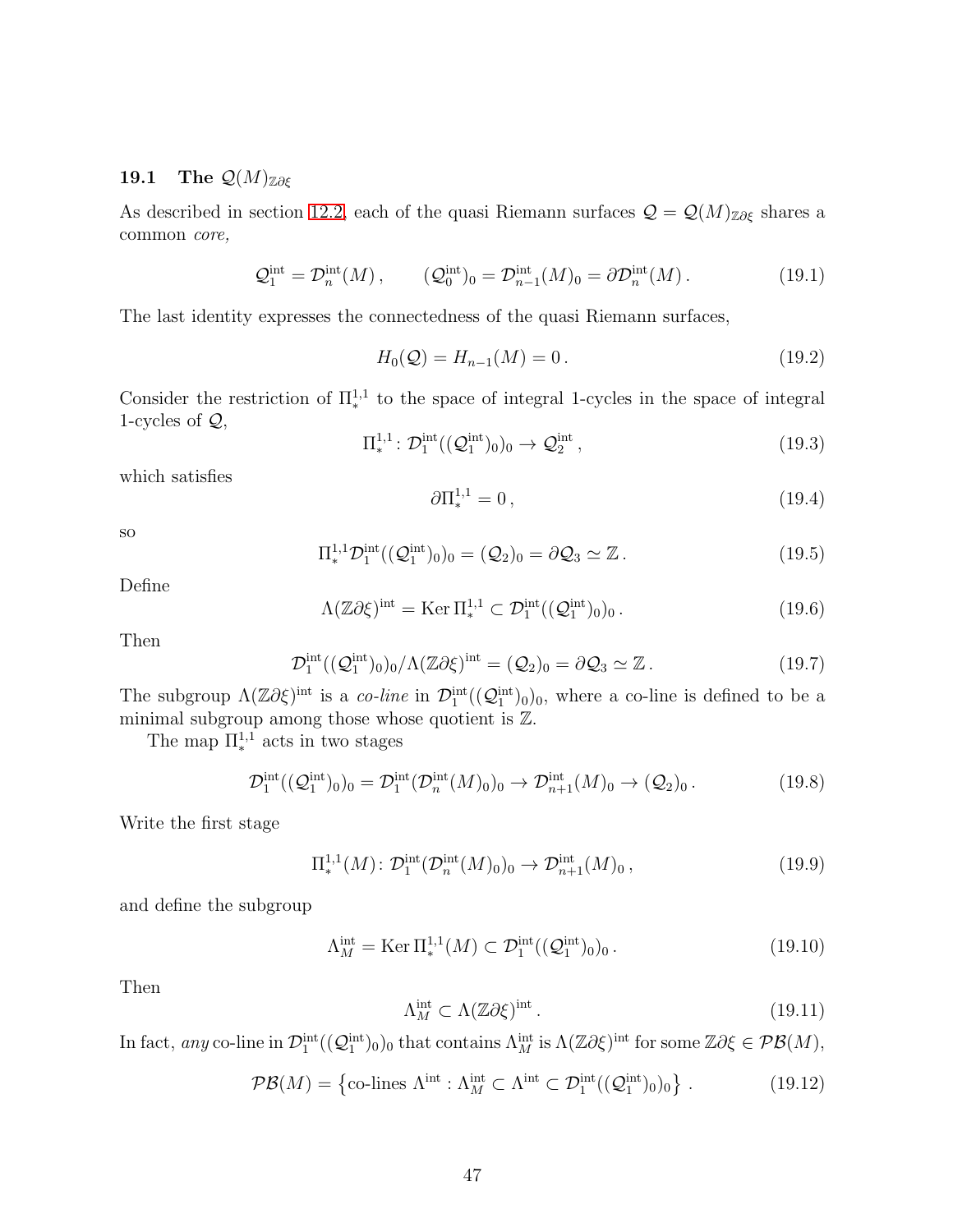## 19.1 The  $\mathcal{Q}(M)_{\mathbb{Z}\partial\xi}$

As described in section [12.2,](#page-27-0) each of the quasi Riemann surfaces  $\mathcal{Q} = \mathcal{Q}(M)_{\mathbb{Z}\partial\xi}$  shares a common core,

$$
\mathcal{Q}_1^{\text{int}} = \mathcal{D}_n^{\text{int}}(M) , \qquad (\mathcal{Q}_0^{\text{int}})_0 = \mathcal{D}_{n-1}^{\text{int}}(M)_0 = \partial \mathcal{D}_n^{\text{int}}(M) . \qquad (19.1)
$$

The last identity expresses the connectedness of the quasi Riemann surfaces,

$$
H_0(Q) = H_{n-1}(M) = 0.
$$
\n(19.2)

Consider the restriction of  $\Pi^{1,1}_*$  to the space of integral 1-cycles in the space of integral 1-cycles of  $Q$ ,

$$
\Pi_*^{1,1}: \mathcal{D}_1^{\text{int}}((\mathcal{Q}_1^{\text{int}})_0)_0 \to \mathcal{Q}_2^{\text{int}}\,,\tag{19.3}
$$

which satisfies

$$
\partial \Pi_*^{1,1} = 0 \,, \tag{19.4}
$$

so

$$
\Pi_*^{1,1} \mathcal{D}_1^{\text{int}}((\mathcal{Q}_1^{\text{int}})_0)_0 = (\mathcal{Q}_2)_0 = \partial \mathcal{Q}_3 \simeq \mathbb{Z}. \tag{19.5}
$$

Define

$$
\Lambda(\mathbb{Z}\partial\xi)^{\text{int}} = \text{Ker}\,\Pi_*^{1,1} \subset \mathcal{D}_1^{\text{int}}((\mathcal{Q}_1^{\text{int}})_0)_0. \tag{19.6}
$$

Then

$$
\mathcal{D}_1^{\text{int}}((\mathcal{Q}_1^{\text{int}})_0)_0/\Lambda(\mathbb{Z}\partial\xi)^{\text{int}} = (\mathcal{Q}_2)_0 = \partial\mathcal{Q}_3 \simeq \mathbb{Z}. \tag{19.7}
$$

The subgroup  $\Lambda(\mathbb{Z}\partial\xi)^{int}$  is a co-line in  $\mathcal{D}_1^{int}((\mathcal{Q}_1^{int})_0)_0$ , where a co-line is defined to be a minimal subgroup among those whose quotient is Z.

The map  $\Pi^{1,1}_*$  acts in two stages

$$
\mathcal{D}_1^{\text{int}}((\mathcal{Q}_1^{\text{int}})_0)_0 = \mathcal{D}_1^{\text{int}}(\mathcal{D}_n^{\text{int}}(M)_0)_0 \to \mathcal{D}_{n+1}^{\text{int}}(M)_0 \to (\mathcal{Q}_2)_0. \tag{19.8}
$$

Write the first stage

$$
\Pi_*^{1,1}(M) \colon \mathcal{D}_1^{\text{int}}(\mathcal{D}_n^{\text{int}}(M)_0)_0 \to \mathcal{D}_{n+1}^{\text{int}}(M)_0 ,\tag{19.9}
$$

and define the subgroup

$$
\Lambda_M^{\text{int}} = \text{Ker} \, \Pi_*^{1,1}(M) \subset \mathcal{D}_1^{\text{int}}((\mathcal{Q}_1^{\text{int}})_0)_0. \tag{19.10}
$$

Then

$$
\Lambda_M^{\text{int}} \subset \Lambda(\mathbb{Z}\partial \xi)^{\text{int}}\,. \tag{19.11}
$$

In fact, any co-line in  $\mathcal{D}_1^{\text{int}}((\mathcal{Q}_1^{\text{int}})_0)_0$  that contains  $\Lambda_M^{\text{int}}$  is  $\Lambda(\mathbb{Z}\partial \xi)^{\text{int}}$  for some  $\mathbb{Z}\partial \xi \in \mathcal{PB}(M)$ ,

$$
\mathcal{PB}(M) = \left\{ \text{co-lines } \Lambda^{\text{int}} : \Lambda_M^{\text{int}} \subset \Lambda^{\text{int}} \subset \mathcal{D}_1^{\text{int}}((\mathcal{Q}_1^{\text{int}})_0)_0 \right\}. \tag{19.12}
$$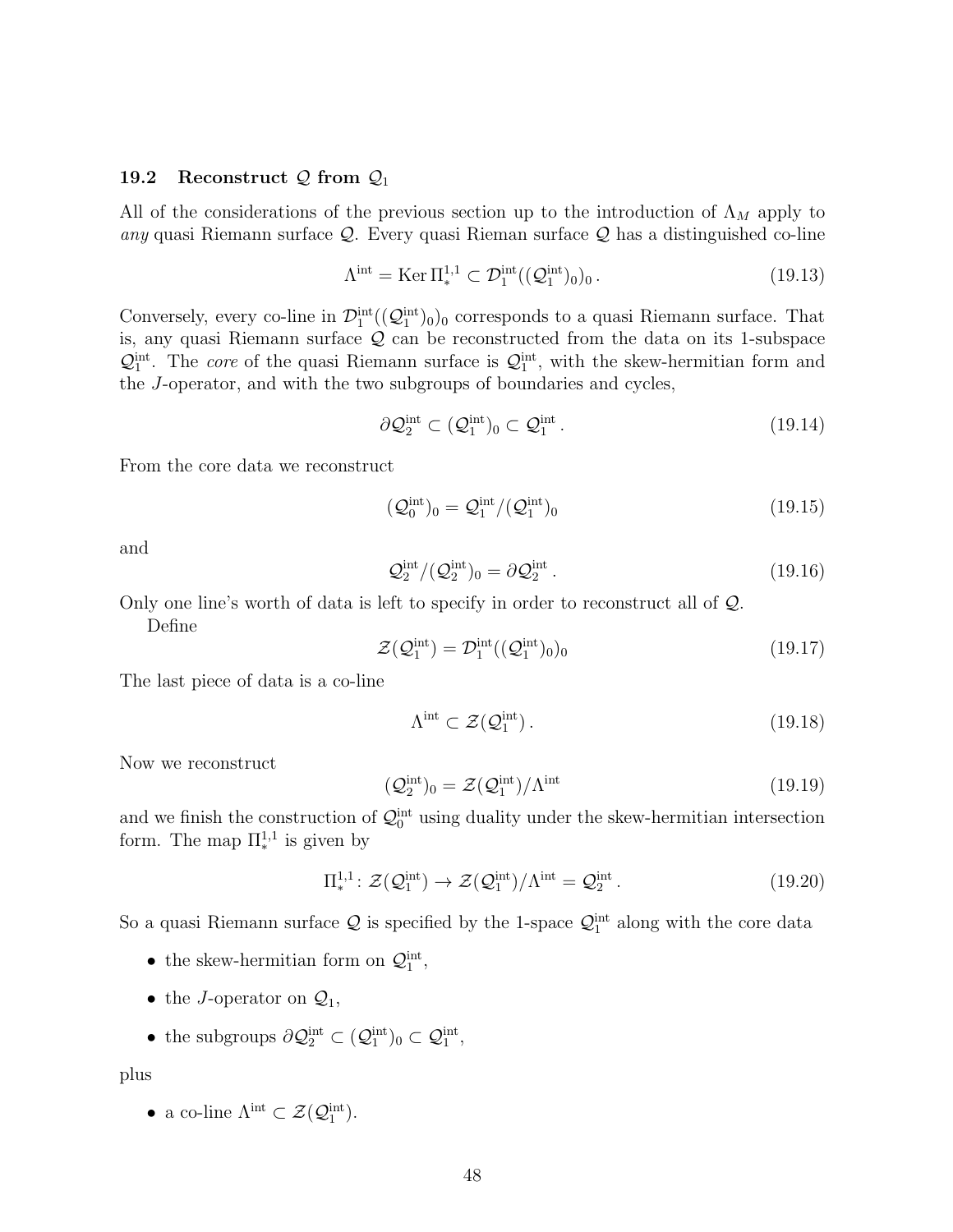#### 19.2 Reconstruct  $\mathcal{Q}$  from  $\mathcal{Q}_1$

All of the considerations of the previous section up to the introduction of  $\Lambda_M$  apply to any quasi Riemann surface  $\mathcal{Q}$ . Every quasi Rieman surface  $\mathcal{Q}$  has a distinguished co-line

$$
\Lambda^{\text{int}} = \text{Ker} \, \Pi^{1,1}_* \subset \mathcal{D}_1^{\text{int}}((\mathcal{Q}_1^{\text{int}})_0)_0. \tag{19.13}
$$

Conversely, every co-line in  $\mathcal{D}_1^{\text{int}}((\mathcal{Q}_1^{\text{int}})_0)_0$  corresponds to a quasi Riemann surface. That is, any quasi Riemann surface  $Q$  can be reconstructed from the data on its 1-subspace  $\mathcal{Q}_1^{\text{int}}$ . The *core* of the quasi Riemann surface is  $\mathcal{Q}_1^{\text{int}}$ , with the skew-hermitian form and the J-operator, and with the two subgroups of boundaries and cycles,

$$
\partial \mathcal{Q}_2^{\text{int}} \subset (\mathcal{Q}_1^{\text{int}})_0 \subset \mathcal{Q}_1^{\text{int}}.
$$
\n(19.14)

From the core data we reconstruct

$$
(\mathcal{Q}_0^{\text{int}})_0 = \mathcal{Q}_1^{\text{int}} / (\mathcal{Q}_1^{\text{int}})_0 \tag{19.15}
$$

and

$$
\mathcal{Q}_2^{\text{int}}/(\mathcal{Q}_2^{\text{int}})_0 = \partial \mathcal{Q}_2^{\text{int}}.
$$
\n(19.16)

Only one line's worth of data is left to specify in order to reconstruct all of Q.

Define

$$
\mathcal{Z}(\mathcal{Q}_1^{\text{int}}) = \mathcal{D}_1^{\text{int}}((\mathcal{Q}_1^{\text{int}})_0)_0 \tag{19.17}
$$

The last piece of data is a co-line

$$
\Lambda^{\text{int}} \subset \mathcal{Z}(\mathcal{Q}_1^{\text{int}}). \tag{19.18}
$$

Now we reconstruct

$$
(\mathcal{Q}_2^{\text{int}})_0 = \mathcal{Z}(\mathcal{Q}_1^{\text{int}})/\Lambda^{\text{int}} \tag{19.19}
$$

and we finish the construction of  $\mathcal{Q}_0^{\text{int}}$  using duality under the skew-hermitian intersection form. The map  $\Pi^{1,1}_*$  is given by

$$
\Pi^{1,1}_{*}: \mathcal{Z}(\mathcal{Q}_1^{\text{int}}) \to \mathcal{Z}(\mathcal{Q}_1^{\text{int}})/\Lambda^{\text{int}} = \mathcal{Q}_2^{\text{int}}.
$$
 (19.20)

So a quasi Riemann surface  $\mathcal Q$  is specified by the 1-space  $\mathcal Q_1^{\text{int}}$  along with the core data

- the skew-hermitian form on  $\mathcal{Q}_1^{\text{int}}$ ,
- the J-operator on  $\mathcal{Q}_1$ ,
- the subgroups  $\partial \mathcal{Q}_2^{\text{int}} \subset (\mathcal{Q}_1^{\text{int}})_0 \subset \mathcal{Q}_1^{\text{int}},$

plus

• a co-line  $\Lambda^{\text{int}} \subset \mathcal{Z}(\mathcal{Q}_1^{\text{int}})$ .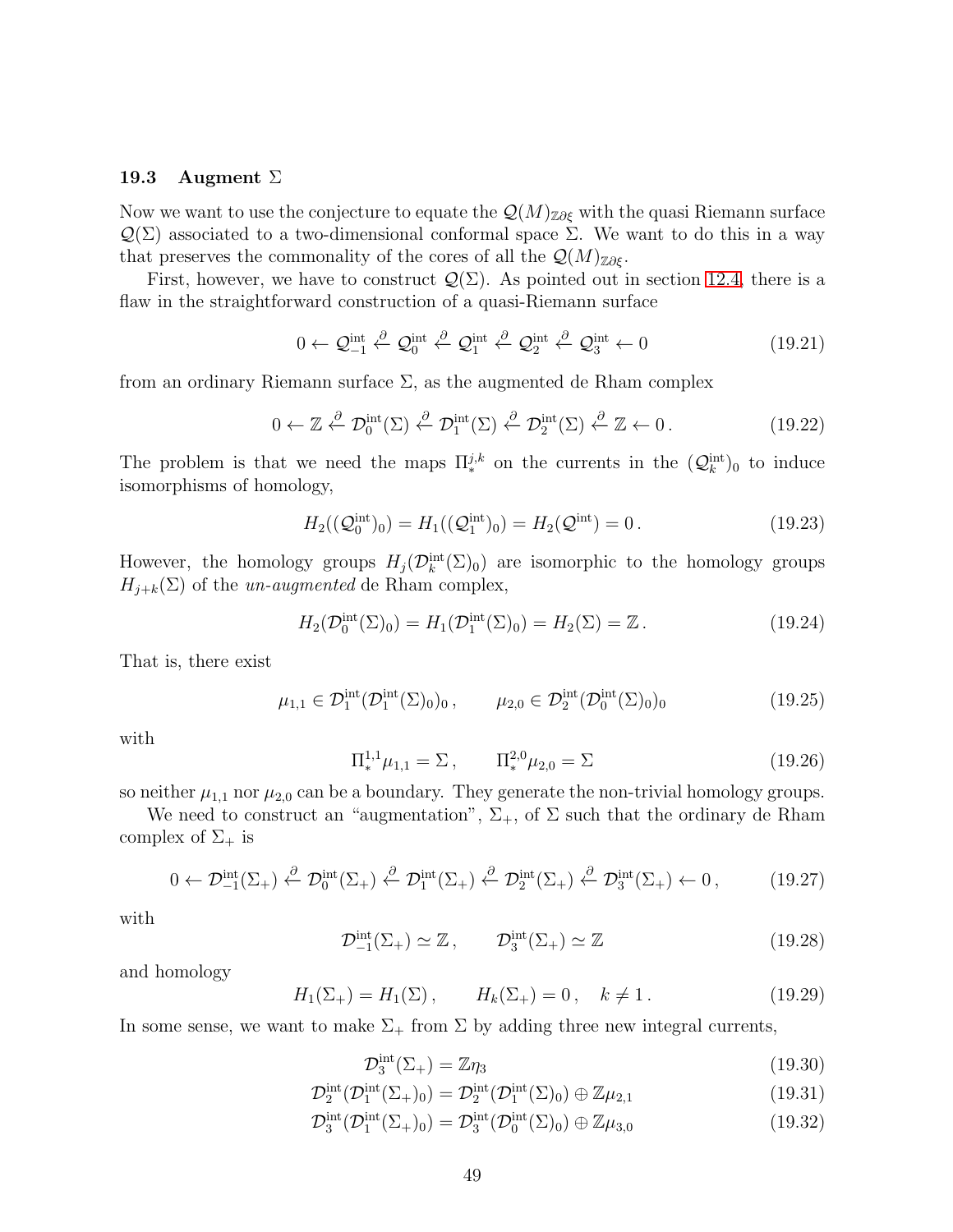#### <span id="page-48-0"></span>19.3 Augment  $\Sigma$

Now we want to use the conjecture to equate the  $\mathcal{Q}(M)_{\mathbb{Z}\partial \xi}$  with the quasi Riemann surface  $\mathcal{Q}(\Sigma)$  associated to a two-dimensional conformal space  $\Sigma$ . We want to do this in a way that preserves the commonality of the cores of all the  $\mathcal{Q}(M)_{\mathbb{Z}\partial\mathcal{E}}$ .

First, however, we have to construct  $\mathcal{Q}(\Sigma)$ . As pointed out in section [12.4,](#page-29-0) there is a flaw in the straightforward construction of a quasi-Riemann surface

$$
0 \leftarrow \mathcal{Q}_{-1}^{\text{int}} \stackrel{\partial}{\leftarrow} \mathcal{Q}_0^{\text{int}} \stackrel{\partial}{\leftarrow} \mathcal{Q}_1^{\text{int}} \stackrel{\partial}{\leftarrow} \mathcal{Q}_2^{\text{int}} \stackrel{\partial}{\leftarrow} \mathcal{Q}_3^{\text{int}} \leftarrow 0 \tag{19.21}
$$

from an ordinary Riemann surface  $\Sigma$ , as the augmented de Rham complex

$$
0 \leftarrow \mathbb{Z} \stackrel{\partial}{\leftarrow} \mathcal{D}_0^{\text{int}}(\Sigma) \stackrel{\partial}{\leftarrow} \mathcal{D}_1^{\text{int}}(\Sigma) \stackrel{\partial}{\leftarrow} \mathcal{D}_2^{\text{int}}(\Sigma) \stackrel{\partial}{\leftarrow} \mathbb{Z} \leftarrow 0. \tag{19.22}
$$

The problem is that we need the maps  $\Pi_{*}^{j,k}$  on the currents in the  $(Q_{k}^{\text{int}})_{0}$  to induce isomorphisms of homology,

$$
H_2((\mathcal{Q}_0^{\text{int}})_0) = H_1((\mathcal{Q}_1^{\text{int}})_0) = H_2(\mathcal{Q}^{\text{int}}) = 0.
$$
 (19.23)

However, the homology groups  $H_j(\mathcal{D}_k^{\text{int}}(\Sigma)_0)$  are isomorphic to the homology groups  $H_{j+k}(\Sigma)$  of the un-augmented de Rham complex,

$$
H_2(\mathcal{D}_0^{\text{int}}(\Sigma)_0) = H_1(\mathcal{D}_1^{\text{int}}(\Sigma)_0) = H_2(\Sigma) = \mathbb{Z} \,. \tag{19.24}
$$

That is, there exist

$$
\mu_{1,1} \in \mathcal{D}_1^{\text{int}}(\mathcal{D}_1^{\text{int}}(\Sigma)_0)_0, \qquad \mu_{2,0} \in \mathcal{D}_2^{\text{int}}(\mathcal{D}_0^{\text{int}}(\Sigma)_0)_0 \tag{19.25}
$$

with

$$
\Pi_*^{1,1}\mu_{1,1} = \Sigma \,, \qquad \Pi_*^{2,0}\mu_{2,0} = \Sigma \tag{19.26}
$$

so neither  $\mu_{1,1}$  nor  $\mu_{2,0}$  can be a boundary. They generate the non-trivial homology groups.

We need to construct an "augmentation",  $\Sigma_{+}$ , of  $\Sigma$  such that the ordinary de Rham complex of  $\Sigma_{+}$  is

$$
0 \leftarrow \mathcal{D}_{-1}^{\text{int}}(\Sigma_{+}) \stackrel{\partial}{\leftarrow} \mathcal{D}_{0}^{\text{int}}(\Sigma_{+}) \stackrel{\partial}{\leftarrow} \mathcal{D}_{1}^{\text{int}}(\Sigma_{+}) \stackrel{\partial}{\leftarrow} \mathcal{D}_{2}^{\text{int}}(\Sigma_{+}) \stackrel{\partial}{\leftarrow} \mathcal{D}_{3}^{\text{int}}(\Sigma_{+}) \leftarrow 0 , \qquad (19.27)
$$

with

$$
\mathcal{D}_{-1}^{\text{int}}(\Sigma_+) \simeq \mathbb{Z}, \qquad \mathcal{D}_3^{\text{int}}(\Sigma_+) \simeq \mathbb{Z}
$$
 (19.28)

and homology

$$
H_1(\Sigma_+) = H_1(\Sigma), \qquad H_k(\Sigma_+) = 0, \quad k \neq 1. \tag{19.29}
$$

In some sense, we want to make  $\Sigma_{+}$  from  $\Sigma$  by adding three new integral currents,

$$
\mathcal{D}_3^{\text{int}}(\Sigma_+) = \mathbb{Z}\eta_3 \tag{19.30}
$$

$$
\mathcal{D}_2^{\text{int}}(\mathcal{D}_1^{\text{int}}(\Sigma_+)_0) = \mathcal{D}_2^{\text{int}}(\mathcal{D}_1^{\text{int}}(\Sigma)_0) \oplus \mathbb{Z}\mu_{2,1}
$$
\n(19.31)

$$
\mathcal{D}_3^{\text{int}}(\mathcal{D}_1^{\text{int}}(\Sigma_+)_0) = \mathcal{D}_3^{\text{int}}(\mathcal{D}_0^{\text{int}}(\Sigma)_0) \oplus \mathbb{Z}\mu_{3,0}
$$
\n(19.32)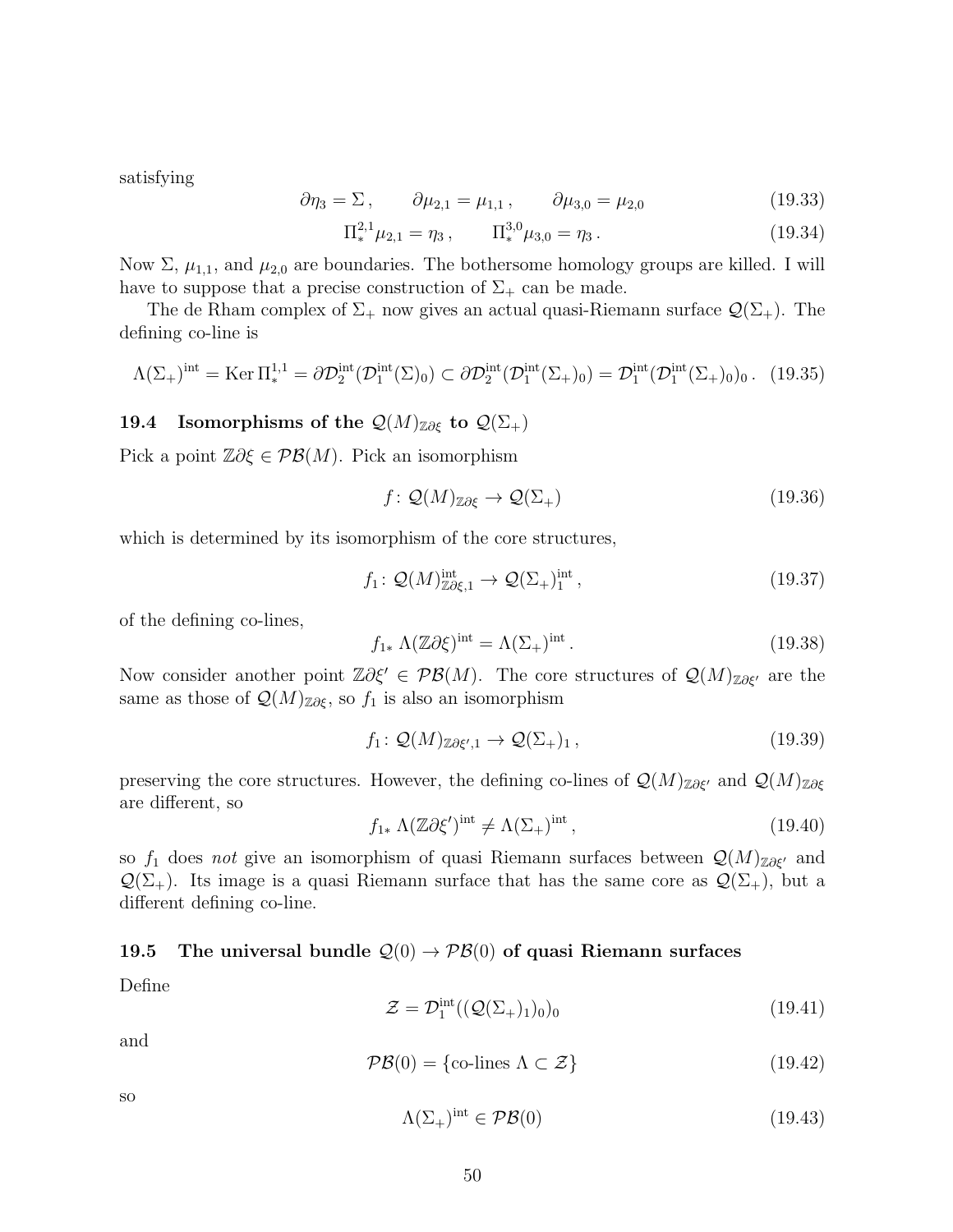satisfying

$$
\partial \eta_3 = \Sigma \,, \qquad \partial \mu_{2,1} = \mu_{1,1} \,, \qquad \partial \mu_{3,0} = \mu_{2,0} \tag{19.33}
$$

$$
\Pi_*^{2,1} \mu_{2,1} = \eta_3, \qquad \Pi_*^{3,0} \mu_{3,0} = \eta_3. \tag{19.34}
$$

Now Σ,  $\mu_{1,1}$ , and  $\mu_{2,0}$  are boundaries. The bothersome homology groups are killed. I will have to suppose that a precise construction of  $\Sigma_{+}$  can be made.

The de Rham complex of  $\Sigma_{+}$  now gives an actual quasi-Riemann surface  $\mathcal{Q}(\Sigma_{+})$ . The defining co-line is

$$
\Lambda(\Sigma_+)^{\text{int}} = \text{Ker} \, \Pi^{1,1}_* = \partial \mathcal{D}_2^{\text{int}}(\mathcal{D}_1^{\text{int}}(\Sigma)_0) \subset \partial \mathcal{D}_2^{\text{int}}(\mathcal{D}_1^{\text{int}}(\Sigma_+)_0) = \mathcal{D}_1^{\text{int}}(\mathcal{D}_1^{\text{int}}(\Sigma_+)_0) \quad (19.35)
$$

#### <span id="page-49-0"></span>19.4 Isomorphisms of the  $\mathcal{Q}(M)_{\mathbb{Z}\partial \xi}$  to  $\mathcal{Q}(\Sigma_+)$

Pick a point  $\mathbb{Z}\partial \xi \in \mathcal{PB}(M)$ . Pick an isomorphism

$$
f: \mathcal{Q}(M)_{\mathbb{Z}\partial\xi} \to \mathcal{Q}(\Sigma_+) \tag{19.36}
$$

which is determined by its isomorphism of the core structures,

$$
f_1: \mathcal{Q}(M)_{\mathbb{Z}\partial\xi,1}^{\text{int}} \to \mathcal{Q}(\Sigma_+)_1^{\text{int}},\tag{19.37}
$$

of the defining co-lines,

$$
f_{1*} \Lambda(\mathbb{Z}\partial\xi)^{\text{int}} = \Lambda(\Sigma_+)^{\text{int}}.
$$
 (19.38)

Now consider another point  $\mathbb{Z}\partial \xi' \in \mathcal{PB}(M)$ . The core structures of  $\mathcal{Q}(M)_{\mathbb{Z}\partial \xi'}$  are the same as those of  $\mathcal{Q}(M)_{\mathbb{Z}\partial\xi}$ , so  $f_1$  is also an isomorphism

$$
f_1: \mathcal{Q}(M)_{\mathbb{Z}\partial\xi',1} \to \mathcal{Q}(\Sigma_+)_1, \qquad (19.39)
$$

preserving the core structures. However, the defining co-lines of  $\mathcal{Q}(M)_{\mathbb{Z}\partial\xi'}$  and  $\mathcal{Q}(M)_{\mathbb{Z}\partial\xi}$ are different, so

$$
f_{1*} \Lambda(\mathbb{Z}\partial\xi')^{\text{int}} \neq \Lambda(\Sigma_+)^{\text{int}},\tag{19.40}
$$

so  $f_1$  does not give an isomorphism of quasi Riemann surfaces between  $\mathcal{Q}(M)_{\mathbb{Z}\partial\xi'}$  and  $\mathcal{Q}(\Sigma_+)$ . Its image is a quasi Riemann surface that has the same core as  $\mathcal{Q}(\Sigma_+),$  but a different defining co-line.

#### 19.5 The universal bundle  $\mathcal{Q}(0) \to \mathcal{PB}(0)$  of quasi Riemann surfaces

Define

$$
\mathcal{Z} = \mathcal{D}_1^{\text{int}}((\mathcal{Q}(\Sigma_+)_1)_0)_0 \tag{19.41}
$$

and

$$
\mathcal{PB}(0) = \{ \text{co-lines } \Lambda \subset \mathcal{Z} \} \tag{19.42}
$$

so

$$
\Lambda(\Sigma_+)^{\text{int}} \in \mathcal{PB}(0) \tag{19.43}
$$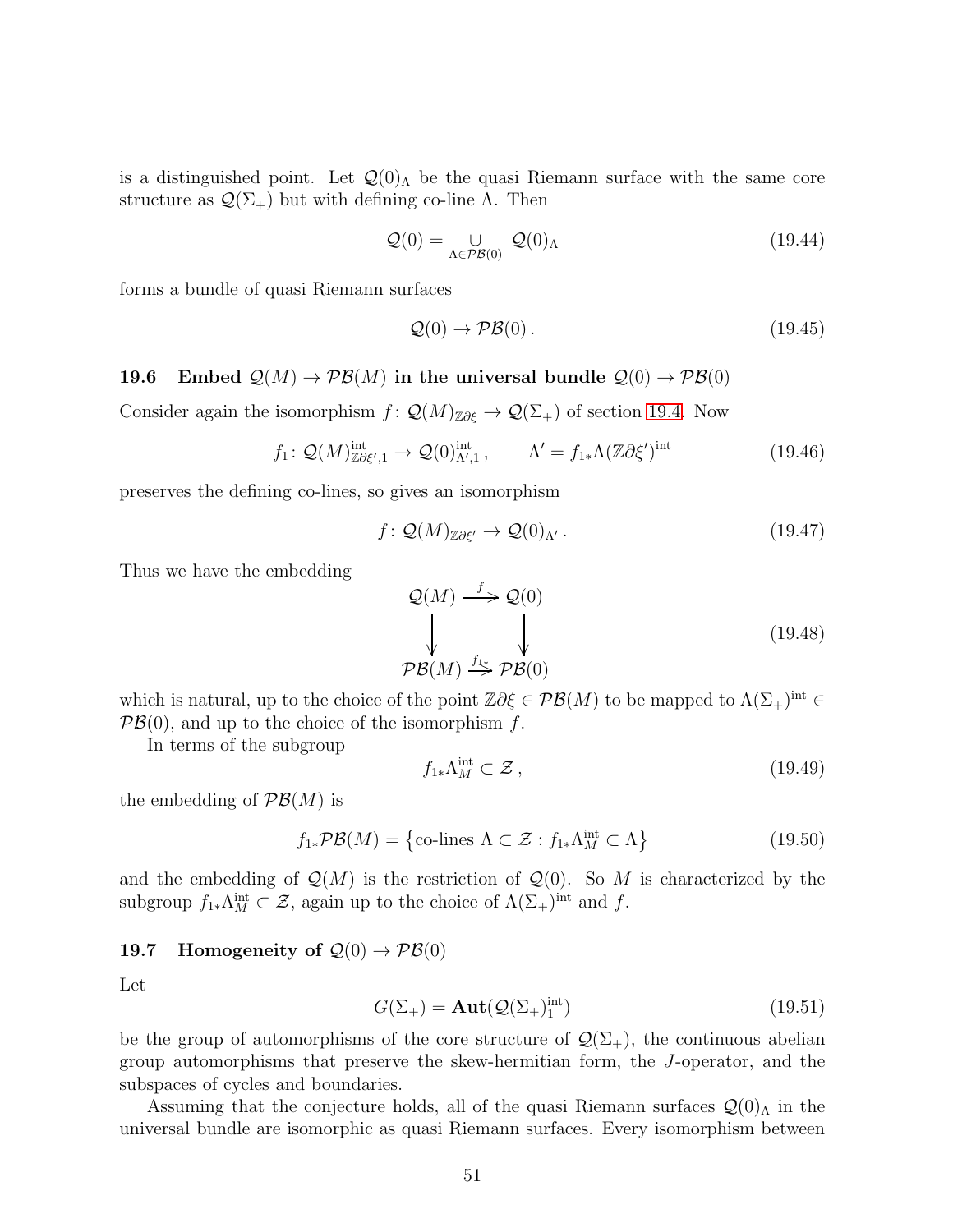is a distinguished point. Let  $\mathcal{Q}(0)$  be the quasi Riemann surface with the same core structure as  $\mathcal{Q}(\Sigma_{+})$  but with defining co-line  $\Lambda$ . Then

$$
\mathcal{Q}(0) = \bigcup_{\Lambda \in \mathcal{PB}(0)} \mathcal{Q}(0)_{\Lambda} \tag{19.44}
$$

forms a bundle of quasi Riemann surfaces

$$
\mathcal{Q}(0) \to \mathcal{PB}(0). \tag{19.45}
$$

19.6 Embed  $\mathcal{Q}(M) \to \mathcal{P}\mathcal{B}(M)$  in the universal bundle  $\mathcal{Q}(0) \to \mathcal{P}\mathcal{B}(0)$ 

Consider again the isomorphism  $f: \mathcal{Q}(M)_{\mathbb{Z}\partial \xi} \to \mathcal{Q}(\Sigma_+)$  of section [19.4.](#page-49-0) Now

$$
f_1: \mathcal{Q}(M)^{\text{int}}_{\mathbb{Z}\partial\xi',1} \to \mathcal{Q}(0)^{\text{int}}_{\Lambda',1}, \qquad \Lambda' = f_{1*}\Lambda(\mathbb{Z}\partial\xi')^{\text{int}} \tag{19.46}
$$

preserves the defining co-lines, so gives an isomorphism

$$
f: \mathcal{Q}(M)_{\mathbb{Z}\partial\xi'} \to \mathcal{Q}(0)_{\Lambda'}.
$$
\n(19.47)

Thus we have the embedding

$$
\mathcal{Q}(M) \xrightarrow{f} \mathcal{Q}(0)
$$
\n
$$
\downarrow \qquad \qquad \downarrow
$$
\n
$$
\mathcal{PB}(M) \xrightarrow{f_{1*}} \mathcal{PB}(0)
$$
\n(19.48)

which is natural, up to the choice of the point  $\mathbb{Z}\partial\xi \in \mathcal{PB}(M)$  to be mapped to  $\Lambda(\Sigma_{+})^{\text{int}} \in$  $\mathcal{PB}(0)$ , and up to the choice of the isomorphism f.

In terms of the subgroup

$$
f_{1*}\Lambda_M^{\text{int}} \subset \mathcal{Z},\tag{19.49}
$$

the embedding of  $\mathcal{PB}(M)$  is

$$
f_{1*} \mathcal{PB}(M) = \{ \text{co-lines } \Lambda \subset \mathcal{Z} : f_{1*} \Lambda_M^{\text{int}} \subset \Lambda \}
$$
 (19.50)

and the embedding of  $\mathcal{Q}(M)$  is the restriction of  $\mathcal{Q}(0)$ . So M is characterized by the subgroup  $f_{1*}\Lambda_M^{\text{int}} \subset \mathcal{Z}$ , again up to the choice of  $\Lambda(\Sigma_+)^{\text{int}}$  and f.

## 19.7 Homogeneity of  $\mathcal{Q}(0) \to \mathcal{P}\mathcal{B}(0)$

Let

$$
G(\Sigma_+) = \mathbf{Aut}(\mathcal{Q}(\Sigma_+)^{\text{int}}_1) \tag{19.51}
$$

be the group of automorphisms of the core structure of  $\mathcal{Q}(\Sigma_{+})$ , the continuous abelian group automorphisms that preserve the skew-hermitian form, the J-operator, and the subspaces of cycles and boundaries.

Assuming that the conjecture holds, all of the quasi Riemann surfaces  $\mathcal{Q}(0)$ <sub>Λ</sub> in the universal bundle are isomorphic as quasi Riemann surfaces. Every isomorphism between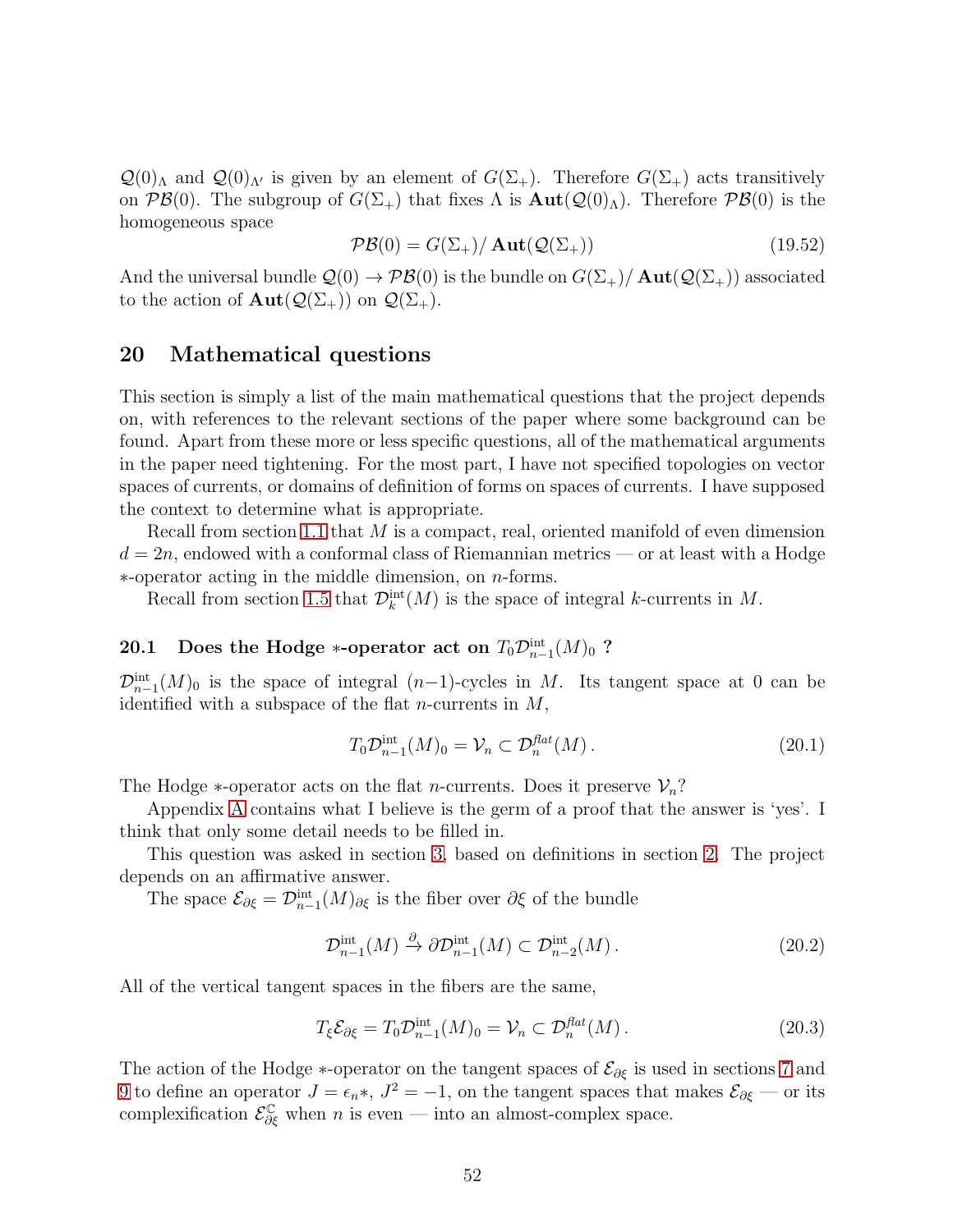$\mathcal{Q}(0)$ <sub>Λ</sub> and  $\mathcal{Q}(0)$ <sub>Λ'</sub> is given by an element of  $G(\Sigma_{+})$ . Therefore  $G(\Sigma_{+})$  acts transitively on  $\mathcal{PB}(0)$ . The subgroup of  $G(\Sigma_{+})$  that fixes  $\Lambda$  is  $\text{Aut}(\mathcal{Q}(0)_{\Lambda})$ . Therefore  $\mathcal{PB}(0)$  is the homogeneous space

$$
\mathcal{PB}(0) = G(\Sigma_+) / \operatorname{Aut}(\mathcal{Q}(\Sigma_+)) \tag{19.52}
$$

And the universal bundle  $\mathcal{Q}(0) \to \mathcal{PB}(0)$  is the bundle on  $G(\Sigma_+)/\text{Aut}(\mathcal{Q}(\Sigma_+))$  associated to the action of  $\text{Aut}(\mathcal{Q}(\Sigma_+))$  on  $\mathcal{Q}(\Sigma_+)$ .

## <span id="page-51-0"></span>20 Mathematical questions

This section is simply a list of the main mathematical questions that the project depends on, with references to the relevant sections of the paper where some background can be found. Apart from these more or less specific questions, all of the mathematical arguments in the paper need tightening. For the most part, I have not specified topologies on vector spaces of currents, or domains of definition of forms on spaces of currents. I have supposed the context to determine what is appropriate.

Recall from section [1.1](#page-4-0) that  $M$  is a compact, real, oriented manifold of even dimension  $d = 2n$ , endowed with a conformal class of Riemannian metrics — or at least with a Hodge ∗-operator acting in the middle dimension, on n-forms.

Recall from section [1.5](#page-7-0) that  $\mathcal{D}_{k}^{\text{int}}(M)$  is the space of integral k-currents in M.

## 20.1 Does the Hodge ∗-operator act on  $T_0\mathcal{D}_{n-1}^{\mathrm{int}}(M)_0$  ?

 $\mathcal{D}_{n-1}^{\text{int}}(M)_0$  is the space of integral  $(n-1)$ -cycles in M. Its tangent space at 0 can be identified with a subspace of the flat *n*-currents in  $M$ ,

$$
T_0 \mathcal{D}_{n-1}^{\text{int}}(M)_0 = \mathcal{V}_n \subset \mathcal{D}_n^{\text{flat}}(M). \tag{20.1}
$$

The Hodge  $*$ -operator acts on the flat *n*-currents. Does it preserve  $\mathcal{V}_n$ ?

Appendix [A](#page-61-0) contains what I believe is the germ of a proof that the answer is 'yes'. I think that only some detail needs to be filled in.

This question was asked in section [3,](#page-12-0) based on definitions in section [2.](#page-10-0) The project depends on an affirmative answer.

The space  $\mathcal{E}_{\partial \xi} = \mathcal{D}_{n-1}^{\text{int}}(M)_{\partial \xi}$  is the fiber over  $\partial \xi$  of the bundle

$$
\mathcal{D}_{n-1}^{\text{int}}(M) \xrightarrow{\partial} \partial \mathcal{D}_{n-1}^{\text{int}}(M) \subset \mathcal{D}_{n-2}^{\text{int}}(M). \tag{20.2}
$$

All of the vertical tangent spaces in the fibers are the same,

$$
T_{\xi} \mathcal{E}_{\partial \xi} = T_0 \mathcal{D}_{n-1}^{\text{int}}(M)_0 = \mathcal{V}_n \subset \mathcal{D}_n^{\text{flat}}(M). \tag{20.3}
$$

The action of the Hodge  $*$ -operator on the tangent spaces of  $\mathcal{E}_{\partial \xi}$  is used in sections [7](#page-20-0) and [9](#page-23-0) to define an operator  $J = \epsilon_n *$ ,  $J^2 = -1$ , on the tangent spaces that makes  $\mathcal{E}_{\partial \xi}$  — or its complexification  $\mathcal{E}_{\partial \xi}^{\mathbb{C}}$  when n is even — into an almost-complex space.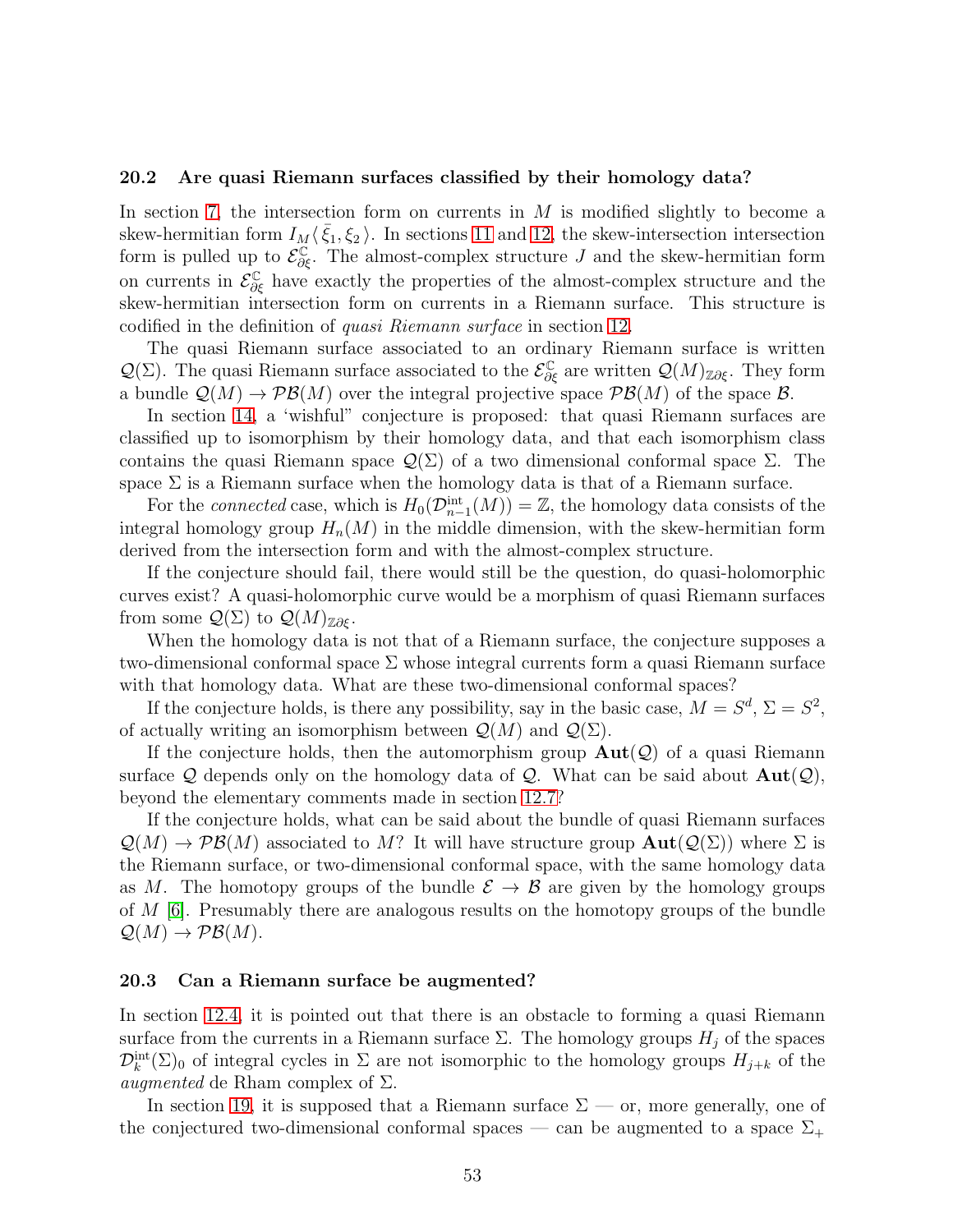#### 20.2 Are quasi Riemann surfaces classified by their homology data?

In section [7,](#page-20-0) the intersection form on currents in  $M$  is modified slightly to become a skew-hermitian form  $I_M \langle \bar{\xi}_1, \xi_2 \rangle$ . In sections [11](#page-24-0) and [12,](#page-25-0) the skew-intersection intersection form is pulled up to  $\mathcal{E}_{\partial \xi}^{\mathbb{C}}$ . The almost-complex structure J and the skew-hermitian form on currents in  $\mathcal{E}_{\partial \xi}^{\mathbb{C}}$  have exactly the properties of the almost-complex structure and the skew-hermitian intersection form on currents in a Riemann surface. This structure is codified in the definition of quasi Riemann surface in section [12.](#page-25-0)

The quasi Riemann surface associated to an ordinary Riemann surface is written  $\mathcal{Q}(\Sigma)$ . The quasi Riemann surface associated to the  $\mathcal{E}^{\mathbb{C}}_{\partial \xi}$  are written  $\mathcal{Q}(M)_{\mathbb{Z}\partial\xi}$ . They form a bundle  $\mathcal{Q}(M) \to \mathcal{PB}(M)$  over the integral projective space  $\mathcal{PB}(M)$  of the space  $\mathcal{B}$ .

In section [14,](#page-35-0) a 'wishful" conjecture is proposed: that quasi Riemann surfaces are classified up to isomorphism by their homology data, and that each isomorphism class contains the quasi Riemann space  $\mathcal{Q}(\Sigma)$  of a two dimensional conformal space  $\Sigma$ . The space  $\Sigma$  is a Riemann surface when the homology data is that of a Riemann surface.

For the *connected* case, which is  $H_0(\mathcal{D}_{n-1}^{\text{int}}(M)) = \mathbb{Z}$ , the homology data consists of the integral homology group  $H_n(M)$  in the middle dimension, with the skew-hermitian form derived from the intersection form and with the almost-complex structure.

If the conjecture should fail, there would still be the question, do quasi-holomorphic curves exist? A quasi-holomorphic curve would be a morphism of quasi Riemann surfaces from some  $\mathcal{Q}(\Sigma)$  to  $\mathcal{Q}(M)_{\mathbb{Z}\partial\mathcal{E}}$ .

When the homology data is not that of a Riemann surface, the conjecture supposes a two-dimensional conformal space  $\Sigma$  whose integral currents form a quasi Riemann surface with that homology data. What are these two-dimensional conformal spaces?

If the conjecture holds, is there any possibility, say in the basic case,  $M = S^d$ ,  $\Sigma = S^2$ , of actually writing an isomorphism between  $\mathcal{Q}(M)$  and  $\mathcal{Q}(\Sigma)$ .

If the conjecture holds, then the automorphism group  $\text{Aut}(\mathcal{Q})$  of a quasi Riemann surface Q depends only on the homology data of Q. What can be said about  $Aut(Q)$ , beyond the elementary comments made in section [12.7?](#page-32-0)

If the conjecture holds, what can be said about the bundle of quasi Riemann surfaces  $\mathcal{Q}(M) \to \mathcal{PB}(M)$  associated to M? It will have structure group  $\text{Aut}(\mathcal{Q}(\Sigma))$  where  $\Sigma$  is the Riemann surface, or two-dimensional conformal space, with the same homology data as M. The homotopy groups of the bundle  $\mathcal{E} \to \mathcal{B}$  are given by the homology groups of M [\[6\]](#page-75-0). Presumably there are analogous results on the homotopy groups of the bundle  $\mathcal{Q}(M) \to \mathcal{P}\mathcal{B}(M).$ 

#### 20.3 Can a Riemann surface be augmented?

In section [12.4,](#page-29-0) it is pointed out that there is an obstacle to forming a quasi Riemann surface from the currents in a Riemann surface  $\Sigma$ . The homology groups  $H_j$  of the spaces  $\mathcal{D}_k^{\text{int}}(\Sigma)_0$  of integral cycles in  $\Sigma$  are not isomorphic to the homology groups  $H_{j+k}$  of the *augmented* de Rham complex of  $\Sigma$ .

In section [19,](#page-45-0) it is supposed that a Riemann surface  $\Sigma$  — or, more generally, one of the conjectured two-dimensional conformal spaces — can be augmented to a space  $\Sigma_{+}$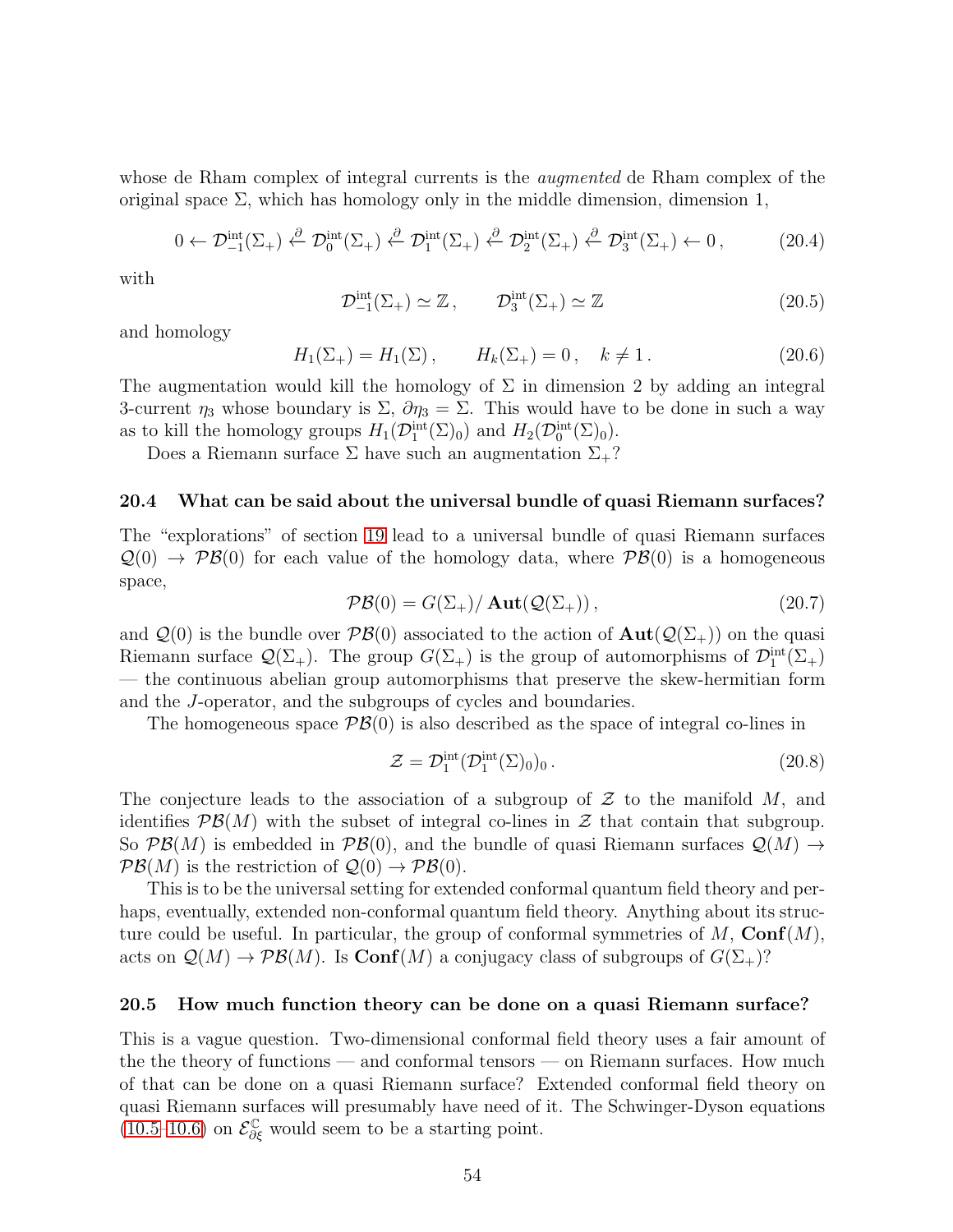whose de Rham complex of integral currents is the *augmented* de Rham complex of the original space  $\Sigma$ , which has homology only in the middle dimension, dimension 1,

$$
0 \leftarrow \mathcal{D}_{-1}^{\text{int}}(\Sigma_{+}) \stackrel{\partial}{\leftarrow} \mathcal{D}_{0}^{\text{int}}(\Sigma_{+}) \stackrel{\partial}{\leftarrow} \mathcal{D}_{1}^{\text{int}}(\Sigma_{+}) \stackrel{\partial}{\leftarrow} \mathcal{D}_{2}^{\text{int}}(\Sigma_{+}) \stackrel{\partial}{\leftarrow} \mathcal{D}_{3}^{\text{int}}(\Sigma_{+}) \leftarrow 0, \qquad (20.4)
$$

with

$$
\mathcal{D}_{-1}^{\text{int}}(\Sigma_+) \simeq \mathbb{Z}, \qquad \mathcal{D}_3^{\text{int}}(\Sigma_+) \simeq \mathbb{Z}
$$
\n(20.5)

and homology

$$
H_1(\Sigma_+) = H_1(\Sigma), \qquad H_k(\Sigma_+) = 0, \quad k \neq 1. \tag{20.6}
$$

The augmentation would kill the homology of  $\Sigma$  in dimension 2 by adding an integral 3-current  $\eta_3$  whose boundary is  $\Sigma$ ,  $\partial \eta_3 = \Sigma$ . This would have to be done in such a way as to kill the homology groups  $H_1(\mathcal{D}_1^{\text{int}}(\Sigma)_0)$  and  $H_2(\mathcal{D}_0^{\text{int}}(\Sigma)_0)$ .

Does a Riemann surface  $\Sigma$  have such an augmentation  $\Sigma_+$ ?

#### 20.4 What can be said about the universal bundle of quasi Riemann surfaces?

The "explorations" of section [19](#page-45-0) lead to a universal bundle of quasi Riemann surfaces  $\mathcal{Q}(0) \to \mathcal{PB}(0)$  for each value of the homology data, where  $\mathcal{PB}(0)$  is a homogeneous space,

$$
\mathcal{PB}(0) = G(\Sigma_+) / \operatorname{Aut}(\mathcal{Q}(\Sigma_+)),\tag{20.7}
$$

and  $\mathcal{Q}(0)$  is the bundle over  $\mathcal{PB}(0)$  associated to the action of  $\text{Aut}(\mathcal{Q}(\Sigma_+))$  on the quasi Riemann surface  $\mathcal{Q}(\Sigma_+)$ . The group  $G(\Sigma_+)$  is the group of automorphisms of  $\mathcal{D}_1^{\text{int}}(\Sigma_+)$ — the continuous abelian group automorphisms that preserve the skew-hermitian form and the J-operator, and the subgroups of cycles and boundaries.

The homogeneous space  $\mathcal{PB}(0)$  is also described as the space of integral co-lines in

$$
\mathcal{Z} = \mathcal{D}_1^{\text{int}}(\mathcal{D}_1^{\text{int}}(\Sigma)_0)_0.
$$
\n(20.8)

The conjecture leads to the association of a subgroup of  $\mathcal Z$  to the manifold M, and identifies  $\mathcal{PB}(M)$  with the subset of integral co-lines in  $\mathcal Z$  that contain that subgroup. So  $\mathcal{P}\mathcal{B}(M)$  is embedded in  $\mathcal{P}\mathcal{B}(0)$ , and the bundle of quasi Riemann surfaces  $\mathcal{Q}(M) \rightarrow$  $\mathcal{P}\mathcal{B}(M)$  is the restriction of  $\mathcal{Q}(0) \to \mathcal{P}\mathcal{B}(0)$ .

This is to be the universal setting for extended conformal quantum field theory and perhaps, eventually, extended non-conformal quantum field theory. Anything about its structure could be useful. In particular, the group of conformal symmetries of  $M$ ,  $\text{Conf}(M)$ , acts on  $\mathcal{Q}(M) \to \mathcal{PB}(M)$ . Is  $\text{Conf}(M)$  a conjugacy class of subgroups of  $G(\Sigma_{+})$ ?

#### 20.5 How much function theory can be done on a quasi Riemann surface?

This is a vague question. Two-dimensional conformal field theory uses a fair amount of the the theory of functions — and conformal tensors — on Riemann surfaces. How much of that can be done on a quasi Riemann surface? Extended conformal field theory on quasi Riemann surfaces will presumably have need of it. The Schwinger-Dyson equations [\(10.5](#page-24-1)[–10.6\)](#page-24-2) on  $\mathcal{E}_{\partial \xi}^{\mathbb{C}}$  would seem to be a starting point.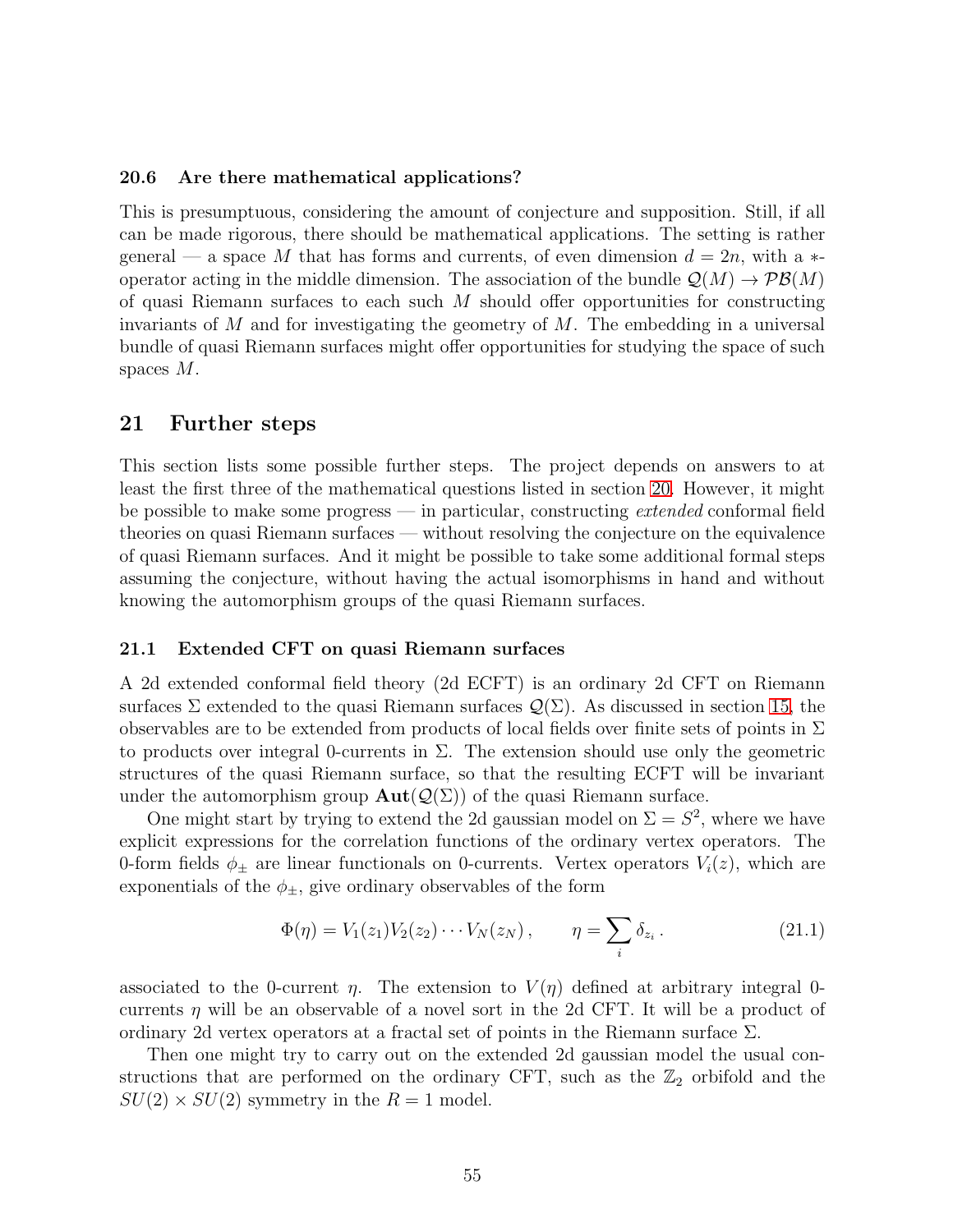#### 20.6 Are there mathematical applications?

This is presumptuous, considering the amount of conjecture and supposition. Still, if all can be made rigorous, there should be mathematical applications. The setting is rather general — a space M that has forms and currents, of even dimension  $d = 2n$ , with a  $*$ operator acting in the middle dimension. The association of the bundle  $\mathcal{Q}(M) \to \mathcal{PB}(M)$ of quasi Riemann surfaces to each such  $M$  should offer opportunities for constructing invariants of  $M$  and for investigating the geometry of  $M$ . The embedding in a universal bundle of quasi Riemann surfaces might offer opportunities for studying the space of such spaces M.

#### <span id="page-54-0"></span>21 Further steps

This section lists some possible further steps. The project depends on answers to at least the first three of the mathematical questions listed in section [20.](#page-51-0) However, it might be possible to make some progress — in particular, constructing extended conformal field theories on quasi Riemann surfaces — without resolving the conjecture on the equivalence of quasi Riemann surfaces. And it might be possible to take some additional formal steps assuming the conjecture, without having the actual isomorphisms in hand and without knowing the automorphism groups of the quasi Riemann surfaces.

#### 21.1 Extended CFT on quasi Riemann surfaces

A 2d extended conformal field theory (2d ECFT) is an ordinary 2d CFT on Riemann surfaces  $\Sigma$  extended to the quasi Riemann surfaces  $\mathcal{Q}(\Sigma)$ . As discussed in section [15,](#page-36-0) the observables are to be extended from products of local fields over finite sets of points in  $\Sigma$ to products over integral 0-currents in  $\Sigma$ . The extension should use only the geometric structures of the quasi Riemann surface, so that the resulting ECFT will be invariant under the automorphism group  $\text{Aut}(\mathcal{Q}(\Sigma))$  of the quasi Riemann surface.

One might start by trying to extend the 2d gaussian model on  $\Sigma = S^2$ , where we have explicit expressions for the correlation functions of the ordinary vertex operators. The 0-form fields  $\phi_{\pm}$  are linear functionals on 0-currents. Vertex operators  $V_i(z)$ , which are exponentials of the  $\phi_{\pm}$ , give ordinary observables of the form

$$
\Phi(\eta) = V_1(z_1)V_2(z_2)\cdots V_N(z_N), \qquad \eta = \sum_i \delta_{z_i}.
$$
 (21.1)

associated to the 0-current  $\eta$ . The extension to  $V(\eta)$  defined at arbitrary integral 0currents  $\eta$  will be an observable of a novel sort in the 2d CFT. It will be a product of ordinary 2d vertex operators at a fractal set of points in the Riemann surface Σ.

Then one might try to carry out on the extended 2d gaussian model the usual constructions that are performed on the ordinary CFT, such as the  $\mathbb{Z}_2$  orbifold and the  $SU(2) \times SU(2)$  symmetry in the  $R = 1$  model.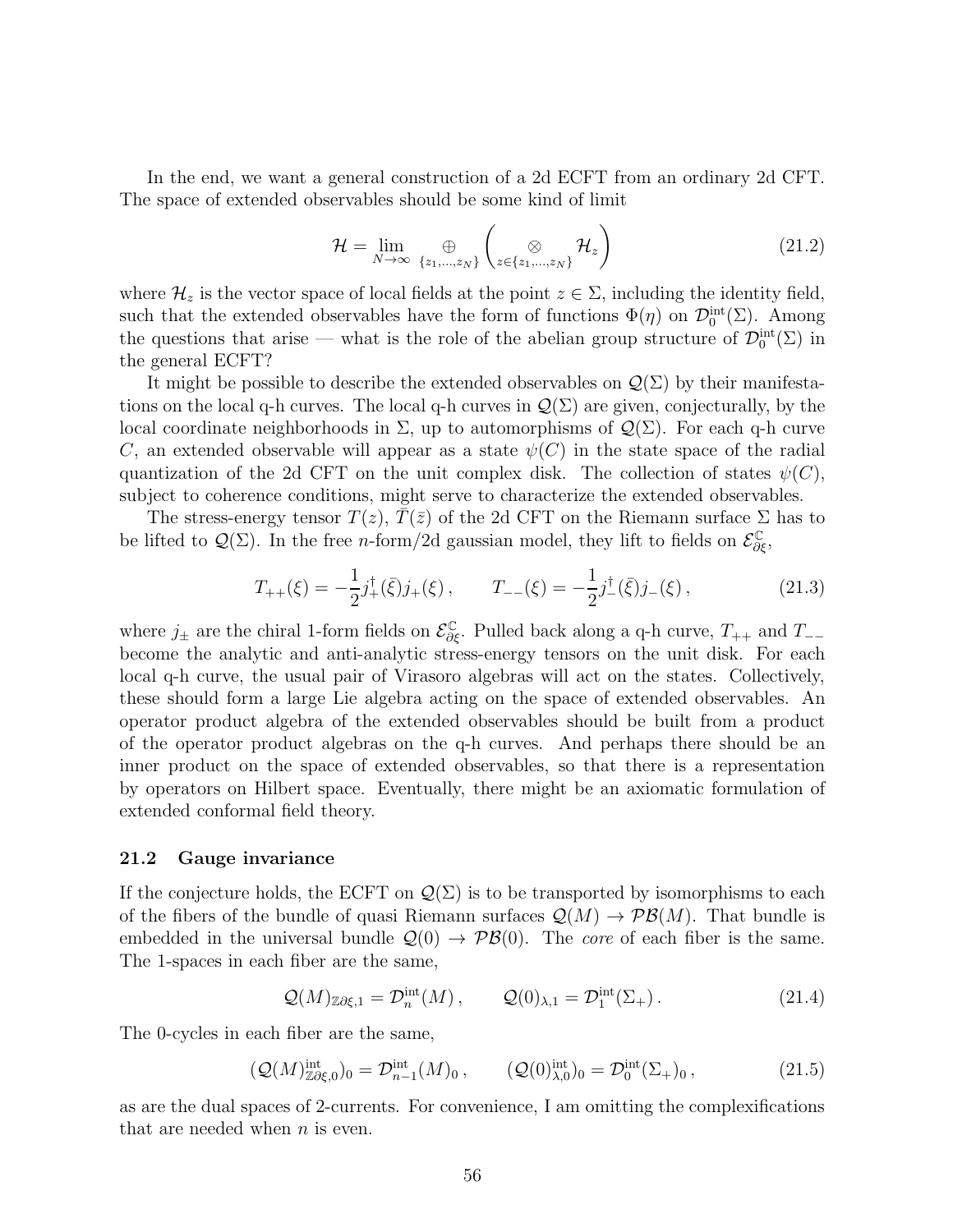In the end, we want a general construction of a 2d ECFT from an ordinary 2d CFT. The space of extended observables should be some kind of limit

$$
\mathcal{H} = \lim_{N \to \infty} \bigoplus_{\{z_1, \dots, z_N\}} \left( \bigotimes_{z \in \{z_1, \dots, z_N\}} \mathcal{H}_z \right)
$$
(21.2)

where  $\mathcal{H}_z$  is the vector space of local fields at the point  $z \in \Sigma$ , including the identity field, such that the extended observables have the form of functions  $\Phi(\eta)$  on  $\mathcal{D}_0^{\text{int}}(\Sigma)$ . Among the questions that arise — what is the role of the abelian group structure of  $\mathcal{D}_0^{\text{int}}(\Sigma)$  in the general ECFT?

It might be possible to describe the extended observables on  $\mathcal{Q}(\Sigma)$  by their manifestations on the local q-h curves. The local q-h curves in  $\mathcal{Q}(\Sigma)$  are given, conjecturally, by the local coordinate neighborhoods in Σ, up to automorphisms of  $Q(\Sigma)$ . For each q-h curve C, an extended observable will appear as a state  $\psi(C)$  in the state space of the radial quantization of the 2d CFT on the unit complex disk. The collection of states  $\psi(C)$ , subject to coherence conditions, might serve to characterize the extended observables.

The stress-energy tensor  $T(z)$ ,  $T(\bar{z})$  of the 2d CFT on the Riemann surface  $\Sigma$  has to be lifted to  $\mathcal{Q}(\Sigma)$ . In the free *n*-form/2d gaussian model, they lift to fields on  $\mathcal{E}_{\partial \xi}^{\mathbb{C}}$ ,

$$
T_{++}(\xi) = -\frac{1}{2}j_+^{\dagger}(\bar{\xi})j_+(\xi) , \qquad T_{--}(\xi) = -\frac{1}{2}j_-^{\dagger}(\bar{\xi})j_-(\xi) , \qquad (21.3)
$$

where  $j_{\pm}$  are the chiral 1-form fields on  $\mathcal{E}_{\partial \xi}^{\mathbb{C}}$ . Pulled back along a q-h curve,  $T_{++}$  and  $T_{--}$ become the analytic and anti-analytic stress-energy tensors on the unit disk. For each local q-h curve, the usual pair of Virasoro algebras will act on the states. Collectively, these should form a large Lie algebra acting on the space of extended observables. An operator product algebra of the extended observables should be built from a product of the operator product algebras on the q-h curves. And perhaps there should be an inner product on the space of extended observables, so that there is a representation by operators on Hilbert space. Eventually, there might be an axiomatic formulation of extended conformal field theory.

#### 21.2 Gauge invariance

If the conjecture holds, the ECFT on  $\mathcal{Q}(\Sigma)$  is to be transported by isomorphisms to each of the fibers of the bundle of quasi Riemann surfaces  $\mathcal{Q}(M) \to \mathcal{PB}(M)$ . That bundle is embedded in the universal bundle  $\mathcal{Q}(0) \to \mathcal{PB}(0)$ . The *core* of each fiber is the same. The 1-spaces in each fiber are the same,

$$
\mathcal{Q}(M)_{\mathbb{Z}\partial\xi,1} = \mathcal{D}_n^{\text{int}}(M) , \qquad \mathcal{Q}(0)_{\lambda,1} = \mathcal{D}_1^{\text{int}}(\Sigma_+) . \tag{21.4}
$$

The 0-cycles in each fiber are the same,

$$
\left(\mathcal{Q}(M)^{\text{int}}_{\mathbb{Z}\partial\xi,0}\right)_0 = \mathcal{D}^{\text{int}}_{n-1}(M)_0\,, \qquad \left(\mathcal{Q}(0)^{\text{int}}_{\lambda,0}\right)_0 = \mathcal{D}^{\text{int}}_0(\Sigma_+)_0\,, \tag{21.5}
$$

as are the dual spaces of 2-currents. For convenience, I am omitting the complexifications that are needed when  $n$  is even.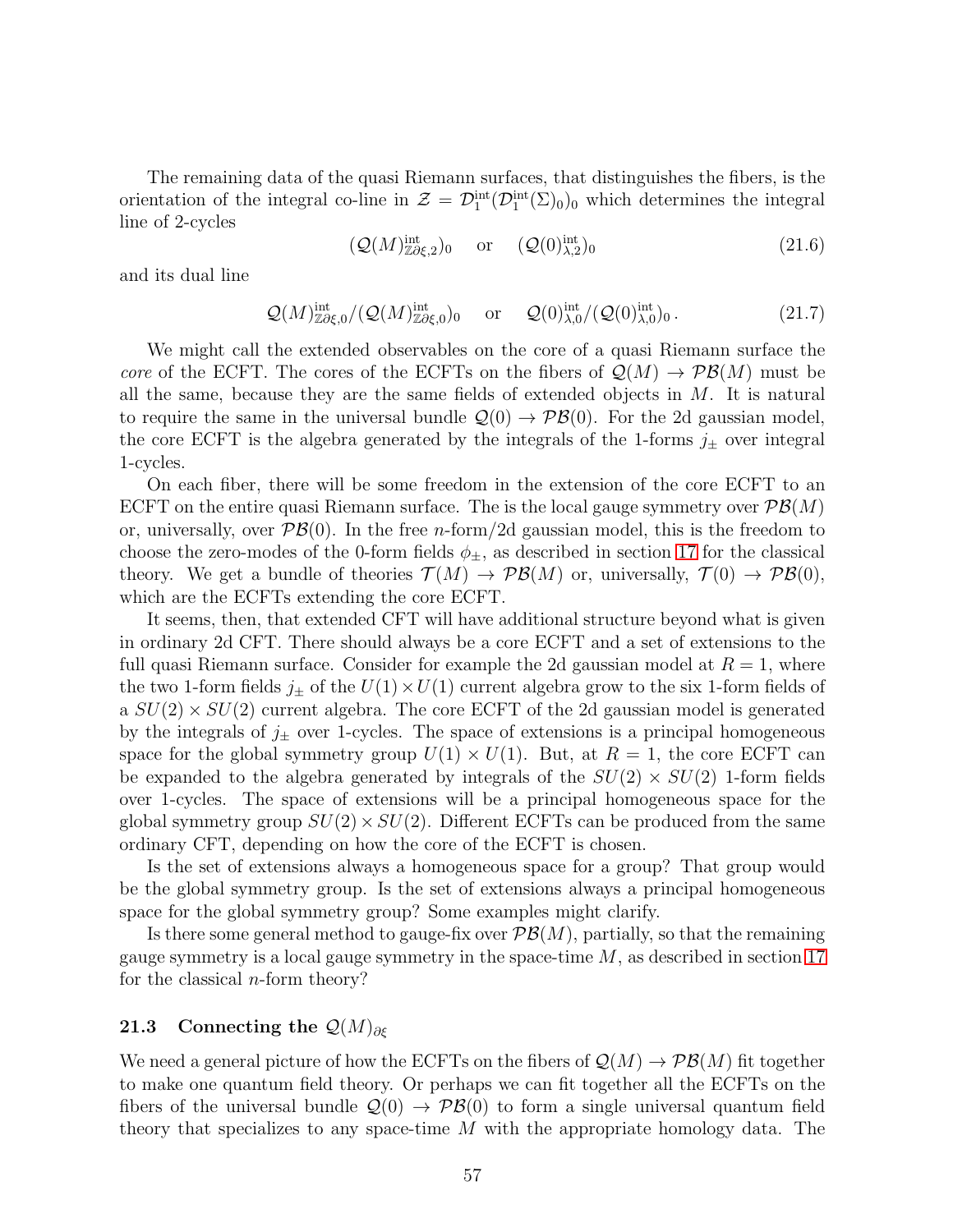The remaining data of the quasi Riemann surfaces, that distinguishes the fibers, is the orientation of the integral co-line in  $\mathcal{Z} = \mathcal{D}_1^{\text{int}}(\mathcal{D}_1^{\text{int}}(\Sigma)_0)_0$  which determines the integral line of 2-cycles

$$
(\mathcal{Q}(M)^{\text{int}}_{\mathbb{Z}\partial\xi,2})_0 \quad \text{or} \quad (\mathcal{Q}(0)^{\text{int}}_{\lambda,2})_0 \tag{21.6}
$$

and its dual line

$$
\mathcal{Q}(M)^{\text{int}}_{\mathbb{Z}\partial\xi,0}/(\mathcal{Q}(M)^{\text{int}}_{\mathbb{Z}\partial\xi,0})_0 \quad \text{or} \quad \mathcal{Q}(0)^{\text{int}}_{\lambda,0}/(\mathcal{Q}(0)^{\text{int}}_{\lambda,0})_0. \tag{21.7}
$$

We might call the extended observables on the core of a quasi Riemann surface the core of the ECFT. The cores of the ECFTs on the fibers of  $\mathcal{Q}(M) \to \mathcal{PB}(M)$  must be all the same, because they are the same fields of extended objects in  $M$ . It is natural to require the same in the universal bundle  $\mathcal{Q}(0) \to \mathcal{PB}(0)$ . For the 2d gaussian model, the core ECFT is the algebra generated by the integrals of the 1-forms  $j_{\pm}$  over integral 1-cycles.

On each fiber, there will be some freedom in the extension of the core ECFT to an ECFT on the entire quasi Riemann surface. The is the local gauge symmetry over  $\mathcal{PB}(M)$ or, universally, over  $\mathcal{PB}(0)$ . In the free *n*-form/2d gaussian model, this is the freedom to choose the zero-modes of the 0-form fields  $\phi_{\pm}$ , as described in section [17](#page-39-0) for the classical theory. We get a bundle of theories  $\mathcal{T}(M) \to \mathcal{PB}(M)$  or, universally,  $\mathcal{T}(0) \to \mathcal{PB}(0)$ , which are the ECFTs extending the core ECFT.

It seems, then, that extended CFT will have additional structure beyond what is given in ordinary 2d CFT. There should always be a core ECFT and a set of extensions to the full quasi Riemann surface. Consider for example the 2d gaussian model at  $R = 1$ , where the two 1-form fields  $j_{\pm}$  of the  $U(1) \times U(1)$  current algebra grow to the six 1-form fields of a  $SU(2) \times SU(2)$  current algebra. The core ECFT of the 2d gaussian model is generated by the integrals of  $j_{\pm}$  over 1-cycles. The space of extensions is a principal homogeneous space for the global symmetry group  $U(1) \times U(1)$ . But, at  $R = 1$ , the core ECFT can be expanded to the algebra generated by integrals of the  $SU(2) \times SU(2)$  1-form fields over 1-cycles. The space of extensions will be a principal homogeneous space for the global symmetry group  $SU(2) \times SU(2)$ . Different ECFTs can be produced from the same ordinary CFT, depending on how the core of the ECFT is chosen.

Is the set of extensions always a homogeneous space for a group? That group would be the global symmetry group. Is the set of extensions always a principal homogeneous space for the global symmetry group? Some examples might clarify.

Is there some general method to gauge-fix over  $\mathcal{P}\mathcal{B}(M)$ , partially, so that the remaining gauge symmetry is a local gauge symmetry in the space-time  $M$ , as described in section [17](#page-39-0) for the classical  $n$ -form theory?

## 21.3 Connecting the  $\mathcal{Q}(M)_{\partial \mathcal{E}}$

We need a general picture of how the ECFTs on the fibers of  $\mathcal{Q}(M) \to \mathcal{PB}(M)$  fit together to make one quantum field theory. Or perhaps we can fit together all the ECFTs on the fibers of the universal bundle  $\mathcal{Q}(0) \to \mathcal{PB}(0)$  to form a single universal quantum field theory that specializes to any space-time M with the appropriate homology data. The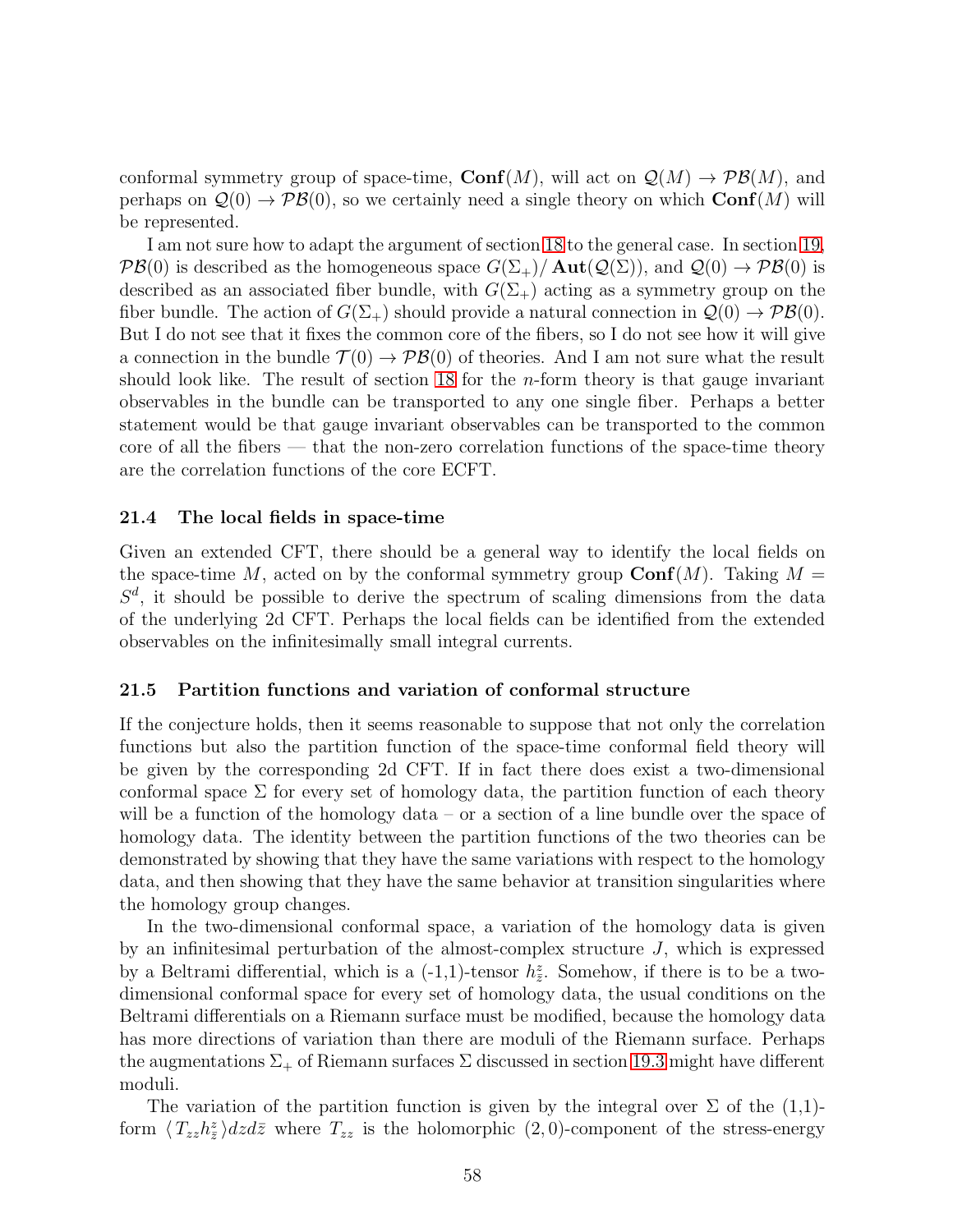conformal symmetry group of space-time,  $\text{Conf}(M)$ , will act on  $\mathcal{Q}(M) \to \mathcal{PB}(M)$ , and perhaps on  $\mathcal{Q}(0) \to \mathcal{PB}(0)$ , so we certainly need a single theory on which  $\text{Conf}(M)$  will be represented.

I am not sure how to adapt the argument of section [18](#page-42-0) to the general case. In section [19,](#page-45-0)  $\mathcal{P}\mathcal{B}(0)$  is described as the homogeneous space  $G(\Sigma_{+})/\text{Aut}(\mathcal{Q}(\Sigma))$ , and  $\mathcal{Q}(0) \to \mathcal{P}\mathcal{B}(0)$  is described as an associated fiber bundle, with  $G(\Sigma_{+})$  acting as a symmetry group on the fiber bundle. The action of  $G(\Sigma_{+})$  should provide a natural connection in  $\mathcal{Q}(0) \to \mathcal{PB}(0)$ . But I do not see that it fixes the common core of the fibers, so I do not see how it will give a connection in the bundle  $\mathcal{T}(0) \to \mathcal{PB}(0)$  of theories. And I am not sure what the result should look like. The result of section [18](#page-42-0) for the *n*-form theory is that gauge invariant observables in the bundle can be transported to any one single fiber. Perhaps a better statement would be that gauge invariant observables can be transported to the common core of all the fibers — that the non-zero correlation functions of the space-time theory are the correlation functions of the core ECFT.

#### 21.4 The local fields in space-time

Given an extended CFT, there should be a general way to identify the local fields on the space-time M, acted on by the conformal symmetry group  $\text{Conf}(M)$ . Taking  $M =$  $S<sup>d</sup>$ , it should be possible to derive the spectrum of scaling dimensions from the data of the underlying 2d CFT. Perhaps the local fields can be identified from the extended observables on the infinitesimally small integral currents.

#### 21.5 Partition functions and variation of conformal structure

If the conjecture holds, then it seems reasonable to suppose that not only the correlation functions but also the partition function of the space-time conformal field theory will be given by the corresponding 2d CFT. If in fact there does exist a two-dimensional conformal space  $\Sigma$  for every set of homology data, the partition function of each theory will be a function of the homology data – or a section of a line bundle over the space of homology data. The identity between the partition functions of the two theories can be demonstrated by showing that they have the same variations with respect to the homology data, and then showing that they have the same behavior at transition singularities where the homology group changes.

In the two-dimensional conformal space, a variation of the homology data is given by an infinitesimal perturbation of the almost-complex structure  $J$ , which is expressed by a Beltrami differential, which is a  $(-1,1)$ -tensor  $h_{\overline{z}}^z$ . Somehow, if there is to be a twodimensional conformal space for every set of homology data, the usual conditions on the Beltrami differentials on a Riemann surface must be modified, because the homology data has more directions of variation than there are moduli of the Riemann surface. Perhaps the augmentations  $\Sigma_{+}$  of Riemann surfaces  $\Sigma$  discussed in section [19.3](#page-48-0) might have different moduli.

The variation of the partition function is given by the integral over  $\Sigma$  of the (1,1)form  $\langle T_{zz}h_z^z\rangle dzd\bar{z}$  where  $T_{zz}$  is the holomorphic  $(2, 0)$ -component of the stress-energy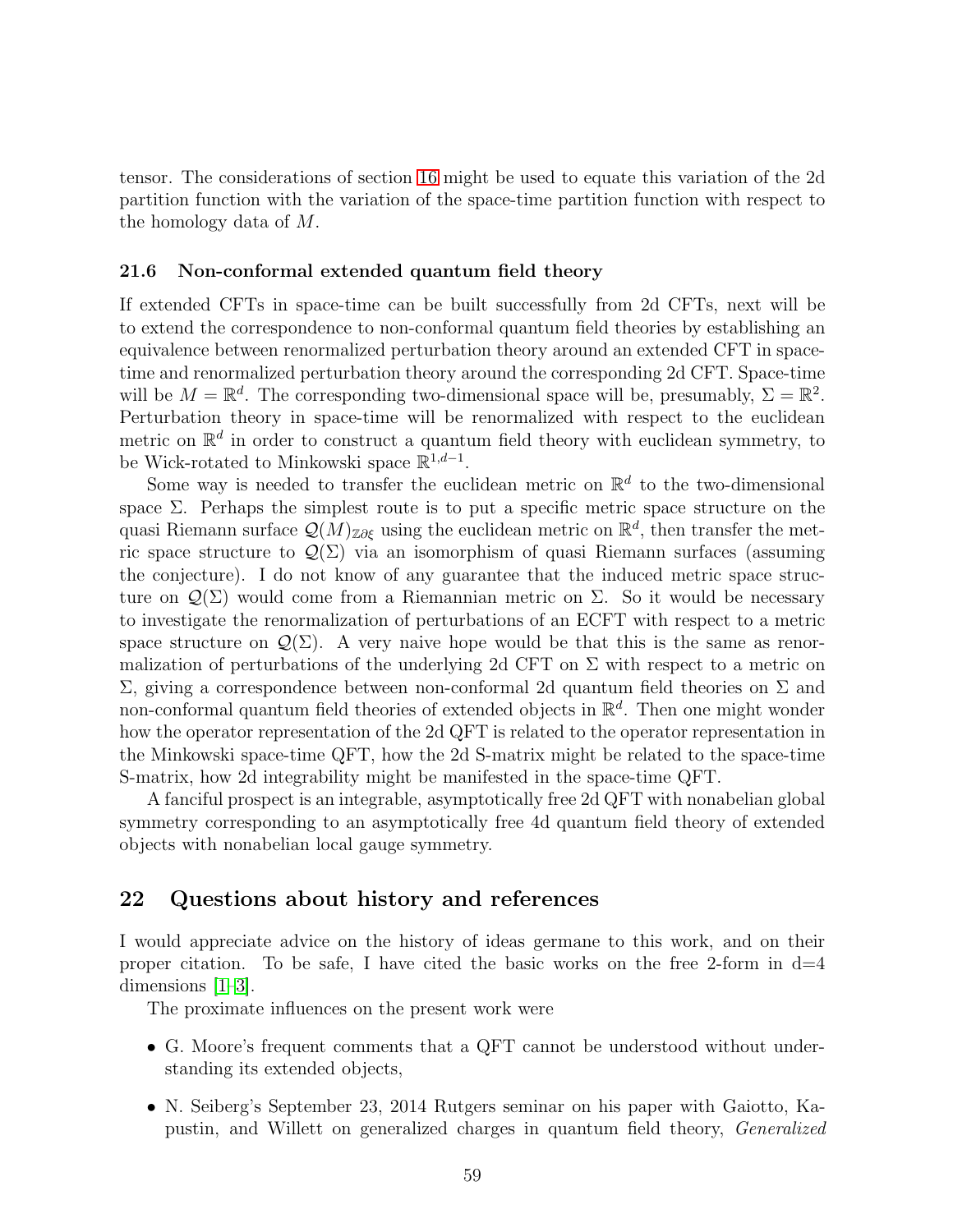tensor. The considerations of section [16](#page-37-1) might be used to equate this variation of the 2d partition function with the variation of the space-time partition function with respect to the homology data of M.

#### 21.6 Non-conformal extended quantum field theory

If extended CFTs in space-time can be built successfully from 2d CFTs, next will be to extend the correspondence to non-conformal quantum field theories by establishing an equivalence between renormalized perturbation theory around an extended CFT in spacetime and renormalized perturbation theory around the corresponding 2d CFT. Space-time will be  $M = \mathbb{R}^d$ . The corresponding two-dimensional space will be, presumably,  $\Sigma = \mathbb{R}^2$ . Perturbation theory in space-time will be renormalized with respect to the euclidean metric on  $\mathbb{R}^d$  in order to construct a quantum field theory with euclidean symmetry, to be Wick-rotated to Minkowski space  $\mathbb{R}^{1,d-1}$ .

Some way is needed to transfer the euclidean metric on  $\mathbb{R}^d$  to the two-dimensional space  $\Sigma$ . Perhaps the simplest route is to put a specific metric space structure on the quasi Riemann surface  $\mathcal{Q}(M)_{\mathbb{Z}\partial \xi}$  using the euclidean metric on  $\mathbb{R}^d$ , then transfer the metric space structure to  $\mathcal{Q}(\Sigma)$  via an isomorphism of quasi Riemann surfaces (assuming the conjecture). I do not know of any guarantee that the induced metric space structure on  $\mathcal{Q}(\Sigma)$  would come from a Riemannian metric on  $\Sigma$ . So it would be necessary to investigate the renormalization of perturbations of an ECFT with respect to a metric space structure on  $\mathcal{Q}(\Sigma)$ . A very naive hope would be that this is the same as renormalization of perturbations of the underlying 2d CFT on  $\Sigma$  with respect to a metric on Σ, giving a correspondence between non-conformal 2d quantum field theories on Σ and non-conformal quantum field theories of extended objects in  $\mathbb{R}^d$ . Then one might wonder how the operator representation of the 2d QFT is related to the operator representation in the Minkowski space-time QFT, how the 2d S-matrix might be related to the space-time S-matrix, how 2d integrability might be manifested in the space-time QFT.

A fanciful prospect is an integrable, asymptotically free 2d QFT with nonabelian global symmetry corresponding to an asymptotically free 4d quantum field theory of extended objects with nonabelian local gauge symmetry.

## 22 Questions about history and references

I would appreciate advice on the history of ideas germane to this work, and on their proper citation. To be safe, I have cited the basic works on the free 2-form in  $d=4$ dimensions [\[1–](#page-74-0)[3\]](#page-75-1).

The proximate influences on the present work were

- G. Moore's frequent comments that a QFT cannot be understood without understanding its extended objects,
- N. Seiberg's September 23, 2014 Rutgers seminar on his paper with Gaiotto, Kapustin, and Willett on generalized charges in quantum field theory, Generalized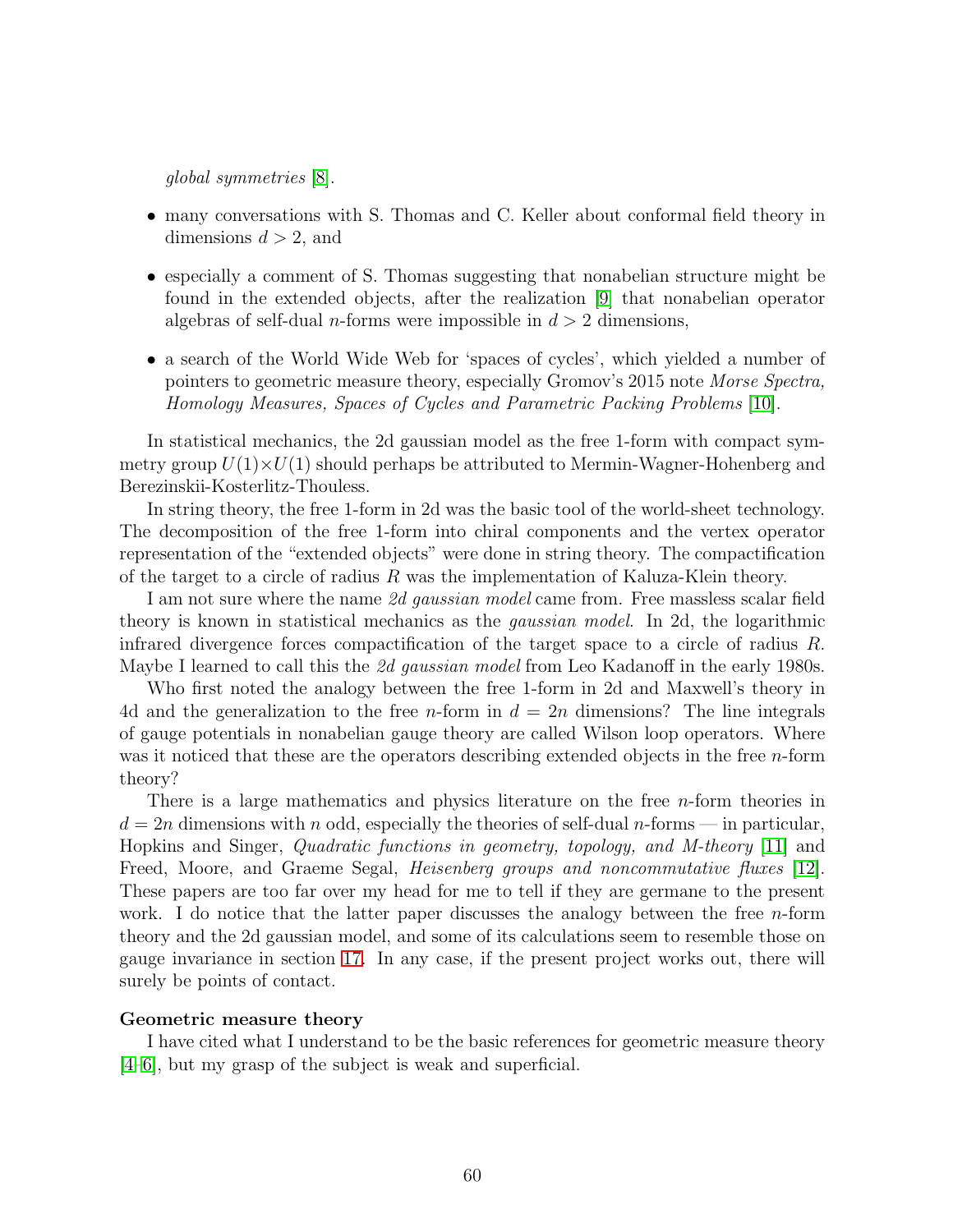global symmetries [\[8\]](#page-75-2).

- many conversations with S. Thomas and C. Keller about conformal field theory in dimensions  $d > 2$ , and
- especially a comment of S. Thomas suggesting that nonabelian structure might be found in the extended objects, after the realization [\[9\]](#page-75-3) that nonabelian operator algebras of self-dual *n*-forms were impossible in  $d > 2$  dimensions,
- a search of the World Wide Web for 'spaces of cycles', which yielded a number of pointers to geometric measure theory, especially Gromov's 2015 note Morse Spectra, Homology Measures, Spaces of Cycles and Parametric Packing Problems [\[10\]](#page-75-4).

In statistical mechanics, the 2d gaussian model as the free 1-form with compact symmetry group  $U(1)\times U(1)$  should perhaps be attributed to Mermin-Wagner-Hohenberg and Berezinskii-Kosterlitz-Thouless.

In string theory, the free 1-form in 2d was the basic tool of the world-sheet technology. The decomposition of the free 1-form into chiral components and the vertex operator representation of the "extended objects" were done in string theory. The compactification of the target to a circle of radius  $R$  was the implementation of Kaluza-Klein theory.

I am not sure where the name 2d gaussian model came from. Free massless scalar field theory is known in statistical mechanics as the gaussian model. In 2d, the logarithmic infrared divergence forces compactification of the target space to a circle of radius  $R$ . Maybe I learned to call this the 2d gaussian model from Leo Kadanoff in the early 1980s.

Who first noted the analogy between the free 1-form in 2d and Maxwell's theory in 4d and the generalization to the free *n*-form in  $d = 2n$  dimensions? The line integrals of gauge potentials in nonabelian gauge theory are called Wilson loop operators. Where was it noticed that these are the operators describing extended objects in the free *n*-form theory?

There is a large mathematics and physics literature on the free *n*-form theories in  $d = 2n$  dimensions with n odd, especially the theories of self-dual n-forms — in particular, Hopkins and Singer, Quadratic functions in geometry, topology, and M-theory [\[11\]](#page-75-5) and Freed, Moore, and Graeme Segal, *Heisenberg groups and noncommutative fluxes* [\[12\]](#page-75-6). These papers are too far over my head for me to tell if they are germane to the present work. I do notice that the latter paper discusses the analogy between the free  $n$ -form theory and the 2d gaussian model, and some of its calculations seem to resemble those on gauge invariance in section [17.](#page-39-0) In any case, if the present project works out, there will surely be points of contact.

#### Geometric measure theory

I have cited what I understand to be the basic references for geometric measure theory [\[4–](#page-75-7)[6\]](#page-75-0), but my grasp of the subject is weak and superficial.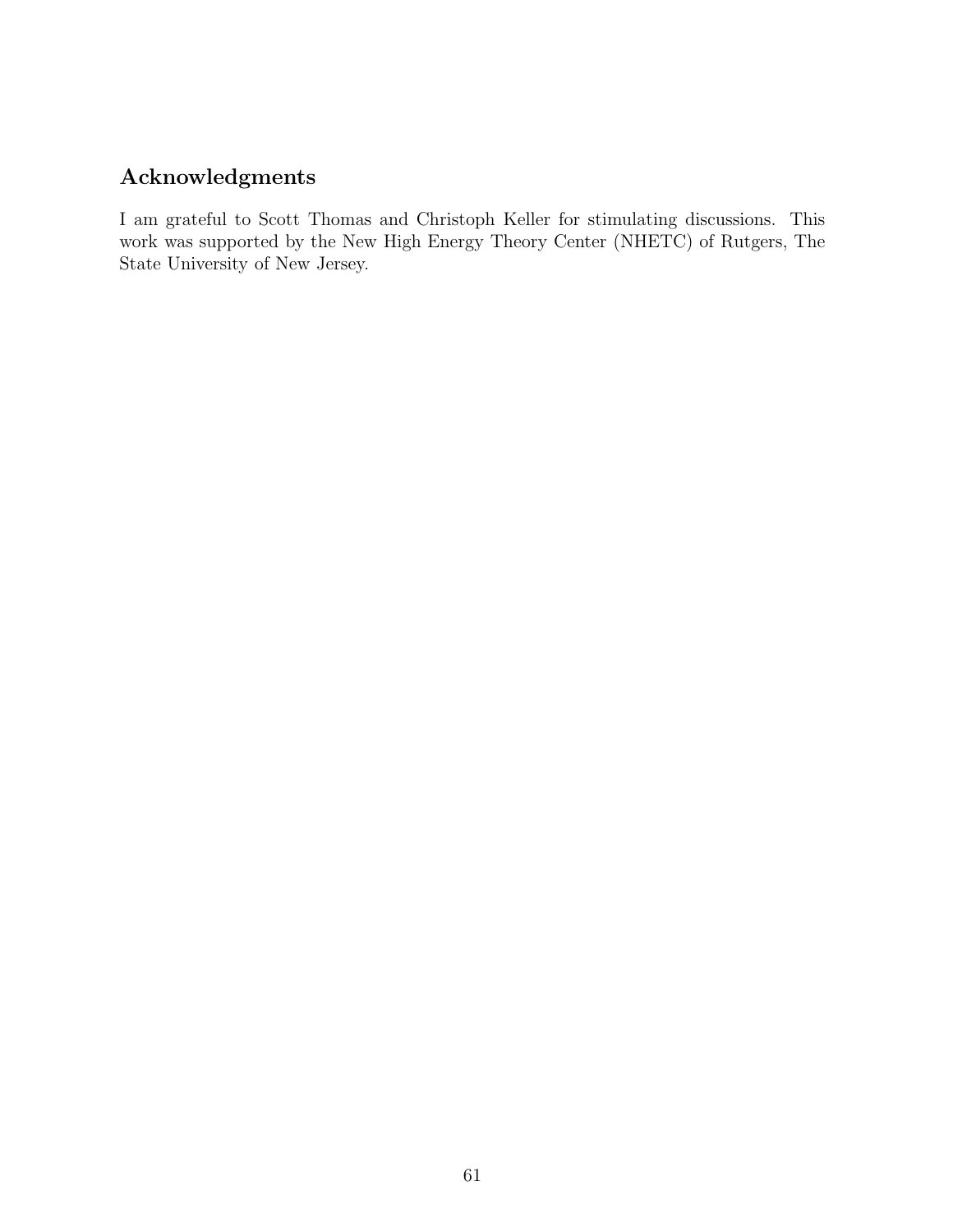## Acknowledgments

I am grateful to Scott Thomas and Christoph Keller for stimulating discussions. This work was supported by the New High Energy Theory Center (NHETC) of Rutgers, The State University of New Jersey.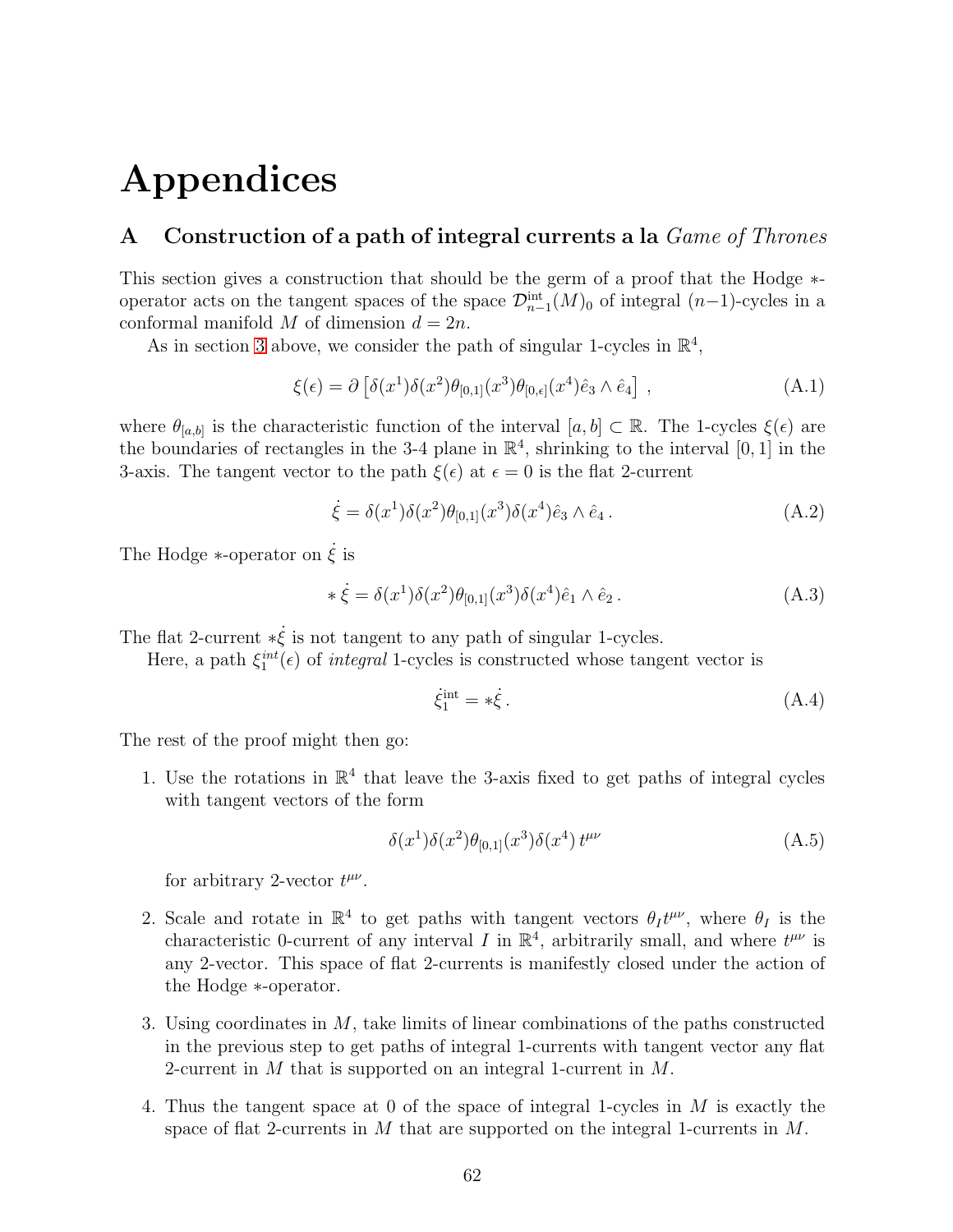# Appendices

## <span id="page-61-0"></span>A Construction of a path of integral currents a la  $Game$  of Thrones

This section gives a construction that should be the germ of a proof that the Hodge ∗ operator acts on the tangent spaces of the space  $\mathcal{D}_{n-1}^{\text{int}}(M)_0$  of integral  $(n-1)$ -cycles in a conformal manifold M of dimension  $d = 2n$ .

As in section [3](#page-12-0) above, we consider the path of singular 1-cycles in  $\mathbb{R}^4$ ,

$$
\xi(\epsilon) = \partial \left[ \delta(x^1) \delta(x^2) \theta_{[0,1]}(x^3) \theta_{[0,\epsilon]}(x^4) \hat{e}_3 \wedge \hat{e}_4 \right], \tag{A.1}
$$

where  $\theta_{[a,b]}$  is the characteristic function of the interval  $[a,b] \subset \mathbb{R}$ . The 1-cycles  $\xi(\epsilon)$  are the boundaries of rectangles in the 3-4 plane in  $\mathbb{R}^4$ , shrinking to the interval [0, 1] in the 3-axis. The tangent vector to the path  $\xi(\epsilon)$  at  $\epsilon = 0$  is the flat 2-current

$$
\dot{\xi} = \delta(x^1)\delta(x^2)\theta_{[0,1]}(x^3)\delta(x^4)\hat{e}_3 \wedge \hat{e}_4.
$$
\n(A.2)

The Hodge  $*$ -operator on  $\dot{\xi}$  is

$$
\ast \dot{\xi} = \delta(x^1)\delta(x^2)\theta_{[0,1]}(x^3)\delta(x^4)\hat{e}_1 \wedge \hat{e}_2.
$$
 (A.3)

The flat 2-current  $*\dot{\xi}$  is not tangent to any path of singular 1-cycles.

Here, a path  $\xi_1^{int}(\epsilon)$  of *integral* 1-cycles is constructed whose tangent vector is

$$
\dot{\xi}_1^{\text{int}} = * \dot{\xi} \,. \tag{A.4}
$$

The rest of the proof might then go:

1. Use the rotations in  $\mathbb{R}^4$  that leave the 3-axis fixed to get paths of integral cycles with tangent vectors of the form

$$
\delta(x^1)\delta(x^2)\theta_{[0,1]}(x^3)\delta(x^4) t^{\mu\nu} \tag{A.5}
$$

for arbitrary 2-vector  $t^{\mu\nu}$ .

- 2. Scale and rotate in  $\mathbb{R}^4$  to get paths with tangent vectors  $\theta_I t^{\mu\nu}$ , where  $\theta_I$  is the characteristic 0-current of any interval I in  $\mathbb{R}^4$ , arbitrarily small, and where  $t^{\mu\nu}$  is any 2-vector. This space of flat 2-currents is manifestly closed under the action of the Hodge ∗-operator.
- 3. Using coordinates in M, take limits of linear combinations of the paths constructed in the previous step to get paths of integral 1-currents with tangent vector any flat 2-current in M that is supported on an integral 1-current in M.
- 4. Thus the tangent space at 0 of the space of integral 1-cycles in M is exactly the space of flat 2-currents in M that are supported on the integral 1-currents in  $M$ .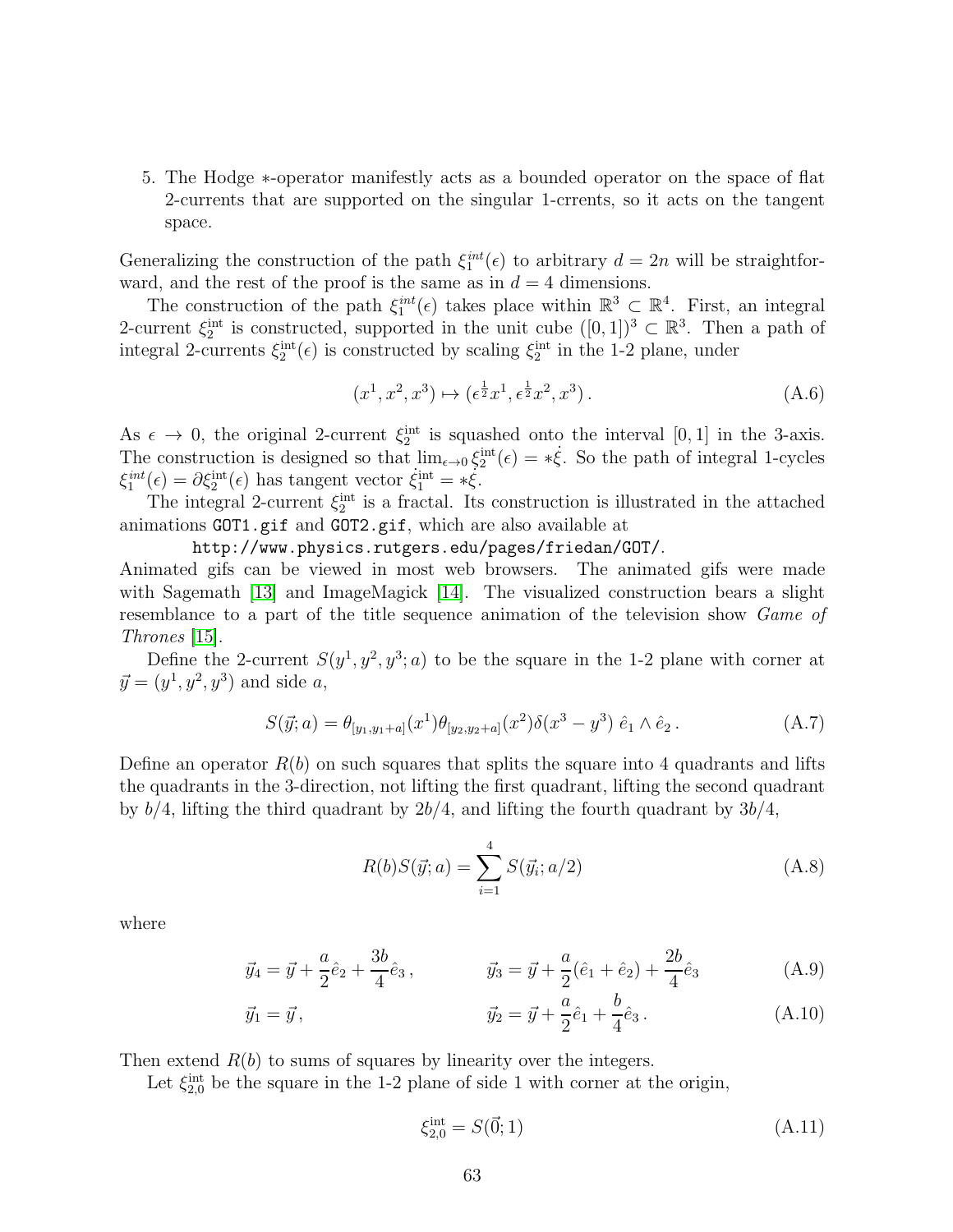5. The Hodge ∗-operator manifestly acts as a bounded operator on the space of flat 2-currents that are supported on the singular 1-crrents, so it acts on the tangent space.

Generalizing the construction of the path  $\xi_1^{int}(\epsilon)$  to arbitrary  $d = 2n$  will be straightforward, and the rest of the proof is the same as in  $d = 4$  dimensions.

The construction of the path  $\xi_1^{int}(\epsilon)$  takes place within  $\mathbb{R}^3 \subset \mathbb{R}^4$ . First, an integral 2-current  $\xi_2^{\text{int}}$  is constructed, supported in the unit cube  $([0,1])^3 \subset \mathbb{R}^3$ . Then a path of integral 2-currents  $\xi_2^{\text{int}}(\epsilon)$  is constructed by scaling  $\xi_2^{\text{int}}$  in the 1-2 plane, under

$$
(x^1, x^2, x^3) \mapsto (\epsilon^{\frac{1}{2}} x^1, \epsilon^{\frac{1}{2}} x^2, x^3).
$$
 (A.6)

As  $\epsilon \to 0$ , the original 2-current  $\xi_2^{\text{int}}$  is squashed onto the interval [0, 1] in the 3-axis. The construction is designed so that  $\lim_{\epsilon \to 0} \xi_2^{\text{int}}(\epsilon) = * \dot{\xi}$ . So the path of integral 1-cycles  $\xi_1^{int}(\epsilon) = \partial \xi_2^{int}(\epsilon)$  has tangent vector  $\xi_1^{int} = * \xi$ .

The integral 2-current  $\xi_2^{\text{int}}$  is a fractal. Its construction is illustrated in the attached animations GOT1.gif and GOT2.gif, which are also available at

http://www.physics.rutgers.edu/pages/friedan/GOT/.

Animated gifs can be viewed in most web browsers. The animated gifs were made with Sagemath [\[13\]](#page-75-8) and ImageMagick [\[14\]](#page-75-9). The visualized construction bears a slight resemblance to a part of the title sequence animation of the television show Game of Thrones [\[15\]](#page-75-10).

Define the 2-current  $S(y^1, y^2, y^3; a)$  to be the square in the 1-2 plane with corner at  $\vec{y} = (y^1, y^2, y^3)$  and side a,

$$
S(\vec{y};a) = \theta_{[y_1,y_1+a]}(x^1)\theta_{[y_2,y_2+a]}(x^2)\delta(x^3-y^3)\hat{e}_1\wedge\hat{e}_2.
$$
 (A.7)

Define an operator  $R(b)$  on such squares that splits the square into 4 quadrants and lifts the quadrants in the 3-direction, not lifting the first quadrant, lifting the second quadrant by  $b/4$ , lifting the third quadrant by  $2b/4$ , and lifting the fourth quadrant by  $3b/4$ ,

$$
R(b)S(\vec{y};a) = \sum_{i=1}^{4} S(\vec{y}_i; a/2)
$$
\n(A.8)

where

$$
\vec{y}_4 = \vec{y} + \frac{a}{2}\hat{e}_2 + \frac{3b}{4}\hat{e}_3, \qquad \vec{y}_3 = \vec{y} + \frac{a}{2}(\hat{e}_1 + \hat{e}_2) + \frac{2b}{4}\hat{e}_3 \tag{A.9}
$$

$$
\vec{y}_1 = \vec{y}, \qquad \qquad \vec{y}_2 = \vec{y} + \frac{a}{2}\hat{e}_1 + \frac{b}{4}\hat{e}_3. \qquad (A.10)
$$

Then extend  $R(b)$  to sums of squares by linearity over the integers.

Let  $\xi_{2,0}^{\text{int}}$  be the square in the 1-2 plane of side 1 with corner at the origin,

$$
\xi_{2,0}^{\text{int}} = S(\vec{0}; 1) \tag{A.11}
$$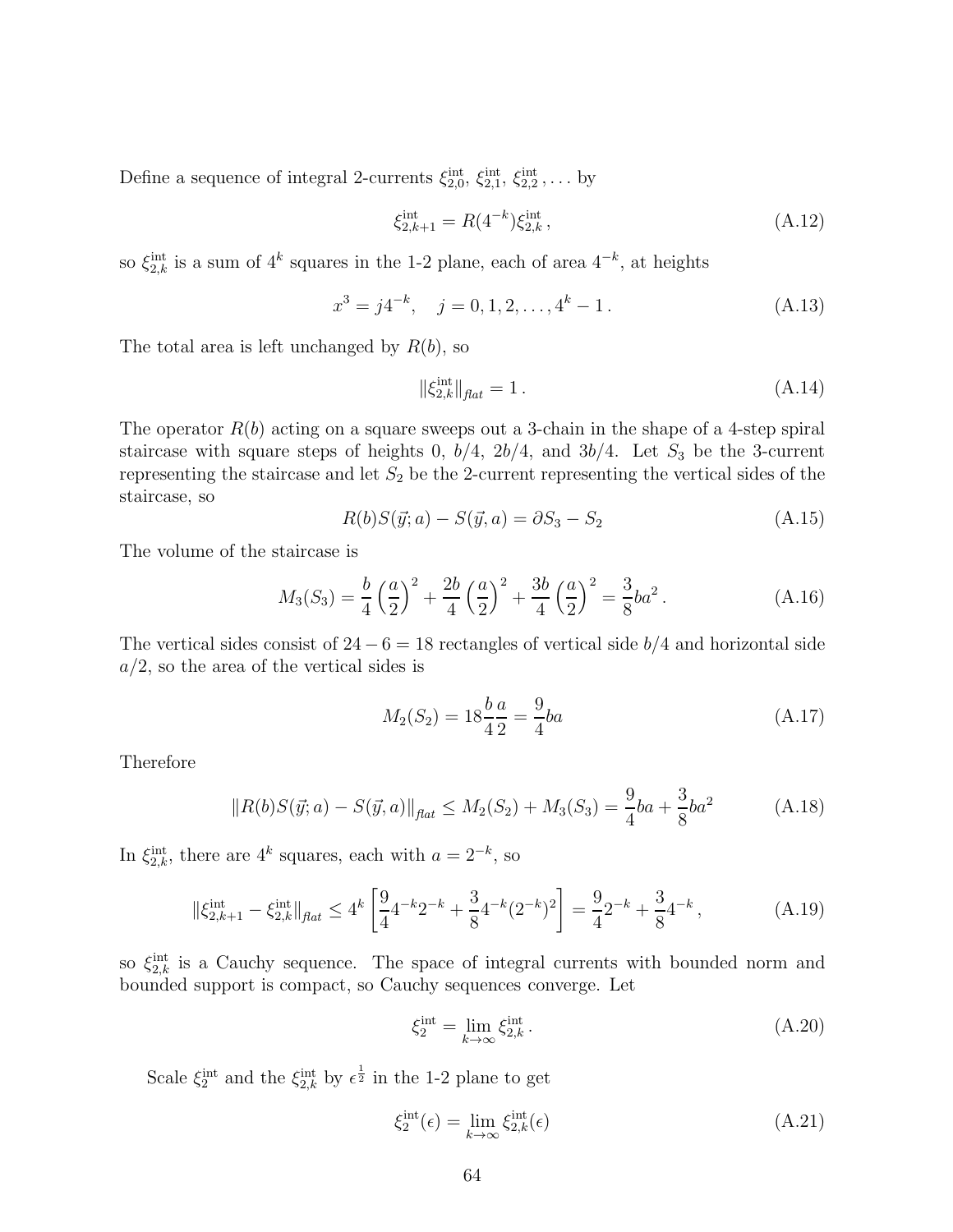Define a sequence of integral 2-currents  $\xi_{2,0}^{\text{int}}, \xi_{2,1}^{\text{int}}, \xi_{2,2}^{\text{int}}, \ldots$  by

$$
\xi_{2,k+1}^{\text{int}} = R(4^{-k})\xi_{2,k}^{\text{int}},\tag{A.12}
$$

so  $\xi_{2,k}^{\text{int}}$  is a sum of  $4^k$  squares in the 1-2 plane, each of area  $4^{-k}$ , at heights

$$
x^3 = j4^{-k}, \quad j = 0, 1, 2, \dots, 4^k - 1. \tag{A.13}
$$

The total area is left unchanged by  $R(b)$ , so

$$
\|\xi_{2,k}^{\text{int}}\|_{\text{flat}} = 1. \tag{A.14}
$$

The operator  $R(b)$  acting on a square sweeps out a 3-chain in the shape of a 4-step spiral staircase with square steps of heights 0,  $b/4$ ,  $2b/4$ , and  $3b/4$ . Let  $S_3$  be the 3-current representing the staircase and let  $S_2$  be the 2-current representing the vertical sides of the staircase, so

$$
R(b)S(\vec{y};a) - S(\vec{y},a) = \partial S_3 - S_2
$$
\n(A.15)

The volume of the staircase is

$$
M_3(S_3) = \frac{b}{4} \left(\frac{a}{2}\right)^2 + \frac{2b}{4} \left(\frac{a}{2}\right)^2 + \frac{3b}{4} \left(\frac{a}{2}\right)^2 = \frac{3}{8}ba^2.
$$
 (A.16)

The vertical sides consist of  $24 - 6 = 18$  rectangles of vertical side  $b/4$  and horizontal side  $a/2$ , so the area of the vertical sides is

$$
M_2(S_2) = 18\frac{b}{4}\frac{a}{2} = \frac{9}{4}ba
$$
\n(A.17)

Therefore

$$
||R(b)S(\vec{y};a) - S(\vec{y},a)||_{\text{flat}} \le M_2(S_2) + M_3(S_3) = \frac{9}{4}ba + \frac{3}{8}ba^2
$$
 (A.18)

In  $\xi_{2,k}^{\text{int}}$ , there are  $4^k$  squares, each with  $a = 2^{-k}$ , so

$$
\|\xi_{2,k+1}^{\text{int}} - \xi_{2,k}^{\text{int}}\|_{\text{flat}} \le 4^k \left[ \frac{9}{4} 4^{-k} 2^{-k} + \frac{3}{8} 4^{-k} (2^{-k})^2 \right] = \frac{9}{4} 2^{-k} + \frac{3}{8} 4^{-k},\tag{A.19}
$$

so  $\xi_{2,k}$  is a Cauchy sequence. The space of integral currents with bounded norm and bounded support is compact, so Cauchy sequences converge. Let

$$
\xi_2^{\text{int}} = \lim_{k \to \infty} \xi_{2,k}^{\text{int}}.
$$
\n(A.20)

Scale  $\xi_2^{\text{int}}$  and the  $\xi_{2,k}^{\text{int}}$  by  $\epsilon^{\frac{1}{2}}$  in the 1-2 plane to get

$$
\xi_2^{\text{int}}(\epsilon) = \lim_{k \to \infty} \xi_{2,k}^{\text{int}}(\epsilon) \tag{A.21}
$$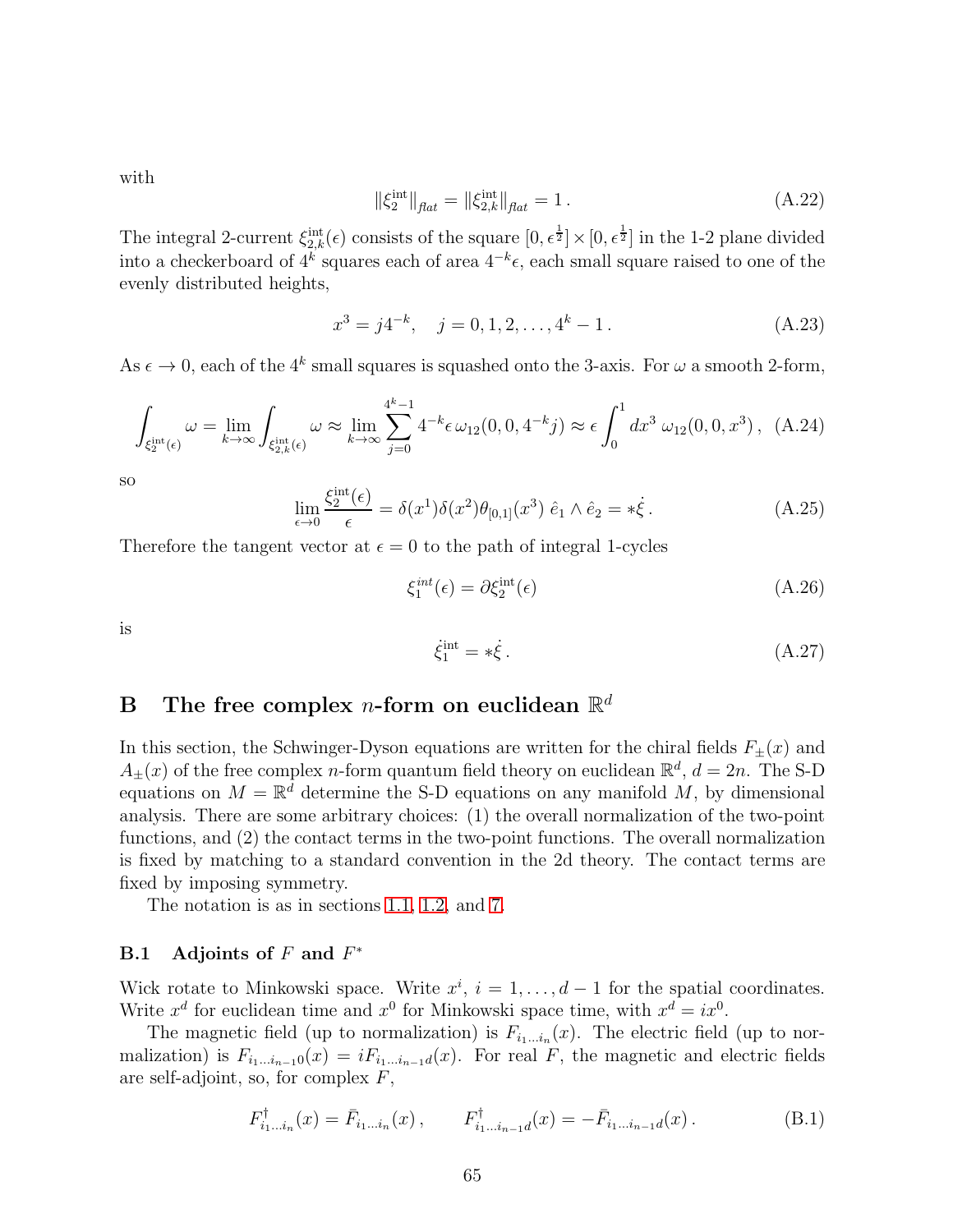with

$$
\|\xi_2^{\text{int}}\|_{\text{flat}} = \|\xi_{2,k}^{\text{int}}\|_{\text{flat}} = 1. \tag{A.22}
$$

The integral 2-current  $\xi_{2,k}^{\text{int}}(\epsilon)$  consists of the square  $[0, \epsilon^{\frac{1}{2}}] \times [0, \epsilon^{\frac{1}{2}}]$  in the 1-2 plane divided into a checkerboard of  $4^k$  squares each of area  $4^{-k} \epsilon$ , each small square raised to one of the evenly distributed heights,

$$
x^3 = j4^{-k}, \quad j = 0, 1, 2, \dots, 4^k - 1. \tag{A.23}
$$

As  $\epsilon \to 0$ , each of the  $4^k$  small squares is squashed onto the 3-axis. For  $\omega$  a smooth 2-form,

$$
\int_{\xi_2^{\rm int}(\epsilon)} \omega = \lim_{k \to \infty} \int_{\xi_{2,k}^{\rm int}(\epsilon)} \omega \approx \lim_{k \to \infty} \sum_{j=0}^{4^k - 1} 4^{-k} \epsilon \, \omega_{12}(0, 0, 4^{-k} j) \approx \epsilon \int_0^1 dx^3 \, \omega_{12}(0, 0, x^3) \,, \tag{A.24}
$$

so

$$
\lim_{\epsilon \to 0} \frac{\xi_2^{\text{int}}(\epsilon)}{\epsilon} = \delta(x^1)\delta(x^2)\theta_{[0,1]}(x^3) \hat{e}_1 \wedge \hat{e}_2 = * \dot{\xi}.
$$
 (A.25)

Therefore the tangent vector at  $\epsilon = 0$  to the path of integral 1-cycles

$$
\xi_1^{\text{int}}(\epsilon) = \partial \xi_2^{\text{int}}(\epsilon) \tag{A.26}
$$

is

$$
\dot{\xi}_1^{\text{int}} = * \dot{\xi} \,. \tag{A.27}
$$

## B The free complex *n*-form on euclidean  $\mathbb{R}^d$

In this section, the Schwinger-Dyson equations are written for the chiral fields  $F_{+}(x)$  and  $A_{\pm}(x)$  of the free complex *n*-form quantum field theory on euclidean  $\mathbb{R}^d$ ,  $d = 2n$ . The S-D equations on  $M = \mathbb{R}^d$  determine the S-D equations on any manifold M, by dimensional analysis. There are some arbitrary choices: (1) the overall normalization of the two-point functions, and (2) the contact terms in the two-point functions. The overall normalization is fixed by matching to a standard convention in the 2d theory. The contact terms are fixed by imposing symmetry.

The notation is as in sections [1.1,](#page-4-0) [1.2,](#page-5-0) and [7.](#page-20-0)

## B.1 Adjoints of  $F$  and  $F^*$

Wick rotate to Minkowski space. Write  $x^i$ ,  $i = 1, ..., d - 1$  for the spatial coordinates. Write  $x^d$  for euclidean time and  $x^0$  for Minkowski space time, with  $x^d = ix^0$ .

The magnetic field (up to normalization) is  $F_{i_1...i_n}(x)$ . The electric field (up to normalization) is  $F_{i_1...i_{n-1}0}(x) = iF_{i_1...i_{n-1}d}(x)$ . For real F, the magnetic and electric fields are self-adjoint, so, for complex  $F$ ,

$$
F_{i_1...i_n}^{\dagger}(x) = \bar{F}_{i_1...i_n}(x) , \qquad F_{i_1...i_{n-1}d}^{\dagger}(x) = -\bar{F}_{i_1...i_{n-1}d}(x) . \tag{B.1}
$$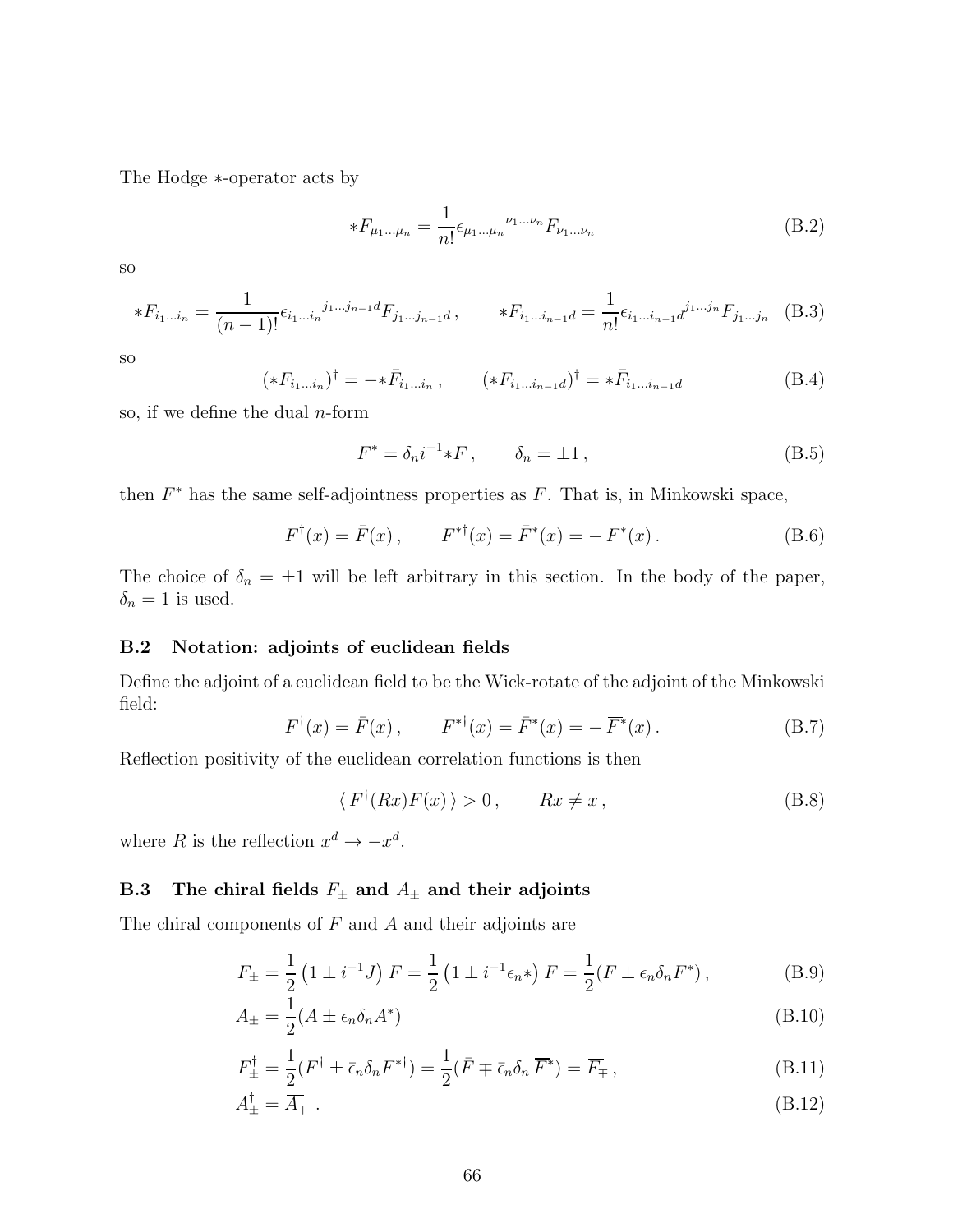The Hodge ∗-operator acts by

$$
*F_{\mu_1...\mu_n} = \frac{1}{n!} \epsilon_{\mu_1...\mu_n}^{\nu_1...\nu_n} F_{\nu_1...\nu_n}
$$
(B.2)

so

$$
*F_{i_1...i_n} = \frac{1}{(n-1)!} \epsilon_{i_1...i_n}^{j_1...j_{n-1}d} F_{j_1...j_{n-1}d}, \qquad *F_{i_1...i_{n-1}d} = \frac{1}{n!} \epsilon_{i_1...i_{n-1}d}^{j_1...j_n} F_{j_1...j_n}
$$
(B.3)

so

$$
(*F_{i_1...i_n})^{\dagger} = -*\bar{F}_{i_1...i_n}, \qquad (*F_{i_1...i_{n-1}d})^{\dagger} = *\bar{F}_{i_1...i_{n-1}d}
$$
(B.4)

so, if we define the dual  $n$ -form

$$
F^* = \delta_n i^{-1} * F \,, \qquad \delta_n = \pm 1 \,, \tag{B.5}
$$

then  $F^*$  has the same self-adjointness properties as  $F$ . That is, in Minkowski space,

$$
F^{\dagger}(x) = \bar{F}(x)
$$
,  $F^{* \dagger}(x) = \bar{F}^{*}(x) = -\overline{F}^{*}(x)$ . (B.6)

The choice of  $\delta_n = \pm 1$  will be left arbitrary in this section. In the body of the paper,  $\delta_n = 1$  is used.

#### B.2 Notation: adjoints of euclidean fields

Define the adjoint of a euclidean field to be the Wick-rotate of the adjoint of the Minkowski field:

$$
F^{\dagger}(x) = \bar{F}(x)
$$
,  $F^{* \dagger}(x) = \bar{F}^{*}(x) = -\overline{F}^{*}(x)$ . (B.7)

Reflection positivity of the euclidean correlation functions is then

$$
\langle F^{\dagger}(Rx)F(x)\rangle > 0, \qquad Rx \neq x, \tag{B.8}
$$

where R is the reflection  $x^d \to -x^d$ .

## B.3 The chiral fields  $F_{\pm}$  and  $A_{\pm}$  and their adjoints

The chiral components of  $F$  and  $A$  and their adjoints are

$$
F_{\pm} = \frac{1}{2} \left( 1 \pm i^{-1} J \right) F = \frac{1}{2} \left( 1 \pm i^{-1} \epsilon_n * \right) F = \frac{1}{2} (F \pm \epsilon_n \delta_n F^*) \,, \tag{B.9}
$$

$$
A_{\pm} = \frac{1}{2}(A \pm \epsilon_n \delta_n A^*)
$$
\n(B.10)

$$
F_{\pm}^{\dagger} = \frac{1}{2} (F^{\dagger} \pm \bar{\epsilon}_n \delta_n F^{* \dagger}) = \frac{1}{2} (\bar{F} \mp \bar{\epsilon}_n \delta_n \, \overline{F}^*) = \overline{F}_{\mp} \,, \tag{B.11}
$$

$$
A_{\pm}^{\dagger} = \overline{A}_{\mp} \tag{B.12}
$$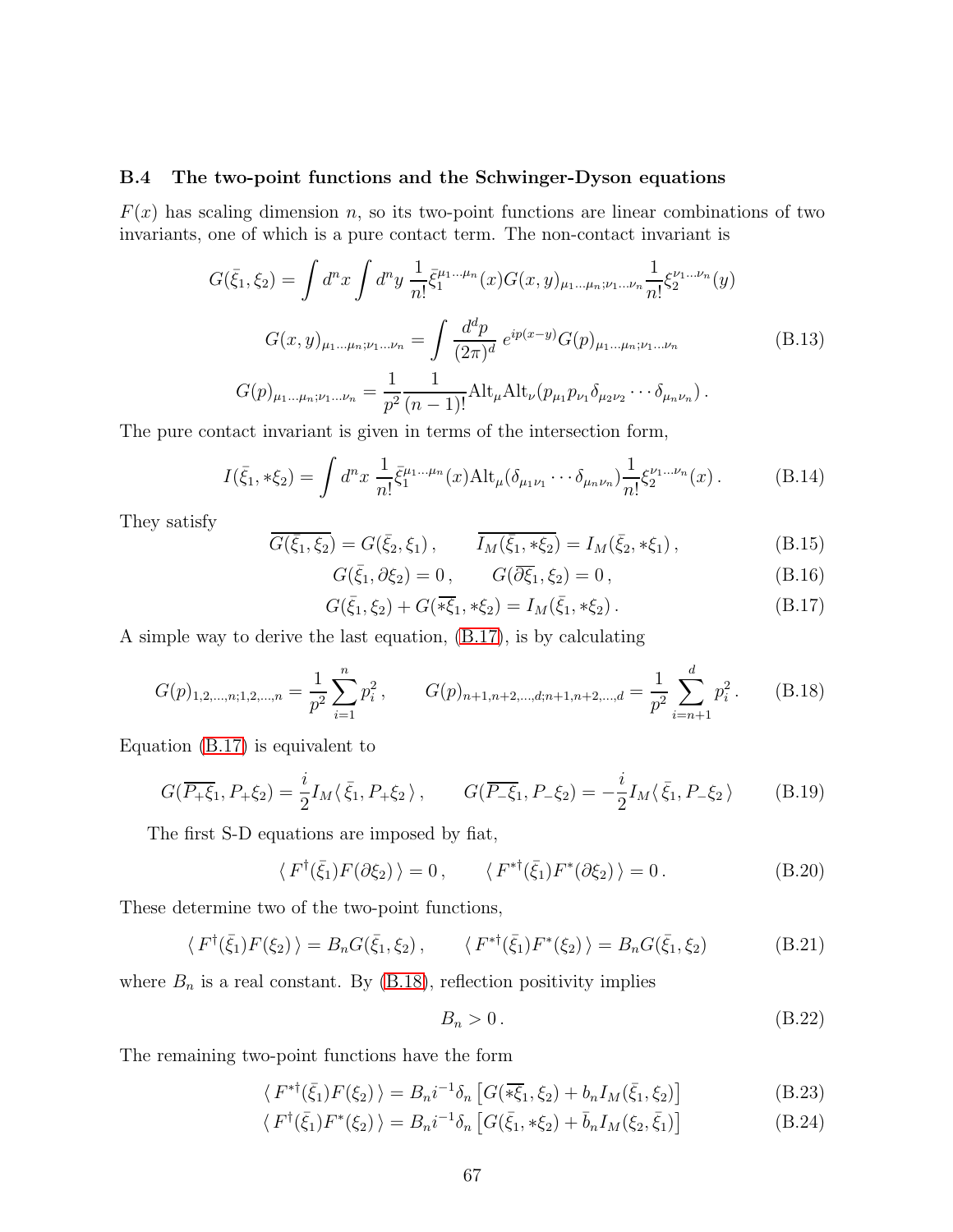#### B.4 The two-point functions and the Schwinger-Dyson equations

 $F(x)$  has scaling dimension n, so its two-point functions are linear combinations of two invariants, one of which is a pure contact term. The non-contact invariant is

<span id="page-66-2"></span>
$$
G(\bar{\xi}_1, \xi_2) = \int d^n x \int d^n y \, \frac{1}{n!} \bar{\xi}_1^{\mu_1 \dots \mu_n} (x) G(x, y)_{\mu_1 \dots \mu_n; \nu_1 \dots \nu_n} \frac{1}{n!} \xi_2^{\nu_1 \dots \nu_n} (y)
$$

$$
G(x, y)_{\mu_1 \dots \mu_n; \nu_1 \dots \nu_n} = \int \frac{d^d p}{(2\pi)^d} e^{ip(x-y)} G(p)_{\mu_1 \dots \mu_n; \nu_1 \dots \nu_n}
$$
(B.13)
$$
G(p)_{\mu_1 \dots \mu_n; \nu_1 \dots \nu_n} = \frac{1}{p^2} \frac{1}{(n-1)!} \text{Alt}_{\mu} \text{Alt}_{\nu} (p_{\mu_1} p_{\nu_1} \delta_{\mu_2 \nu_2} \dots \delta_{\mu_n \nu_n}).
$$

The pure contact invariant is given in terms of the intersection form,

$$
I(\bar{\xi}_1, * \xi_2) = \int d^n x \, \frac{1}{n!} \bar{\xi}_1^{\mu_1 \dots \mu_n}(x) \mathrm{Alt}_{\mu} (\delta_{\mu_1 \nu_1} \cdots \delta_{\mu_n \nu_n}) \frac{1}{n!} \xi_2^{\nu_1 \dots \nu_n}(x) \,. \tag{B.14}
$$

They satisfy

$$
\overline{G(\bar{\xi}_1, \xi_2)} = G(\bar{\xi}_2, \xi_1), \qquad \overline{I_M(\bar{\xi}_1, * \xi_2)} = I_M(\bar{\xi}_2, * \xi_1), \tag{B.15}
$$

$$
G(\bar{\xi}_1, \partial \xi_2) = 0, \qquad G(\overline{\partial \xi}_1, \xi_2) = 0, \qquad (B.16)
$$

<span id="page-66-0"></span>
$$
G(\bar{\xi}_1, \xi_2) + G(\overline{\ast\xi}_1, \ast\xi_2) = I_M(\bar{\xi}_1, \ast\xi_2).
$$
 (B.17)

A simple way to derive the last equation, [\(B.17\)](#page-66-0), is by calculating

<span id="page-66-1"></span>
$$
G(p)_{1,2,\dots,n;1,2,\dots,n} = \frac{1}{p^2} \sum_{i=1}^n p_i^2, \qquad G(p)_{n+1,n+2,\dots,d;n+1,n+2,\dots,d} = \frac{1}{p^2} \sum_{i=n+1}^d p_i^2. \tag{B.18}
$$

Equation [\(B.17\)](#page-66-0) is equivalent to

$$
G(\overline{P_+\xi_1}, P_+\xi_2) = \frac{i}{2} I_M \langle \bar{\xi_1}, P_+\xi_2 \rangle, \qquad G(\overline{P_-\xi_1}, P_-\xi_2) = -\frac{i}{2} I_M \langle \bar{\xi_1}, P_-\xi_2 \rangle \tag{B.19}
$$

The first S-D equations are imposed by fiat,

$$
\langle F^{\dagger}(\bar{\xi}_1)F(\partial \xi_2)\rangle = 0, \qquad \langle F^{*\dagger}(\bar{\xi}_1)F^*(\partial \xi_2)\rangle = 0.
$$
 (B.20)

These determine two of the two-point functions,

$$
\langle F^{\dagger}(\bar{\xi}_1) F(\xi_2) \rangle = B_n G(\bar{\xi}_1, \xi_2), \qquad \langle F^{* \dagger}(\bar{\xi}_1) F^{*}(\xi_2) \rangle = B_n G(\bar{\xi}_1, \xi_2)
$$
(B.21)

where  $B_n$  is a real constant. By [\(B.18\)](#page-66-1), reflection positivity implies

$$
B_n > 0. \tag{B.22}
$$

The remaining two-point functions have the form

$$
\langle F^{* \dagger}(\bar{\xi}_1) F(\xi_2) \rangle = B_n i^{-1} \delta_n \left[ G(\bar{\ast \xi}_1, \xi_2) + b_n I_M(\bar{\xi}_1, \xi_2) \right]
$$
(B.23)

$$
\langle F^{\dagger}(\bar{\xi}_1) F^*(\xi_2) \rangle = B_n i^{-1} \delta_n \left[ G(\bar{\xi}_1, * \xi_2) + \bar{b}_n I_M(\xi_2, \bar{\xi}_1) \right]
$$
(B.24)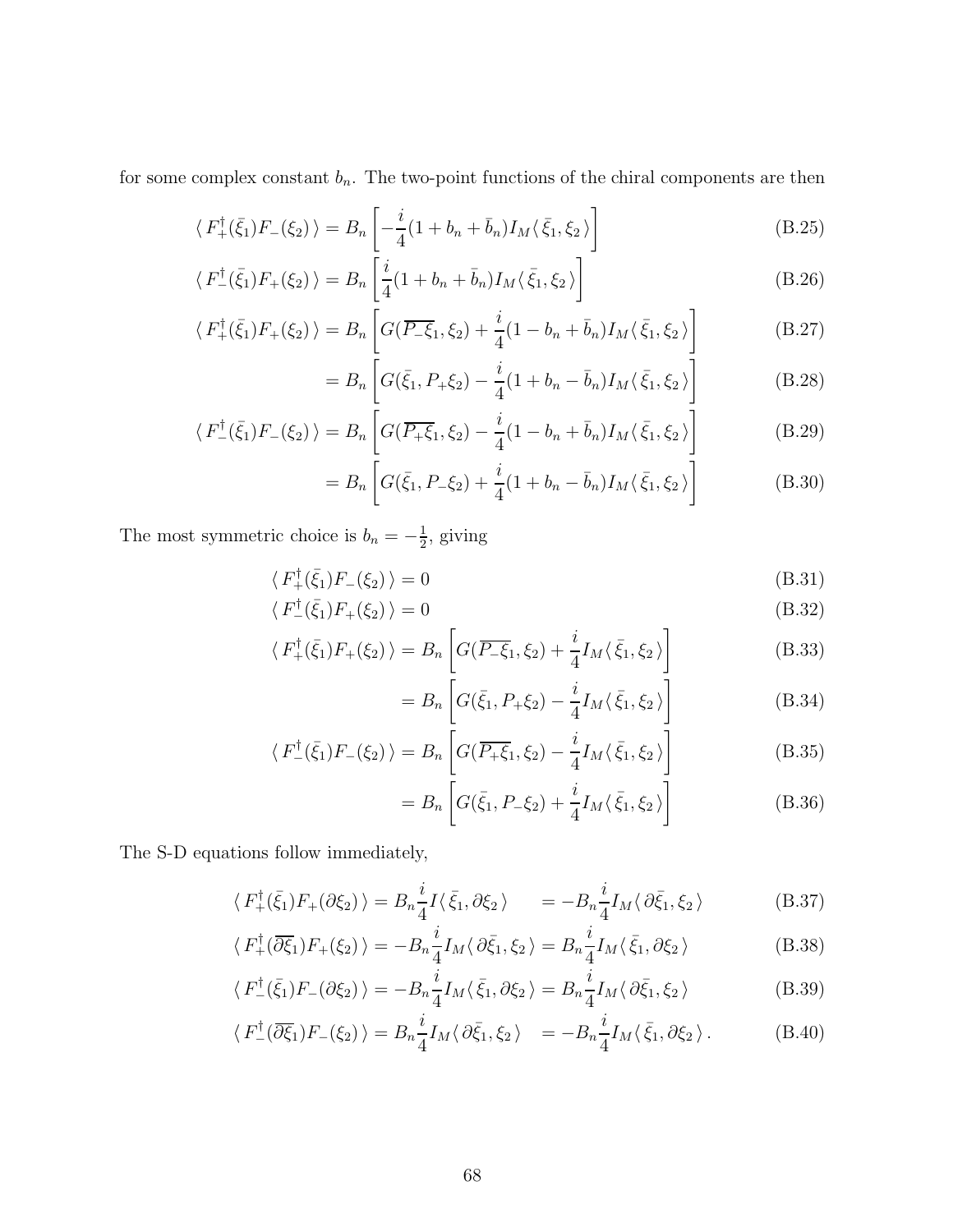for some complex constant  $b_n$ . The two-point functions of the chiral components are then

$$
\langle F_{+}^{\dagger}(\bar{\xi}_{1})F_{-}(\xi_{2})\rangle = B_{n}\left[-\frac{i}{4}(1+b_{n}+\bar{b}_{n})I_{M}\langle\bar{\xi}_{1},\xi_{2}\rangle\right]
$$
(B.25)

$$
\langle F_{-}^{\dagger}(\bar{\xi}_{1})F_{+}(\xi_{2})\rangle = B_{n}\left[\frac{i}{4}(1+b_{n}+\bar{b}_{n})I_{M}\langle\bar{\xi}_{1},\xi_{2}\rangle\right]
$$
(B.26)

$$
\langle F_{+}^{\dagger}(\bar{\xi}_{1})F_{+}(\xi_{2})\rangle = B_{n}\left[G(\overline{P_{-}\xi}_{1},\xi_{2}) + \frac{i}{4}(1-b_{n}+b_{n})I_{M}\langle\bar{\xi}_{1},\xi_{2}\rangle\right]
$$
(B.27)

$$
= B_n \left[ G(\bar{\xi}_1, P_+\xi_2) - \frac{i}{4} (1 + b_n - \bar{b}_n) I_M \langle \bar{\xi}_1, \xi_2 \rangle \right]
$$
(B.28)

$$
\langle F_{-}^{\dagger}(\bar{\xi}_{1})F_{-}(\xi_{2})\rangle = B_{n} \left[ G(\overline{P_{+}\xi}_{1},\xi_{2}) - \frac{i}{4}(1 - b_{n} + \bar{b}_{n})I_{M}\langle\bar{\xi}_{1},\xi_{2}\rangle \right]
$$
(B.29)

$$
= B_n \left[ G(\bar{\xi}_1, P_-\xi_2) + \frac{i}{4} (1 + b_n - \bar{b}_n) I_M \langle \bar{\xi}_1, \xi_2 \rangle \right]
$$
(B.30)

The most symmetric choice is  $b_n = -\frac{1}{2}$  $\frac{1}{2}$ , giving

$$
\langle F_+^{\dagger}(\bar{\xi}_1)F_-(\xi_2)\rangle = 0\tag{B.31}
$$

$$
\langle F_{-}^{\dagger}(\bar{\xi}_{1})F_{+}(\xi_{2})\rangle = 0
$$
\n(B.32)

$$
\langle F_{+}^{\dagger}(\bar{\xi}_{1})F_{+}(\xi_{2})\rangle = B_{n}\left[G(\overline{P_{-}\xi}_{1},\xi_{2}) + \frac{i}{4}I_{M}\langle\bar{\xi}_{1},\xi_{2}\rangle\right]
$$
(B.33)

<span id="page-67-0"></span>
$$
= B_n \left[ G(\bar{\xi}_1, P_+\xi_2) - \frac{i}{4} I_M(\bar{\xi}_1, \xi_2) \right]
$$
 (B.34)

$$
\langle F_{-}^{\dagger}(\bar{\xi}_{1})F_{-}(\xi_{2})\rangle = B_{n}\left[G(\overline{P_{+}\xi}_{1},\xi_{2}) - \frac{i}{4}I_{M}\langle\bar{\xi}_{1},\xi_{2}\rangle\right]
$$
(B.35)

$$
= B_n \left[ G(\bar{\xi}_1, P_{-\xi_2}) + \frac{i}{4} I_M \langle \bar{\xi}_1, \xi_2 \rangle \right]
$$
 (B.36)

The S-D equations follow immediately,

$$
\langle F_{+}^{\dagger}(\bar{\xi}_{1})F_{+}(\partial\xi_{2})\rangle = B_{n}\frac{i}{4}I\langle\bar{\xi}_{1},\partial\xi_{2}\rangle = -B_{n}\frac{i}{4}I_{M}\langle\partial\bar{\xi}_{1},\xi_{2}\rangle
$$
 (B.37)

$$
\langle F_{+}^{\dagger}(\overline{\partial \xi}_{1})F_{+}(\xi_{2})\rangle = -B_{n}\frac{i}{4}I_{M}\langle \partial \bar{\xi}_{1},\xi_{2}\rangle = B_{n}\frac{i}{4}I_{M}\langle \bar{\xi}_{1},\partial \xi_{2}\rangle
$$
 (B.38)

$$
\langle F_{-}^{\dagger}(\bar{\xi}_{1})F_{-}(\partial \xi_{2})\rangle = -B_{n}\frac{i}{4}I_{M}\langle \bar{\xi}_{1},\partial \xi_{2}\rangle = B_{n}\frac{i}{4}I_{M}\langle \partial \bar{\xi}_{1},\xi_{2}\rangle
$$
 (B.39)

$$
\langle F_{-}^{\dagger}(\overline{\partial \xi}_{1})F_{-}(\xi_{2})\rangle = B_{n}\frac{i}{4}I_{M}\langle \partial \bar{\xi}_{1},\xi_{2}\rangle = -B_{n}\frac{i}{4}I_{M}\langle \bar{\xi}_{1},\partial \xi_{2}\rangle.
$$
 (B.40)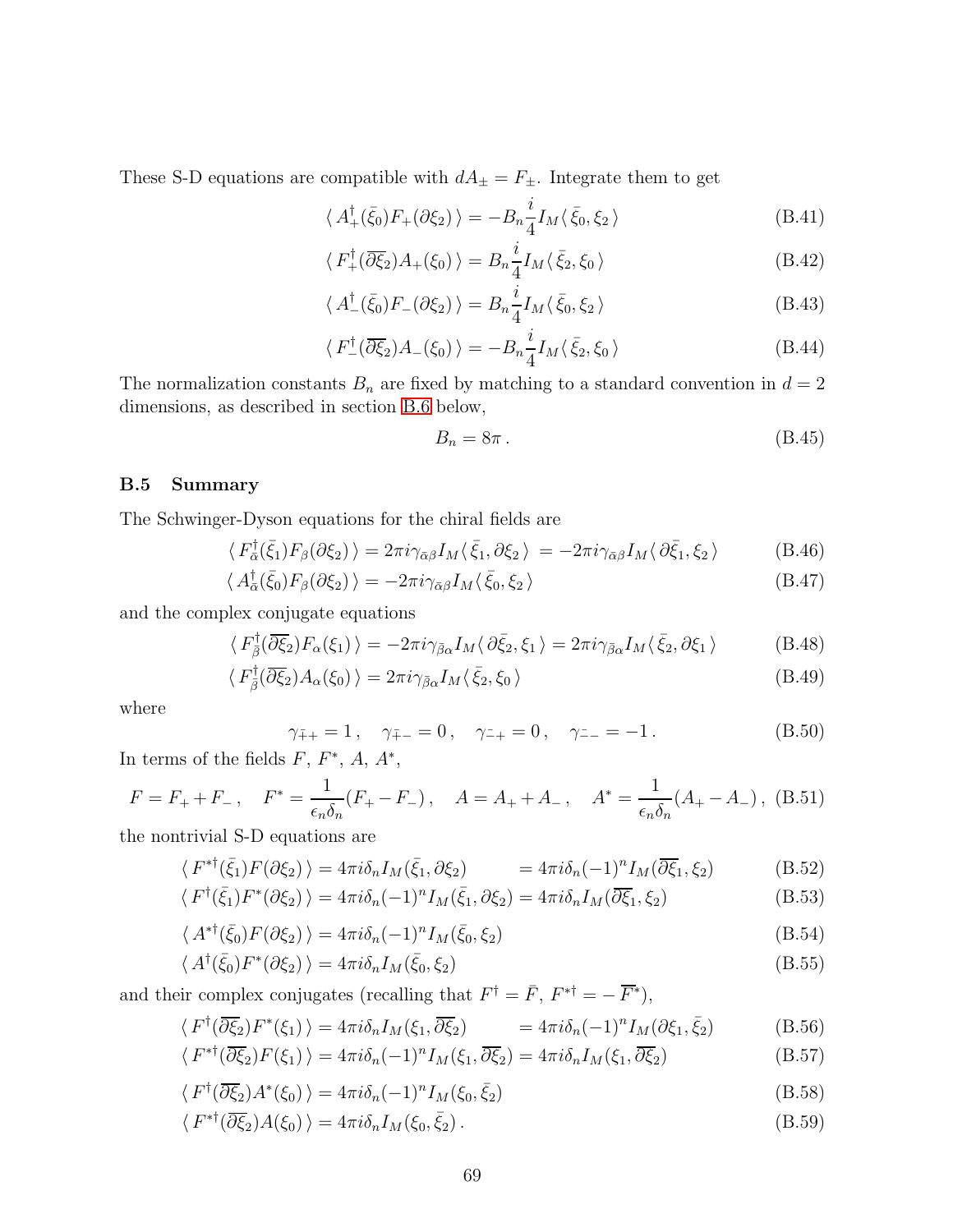These S-D equations are compatible with  $dA_{\pm}=F_{\pm}.$  Integrate them to get

$$
\langle A_+^{\dagger}(\bar{\xi}_0)F_+(\partial \xi_2)\rangle = -B_n \frac{i}{4} I_M \langle \bar{\xi}_0, \xi_2\rangle
$$
 (B.41)

$$
\langle F_{+}^{\dagger}(\overline{\partial \xi}_{2})A_{+}(\xi_{0})\rangle = B_{n}\frac{i}{4}I_{M}\langle \bar{\xi}_{2},\xi_{0}\rangle
$$
 (B.42)

$$
\langle A_{-}^{\dagger}(\bar{\xi}_{0})F_{-}(\partial \xi_{2})\rangle = B_{n}\frac{i}{4}I_{M}\langle \bar{\xi}_{0},\xi_{2}\rangle
$$
 (B.43)

$$
\langle F_{-}^{\dagger}(\overline{\partial \xi}_{2})A_{-}(\xi_{0})\rangle = -B_{n}\frac{i}{4}I_{M}\langle \bar{\xi}_{2},\xi_{0}\rangle
$$
 (B.44)

The normalization constants  $B_n$  are fixed by matching to a standard convention in  $d = 2$ dimensions, as described in section [B.6](#page-69-0) below,

$$
B_n = 8\pi \,. \tag{B.45}
$$

#### B.5 Summary

The Schwinger-Dyson equations for the chiral fields are

$$
\langle F_{\alpha}^{\dagger}(\bar{\xi}_{1})F_{\beta}(\partial \xi_{2})\rangle = 2\pi i \gamma_{\bar{\alpha}\beta} I_{M} \langle \bar{\xi}_{1}, \partial \xi_{2} \rangle = -2\pi i \gamma_{\bar{\alpha}\beta} I_{M} \langle \partial \bar{\xi}_{1}, \xi_{2} \rangle \tag{B.46}
$$

$$
\langle A_{\bar{\alpha}}^{\dagger}(\bar{\xi}_{0})F_{\beta}(\partial \xi_{2})\rangle = -2\pi i \gamma_{\bar{\alpha}\beta} I_{M}\langle\bar{\xi}_{0},\xi_{2}\rangle
$$
\n(B.47)

and the complex conjugate equations

$$
\langle F_{\bar{\beta}}^{\dagger}(\overline{\partial \xi_2})F_{\alpha}(\xi_1)\rangle = -2\pi i \gamma_{\bar{\beta}\alpha} I_M \langle \partial \bar{\xi}_2, \xi_1 \rangle = 2\pi i \gamma_{\bar{\beta}\alpha} I_M \langle \bar{\xi}_2, \partial \xi_1 \rangle \tag{B.48}
$$

$$
\langle F_{\bar{\beta}}^{\dagger}(\overline{\partial \xi}_{2})A_{\alpha}(\xi_{0})\rangle = 2\pi i \gamma_{\bar{\beta}\alpha} I_{M} \langle \bar{\xi}_{2}, \xi_{0} \rangle \tag{B.49}
$$

where

$$
\gamma_{\bar{+}+} = 1, \quad \gamma_{\bar{+}-} = 0, \quad \gamma_{-+} = 0, \quad \gamma_{--} = -1.
$$
 (B.50)

In terms of the fields  $F, F^*, A, A^*,$ 

$$
F = F_{+} + F_{-} , \quad F^{*} = \frac{1}{\epsilon_{n} \delta_{n}} (F_{+} - F_{-}) , \quad A = A_{+} + A_{-} , \quad A^{*} = \frac{1}{\epsilon_{n} \delta_{n}} (A_{+} - A_{-}) , \text{ (B.51)}
$$

the nontrivial S-D equations are

$$
\langle F^{* \dagger}(\bar{\xi}_1) F(\partial \xi_2) \rangle = 4\pi i \delta_n I_M(\bar{\xi}_1, \partial \xi_2) = 4\pi i \delta_n (-1)^n I_M(\overline{\partial \xi}_1, \xi_2)
$$
(B.52)

$$
\langle F^{\dagger}(\bar{\xi}_1)F^*(\partial \xi_2) \rangle = 4\pi i \delta_n (-1)^n I_M(\bar{\xi}_1, \partial \xi_2) = 4\pi i \delta_n I_M(\overline{\partial \xi}_1, \xi_2)
$$
(B.53)

$$
\langle A^{* \dagger}(\bar{\xi}_0) F(\partial \xi_2) \rangle = 4\pi i \delta_n (-1)^n I_M(\bar{\xi}_0, \xi_2)
$$
\n(B.54)

$$
\langle A^{\dagger}(\bar{\xi}_0)F^*(\partial \xi_2) \rangle = 4\pi i \delta_n I_M(\bar{\xi}_0, \xi_2)
$$
\n(B.55)

and their complex conjugates (recalling that  $F^{\dagger} = \bar{F}$ ,  $F^{*\dagger} = -\overline{F}^*$ ),

$$
\langle F^{\dagger}(\overline{\partial \xi_2})F^*(\xi_1) \rangle = 4\pi i \delta_n I_M(\xi_1, \overline{\partial \xi_2}) = 4\pi i \delta_n (-1)^n I_M(\partial \xi_1, \overline{\xi_2})
$$
(B.56)

$$
\langle F^{* \dagger}(\overline{\partial \xi_2}) F(\xi_1) \rangle = 4\pi i \delta_n (-1)^n I_M(\xi_1, \overline{\partial \xi_2}) = 4\pi i \delta_n I_M(\xi_1, \overline{\partial \xi_2})
$$
(B.57)

$$
\langle F^{\dagger}(\overline{\partial \xi_2})A^*(\xi_0) \rangle = 4\pi i \delta_n (-1)^n I_M(\xi_0, \bar{\xi}_2)
$$
\n(B.58)

$$
\langle F^{* \dagger} (\overline{\partial \xi_2}) A(\xi_0) \rangle = 4 \pi i \delta_n I_M(\xi_0, \bar{\xi}_2). \tag{B.59}
$$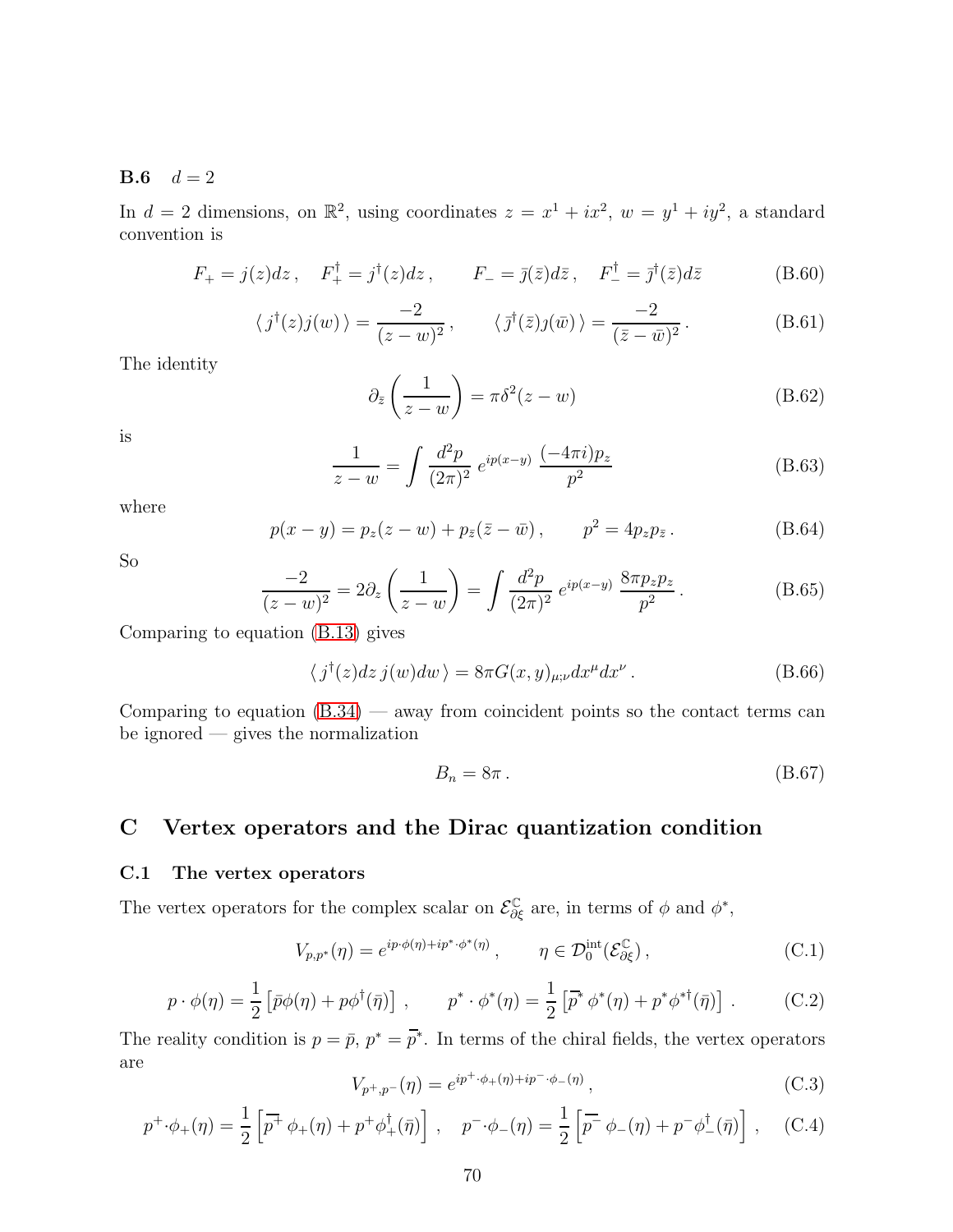#### <span id="page-69-0"></span>**B.6**  $d = 2$

In  $d = 2$  dimensions, on  $\mathbb{R}^2$ , using coordinates  $z = x^1 + ix^2$ ,  $w = y^1 + iy^2$ , a standard convention is

$$
F_{+} = j(z)dz, \quad F_{+}^{\dagger} = j^{\dagger}(z)dz, \qquad F_{-} = \bar{j}(\bar{z})d\bar{z}, \quad F_{-}^{\dagger} = \bar{j}^{\dagger}(\bar{z})d\bar{z}
$$
(B.60)

$$
\langle j^{\dagger}(z)j(w)\rangle = \frac{-2}{(z-w)^2}, \qquad \langle \bar{j}^{\dagger}(\bar{z})j(\bar{w})\rangle = \frac{-2}{(\bar{z}-\bar{w})^2}.
$$
 (B.61)

The identity

$$
\partial_{\bar{z}}\left(\frac{1}{z-w}\right) = \pi \delta^2 (z-w) \tag{B.62}
$$

is

$$
\frac{1}{z-w} = \int \frac{d^2p}{(2\pi)^2} e^{ip(x-y)} \frac{(-4\pi i)p_z}{p^2}
$$
 (B.63)

where

$$
p(x - y) = p_z(z - w) + p_{\bar{z}}(\bar{z} - \bar{w}), \qquad p^2 = 4p_z p_{\bar{z}}.
$$
 (B.64)

So

$$
\frac{-2}{(z-w)^2} = 2\partial_z \left(\frac{1}{z-w}\right) = \int \frac{d^2p}{(2\pi)^2} e^{ip(x-y)} \frac{8\pi p_z p_z}{p^2}.
$$
 (B.65)

Comparing to equation [\(B.13\)](#page-66-2) gives

$$
\langle j^{\dagger}(z)dz\,j(w)dw\rangle = 8\pi G(x,y)_{\mu;\nu}dx^{\mu}dx^{\nu}.
$$
 (B.66)

Comparing to equation  $(B.34)$  — away from coincident points so the contact terms can be ignored — gives the normalization

$$
B_n = 8\pi \,. \tag{B.67}
$$

## C Vertex operators and the Dirac quantization condition

#### C.1 The vertex operators

The vertex operators for the complex scalar on  $\mathcal{E}^{\mathbb{C}}_{\partial \xi}$  are, in terms of  $\phi$  and  $\phi^*$ ,

$$
V_{p,p^*}(\eta) = e^{ip \cdot \phi(\eta) + ip^* \cdot \phi^*(\eta)}, \qquad \eta \in \mathcal{D}_0^{\text{int}}(\mathcal{E}_{\partial \xi}^{\mathbb{C}}), \qquad (C.1)
$$

$$
p \cdot \phi(\eta) = \frac{1}{2} \left[ \bar{p}\phi(\eta) + p\phi^\dagger(\bar{\eta}) \right] , \qquad p^* \cdot \phi^*(\eta) = \frac{1}{2} \left[ \bar{p}^* \phi^*(\eta) + p^* \phi^{* \dagger}(\bar{\eta}) \right] . \tag{C.2}
$$

The reality condition is  $p = \bar{p}$ ,  $p^* = \bar{p}^*$ . In terms of the chiral fields, the vertex operators are

$$
V_{p^+,p^-}(\eta) = e^{ip^+\cdot\phi_+(\eta)+ip^-\cdot\phi_-(\eta)}, \qquad (C.3)
$$

$$
p^{+} \cdot \phi_{+}(\eta) = \frac{1}{2} \left[ \overline{p^{+}} \phi_{+}(\eta) + p^{+} \phi_{+}^{\dagger}(\bar{\eta}) \right] , \quad p^{-} \cdot \phi_{-}(\eta) = \frac{1}{2} \left[ \overline{p^{-}} \phi_{-}(\eta) + p^{-} \phi_{-}^{\dagger}(\bar{\eta}) \right] , \quad (C.4)
$$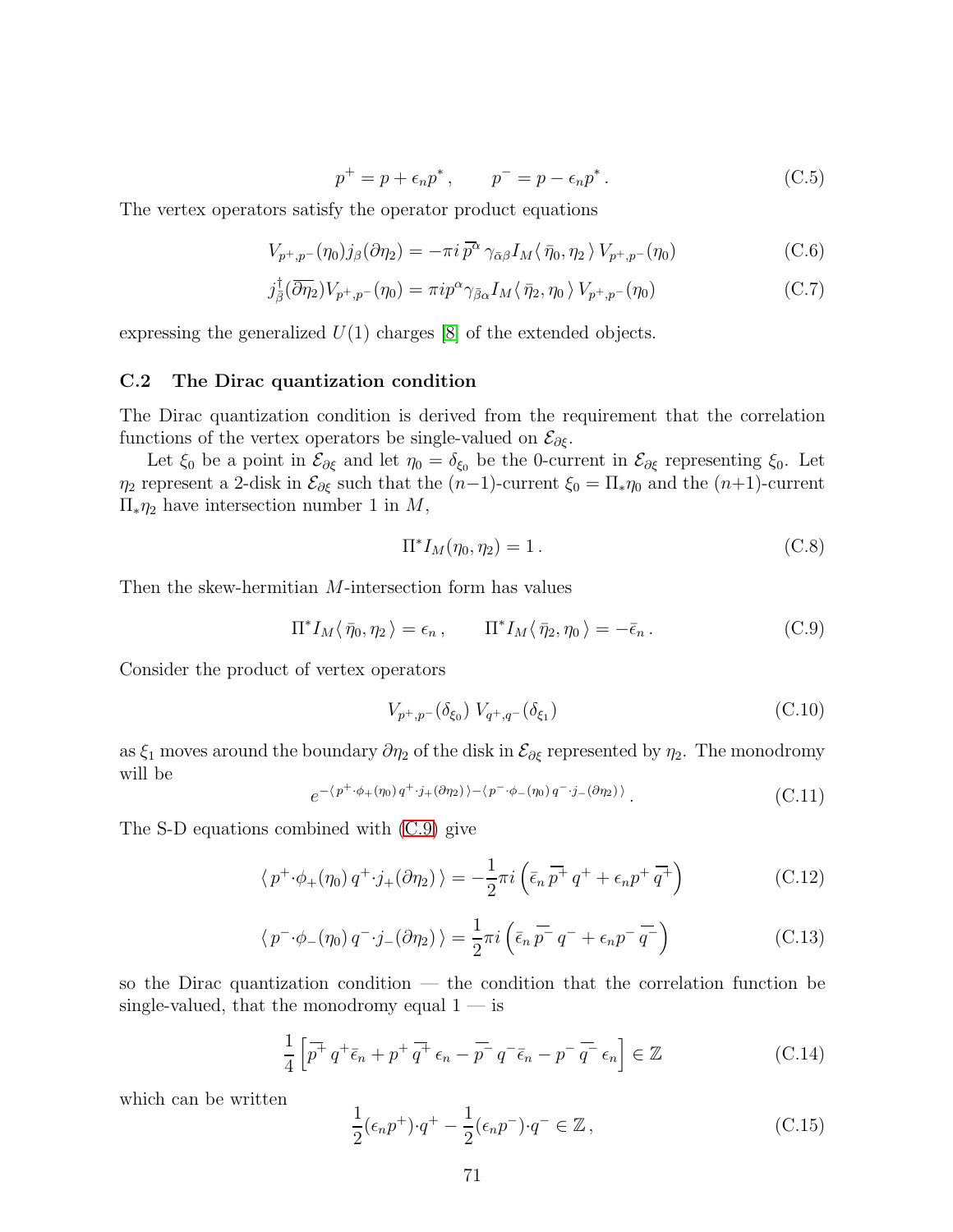$$
p^{+} = p + \epsilon_n p^*, \qquad p^{-} = p - \epsilon_n p^*.
$$
 (C.5)

The vertex operators satisfy the operator product equations

$$
V_{p^+,p^-}(\eta_0)j_\beta(\partial\eta_2) = -\pi i \,\overline{p^\alpha} \,\gamma_{\bar{\alpha}\beta}I_M \langle \,\bar{\eta}_0,\eta_2\,\rangle \, V_{p^+,p^-}(\eta_0) \tag{C.6}
$$

$$
j_{\bar{\beta}}^{\dagger}(\overline{\partial\eta_2})V_{p^+,p^-}(\eta_0) = \pi i p^{\alpha} \gamma_{\bar{\beta}\alpha} I_M \langle \bar{\eta}_2, \eta_0 \rangle V_{p^+,p^-}(\eta_0)
$$
 (C.7)

expressing the generalized  $U(1)$  charges [\[8\]](#page-75-2) of the extended objects.

#### C.2 The Dirac quantization condition

The Dirac quantization condition is derived from the requirement that the correlation functions of the vertex operators be single-valued on  $\mathcal{E}_{\partial \xi}$ .

Let  $\xi_0$  be a point in  $\mathcal{E}_{\partial \xi}$  and let  $\eta_0 = \delta_{\xi_0}$  be the 0-current in  $\mathcal{E}_{\partial \xi}$  representing  $\xi_0$ . Let  $\eta_2$  represent a 2-disk in  $\mathcal{E}_{\partial \xi}$  such that the  $(n-1)$ -current  $\xi_0 = \Pi_* \eta_0$  and the  $(n+1)$ -current Π∗η<sup>2</sup> have intersection number 1 in M,

$$
\Pi^* I_M(\eta_0, \eta_2) = 1. \tag{C.8}
$$

Then the skew-hermitian M-intersection form has values

<span id="page-70-0"></span>
$$
\Pi^* I_M \langle \bar{\eta}_0, \eta_2 \rangle = \epsilon_n, \qquad \Pi^* I_M \langle \bar{\eta}_2, \eta_0 \rangle = -\bar{\epsilon}_n. \tag{C.9}
$$

Consider the product of vertex operators

$$
V_{p^+,p^-}(\delta_{\xi_0}) V_{q^+,q^-}(\delta_{\xi_1})
$$
\n(C.10)

as  $\xi_1$  moves around the boundary  $\partial \eta_2$  of the disk in  $\mathcal{E}_{\partial \xi}$  represented by  $\eta_2$ . The monodromy will be

$$
e^{-\langle p^+ \cdot \phi_+(\eta_0) q^+ \cdot j_+(\partial \eta_2) \rangle - \langle p^- \cdot \phi_-(\eta_0) q^- \cdot j_-(\partial \eta_2) \rangle}.
$$
 (C.11)

The S-D equations combined with [\(C.9\)](#page-70-0) give

$$
\langle p^+ \cdot \phi_+(\eta_0) q^+ \cdot j_+(\partial \eta_2) \rangle = -\frac{1}{2} \pi i \left( \bar{\epsilon}_n \, \overline{p^+} \, q^+ + \epsilon_n p^+ \, \overline{q^+} \right) \tag{C.12}
$$

$$
\langle p^- \cdot \phi_-(\eta_0) q^- \cdot j_-(\partial \eta_2) \rangle = \frac{1}{2} \pi i \left( \bar{\epsilon}_n \, \overline{p^-} \, q^- + \epsilon_n \, \overline{p^-} \, \overline{q^-} \right) \tag{C.13}
$$

so the Dirac quantization condition — the condition that the correlation function be single-valued, that the monodromy equal  $1 - i$ s

$$
\frac{1}{4}\left[\overline{p^+}q^+\overline{\epsilon}_n + p^+\overline{q^+}\epsilon_n - \overline{p^-}q^-\overline{\epsilon}_n - p^-\overline{q^-}\epsilon_n\right] \in \mathbb{Z}
$$
\n(C.14)

which can be written

$$
\frac{1}{2}(\epsilon_n p^+) \cdot q^+ - \frac{1}{2}(\epsilon_n p^-) \cdot q^- \in \mathbb{Z},\tag{C.15}
$$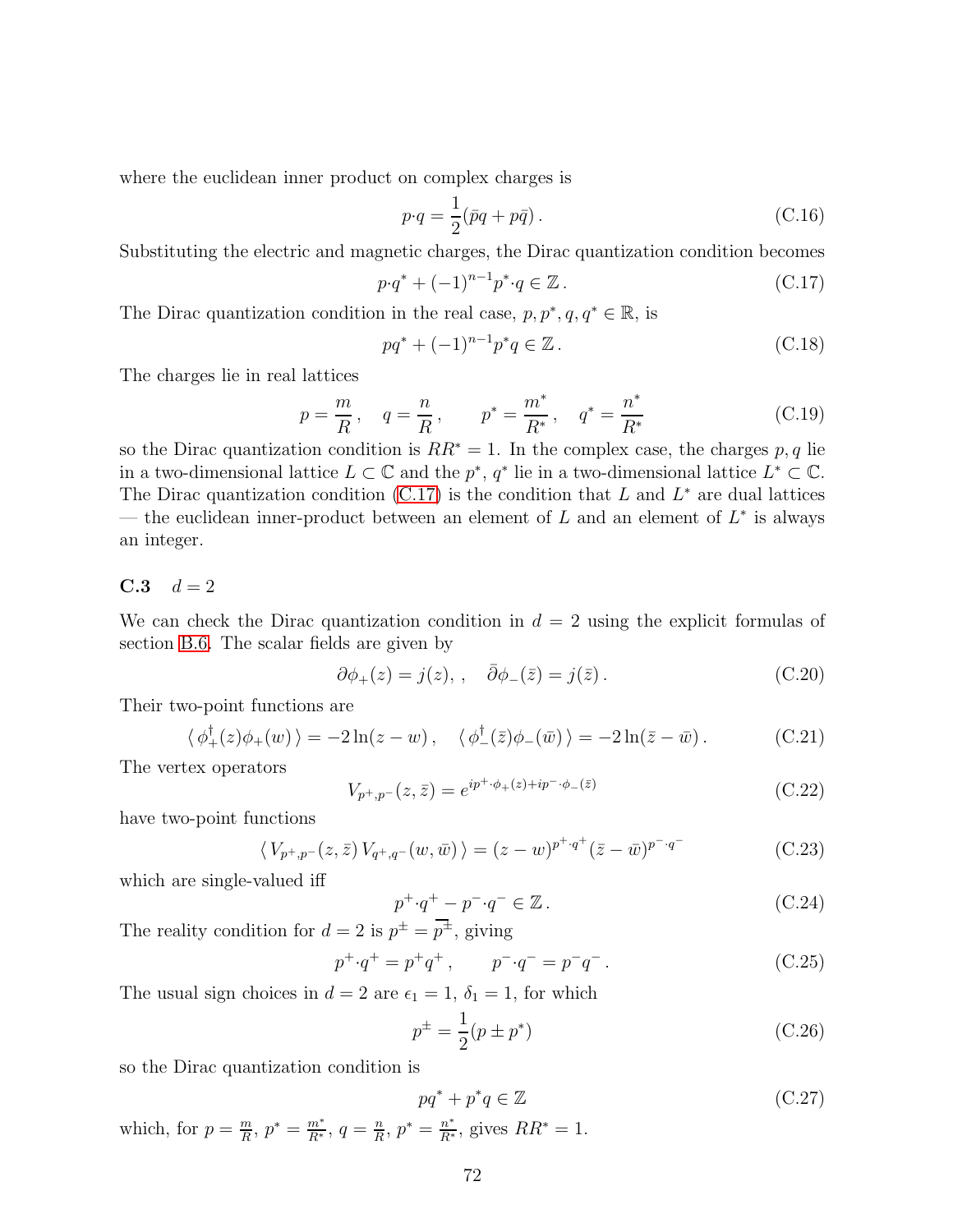where the euclidean inner product on complex charges is

$$
p \cdot q = \frac{1}{2} (\bar{p}q + p\bar{q}). \tag{C.16}
$$

Substituting the electric and magnetic charges, the Dirac quantization condition becomes

<span id="page-71-0"></span>
$$
p \cdot q^* + (-1)^{n-1} p^* \cdot q \in \mathbb{Z} \,. \tag{C.17}
$$

The Dirac quantization condition in the real case,  $p, p^*, q, q^* \in \mathbb{R}$ , is

$$
pq^* + (-1)^{n-1}p^*q \in \mathbb{Z} \,. \tag{C.18}
$$

The charges lie in real lattices

$$
p = \frac{m}{R}
$$
,  $q = \frac{n}{R}$ ,  $p^* = \frac{m^*}{R^*}$ ,  $q^* = \frac{n^*}{R^*}$  (C.19)

so the Dirac quantization condition is  $RR^* = 1$ . In the complex case, the charges p, q lie in a two-dimensional lattice  $L \subset \mathbb{C}$  and the  $p^*, q^*$  lie in a two-dimensional lattice  $L^* \subset \mathbb{C}$ . The Dirac quantization condition  $(C.17)$  is the condition that L and  $L^*$  are dual lattices — the euclidean inner-product between an element of  $L$  and an element of  $L^*$  is always an integer.

#### **C.3**  $d = 2$

We can check the Dirac quantization condition in  $d = 2$  using the explicit formulas of section [B.6.](#page-69-0) The scalar fields are given by

$$
\partial \phi_+(z) = j(z), \quad \bar{\partial} \phi_-(\bar{z}) = j(\bar{z}). \tag{C.20}
$$

Their two-point functions are

$$
\langle \phi_+^{\dagger}(z)\phi_+(w)\rangle = -2\ln(z-w), \quad \langle \phi_-^{\dagger}(\bar{z})\phi_-(\bar{w})\rangle = -2\ln(\bar{z}-\bar{w}). \tag{C.21}
$$

The vertex operators

$$
V_{p^+,p^-}(z,\bar{z}) = e^{ip^+\cdot\phi_+(z)+ip^-\cdot\phi_-(\bar{z})}
$$
\n(C.22)

have two-point functions

$$
\langle V_{p^+,p^-}(z,\bar{z}) V_{q^+,q^-}(w,\bar{w}) \rangle = (z-w)^{p^+,q^+} (\bar{z}-\bar{w})^{p^-,q^-}
$$
 (C.23)

which are single-valued iff

$$
p^+ \cdot q^+ - p^- \cdot q^- \in \mathbb{Z} \,. \tag{C.24}
$$

The reality condition for  $d=2$  is  $p^{\pm}=\overline{p^{\pm}}$ , giving

$$
p^{+} \cdot q^{+} = p^{+} q^{+}, \qquad p^{-} \cdot q^{-} = p^{-} q^{-}. \tag{C.25}
$$

The usual sign choices in  $d = 2$  are  $\epsilon_1 = 1$ ,  $\delta_1 = 1$ , for which

$$
p^{\pm} = \frac{1}{2}(p \pm p^*)
$$
 (C.26)

so the Dirac quantization condition is

$$
pq^* + p^*q \in \mathbb{Z} \tag{C.27}
$$

which, for  $p = \frac{m}{B}$  $\frac{m}{R}$ ,  $p^* = \frac{m^*}{R^*}$ ,  $q = \frac{n}{R}$  $\frac{n}{R}$ ,  $p^* = \frac{n^*}{R^*}$ , gives  $RR^* = 1$ .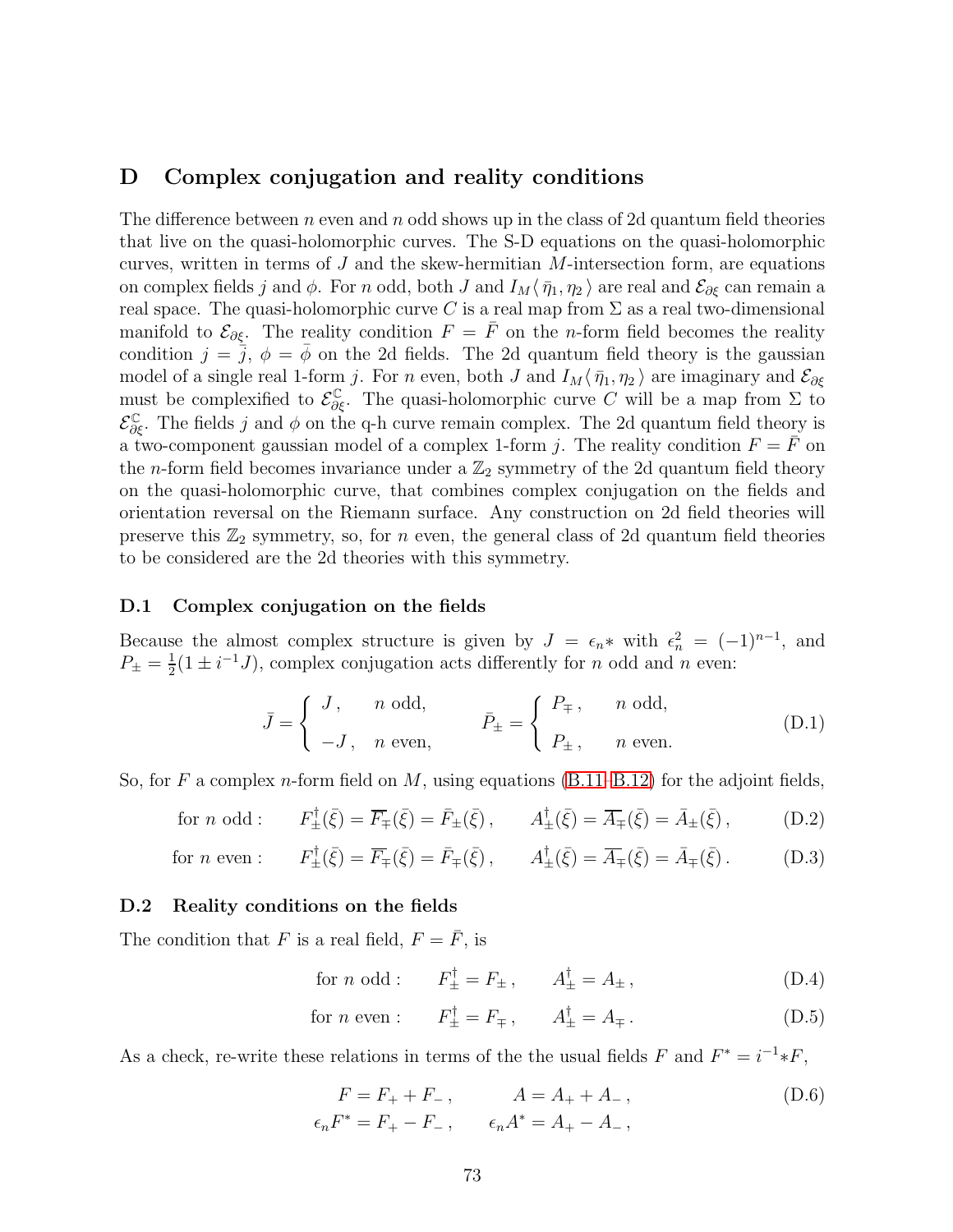# D Complex conjugation and reality conditions

The difference between n even and n odd shows up in the class of 2d quantum field theories that live on the quasi-holomorphic curves. The S-D equations on the quasi-holomorphic curves, written in terms of  $J$  and the skew-hermitian  $M$ -intersection form, are equations on complex fields j and  $\phi$ . For n odd, both J and  $I_M\langle \bar{\eta}_1, \eta_2\rangle$  are real and  $\mathcal{E}_{\partial \xi}$  can remain a real space. The quasi-holomorphic curve C is a real map from  $\Sigma$  as a real two-dimensional manifold to  $\mathcal{E}_{\partial \xi}$ . The reality condition  $F = \overline{F}$  on the *n*-form field becomes the reality condition  $j = \overline{j}$ ,  $\phi = \phi$  on the 2d fields. The 2d quantum field theory is the gaussian model of a single real 1-form j. For n even, both J and  $I_M\langle \bar{\eta}_1, \eta_2 \rangle$  are imaginary and  $\mathcal{E}_{\partial \xi}$ must be complexified to  $\mathcal{E}_{\partial \xi}^{\mathbb{C}}$ . The quasi-holomorphic curve C will be a map from  $\Sigma$  to  $\mathcal{E}_{\partial \xi}^{\mathbb{C}}$ . The fields j and  $\phi$  on the q-h curve remain complex. The 2d quantum field theory is a two-component gaussian model of a complex 1-form j. The reality condition  $F = \overline{F}$  on the *n*-form field becomes invariance under a  $\mathbb{Z}_2$  symmetry of the 2d quantum field theory on the quasi-holomorphic curve, that combines complex conjugation on the fields and orientation reversal on the Riemann surface. Any construction on 2d field theories will preserve this  $\mathbb{Z}_2$  symmetry, so, for *n* even, the general class of 2d quantum field theories to be considered are the 2d theories with this symmetry.

### D.1 Complex conjugation on the fields

Because the almost complex structure is given by  $J = \epsilon_n *$  with  $\epsilon_n^2 = (-1)^{n-1}$ , and  $P_{\pm} = \frac{1}{2}$  $\frac{1}{2}(1 \pm i^{-1}J)$ , complex conjugation acts differently for *n* odd and *n* even:

$$
\bar{J} = \begin{cases}\nJ, & n \text{ odd}, \\
-J, & n \text{ even},\n\end{cases}\n\qquad\n\bar{P}_{\pm} = \begin{cases}\nP_{\mp}, & n \text{ odd}, \\
P_{\pm}, & n \text{ even}.\n\end{cases}
$$
\n(D.1)

So, for F a complex n-form field on M, using equations  $(B.11–B.12)$  $(B.11–B.12)$  for the adjoint fields,

for *n* odd : 
$$
F_{\pm}^{\dagger}(\bar{\xi}) = \overline{F}_{\mp}(\bar{\xi}) = \bar{F}_{\pm}(\bar{\xi}), \qquad A_{\pm}^{\dagger}(\bar{\xi}) = \overline{A}_{\mp}(\bar{\xi}) = \bar{A}_{\pm}(\bar{\xi}),
$$
 (D.2)

for *n* even : 
$$
F_{\pm}^{\dagger}(\bar{\xi}) = \overline{F}_{\mp}(\bar{\xi}) = \overline{F}_{\mp}(\bar{\xi}), \qquad A_{\pm}^{\dagger}(\bar{\xi}) = \overline{A}_{\mp}(\bar{\xi}) = \overline{A}_{\mp}(\bar{\xi}).
$$
 (D.3)

#### D.2 Reality conditions on the fields

The condition that F is a real field,  $F = \overline{F}$ , is

for *n* odd :  $F_{\pm}^{\dagger} = F_{\pm}$ ,  $A_{\pm}^{\dagger} = A_{\pm}$ , (D.4)

for *n* even : 
$$
F_{\pm}^{\dagger} = F_{\mp}
$$
,  $A_{\pm}^{\dagger} = A_{\mp}$ . (D.5)

As a check, re-write these relations in terms of the the usual fields F and  $F^* = i^{-1} * F$ ,

$$
F = F_{+} + F_{-}, \qquad A = A_{+} + A_{-},
$$
  
\n
$$
\epsilon_n F^* = F_{+} - F_{-}, \qquad \epsilon_n A^* = A_{+} - A_{-},
$$
  
\n(D.6)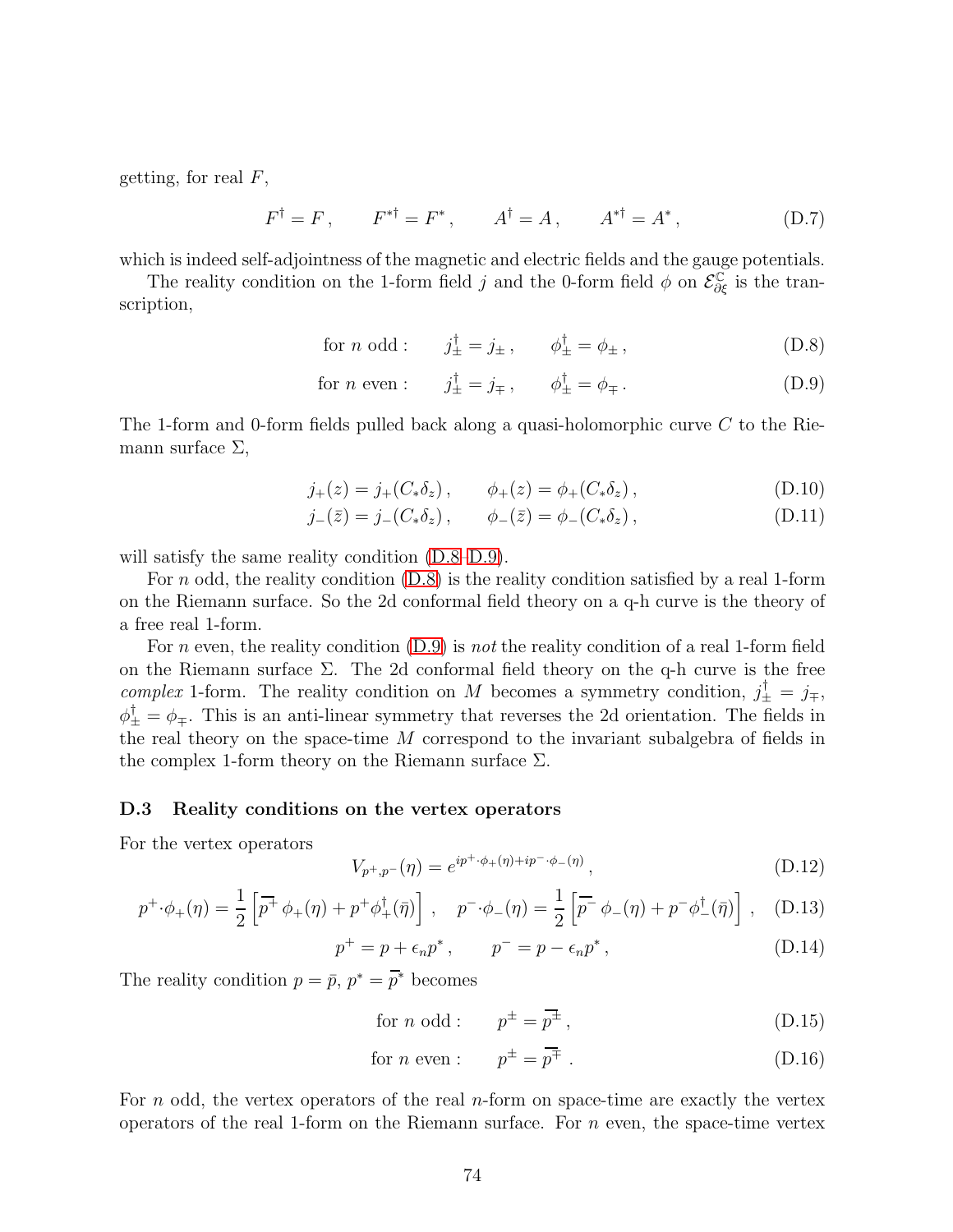getting, for real  $F$ ,

$$
F^{\dagger} = F
$$
,  $F^{*\dagger} = F^*$ ,  $A^{\dagger} = A$ ,  $A^{*\dagger} = A^*$ , (D.7)

which is indeed self-adjointness of the magnetic and electric fields and the gauge potentials.

The reality condition on the 1-form field j and the 0-form field  $\phi$  on  $\mathcal{E}^{\mathbb{C}}_{\partial \xi}$  is the transcription,

<span id="page-73-1"></span><span id="page-73-0"></span>for *n* odd : 
$$
j_{\pm}^{\dagger} = j_{\pm}
$$
,  $\phi_{\pm}^{\dagger} = \phi_{\pm}$ , (D.8)

for  $n$  even :  ${}_{\pm}^{\dagger} = j_{\mp}$ ,  $\phi_{\pm}^{\dagger} = \phi_{\mp}$ . (D.9)

The 1-form and 0-form fields pulled back along a quasi-holomorphic curve C to the Riemann surface  $\Sigma$ ,

$$
j_{+}(z) = j_{+}(C_{*}\delta_{z}), \qquad \phi_{+}(z) = \phi_{+}(C_{*}\delta_{z}), \qquad (D.10)
$$

$$
j_{-}(\bar{z}) = j_{-}(C_{*}\delta_{z}), \qquad \phi_{-}(\bar{z}) = \phi_{-}(C_{*}\delta_{z}), \qquad (D.11)
$$

will satisfy the same reality condition  $(D.8-D.9)$ .

For n odd, the reality condition  $(D.8)$  is the reality condition satisfied by a real 1-form on the Riemann surface. So the 2d conformal field theory on a q-h curve is the theory of a free real 1-form.

For n even, the reality condition  $(D.9)$  is not the reality condition of a real 1-form field on the Riemann surface  $\Sigma$ . The 2d conformal field theory on the q-h curve is the free complex 1-form. The reality condition on M becomes a symmetry condition,  $j^{\dagger}_{\pm} = j_{\mp}$ ,  $\phi_{\pm}^{\dagger} = \phi_{\mp}$ . This is an anti-linear symmetry that reverses the 2d orientation. The fields in the real theory on the space-time M correspond to the invariant subalgebra of fields in the complex 1-form theory on the Riemann surface  $\Sigma$ .

#### D.3 Reality conditions on the vertex operators

For the vertex operators

$$
V_{p^+,p^-}(\eta) = e^{ip^+\cdot\phi_+(\eta)+ip^-\cdot\phi_-(\eta)}, \tag{D.12}
$$

$$
p^{+} \cdot \phi_{+}(\eta) = \frac{1}{2} \left[ \overline{p^{+}} \phi_{+}(\eta) + p^{+} \phi_{+}^{\dagger}(\bar{\eta}) \right] , \quad p^{-} \cdot \phi_{-}(\eta) = \frac{1}{2} \left[ \overline{p^{-}} \phi_{-}(\eta) + p^{-} \phi_{-}^{\dagger}(\bar{\eta}) \right] , \quad (D.13)
$$

$$
p^{+} = p + \epsilon_n p^*, \qquad p^{-} = p - \epsilon_n p^*, \qquad (D.14)
$$

The reality condition  $p = \bar{p}, p^* = \bar{p}^*$  becomes

for *n* odd : 
$$
p^{\pm} = \overline{p^{\pm}}
$$
,  $(D.15)$ 

for *n* even : 
$$
p^{\pm} = \overline{p^{\mp}}
$$
. (D.16)

For n odd, the vertex operators of the real n-form on space-time are exactly the vertex operators of the real 1-form on the Riemann surface. For  $n$  even, the space-time vertex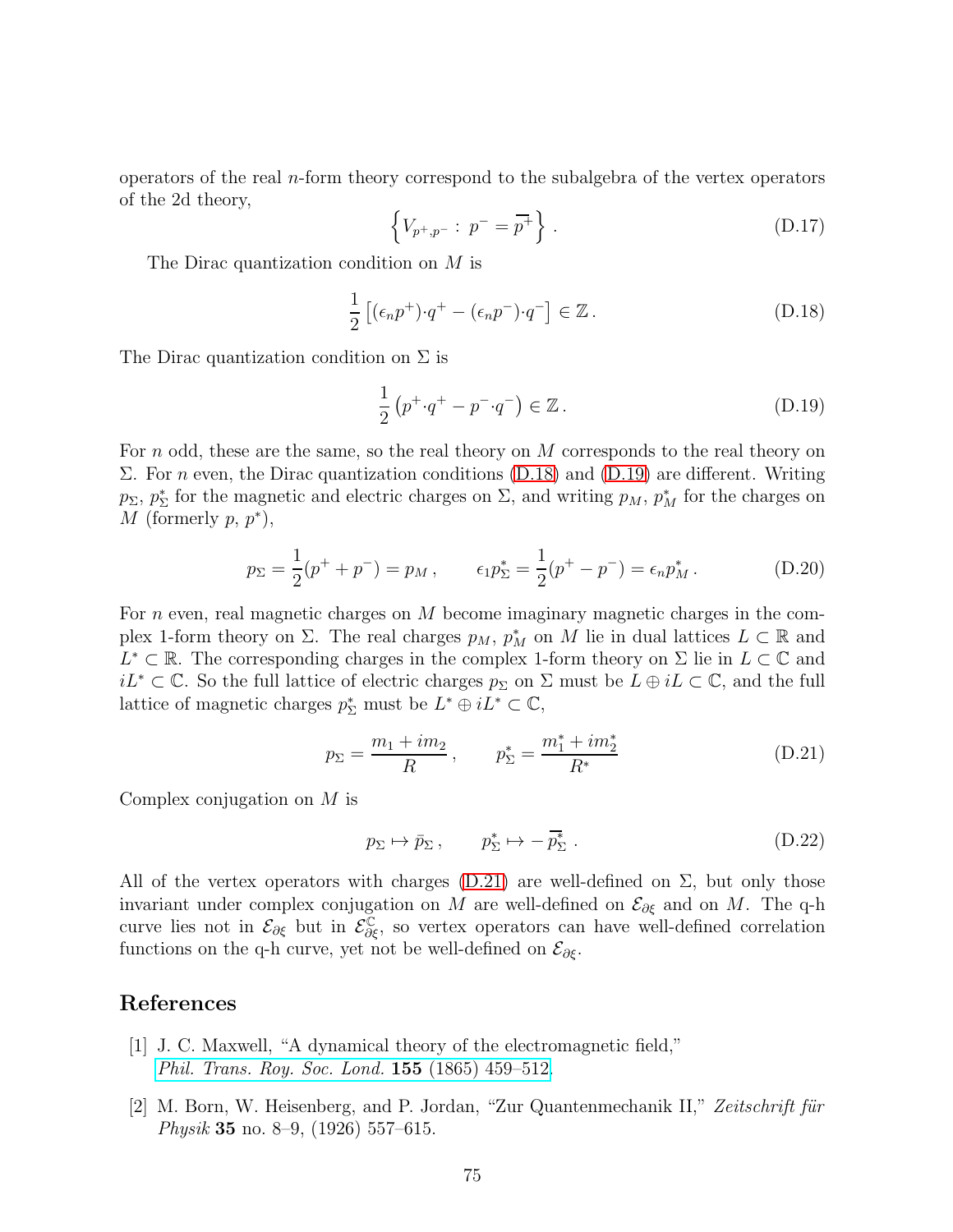operators of the real n-form theory correspond to the subalgebra of the vertex operators of the 2d theory,

$$
\{V_{p^+,p^-}: p^- = \overline{p^+}\}.
$$
 (D.17)

The Dirac quantization condition on M is

<span id="page-74-0"></span>
$$
\frac{1}{2}\left[ (\epsilon_n p^+) \cdot q^+ - (\epsilon_n p^-) \cdot q^- \right] \in \mathbb{Z} \,. \tag{D.18}
$$

The Dirac quantization condition on  $\Sigma$  is

<span id="page-74-1"></span>
$$
\frac{1}{2}\left(p^+ \cdot q^+ - p^- \cdot q^-\right) \in \mathbb{Z} \,. \tag{D.19}
$$

For n odd, these are the same, so the real theory on  $M$  corresponds to the real theory on Σ. For n even, the Dirac quantization conditions [\(D.18\)](#page-74-0) and [\(D.19\)](#page-74-1) are different. Writing  $p_{\Sigma}, p_{\Sigma}^*$  for the magnetic and electric charges on  $\Sigma$ , and writing  $p_M$ ,  $p_M^*$  for the charges on M (formerly  $p, p^*$ ),

$$
p_{\Sigma} = \frac{1}{2}(p^{+} + p^{-}) = p_{M}, \qquad \epsilon_{1} p_{\Sigma}^{*} = \frac{1}{2}(p^{+} - p^{-}) = \epsilon_{n} p_{M}^{*}.
$$
 (D.20)

For  $n$  even, real magnetic charges on  $M$  become imaginary magnetic charges in the complex 1-form theory on  $\Sigma$ . The real charges  $p_M$ ,  $p_M^*$  on M lie in dual lattices  $L \subset \mathbb{R}$  and  $L^*$  ⊂ R. The corresponding charges in the complex 1-form theory on  $\Sigma$  lie in  $L \subset \mathbb{C}$  and  $iL^* \subset \mathbb{C}$ . So the full lattice of electric charges  $p_{\Sigma}$  on  $\Sigma$  must be  $L \oplus iL \subset \mathbb{C}$ , and the full lattice of magnetic charges  $p_{\Sigma}^*$  must be  $L^* \oplus iL^* \subset \mathbb{C}$ ,

<span id="page-74-2"></span>
$$
p_{\Sigma} = \frac{m_1 + im_2}{R}, \qquad p_{\Sigma}^* = \frac{m_1^* + im_2^*}{R^*}
$$
 (D.21)

Complex conjugation on M is

$$
p_{\Sigma} \mapsto \bar{p}_{\Sigma} \,, \qquad p_{\Sigma}^* \mapsto -\bar{p}_{\Sigma}^* \,. \tag{D.22}
$$

All of the vertex operators with charges  $(D.21)$  are well-defined on  $\Sigma$ , but only those invariant under complex conjugation on M are well-defined on  $\mathcal{E}_{\partial \xi}$  and on M. The q-h curve lies not in  $\mathcal{E}_{\partial \xi}$  but in  $\mathcal{E}_{\partial \xi}^{\mathbb{C}}$ , so vertex operators can have well-defined correlation functions on the q-h curve, yet not be well-defined on  $\mathcal{E}_{\partial \xi}$ .

## References

- [1] J. C. Maxwell, "A dynamical theory of the electromagnetic field," [Phil. Trans. Roy. Soc. Lond.](http://dx.doi.org/10.1098/rstl.1865.0008) 155 (1865) 459–512.
- [2] M. Born, W. Heisenberg, and P. Jordan, "Zur Quantenmechanik II," Zeitschrift für *Physik* **35** no. 8–9, (1926) 557–615.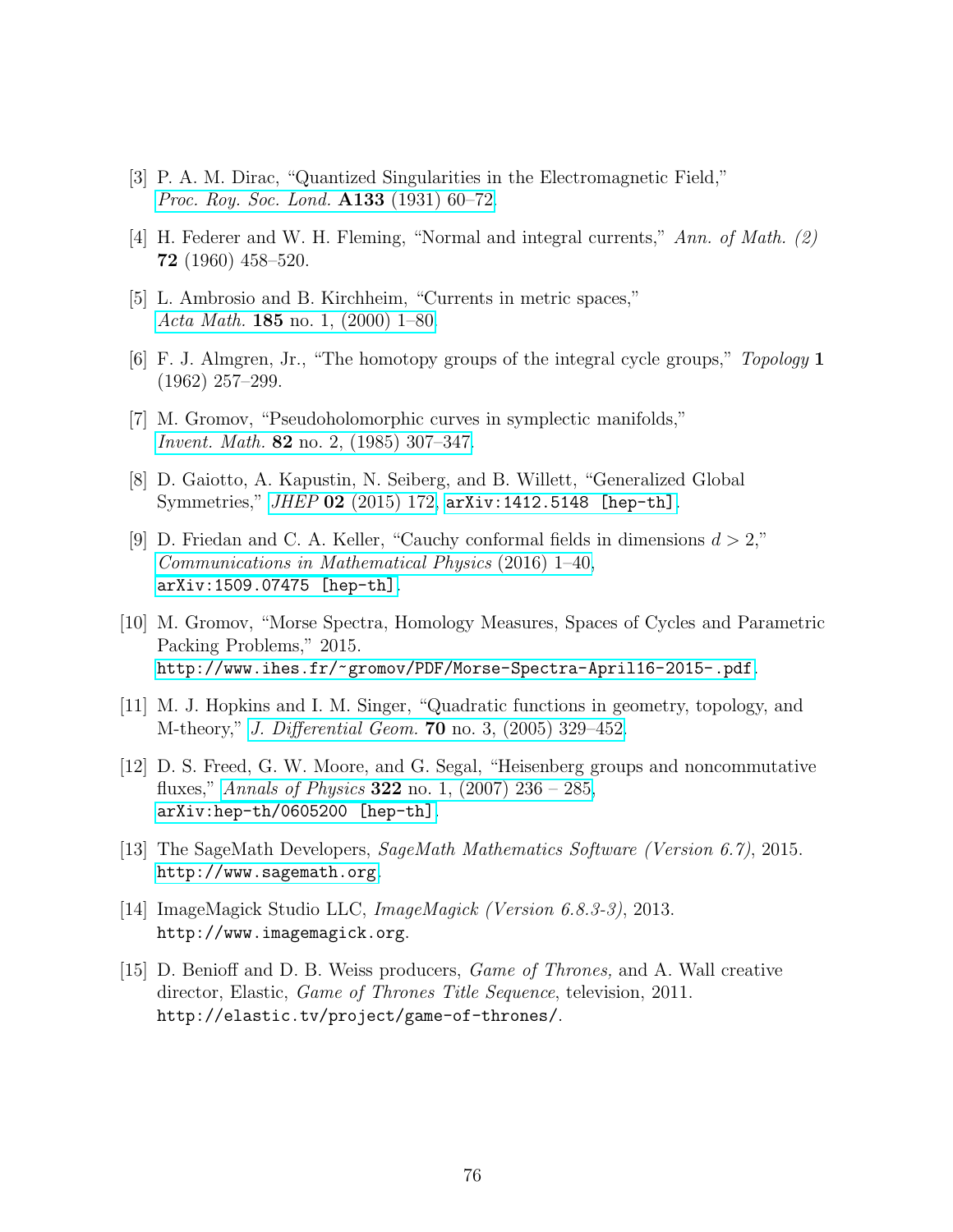- [3] P. A. M. Dirac, "Quantized Singularities in the Electromagnetic Field," [Proc. Roy. Soc. Lond.](http://dx.doi.org/10.1098/rspa.1931.0130) **A133** (1931) 60–72.
- [4] H. Federer and W. H. Fleming, "Normal and integral currents," Ann. of Math. (2) 72 (1960) 458–520.
- [5] L. Ambrosio and B. Kirchheim, "Currents in metric spaces," Acta Math. 185 [no. 1, \(2000\) 1–80.](http://dx.doi.org.proxy.libraries.rutgers.edu/10.1007/BF02392711)
- [6] F. J. Almgren, Jr., "The homotopy groups of the integral cycle groups," Topology 1 (1962) 257–299.
- [7] M. Gromov, "Pseudoholomorphic curves in symplectic manifolds," Invent. Math. 82 [no. 2, \(1985\) 307–347.](http://dx.doi.org.proxy.libraries.rutgers.edu/10.1007/BF01388806)
- [8] D. Gaiotto, A. Kapustin, N. Seiberg, and B. Willett, "Generalized Global Symmetries," JHEP 02 [\(2015\) 172,](http://dx.doi.org/10.1007/JHEP02(2015)172) [arXiv:1412.5148 \[hep-th\]](http://arxiv.org/abs/1412.5148).
- [9] D. Friedan and C. A. Keller, "Cauchy conformal fields in dimensions  $d > 2$ ," [Communications in Mathematical Physics](http://dx.doi.org/10.1007/s00220-015-2547-x) (2016) 1–40, [arXiv:1509.07475 \[hep-th\]](http://arxiv.org/abs/1509.07475).
- [10] M. Gromov, "Morse Spectra, Homology Measures, Spaces of Cycles and Parametric Packing Problems," 2015. <http://www.ihes.fr/~gromov/PDF/Morse-Spectra-April16-2015-.pdf>.
- [11] M. J. Hopkins and I. M. Singer, "Quadratic functions in geometry, topology, and M-theory," J. Differential Geom. 70 [no. 3, \(2005\) 329–452.](http://projecteuclid.org.proxy.libraries.rutgers.edu/euclid.jdg/1143642908)
- [12] D. S. Freed, G. W. Moore, and G. Segal, "Heisenberg groups and noncommutative fluxes," Annals of Physics 322 no. 1,  $(2007)$  236 – 285, [arXiv:hep-th/0605200 \[hep-th\]](http://arxiv.org/abs/hep-th/0605200).
- [13] The SageMath Developers, SageMath Mathematics Software (Version 6.7), 2015. <http://www.sagemath.org>.
- [14] ImageMagick Studio LLC, ImageMagick (Version 6.8.3-3), 2013. http://www.imagemagick.org.
- [15] D. Benioff and D. B. Weiss producers, Game of Thrones, and A. Wall creative director, Elastic, *Game of Thrones Title Sequence*, television, 2011. http://elastic.tv/project/game-of-thrones/.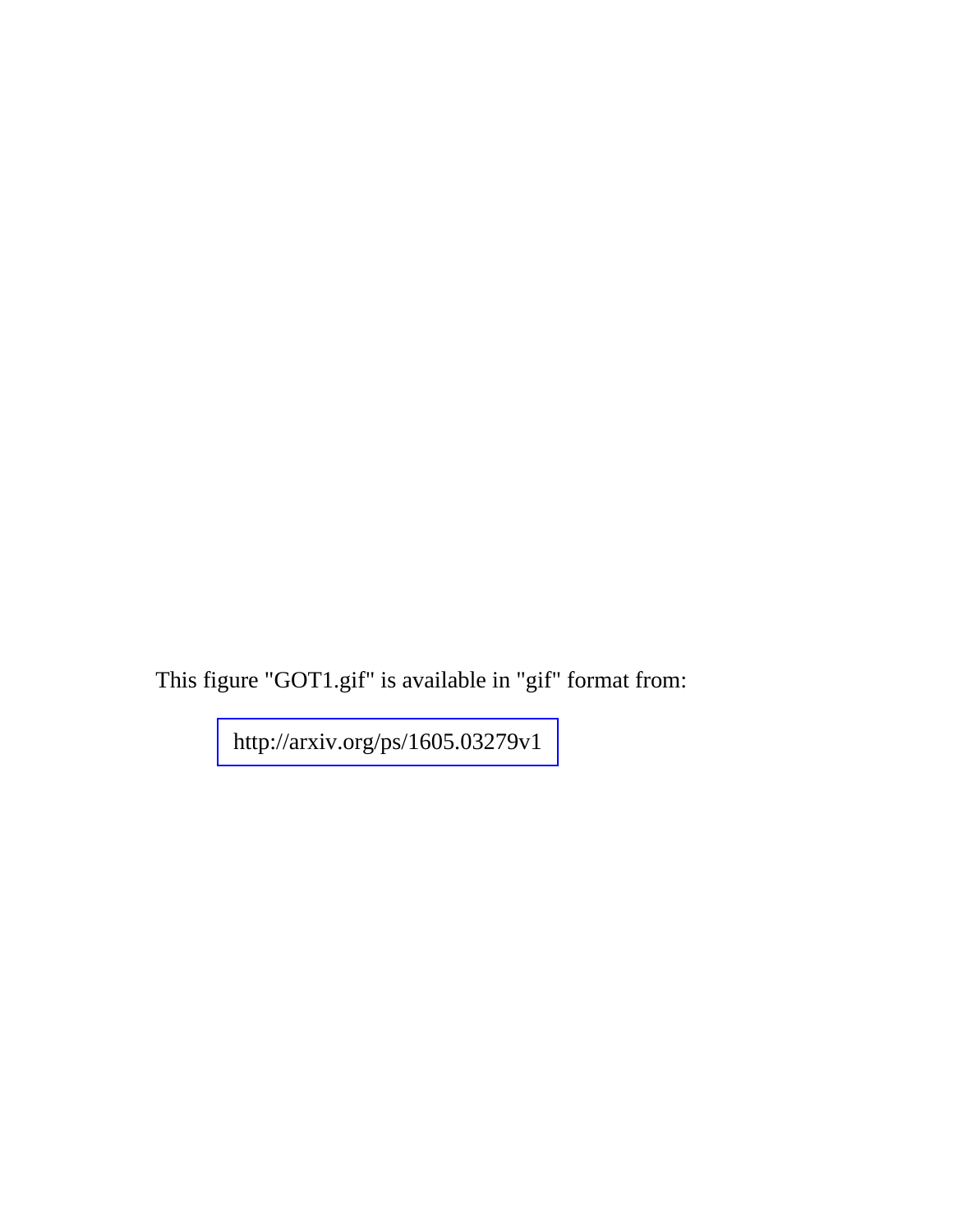This figure "GOT1.gif" is available in "gif" format from:

<http://arxiv.org/ps/1605.03279v1>